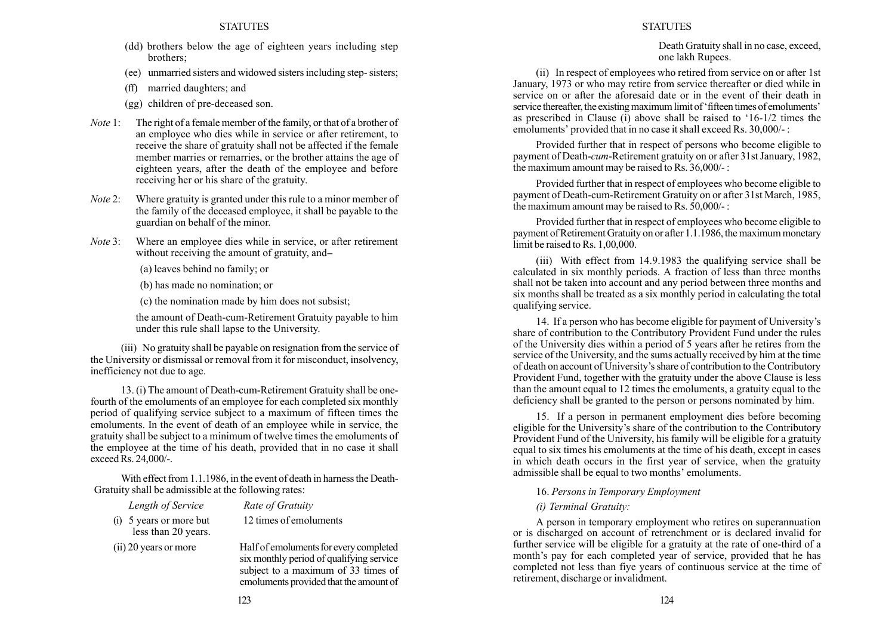- (dd) brothers below the age of eighteen years including step brothers;
- (ee) unmarried sisters and widowed sisters including step- sisters;
- (ff) married daughters; and
- (gg) children of pre-deceased son.
- Note 1: The right of a female member of the family, or that of a brother of an employee who dies while in service or after retirement, to receive the share of gratuity shall not be affected if the female member marries or remarries, or the brother attains the age of eighteen years, after the death of the employee and before receiving her or his share of the gratuity.
- Note 2: Where gratuity is granted under this rule to a minor member of the family of the deceased employee, it shall be payable to the guardian on behalf of the minor.
- Note 3: Where an employee dies while in service, or after retirement without receiving the amount of gratuity, and-

(a) leaves behind no family; or

(b) has made no nomination; or

(c) the nomination made by him does not subsist;

the amount of Death-cum-Retirement Gratuity payable to him under this rule shall lapse to the University.

(iii) No gratuity shall be payable on resignation from the service of the University or dismissal or removal from it for misconduct, insolvency, inefficiency not due to age.

13. (i) The amount of Death-cum-Retirement Gratuity shall be onefourth of the emoluments of an employee for each completed six monthly period of qualifying service subject to a maximum of fifteen times the emoluments. In the event of death of an employee while in service, the gratuity shall be subject to a minimum of twelve times the emoluments of the employee at the time of his death, provided that in no case it shall exceed Rs. 24,000/-.

With effect from 1.1.1986, in the event of death in harness the Death-Gratuity shall be admissible at the following rates:

| Length of Service                                | Rate of Gratuity       |
|--------------------------------------------------|------------------------|
| $(i)$ 5 years or more but<br>less than 20 years. | 12 times of emoluments |
|                                                  |                        |

(ii) 20 years or more Half of emoluments for every completed six monthly period of qualifying service subject to a maximum of 33 times of emoluments provided that the amount of

# **STATUTES**

Death Gratuity shall in no case, exceed, one lakh Rupees.

(ii) In respect of employees who retired from service on or after 1st January, 1973 or who may retire from service thereafter or died while in service on or after the aforesaid date or in the event of their death in service thereafter, the existing maximum limit of 'fifteen times of emoluments' as prescribed in Clause  $\overrightarrow{(i)}$  above shall be raised to '16-1/2 times the emoluments' provided that in no case it shall exceed Rs.  $30,000/$  :

Provided further that in respect of persons who become eligible to payment of Death-cum-Retirement gratuity on or after 31st January, 1982, the maximum amount may be raised to Rs. 36,000/- :

Provided further that in respect of employees who become eligible to payment of Death-cum-Retirement Gratuity on or after 31st March, 1985, the maximum amount may be raised to Rs. 50,000/- :

Provided further that in respect of employees who become eligible to payment of Retirement Gratuity on or after 1.1.1986, the maximum monetary limit be raised to Rs. 1,00,000.

(iii) With effect from 14.9.1983 the qualifying service shall be calculated in six monthly periods. A fraction of less than three months shall not be taken into account and any period between three months and six months shall be treated as a six monthly period in calculating the total qualifying service.

14. If a person who has become eligible for payment of University's share of contribution to the Contributory Provident Fund under the rules of the University dies within a period of 5 years after he retires from the service of the University, and the sums actually received by him at the time of death on account of University's share of contribution to the Contributory Provident Fund, together with the gratuity under the above Clause is less than the amount equal to 12 times the emoluments, a gratuity equal to the deficiency shall be granted to the person or persons nominated by him.

15. If a person in permanent employment dies before becoming eligible for the University's share of the contribution to the Contributory Provident Fund of the University, his family will be eligible for a gratuity equal to six times his emoluments at the time of his death, except in cases in which death occurs in the first year of service, when the gratuity admissible shall be equal to two months' emoluments.

# 16. Persons in Temporary Employment

# (i) Terminal Gratuity:

A person in temporary employment who retires on superannuation or is discharged on account of retrenchment or is declared invalid for further service will be eligible for a gratuity at the rate of one-third of a month's pay for each completed year of service, provided that he has completed not less than fiye years of continuous service at the time of retirement, discharge or invalidment.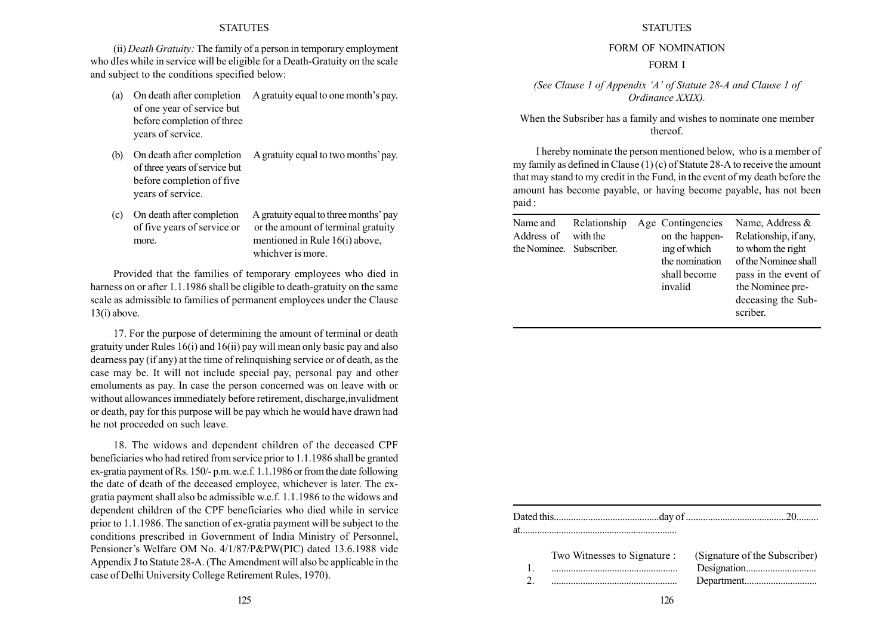(ii) Death Gratuity: The family of a person in temporary employment who dIes while in service will be eligible for a Death-Gratuity on the scale and subject to the conditions specified below:

- (a) On death after completion A gratuity equal to one month's pay. of one year of service but before completion of three years of service.
- (b) On death after completion A gratuity equal to two months' pay. of three years of service but before completion of five years of service.
- (c) On death after completion A gratuity equal to three months' pay of five years of service or or the amount of terminal gratuity more. mentioned in Rule 16(i) above, whichver is more.

Provided that the families of temporary employees who died in harness on or after 1.1.1986 shall be eligible to death-gratuity on the same scale as admissible to families of permanent employees under the Clause 13(i) above.

17. For the purpose of determining the amount of terminal or death gratuity under Rules 16(i) and 16(ii) pay will mean only basic pay and also dearness pay (if any) at the time of relinquishing service or of death, as the case may be. It will not include special pay, personal pay and other emoluments as pay. In case the person concerned was on leave with or without allowances immediately before retirement, discharge,invalidment or death, pay for this purpose will be pay which he would have drawn had he not proceeded on such leave.

18. The widows and dependent children of the deceased CPF beneficiaries who had retired from service prior to 1.1.1986 shall be granted ex-gratia payment of Rs. 150/- p.m. w.e.f. 1.1.1986 or from the date following the date of death of the deceased employee, whichever is later. The exgratia payment shall also be admissible w.e.f. 1.1.1986 to the widows and dependent children of the CPF beneficiaries who died while in service prior to 1.1.1986. The sanction of ex-gratia payment will be subject to the conditions prescribed in Government of India Ministry of Personnel, Pensioner's Welfare OM No. 4/1/87/P&PW(PIC) dated 13.6.1988 vide Appendix J to Statute 28-A. (The Amendment will also be applicable in the case of Delhi University College Retirement Rules, 1970).

## **STATUTES**

#### FORM OF NOMINATION

#### FORM I

(See Clause 1 of Appendix 'A' of Statute  $28-A$  and Clause 1 of Ordinance XXIX).

When the Subsriber has a family and wishes to nominate one member thereof.

I hereby nominate the person mentioned below, who is a member of my family as defined in Clause (1) (c) of Statute 28-A to receive the amount that may stand to my credit in the Fund, in the event of my death before the amount has become payable, or having become payable, has not been paid :

| Name and<br>Address of<br>the Nominee. Subscriber. | Relationship<br>with the |  | Age Contingencies<br>on the happen-<br>ing of which<br>the nomination<br>shall become<br>invalid | Name, Address &<br>Relationship, if any,<br>to whom the right<br>of the Nominee shall<br>pass in the event of<br>the Nominee pre-<br>deceasing the Sub-<br>scriber. |
|----------------------------------------------------|--------------------------|--|--------------------------------------------------------------------------------------------------|---------------------------------------------------------------------------------------------------------------------------------------------------------------------|
|----------------------------------------------------|--------------------------|--|--------------------------------------------------------------------------------------------------|---------------------------------------------------------------------------------------------------------------------------------------------------------------------|

| Two Witnesses to Signature :<br>$\ldots \ldots \ldots \ldots \ldots \ldots \ldots \ldots \ldots \ldots \ldots \ldots$ | (Signature of the Subscriber) |
|-----------------------------------------------------------------------------------------------------------------------|-------------------------------|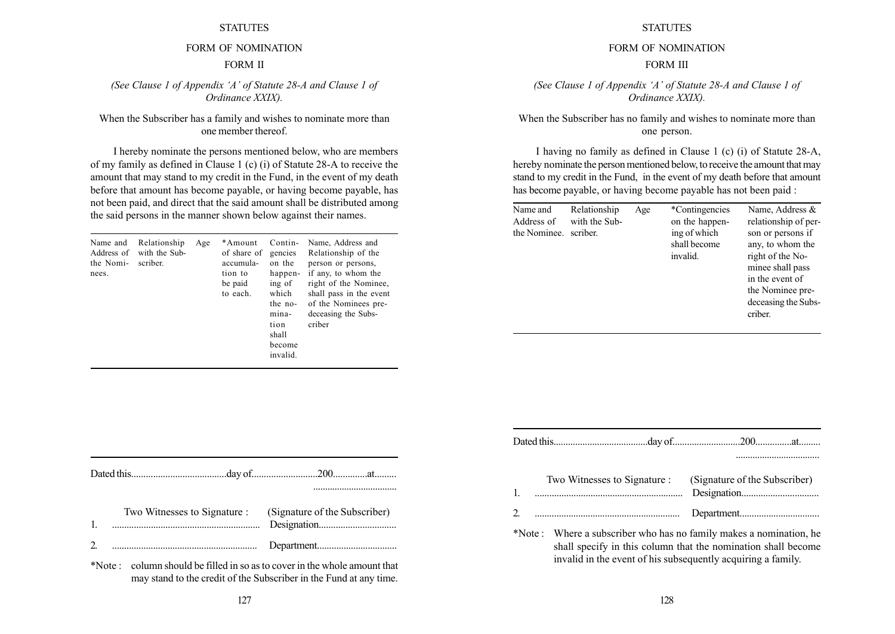# FORM OF NOMINATION FORM II

(See Clause 1 of Appendix 'A' of Statute  $28-A$  and Clause 1 of Ordinance XXIX).

## When the Subscriber has a family and wishes to nominate more than one member thereof.

I hereby nominate the persons mentioned below, who are members of my family as defined in Clause 1 (c) (i) of Statute 28-A to receive the amount that may stand to my credit in the Fund, in the event of my death before that amount has become payable, or having become payable, has not been paid, and direct that the said amount shall be distributed among the said persons in the manner shown below against their names.

| Relationship<br>Name and<br>Age<br>with the Sub-<br>Address of<br>the Nomi-<br>scriber.<br>nees. | *Amount<br>of share of<br>accumula-<br>tion to<br>be paid<br>to each. | Contin-<br>gencies<br>on the<br>happen-<br>ing of<br>which<br>the no-<br>mina-<br>tion<br>shall<br>become<br>invalid. | Name, Address and<br>Relationship of the<br>person or persons,<br>if any, to whom the<br>right of the Nominee,<br>shall pass in the event<br>of the Nominees pre-<br>deceasing the Subs-<br>criber |
|--------------------------------------------------------------------------------------------------|-----------------------------------------------------------------------|-----------------------------------------------------------------------------------------------------------------------|----------------------------------------------------------------------------------------------------------------------------------------------------------------------------------------------------|
|--------------------------------------------------------------------------------------------------|-----------------------------------------------------------------------|-----------------------------------------------------------------------------------------------------------------------|----------------------------------------------------------------------------------------------------------------------------------------------------------------------------------------------------|

| Two Witnesses to Signature : (Signature of the Subscriber) |  |
|------------------------------------------------------------|--|
|                                                            |  |

\*Note : column should be filled in so as to cover in the whole amount that may stand to the credit of the Subscriber in the Fund at any time.

## **STATUTES**

# FORM OF NOMINATION

## FORM III

(See Clause 1 of Appendix 'A' of Statute  $28-A$  and Clause 1 of Ordinance XXIX).

When the Subscriber has no family and wishes to nominate more than one person.

I having no family as defined in Clause 1 (c) (i) of Statute 28-A, hereby nominate the person mentioned below, to receive the amount that may stand to my credit in the Fund, in the event of my death before that amount has become payable, or having become payable has not been paid :

| Name and<br>Address of<br>the Nominee. | Relationship<br>with the Sub-<br>scriber. | Age | *Contingencies<br>on the happen-<br>ing of which<br>shall become<br>invalid. | Name, Address &<br>relationship of per-<br>son or persons if<br>any, to whom the<br>right of the No-<br>minee shall pass<br>in the event of<br>the Nominee pre-<br>deceasing the Subs- |
|----------------------------------------|-------------------------------------------|-----|------------------------------------------------------------------------------|----------------------------------------------------------------------------------------------------------------------------------------------------------------------------------------|
|                                        |                                           |     |                                                                              | criber.                                                                                                                                                                                |

| Two Witnesses to Signature :<br>$\mathbf{1}$ .                     | (Signature of the Subscriber) |
|--------------------------------------------------------------------|-------------------------------|
| 2.                                                                 |                               |
| *Note: Where a subscriber who has no family makes a nomination, he |                               |

shall specify in this column that the nomination shall become invalid in the event of his subsequently acquiring a family.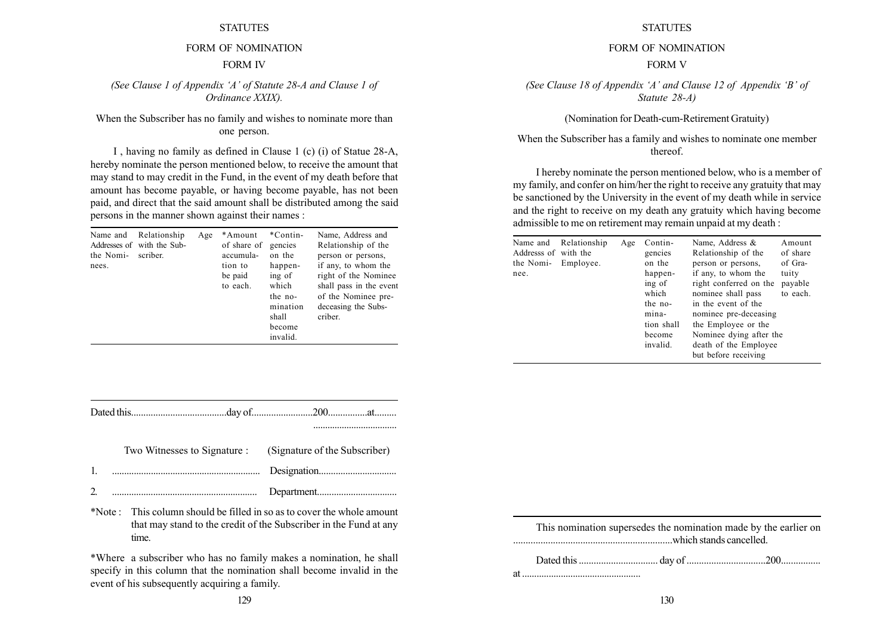# FORM OF NOMINATION FORM IV

(See Clause 1 of Appendix 'A' of Statute  $28-A$  and Clause 1 of Ordinance XXIX).

## When the Subscriber has no family and wishes to nominate more than one person.

I , having no family as defined in Clause 1 (c) (i) of Statue 28-A, hereby nominate the person mentioned below, to receive the amount that may stand to may credit in the Fund, in the event of my death before that amount has become payable, or having become payable, has not been paid, and direct that the said amount shall be distributed among the said persons in the manner shown against their names :

| Name and<br>the Nomi-<br>nees. | Relationship<br>Addresses of with the Sub-<br>scriber. | Age | *Amount<br>of share of<br>accumula-<br>tion to<br>be paid<br>to each. | *Contin-<br>gencies<br>on the<br>happen-<br>ing of<br>which<br>the no-<br>mination<br>shall<br>become<br>invalid. | Name, Address and<br>Relationship of the<br>person or persons.<br>if any, to whom the<br>right of the Nominee<br>shall pass in the event<br>of the Nominee pre-<br>deceasing the Subs-<br>criber. |
|--------------------------------|--------------------------------------------------------|-----|-----------------------------------------------------------------------|-------------------------------------------------------------------------------------------------------------------|---------------------------------------------------------------------------------------------------------------------------------------------------------------------------------------------------|
|--------------------------------|--------------------------------------------------------|-----|-----------------------------------------------------------------------|-------------------------------------------------------------------------------------------------------------------|---------------------------------------------------------------------------------------------------------------------------------------------------------------------------------------------------|

|  | Two Witnesses to Signature : (Signature of the Subscriber) |
|--|------------------------------------------------------------|
|  |                                                            |
|  |                                                            |

\*Note : This column should be filled in so as to cover the whole amount that may stand to the credit of the Subscriber in the Fund at any time.

\*Where a subscriber who has no family makes a nomination, he shall specify in this column that the nomination shall become invalid in the event of his subsequently acquiring a family.

**STATUTES** 

#### FORM OF NOMINATION

#### FORM V

(See Clause 18 of Appendix 'A' and Clause 12 of Appendix 'B' of Statute 28-A)

(Nomination for Death-cum-Retirement Gratuity)

When the Subscriber has a family and wishes to nominate one member thereof.

I hereby nominate the person mentioned below, who is a member of my family, and confer on him/her the right to receive any gratuity that may be sanctioned by the University in the event of my death while in service and the right to receive on my death any gratuity which having become admissible to me on retirement may remain unpaid at my death :

| Name and<br>Addresss of with the<br>the Nomi- Employee.<br>nee. | Relationship | Age | Contin-<br>gencies<br>on the<br>happen-<br>ing of<br>which<br>the no-<br>mina-<br>tion shall<br>become<br>invalid. | Name, Address &<br>Relationship of the<br>person or persons,<br>if any, to whom the<br>right conferred on the<br>nominee shall pass<br>in the event of the<br>nominee pre-deceasing<br>the Employee or the<br>Nominee dying after the<br>death of the Employee<br>but before receiving | Amount<br>of share<br>of Gra-<br>tuity<br>payable<br>to each. |
|-----------------------------------------------------------------|--------------|-----|--------------------------------------------------------------------------------------------------------------------|----------------------------------------------------------------------------------------------------------------------------------------------------------------------------------------------------------------------------------------------------------------------------------------|---------------------------------------------------------------|
|-----------------------------------------------------------------|--------------|-----|--------------------------------------------------------------------------------------------------------------------|----------------------------------------------------------------------------------------------------------------------------------------------------------------------------------------------------------------------------------------------------------------------------------------|---------------------------------------------------------------|

This nomination supersedes the nomination made by the earlier on ................................................................which stands cancelled.

Dated this ................................ day of ................................200................ at .................................................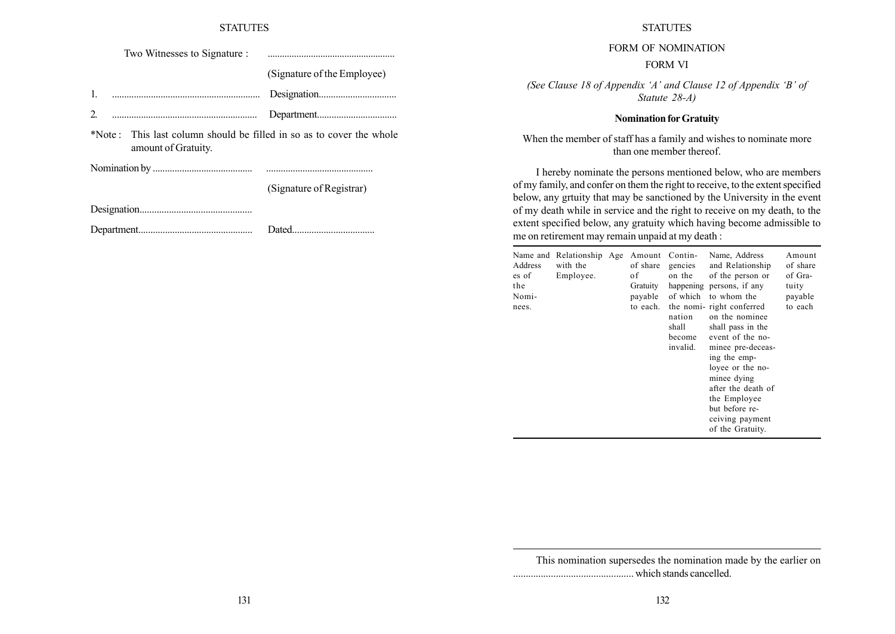Two Witnesses to Signature : .....................................................

(Signature of the Employee)

1. ............................................................. Designation................................

2. ............................................................ Department.................................

\*Note : This last column should be filled in so as to cover the whole amount of Gratuity.

Nomination by ......................................... ............................................

(Signature of Registrar)

Designation..............................................

Department............................................... Dated..................................

#### **STATUTES**

FORM OF NOMINATION

#### FORM VI

(See Clause 18 of Appendix 'A' and Clause 12 of Appendix 'B' of Statute 28-A)

#### Nomination for Gratuity

When the member of staff has a family and wishes to nominate more than one member thereof.

I hereby nominate the persons mentioned below, who are members of my family, and confer on them the right to receive, to the extent specified below, any grtuity that may be sanctioned by the University in the event of my death while in service and the right to receive on my death, to the extent specified below, any gratuity which having become admissible to me on retirement may remain unpaid at my death :

| Address<br>es of<br>the<br>Nomi-<br>nees. | Name and Relationship Age<br>with the<br>Employee. |  | Amount<br>of share<br>оf<br>Gratuity<br>payable<br>to each. | Contin-<br>gencies<br>on the<br>of which<br>nation<br>shall<br>become<br>invalid. | Name, Address<br>and Relationship<br>of the person or<br>happening persons, if any<br>to whom the<br>the nomi-right conferred<br>on the nominee<br>shall pass in the<br>event of the no-<br>minee pre-deceas-<br>ing the emp-<br>loyee or the no-<br>minee dying<br>after the death of<br>the Employee<br>but before re-<br>ceiving payment<br>of the Gratuity. | Amount<br>of share<br>of Gra-<br>tuity<br>payable<br>to each |
|-------------------------------------------|----------------------------------------------------|--|-------------------------------------------------------------|-----------------------------------------------------------------------------------|-----------------------------------------------------------------------------------------------------------------------------------------------------------------------------------------------------------------------------------------------------------------------------------------------------------------------------------------------------------------|--------------------------------------------------------------|
|-------------------------------------------|----------------------------------------------------|--|-------------------------------------------------------------|-----------------------------------------------------------------------------------|-----------------------------------------------------------------------------------------------------------------------------------------------------------------------------------------------------------------------------------------------------------------------------------------------------------------------------------------------------------------|--------------------------------------------------------------|

This nomination supersedes the nomination made by the earlier on ................................................ which stands cancelled.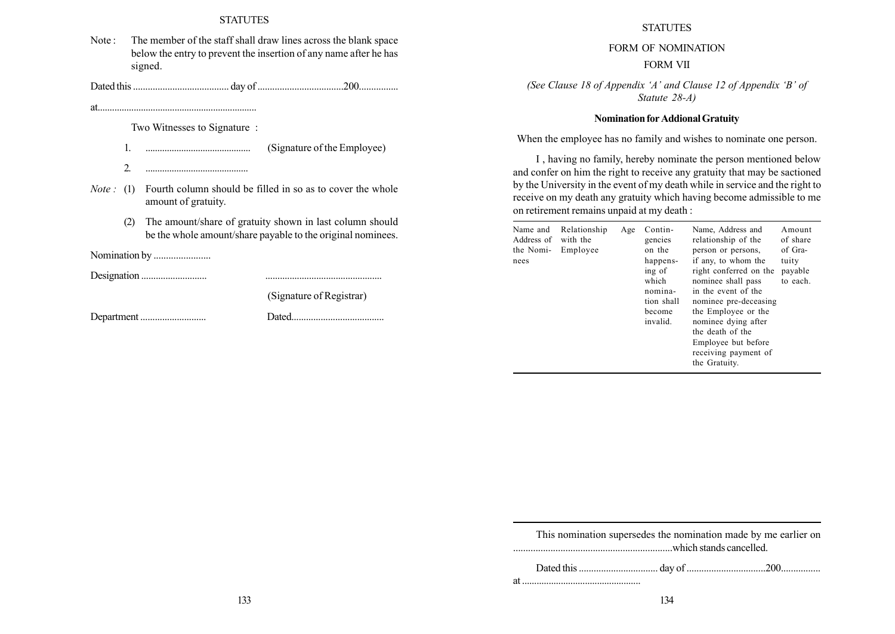Note : The member of the staff shall draw lines across the blank space below the entry to prevent the insertion of any name after he has signed.

Dated this ....................................... day of ...................................200................

at..................................................................

Two Witnesses to Signature :

1. ............................................ (Signature of the Employee)

- 2. ...........................................
- *Note*: (1) Fourth column should be filled in so as to cover the whole amount of gratuity.
	- (2) The amount/share of gratuity shown in last column should be the whole amount/share payable to the original nominees.

Nomination by .......................

Designation ........................... ................................................

(Signature of Registrar)

Department ........................... Dated......................................

**STATUTES** 

# FORM OF NOMINATION

## FORM VII

(See Clause 18 of Appendix 'A' and Clause 12 of Appendix 'B' of Statute 28-A)

## Nomination for AddionalGratuity

When the employee has no family and wishes to nominate one person.

I , having no family, hereby nominate the person mentioned below and confer on him the right to receive any gratuity that may be sactioned by the University in the event of my death while in service and the right to receive on my death any gratuity which having become admissible to me on retirement remains unpaid at my death :

| Name and<br>Address of<br>the Nomi-<br>nees | Relationship<br>with the<br>Employee | Age | Contin-<br>gencies<br>on the<br>happens-<br>ing of<br>which<br>nomina-<br>tion shall<br>become<br>invalid. | Name, Address and<br>relationship of the<br>person or persons,<br>if any, to whom the<br>right conferred on the<br>nominee shall pass<br>in the event of the<br>nominee pre-deceasing<br>the Employee or the<br>nominee dying after<br>the death of the<br>Employee but before<br>receiving payment of<br>the Gratuity. | Amount<br>of share<br>of Gra-<br>tuity<br>payable<br>to each. |
|---------------------------------------------|--------------------------------------|-----|------------------------------------------------------------------------------------------------------------|-------------------------------------------------------------------------------------------------------------------------------------------------------------------------------------------------------------------------------------------------------------------------------------------------------------------------|---------------------------------------------------------------|
|---------------------------------------------|--------------------------------------|-----|------------------------------------------------------------------------------------------------------------|-------------------------------------------------------------------------------------------------------------------------------------------------------------------------------------------------------------------------------------------------------------------------------------------------------------------------|---------------------------------------------------------------|

| This nomination supersedes the nomination made by me earlier on |  |
|-----------------------------------------------------------------|--|
|                                                                 |  |

at .................................................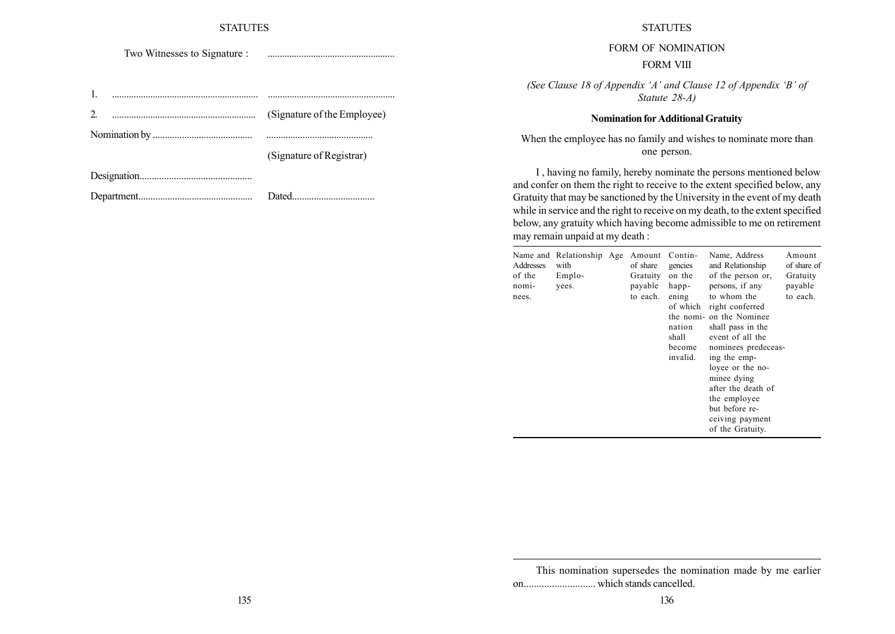Two Witnesses to Signature : .....................................................

| (Signature of the Employee) |
|-----------------------------|
|                             |
| (Signature of Registrar)    |
|                             |
|                             |

#### STATUTES

FORM OF NOMINATION

#### FORM VIII

(See Clause 18 of Appendix 'A' and Clause 12 of Appendix 'B' of Statute 28-A)

#### Nomination for Additional Gratuity

When the employee has no family and wishes to nominate more than one person.

I , having no family, hereby nominate the persons mentioned below and confer on them the right to receive to the extent specified below, any Gratuity that may be sanctioned by the University in the event of my death while in service and the right to receive on my death, to the extent specified below, any gratuity which having become admissible to me on retirement may remain unpaid at my death :

| Addresses<br>of the<br>nomi-<br>nees. | Name and Relationship Age<br>with<br>Emplo-<br>yees. |  | Amount Contin-<br>of share<br>Gratuity<br>payable<br>to each. | gencies<br>on the<br>happ-<br>ening<br>nation<br>shall<br>become<br>invalid. | Name, Address<br>and Relationship<br>of the person or,<br>persons, if any<br>to whom the<br>of which right conferred<br>the nomi- on the Nominee<br>shall pass in the<br>event of all the<br>nominees predeceas-<br>ing the emp-<br>loyee or the no-<br>minee dying<br>after the death of<br>the employee<br>but before re-<br>ceiving payment<br>of the Gratuity. | Amount<br>of share of<br>Gratuity<br>payable<br>to each. |
|---------------------------------------|------------------------------------------------------|--|---------------------------------------------------------------|------------------------------------------------------------------------------|--------------------------------------------------------------------------------------------------------------------------------------------------------------------------------------------------------------------------------------------------------------------------------------------------------------------------------------------------------------------|----------------------------------------------------------|
|---------------------------------------|------------------------------------------------------|--|---------------------------------------------------------------|------------------------------------------------------------------------------|--------------------------------------------------------------------------------------------------------------------------------------------------------------------------------------------------------------------------------------------------------------------------------------------------------------------------------------------------------------------|----------------------------------------------------------|

This nomination supersedes the nomination made by me earlier on............................ which stands cancelled.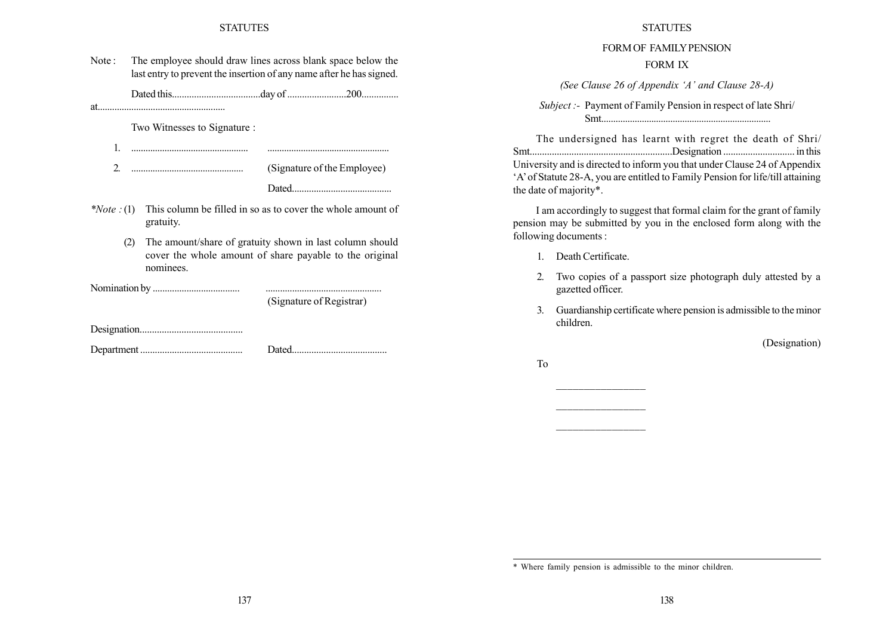| Note: | The employee should draw lines across blank space below the          |
|-------|----------------------------------------------------------------------|
|       | last entry to prevent the insertion of any name after he has signed. |

Dated this....................................day of ........................200...............

at.....................................................

Two Witnesses to Signature :

1. ................................................. ...................................................

2. ............................................... (Signature of the Employee)

Dated.........................................

- \**Note*  $\cdot$ (1) This column be filled in so as to cover the whole amount of gratuity.
	- (2) The amount/share of gratuity shown in last column should cover the whole amount of share payable to the original nominees.

Nomination by .................................... ................................................

(Signature of Registrar)

Designation..........................................

Department .......................................... Dated.......................................

#### **STATUTES**

# FORM OF FAMILY PENSION

## FORM IX

(See Clause 26 of Appendix 'A' and Clause  $28-A$ )

Subject :- Payment of Family Pension in respect of late Shri/ Smt.......................................................................

The undersigned has learnt with regret the death of Shri/ Smt..........................................................Designation ............................. in this University and is directed to inform you that under Clause 24 of Appendix ëAíof Statute 28-A, you are entitled to Family Pension for life/till attaining the date of majority\*.

I am accordingly to suggest that formal claim for the grant of family pension may be submitted by you in the enclosed form along with the following documents :

- 1. Death Certificate.
- 2. Two copies of a passport size photograph duly attested by a gazetted officer.
- 3. Guardianship certificate where pension is admissible to the minor children.

(Designation)

To

<sup>\*</sup> Where family pension is admissible to the minor children.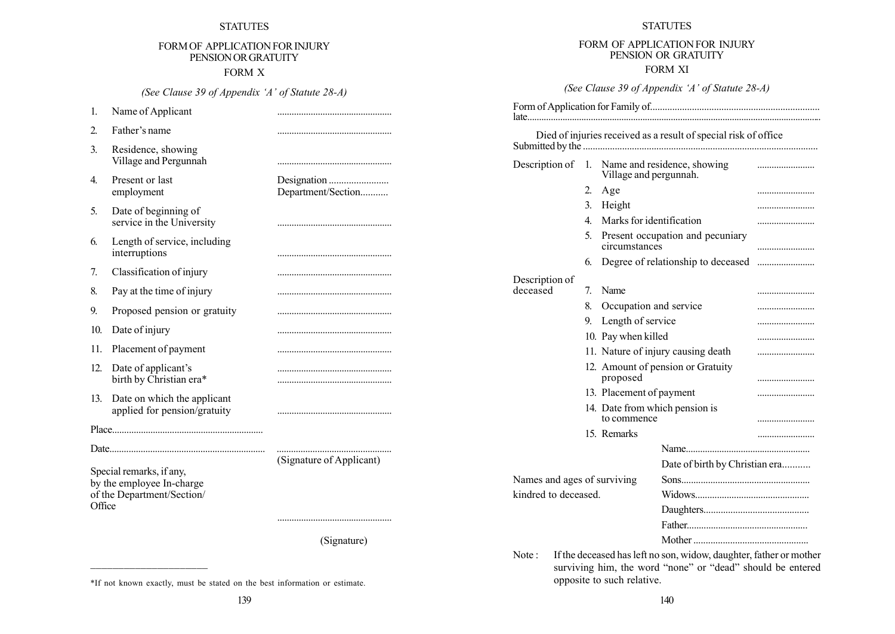# FORM OF APPLICATION FOR INJURY PENSIONORGRATUITY

FORM X

(See Clause 39 of Appendix 'A' of Statute  $28-A$ )

1. Name of Applicant ................................................ 2. Fatherís name ................................................ 3. Residence, showing Village and Pergunnah ................................................ 4. Present or last Designation ........................ employment Department/Section........... 5. Date of beginning of service in the University ................................................ 6. Length of service, including interruptions ................................................ 7. Classification of injury ................................................ 8. Pay at the time of injury ................................................ 9. Proposed pension or gratuity ................................................ 10. Date of injury ................................................ 11. Placement of payment 12. Date of applicantís ................................................ birth by Christian era\* ................................................ 13. Date on which the applicant applied for pension/gratuity ................................................ Place............................................................... Date................................................................. ................................................ (Signature of Applicant) Special remarks, if any, by the employee In-charge of the Department/Section/ **Office** ................................................ (Signature)

#### STATUTES

# FORM OF APPLICATION FOR INJURY PENSION OR GRATUITY

## FORM XI

(See Clause 39 of Appendix 'A' of Statute 28-A)

Form of Application for Family of..................................................................... late.............................................................................................................................

|                             |                  |                          | Died of injuries received as a result of special risk of office    |   |
|-----------------------------|------------------|--------------------------|--------------------------------------------------------------------|---|
| Description of              | 1.               | Village and pergunnah.   | Name and residence, showing                                        |   |
|                             | $\overline{2}$ . | Age                      |                                                                    |   |
|                             | 3.               | Height                   |                                                                    |   |
|                             | 4                | Marks for identification |                                                                    |   |
|                             | 5.               | circumstances            | Present occupation and pecuniary                                   |   |
|                             | 6.               |                          | Degree of relationship to deceased                                 |   |
| Description of              |                  |                          |                                                                    |   |
| deceased                    | 7.               | Name                     |                                                                    |   |
|                             | 8.               | Occupation and service   |                                                                    |   |
|                             | 9.               | Length of service        |                                                                    |   |
|                             |                  | 10. Pay when killed      |                                                                    |   |
|                             |                  |                          | 11. Nature of injury causing death                                 |   |
|                             |                  | proposed                 | 12. Amount of pension or Gratuity                                  |   |
|                             |                  | 13. Placement of payment |                                                                    |   |
|                             |                  |                          | 14. Date from which pension is                                     |   |
|                             |                  | to commence              |                                                                    | . |
|                             |                  | 15. Remarks              |                                                                    |   |
|                             |                  |                          |                                                                    |   |
|                             |                  |                          | Date of birth by Christian era                                     |   |
| Names and ages of surviving |                  |                          |                                                                    |   |
| kindred to deceased.        |                  |                          |                                                                    |   |
|                             |                  |                          |                                                                    |   |
|                             |                  |                          |                                                                    |   |
|                             |                  |                          |                                                                    |   |
| Note :                      |                  |                          | If the deceased has left no son, widow, daughter, father or mother |   |

surviving him, the word "none" or "dead" should be entered opposite to such relative.

<sup>\*</sup>If not known exactly, must be stated on the best information or estimate.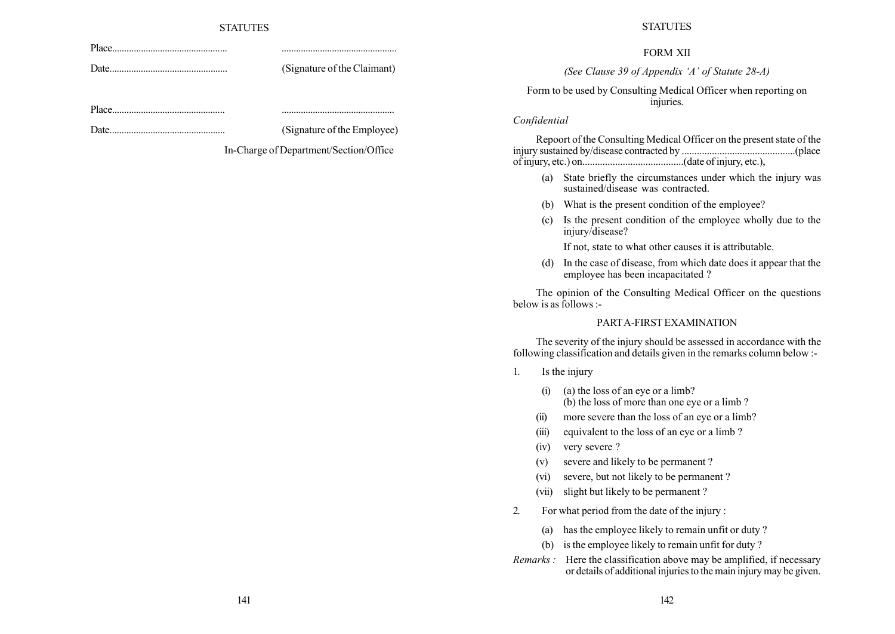Date................................................. (Signature of the Claimant)

Date................................................ (Signature of the Employee)

In-Charge of Department/Section/Office

Place................................................ ................................................

Place............................................... ...............................................

#### **STATUTES**

#### FORM XII

(See Clause 39 of Appendix 'A' of Statute  $28-A$ )

Form to be used by Consulting Medical Officer when reporting on injuries.

## Confidential

Repoort of the Consulting Medical Officer on the present state of the injury sustained by/disease contracted by .............................................(place of injury, etc.) on........................................(date of injury, etc.),

- (a) State briefly the circumstances under which the injury was sustained/disease was contracted.
- (b) What is the present condition of the employee?
- (c) Is the present condition of the employee wholly due to the injury/disease?

If not, state to what other causes it is attributable.

(d) In the case of disease, from which date does it appear that the employee has been incapacitated ?

The opinion of the Consulting Medical Officer on the questions below is as follows :-

## PARTA-FIRST EXAMINATION

The severity of the injury should be assessed in accordance with the following classification and details given in the remarks column below :-

1. Is the injury

- (i) (a) the loss of an eye or a limb? (b) the loss of more than one eye or a limb ?
- (ii) more severe than the loss of an eye or a limb?
- (iii) equivalent to the loss of an eye or a limb ?
- (iv) very severe ?
- (v) severe and likely to be permanent ?
- (vi) severe, but not likely to be permanent ?
- (vii) slight but likely to be permanent ?
- 2. For what period from the date of the injury :
	- (a) has the employee likely to remain unfit or duty ?
	- (b) is the employee likely to remain unfit for duty ?
- Remarks : Here the classification above may be amplified, if necessary or details of additional injuries to the main injury may be given.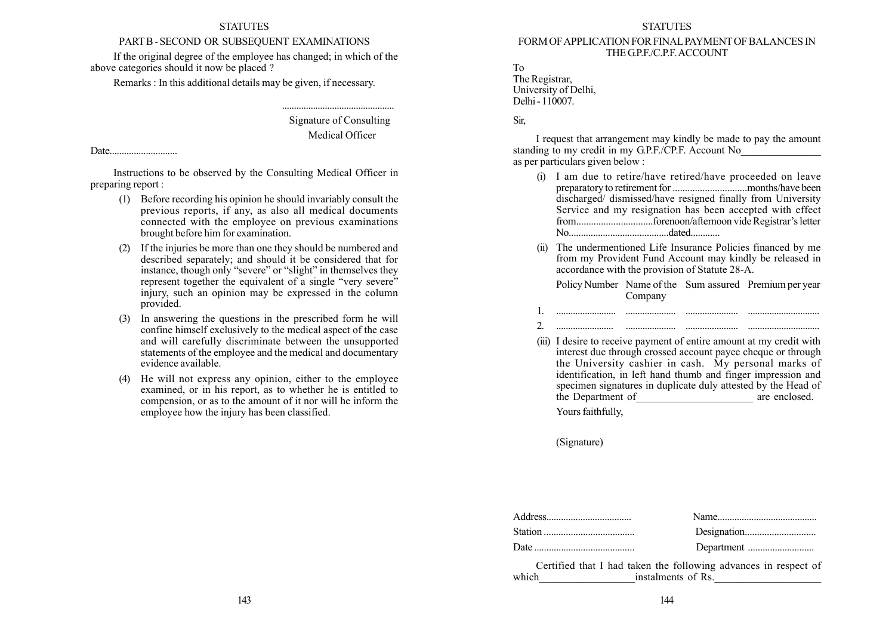# PARTB - SECOND OR SUBSEQUENT EXAMINATIONS

If the original degree of the employee has changed; in which of the above categories should it now be placed ?

Remarks : In this additional details may be given, if necessary.

Signature of Consulting Medical Officer

...............................................

Date............................

Instructions to be observed by the Consulting Medical Officer in preparing report :

- (1) Before recording his opinion he should invariably consult the previous reports, if any, as also all medical documents connected with the employee on previous examinations brought before him for examination.
- (2) If the injuries be more than one they should be numbered and described separately; and should it be considered that for instance, though only "severe" or "slight" in themselves they represent together the equivalent of a single "very severe" injury, such an opinion may be expressed in the column provided.
- (3) In answering the questions in the prescribed form he will confine himself exclusively to the medical aspect of the case and will carefully discriminate between the unsupported statements of the employee and the medical and documentary evidence available.
- (4) He will not express any opinion, either to the employee examined, or in his report, as to whether he is entitled to compension, or as to the amount of it nor will he inform the employee how the injury has been classified.

#### **STATUTES**

#### FORM OFAPPLICATION FOR FINALPAYMENTOF BALANCES IN THE G.P.F./C.P.F. ACCOUNT

To The Registrar, University of Delhi, Delhi - 110007.

## Sir,

I request that arrangement may kindly be made to pay the amount standing to my credit in my G.P.F./CP.F. Account No as per particulars given below :

- (i) I am due to retire/have retired/have proceeded on leave preparatory to retirement for ..............................months/have been discharged/ dismissed/have resigned finally from University Service and my resignation has been accepted with effect from...............................forenoon/afternoon vide Registrarís letter No.........................................dated............
- (ii) The undermentioned Life Insurance Policies financed by me from my Provident Fund Account may kindly be released in accordance with the provision of Statute 28-A.

Policy Number Name of the Sum assured Premium per year Company

- 1. ......................... ..................... ...................... ..............................
- 2. ........................ ..................... ...................... ..............................
- (iii) I desire to receive payment of entire amount at my credit with interest due through crossed account payee cheque or through the University cashier in cash. My personal marks of identification, in left hand thumb and finger impression and specimen signatures in duplicate duly attested by the Head of the Department of are enclosed. Yours faithfully,

(Signature)

Certified that I had taken the following advances in respect of which  $1$  instalments of Rs.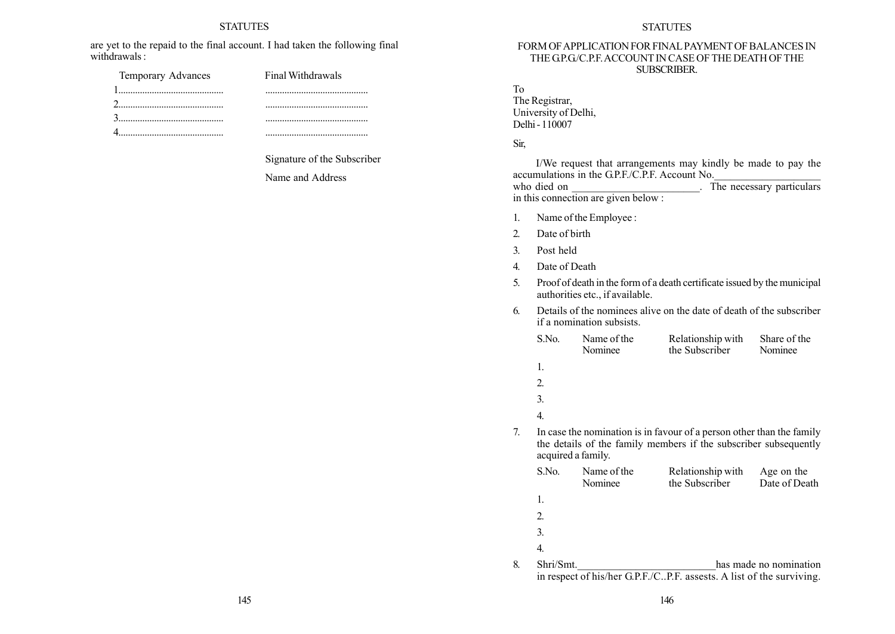#### **STATUTES**

are yet to the repaid to the final account. I had taken the following final withdrawals :

| Temporary Advances | Final Withdrawals |
|--------------------|-------------------|
|                    |                   |
|                    |                   |
|                    |                   |
|                    |                   |

Signature of the Subscriber

Name and Address

#### FORM OFAPPLICATION FOR FINAL PAYMENT OF BALANCES IN THE GP.G/C.P.F. ACCOUNT IN CASE OF THE DEATH OF THE SUBSCRIBER.

To

| The Registrar,       |
|----------------------|
| University of Delhi, |
| Delhi - 110007       |

# Sir,

I/We request that arrangements may kindly be made to pay the accumulations in the G.P.F./C.P.F. Account No. who died on  $\overline{The necessary particular}$ in this connection are given below :

- 1. Name of the Employee :
- 2. Date of birth
- 3. Post held
- 4. Date of Death
- 5. Proof of death in the form of a death certificate issued by the municipal authorities etc., if available.
- 6. Details of the nominees alive on the date of death of the subscriber if a nomination subsists.

|    | S.No.     | Name of the<br>Nominee | Relationship with<br>the Subscriber                                                                                                       | Share of the<br>Nominee     |
|----|-----------|------------------------|-------------------------------------------------------------------------------------------------------------------------------------------|-----------------------------|
|    | 1.        |                        |                                                                                                                                           |                             |
|    | 2.        |                        |                                                                                                                                           |                             |
|    | 3.        |                        |                                                                                                                                           |                             |
|    | 4.        |                        |                                                                                                                                           |                             |
| 7. |           | acquired a family.     | In case the nomination is in favour of a person other than the family<br>the details of the family members if the subscriber subsequently |                             |
|    | S.No.     | Name of the<br>Nominee | Relationship with<br>the Subscriber                                                                                                       | Age on the<br>Date of Death |
|    | 1.        |                        |                                                                                                                                           |                             |
|    | 2.        |                        |                                                                                                                                           |                             |
|    | 3.        |                        |                                                                                                                                           |                             |
|    | 4.        |                        |                                                                                                                                           |                             |
| 8. | Shri/Smt. |                        | in respect of his/her G.P.F./CP.F. assests. A list of the surviving.                                                                      | has made no nomination      |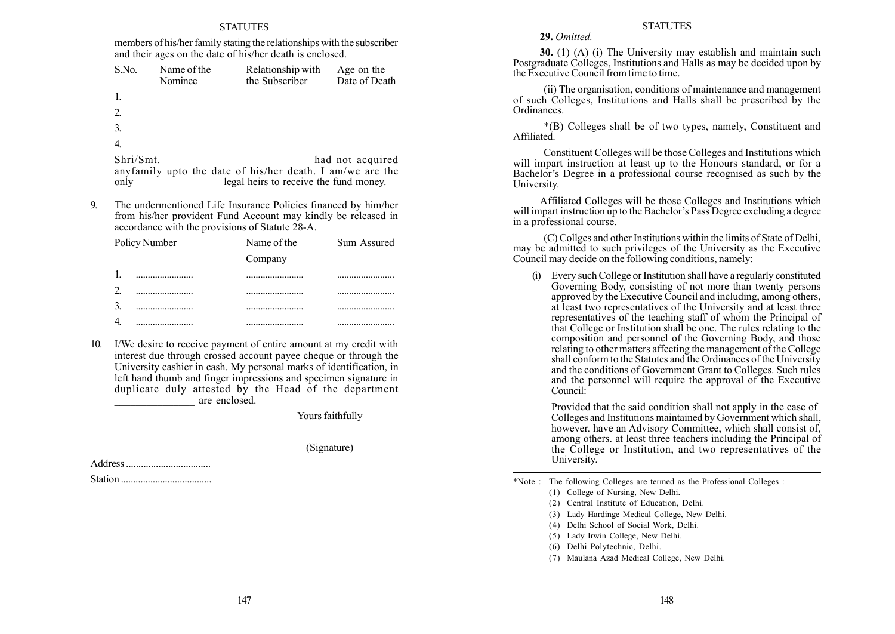members of his/her family stating the relationships with the subscriber and their ages on the date of his/her death is enclosed.

| S.No.          | Name of the<br>Nominee | Relationship with<br>the Subscriber                       | Age on the<br>Date of Death |
|----------------|------------------------|-----------------------------------------------------------|-----------------------------|
|                |                        |                                                           |                             |
| 2.             |                        |                                                           |                             |
| $\mathfrak{Z}$ |                        |                                                           |                             |
| 4.             |                        |                                                           |                             |
| Shri/Smt.      |                        |                                                           | had not acquired            |
|                |                        | anyfamily upto the date of his/her death. I am/we are the |                             |
| only           |                        | legal heirs to receive the fund money.                    |                             |

9. The undermentioned Life Insurance Policies financed by him/her from his/her provident Fund Account may kindly be released in accordance with the provisions of Statute 28-A.

| Policy Number | Name of the | Sum Assured |
|---------------|-------------|-------------|
|               | Company     |             |
|               | .           |             |
|               |             |             |
|               |             |             |
|               |             |             |

10. I/We desire to receive payment of entire amount at my credit with interest due through crossed account payee cheque or through the University cashier in cash. My personal marks of identification, in left hand thumb and finger impressions and specimen signature in duplicate duly attested by the Head of the department \_\_\_\_\_\_\_\_\_\_\_\_\_\_\_ are enclosed.

Yours faithfully

(Signature)

Address .................................. Station .....................................

## **STATUTES**

29. Omitted.

30. (1) (A) (i) The University may establish and maintain such Postgraduate Colleges, Institutions and Halls as may be decided upon by the Executive Council from time to time.

(ii) The organisation, conditions of maintenance and management of such Colleges, Institutions and Halls shall be prescribed by the Ordinances.

\*(B) Colleges shall be of two types, namely, Constituent and Affiliated.

Constituent Colleges will be those Colleges and Institutions which will impart instruction at least up to the Honours standard, or for a Bachelor's Degree in a professional course recognised as such by the University.

Affiliated Colleges will be those Colleges and Institutions which will impart instruction up to the Bachelor's Pass Degree excluding a degree in a professional course.

(C) Collges and other Institutions within the limits of State of Delhi, may be admitted to such privileges of the University as the Executive Council may decide on the following conditions, namely:

(i) Every such College or Institution shall have a regularly constituted Governing Body, consisting of not more than twenty persons approved by the Executive Council and including, among others, at least two representatives of the University and at least three representatives of the teaching staff of whom the Principal of that College or Institution shall be one. The rules relating to the composition and personnel of the Governing Body, and those relating to other matters affecting the management of the College shall conform to the Statutes and the Ordinances of the University and the conditions of Government Grant to Colleges. Such rules and the personnel will require the approval of the Executive Council:

Provided that the said condition shall not apply in the case of Colleges and Institutions maintained by Government which shall, however. have an Advisory Committee, which shall consist of, among others. at least three teachers including the Principal of the College or Institution, and two representatives of the University.

\*Note : The following Colleges are termed as the Professional Colleges :

- (4) Delhi School of Social Work, Delhi.
- (5) Lady Irwin College, New Delhi.
- (6) Delhi Polytechnic, Delhi.
- (7) Maulana Azad Medical College, New Delhi.

<sup>(1)</sup> College of Nursing, New Delhi.

<sup>(2)</sup> Central Institute of Education, Delhi.

<sup>(3)</sup> Lady Hardinge Medical College, New Delhi.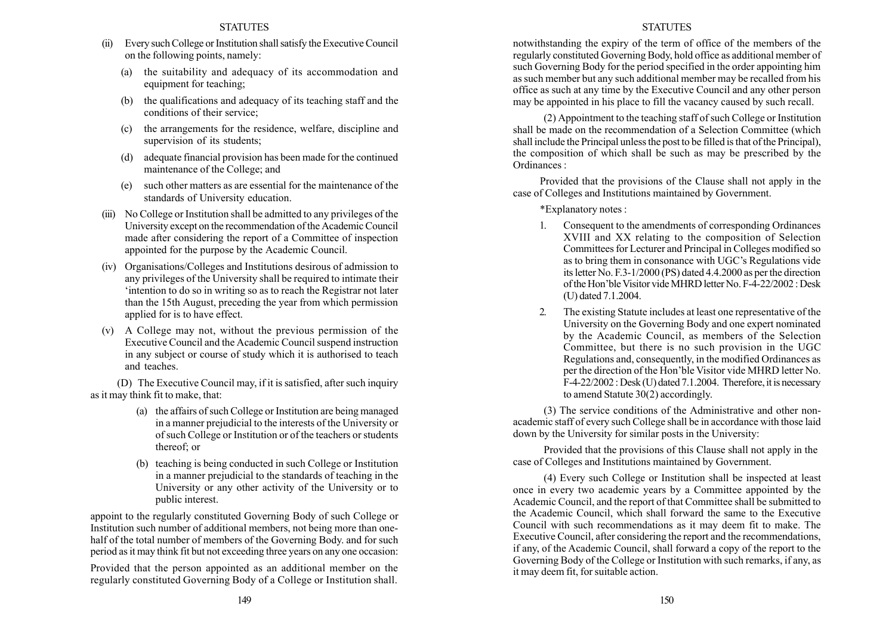- (ii) Every such College or Institution shall satisfy the Executive Council on the following points, namely:
	- (a) the suitability and adequacy of its accommodation and equipment for teaching;
	- (b) the qualifications and adequacy of its teaching staff and the conditions of their service;
	- (c) the arrangements for the residence, welfare, discipline and supervision of its students;
	- (d) adequate financial provision has been made for the continued maintenance of the College; and
	- (e) such other matters as are essential for the maintenance of the standards of University education.
- (iii) No College or Institution shall be admitted to any privileges of the University except on the recommendation of the Academic Council made after considering the report of a Committee of inspection appointed for the purpose by the Academic Council.
- (iv) Organisations/Colleges and Institutions desirous of admission to any privileges of the University shall be required to intimate their ëintention to do so in writing so as to reach the Registrar not later than the 15th August, preceding the year from which permission applied for is to have effect.
- (v) A College may not, without the previous permission of the Executive Council and the Academic Council suspend instruction in any subject or course of study which it is authorised to teach and teaches.

(D) The Executive Council may, if it is satisfied, after such inquiry as it may think fit to make, that:

- (a) the affairs of such College or Institution are being managed in a manner prejudicial to the interests of the University or of such College or Institution or of the teachers or students thereof; or
- (b) teaching is being conducted in such College or Institution in a manner prejudicial to the standards of teaching in the University or any other activity of the University or to public interest.

appoint to the regularly constituted Governing Body of such College or Institution such number of additional members, not being more than onehalf of the total number of members of the Governing Body. and for such period as it may think fit but not exceeding three years on any one occasion:

Provided that the person appointed as an additional member on the regularly constituted Governing Body of a College or Institution shall.

## **STATUTES**

notwithstanding the expiry of the term of office of the members of the regularly constituted Governing Body, hold office as additional member of such Governing Body for the period specified in the order appointing him as such member but any such additional member may be recalled from his office as such at any time by the Executive Council and any other person may be appointed in his place to fill the vacancy caused by such recall.

(2) Appointment to the teaching staff of such College or Institution shall be made on the recommendation of a Selection Committee (which shall include the Principal unless the post to be filled is that of the Principal), the composition of which shall be such as may be prescribed by the Ordinances :

Provided that the provisions of the Clause shall not apply in the case of Colleges and Institutions maintained by Government.

\*Explanatory notes :

- 1. Consequent to the amendments of corresponding Ordinances XVIII and XX relating to the composition of Selection Committees for Lecturer and Principal in Colleges modified so as to bring them in consonance with UGC's Regulations vide its letter No. F.3-1/2000 (PS) dated 4.4.2000 as per the direction of the Hon'ble Visitor vide MHRD letter No. F-4-22/2002 : Desk (U) dated 7.1.2004.
- 2. The existing Statute includes at least one representative of the University on the Governing Body and one expert nominated by the Academic Council, as members of the Selection Committee, but there is no such provision in the UGC Regulations and, consequently, in the modified Ordinances as per the direction of the Hon'ble Visitor vide MHRD letter No.  $F-4-22/2002$ : Desk (U) dated 7.1.2004. Therefore, it is necessary to amend Statute 30(2) accordingly.

(3) The service conditions of the Administrative and other nonacademic staff of every such College shall be in accordance with those laid down by the University for similar posts in the University:

Provided that the provisions of this Clause shall not apply in the case of Colleges and Institutions maintained by Government.

(4) Every such College or Institution shall be inspected at least once in every two academic years by a Committee appointed by the Academic Council, and the report of that Committee shall be submitted to the Academic Council, which shall forward the same to the Executive Council with such recommendations as it may deem fit to make. The Executive Council, after considering the report and the recommendations, if any, of the Academic Council, shall forward a copy of the report to the Governing Body of the College or Institution with such remarks, if any, as it may deem fit, for suitable action.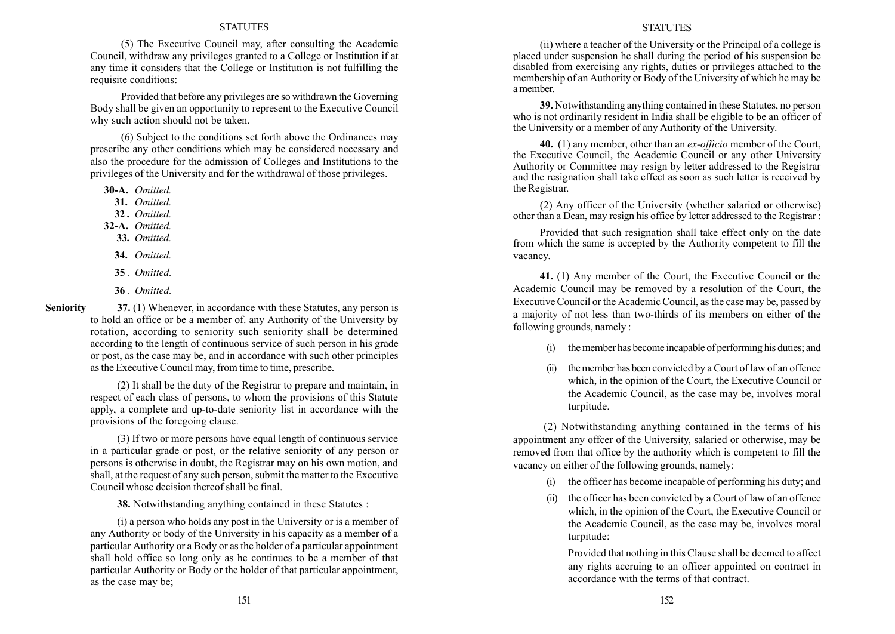(5) The Executive Council may, after consulting the Academic Council, withdraw any privileges granted to a College or Institution if at any time it considers that the College or Institution is not fulfilling the requisite conditions:

Provided that before any privileges are so withdrawn the Governing Body shall be given an opportunity to represent to the Executive Council why such action should not be taken.

(6) Subject to the conditions set forth above the Ordinances may prescribe any other conditions which may be considered necessary and also the procedure for the admission of Colleges and Institutions to the privileges of the University and for the withdrawal of those privileges.

30-A. Omitted.

- 31. Omitted.
- 32. Omitted.
- 32-A. Omitted.
- 33. Omitted.
- 34. Omitted.
- 35. Omitted.
- 36 . Omitted.

37. (1) Whenever, in accordance with these Statutes, any person is to hold an office or be a member of. any Authority of the University by rotation, according to seniority such seniority shall be determined according to the length of continuous service of such person in his grade or post, as the case may be, and in accordance with such other principles as the Executive Council may, from time to time, prescribe. Seniority

> (2) It shall be the duty of the Registrar to prepare and maintain, in respect of each class of persons, to whom the provisions of this Statute apply, a complete and up-to-date seniority list in accordance with the provisions of the foregoing clause.

> (3) If two or more persons have equal length of continuous service in a particular grade or post, or the relative seniority of any person or persons is otherwise in doubt, the Registrar may on his own motion, and shall, at the request of any such person, submit the matter to the Executive Council whose decision thereof shall be final.

38. Notwithstanding anything contained in these Statutes :

(i) a person who holds any post in the University or is a member of any Authority or body of the University in his capacity as a member of a particular Authority or a Body or as the holder of a particular appointment shall hold office so long only as he continues to be a member of that particular Authority or Body or the holder of that particular appointment, as the case may be;

#### **STATUTES**

(ii) where a teacher of the University or the Principal of a college is placed under suspension he shall during the period of his suspension be disabled from exercising any rights, duties or privileges attached to the membership of an Authority or Body of the University of which he may be a member.

39. Notwithstanding anything contained in these Statutes, no person who is not ordinarily resident in India shall be eligible to be an officer of the University or a member of any Authority of the University.

40. (1) any member, other than an *ex-officio* member of the Court, the Executive Council, the Academic Council or any other University Authority or Committee may resign by letter addressed to the Registrar and the resignation shall take effect as soon as such letter is received by the Registrar.

(2) Any officer of the University (whether salaried or otherwise) other than a Dean, may resign his office by letter addressed to the Registrar :

Provided that such resignation shall take effect only on the date from which the same is accepted by the Authority competent to fill the vacancy.

41. (1) Any member of the Court, the Executive Council or the Academic Council may be removed by a resolution of the Court, the Executive Council or the Academic Council, as the case may be, passed by a majority of not less than two-thirds of its members on either of the following grounds, namely :

- the member has become incapable of performing his duties; and
- (ii) themember has been convicted by a Court of law of an offence which, in the opinion of the Court, the Executive Council or the Academic Council, as the case may be, involves moral turpitude.

(2) Notwithstanding anything contained in the terms of his appointment any offcer of the University, salaried or otherwise, may be removed from that office by the authority which is competent to fill the vacancy on either of the following grounds, namely:

- (i) the officer has become incapable of performing his duty; and
- (ii) the officer has been convicted by a Court of law of an offence which, in the opinion of the Court, the Executive Council or the Academic Council, as the case may be, involves moral turpitude:

Provided that nothing in this Clause shall be deemed to affect any rights accruing to an officer appointed on contract in accordance with the terms of that contract.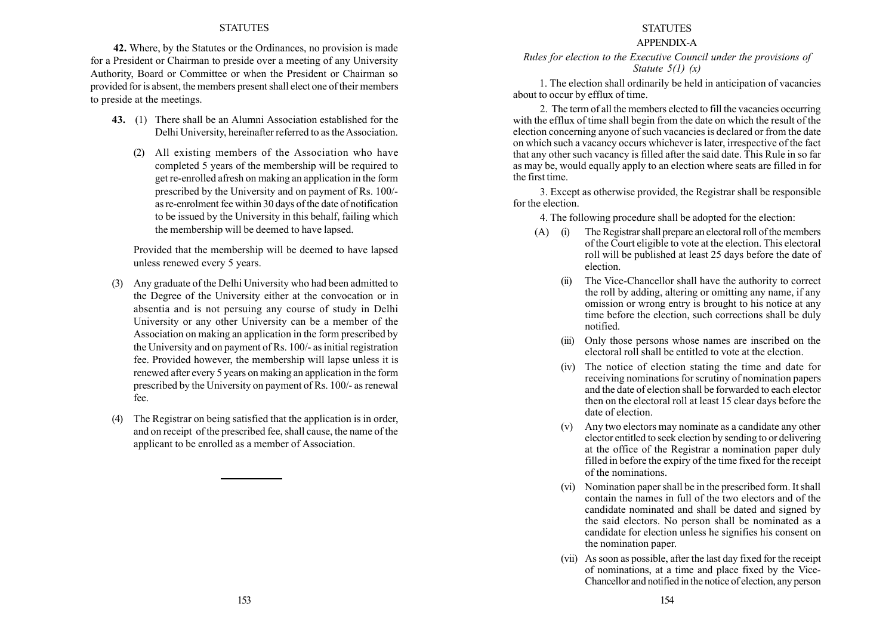42. Where, by the Statutes or the Ordinances, no provision is made for a President or Chairman to preside over a meeting of any University Authority, Board or Committee or when the President or Chairman so provided for is absent, the members present shall elect one of their members to preside at the meetings.

- 43. (1) There shall be an Alumni Association established for the Delhi University, hereinafter referred to as the Association.
	- (2) All existing members of the Association who have completed 5 years of the membership will be required to get re-enrolled afresh on making an application in the form prescribed by the University and on payment of Rs. 100/ as re-enrolment fee within 30 days of the date of notification to be issued by the University in this behalf, failing which the membership will be deemed to have lapsed.

Provided that the membership will be deemed to have lapsed unless renewed every 5 years.

- (3) Any graduate of the Delhi University who had been admitted to the Degree of the University either at the convocation or in absentia and is not persuing any course of study in Delhi University or any other University can be a member of the Association on making an application in the form prescribed by the University and on payment of Rs. 100/- as initial registration fee. Provided however, the membership will lapse unless it is renewed after every 5 years on making an application in the form prescribed by the University on payment of Rs. 100/- as renewal fee.
- (4) The Registrar on being satisfied that the application is in order, and on receipt of the prescribed fee, shall cause, the name of the applicant to be enrolled as a member of Association.

# STATUTES

## APPENDIX-A

Rules for election to the Executive Council under the provisions of Statute  $5(1)$   $(x)$ 

1. The election shall ordinarily be held in anticipation of vacancies about to occur by efflux of time.

2. The term of all the members elected to fill the vacancies occurring with the efflux of time shall begin from the date on which the result of the election concerning anyone of such vacancies is declared or from the date on which such a vacancy occurs whichever is later, irrespective of the fact that any other such vacancy is filled after the said date. This Rule in so far as may be, would equally apply to an election where seats are filled in for the first time.

3. Except as otherwise provided, the Registrar shall be responsible for the election.

4. The following procedure shall be adopted for the election:

- (A) (i) The Registrar shall prepare an electoral roll of the members of the Court eligible to vote at the election. This electoral roll will be published at least 25 days before the date of election.
	- (ii) The Vice-Chancellor shall have the authority to correct the roll by adding, altering or omitting any name, if any omission or wrong entry is brought to his notice at any time before the election, such corrections shall be duly notified.
	- (iii) Only those persons whose names are inscribed on the electoral roll shall be entitled to vote at the election.
	- (iv) The notice of election stating the time and date for receiving nominations for scrutiny of nomination papers and the date of election shall be forwarded to each elector then on the electoral roll at least 15 clear days before the date of election.
	- (v) Any two electors may nominate as a candidate any other elector entitled to seek election by sending to or delivering at the office of the Registrar a nomination paper duly filled in before the expiry of the time fixed for the receipt of the nominations.
	- (vi) Nomination paper shall be in the prescribed form. It shall contain the names in full of the two electors and of the candidate nominated and shall be dated and signed by the said electors. No person shall be nominated as a candidate for election unless he signifies his consent on the nomination paper.
	- (vii) Assoon as possible, after the last day fixed for the receipt of nominations, at a time and place fixed by the Vice-Chancellor and notified in the notice of election, any person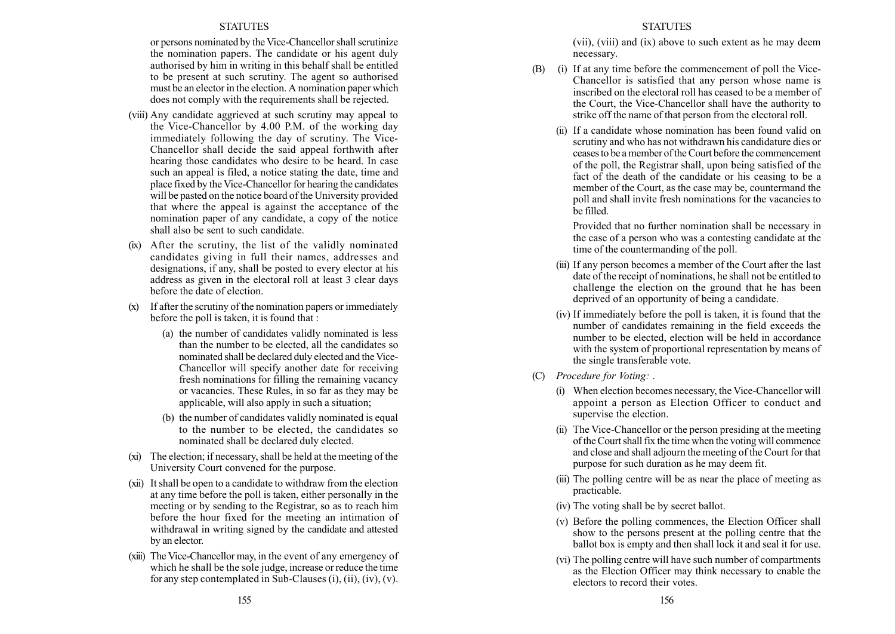or persons nominated by the Vice-Chancellor shall scrutinize the nomination papers. The candidate or his agent duly authorised by him in writing in this behalf shall be entitled to be present at such scrutiny. The agent so authorised must be an elector in the election. A nomination paper which does not comply with the requirements shall be rejected.

- (viii) Any candidate aggrieved at such scrutiny may appeal to the Vice-Chancellor by 4.00 P.M. of the working day immediately following the day of scrutiny. The Vice-Chancellor shall decide the said appeal forthwith after hearing those candidates who desire to be heard. In case such an appeal is filed, a notice stating the date, time and place fixed by the Vice-Chancellor for hearing the candidates will be pasted on the notice board of the University provided that where the appeal is against the acceptance of the nomination paper of any candidate, a copy of the notice shall also be sent to such candidate.
- (ix) After the scrutiny, the list of the validly nominated candidates giving in full their names, addresses and designations, if any, shall be posted to every elector at his address as given in the electoral roll at least 3 clear days before the date of election.
- (x) If after the scrutiny of the nomination papers or immediately before the poll is taken, it is found that :
	- (a) the number of candidates validly nominated is less than the number to be elected, all the candidates so nominated shall be declared duly elected and the Vice-Chancellor will specify another date for receiving fresh nominations for filling the remaining vacancy or vacancies. These Rules, in so far as they may be applicable, will also apply in such a situation;
	- (b) the number of candidates validly nominated is equal to the number to be elected, the candidates so nominated shall be declared duly elected.
- (xi) The election; if necessary, shall be held at the meeting of the University Court convened for the purpose.
- (xii) Itshall be open to a candidate to withdraw from the election at any time before the poll is taken, either personally in the meeting or by sending to the Registrar, so as to reach him before the hour fixed for the meeting an intimation of withdrawal in writing signed by the candidate and attested by an elector.
- (xiii) The Vice-Chancellor may, in the event of any emergency of which he shall be the sole judge, increase or reduce the time for any step contemplated in Sub-Clauses  $(i)$ ,  $(ii)$ ,  $(iv)$ ,  $(v)$ .

(vii), (viii) and (ix) above to such extent as he may deem necessary.

- (B) (i) If at any time before the commencement of poll the Vice-Chancellor is satisfied that any person whose name is inscribed on the electoral roll has ceased to be a member of the Court, the Vice-Chancellor shall have the authority to strike off the name of that person from the electoral roll.
	- (ii) If a candidate whose nomination has been found valid on scrutiny and who has not withdrawn his candidature dies or ceases to be a member of the Court before the commencement of the poll, the Registrar shall, upon being satisfied of the fact of the death of the candidate or his ceasing to be a member of the Court, as the case may be, countermand the poll and shall invite fresh nominations for the vacancies to be filled.

Provided that no further nomination shall be necessary in the case of a person who was a contesting candidate at the time of the countermanding of the poll.

- (iii) If any person becomes a member of the Court after the last date of the receipt of nominations, he shall not be entitled to challenge the election on the ground that he has been deprived of an opportunity of being a candidate.
- (iv) If immediately before the poll is taken, it is found that the number of candidates remaining in the field exceeds the number to be elected, election will be held in accordance with the system of proportional representation by means of the single transferable vote.
- (C) Procedure for Voting: .
	- (i) When election becomes necessary, the Vice-Chancellor will appoint a person as Election Officer to conduct and supervise the election.
	- (ii) The Vice-Chancellor or the person presiding at the meeting of the Court shall fix the time when the voting will commence and close and shall adjourn the meeting of the Court for that purpose for such duration as he may deem fit.
	- (iii) The polling centre will be as near the place of meeting as practicable.
	- (iv) The voting shall be by secret ballot.
	- (v) Before the polling commences, the Election Officer shall show to the persons present at the polling centre that the ballot box is empty and then shall lock it and seal it for use.
	- (vi) The polling centre will have such number of compartments as the Election Officer may think necessary to enable the electors to record their votes.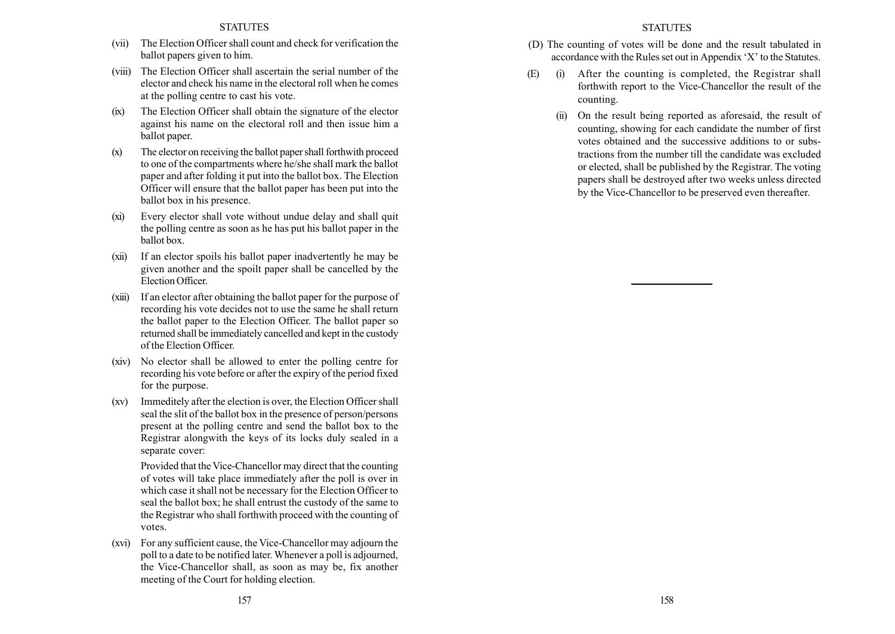- (vii) The Election Officer shall count and check for verification the ballot papers given to him.
- (viii) The Election Officer shall ascertain the serial number of the elector and check his name in the electoral roll when he comes at the polling centre to cast his vote.
- (ix) The Election Officer shall obtain the signature of the elector against his name on the electoral roll and then issue him a ballot paper.
- (x) The elector on receiving the ballot paper shall forthwith proceed to one of the compartments where he/she shall mark the ballot paper and after folding it put into the ballot box. The Election Officer will ensure that the ballot paper has been put into the ballot box in his presence.
- (xi) Every elector shall vote without undue delay and shall quit the polling centre as soon as he has put his ballot paper in the ballot box.
- (xii) If an elector spoils his ballot paper inadvertently he may be given another and the spoilt paper shall be cancelled by the Election Officer.
- (xiii) If an elector after obtaining the ballot paper for the purpose of recording his vote decides not to use the same he shall return the ballot paper to the Election Officer. The ballot paper so returned shall be immediately cancelled and kept in the custody of the Election Officer.
- (xiv) No elector shall be allowed to enter the polling centre for recording his vote before or after the expiry of the period fixed for the purpose.
- (xv) Immeditely after the election is over, the Election Officer shall seal the slit of the ballot box in the presence of person/persons present at the polling centre and send the ballot box to the Registrar alongwith the keys of its locks duly sealed in a separate cover:

Provided that the Vice-Chancellor may direct that the counting of votes will take place immediately after the poll is over in which case it shall not be necessary for the Election Officer to seal the ballot box; he shall entrust the custody of the same to the Registrar who shall forthwith proceed with the counting of votes.

(xvi) For any sufficient cause, the Vice-Chancellor may adjourn the poll to a date to be notified later. Whenever a poll is adjourned, the Vice-Chancellor shall, as soon as may be, fix another meeting of the Court for holding election.

## **STATUTES**

- (D) The counting of votes will be done and the result tabulated in accordance with the Rules set out in Appendix  $X'$  to the Statutes.
- (E) (i) After the counting is completed, the Registrar shall forthwith report to the Vice-Chancellor the result of the counting.
	- (ii) On the result being reported as aforesaid, the result of counting, showing for each candidate the number of first votes obtained and the successive additions to or substractions from the number till the candidate was excluded or elected, shall be published by the Registrar. The voting papers shall be destroyed after two weeks unless directed by the Vice-Chancellor to be preserved even thereafter.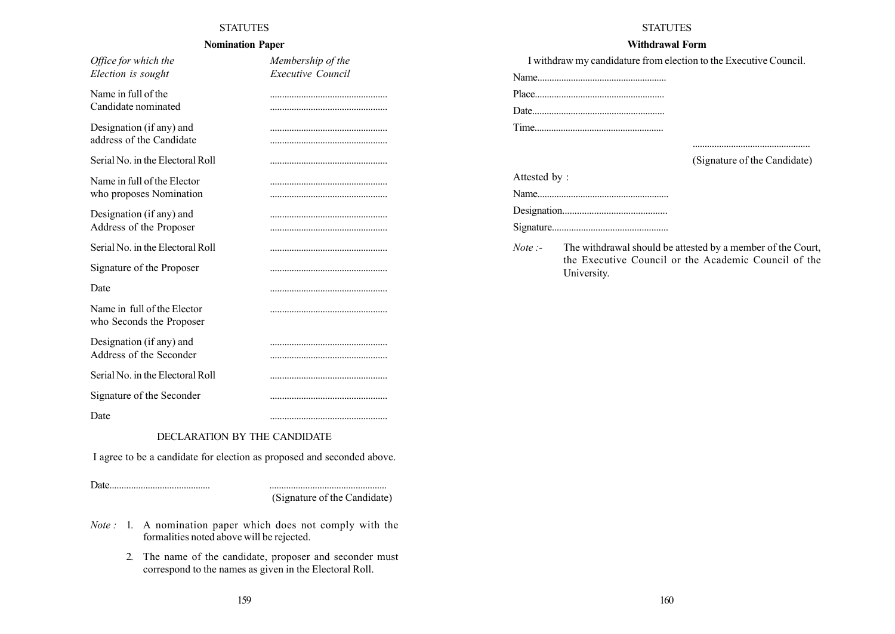# Nomination Paper

| Office for which the                                                   | Membership of the |
|------------------------------------------------------------------------|-------------------|
| Election is sought                                                     | Executive Council |
| Name in full of the<br>Candidate nominated                             |                   |
|                                                                        |                   |
| Designation (if any) and<br>address of the Candidate                   |                   |
| Serial No. in the Electoral Roll                                       |                   |
| Name in full of the Elector<br>who proposes Nomination                 |                   |
|                                                                        |                   |
| Designation (if any) and<br>Address of the Proposer                    |                   |
| Serial No. in the Electoral Roll                                       |                   |
| Signature of the Proposer                                              |                   |
| Date                                                                   |                   |
| Name in full of the Elector<br>who Seconds the Proposer                |                   |
| Designation (if any) and                                               |                   |
| Address of the Seconder                                                |                   |
| Serial No. in the Electoral Roll                                       |                   |
| Signature of the Seconder                                              |                   |
| Date                                                                   |                   |
| DECLARATION BY THE CANDIDATE                                           |                   |
| I agree to be a candidate for election as proposed and seconded above. |                   |
| Date                                                                   |                   |

STATUTES

# Withdrawal Form

I withdraw my candidature from election to the Executive Council.

# ................................................. (Signature of the Candidate)

| Attested by: |
|--------------|
|              |
|              |

Signature................................................

Note :- The withdrawal should be attested by a member of the Court, the Executive Council or the Academic Council of the University.

(Signature of the Candidate)

- Note : 1. A nomination paper which does not comply with the formalities noted above will be rejected.
	- 2. The name of the candidate, proposer and seconder must correspond to the names as given in the Electoral Roll.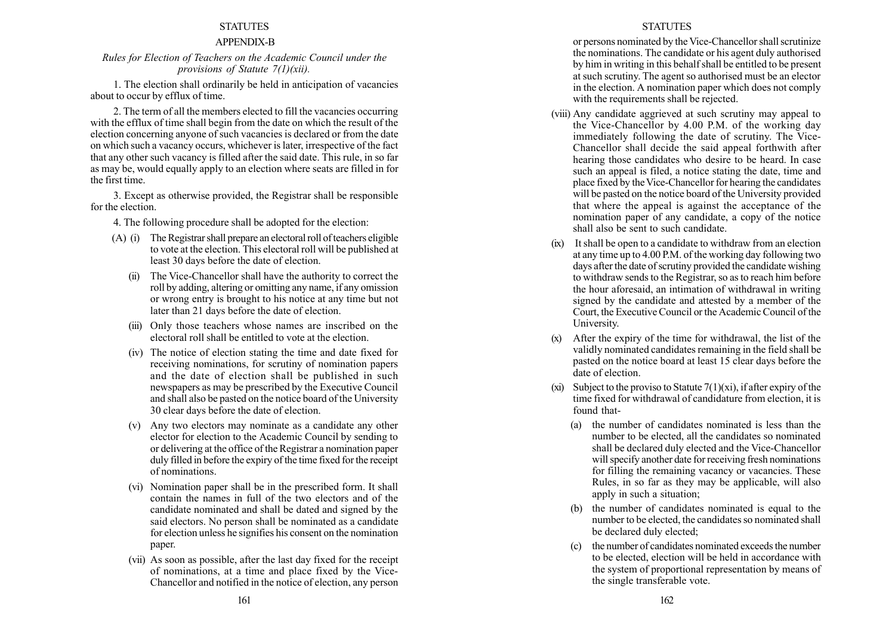# APPENDIX-B

## Rules for Election of Teachers on the Academic Council under the provisions of Statute 7(1)(xii).

1. The election shall ordinarily be held in anticipation of vacancies about to occur by efflux of time.

2. The term of all the members elected to fill the vacancies occurring with the efflux of time shall begin from the date on which the result of the election concerning anyone of such vacancies is declared or from the date on which such a vacancy occurs, whichever is later, irrespective of the fact that any other such vacancy is filled after the said date. This rule, in so far as may be, would equally apply to an election where seats are filled in for the first time.

3. Except as otherwise provided, the Registrar shall be responsible for the election.

4. The following procedure shall be adopted for the election:

- (A) (i) The Registrar shall prepare an electoral roll of teachers eligible to vote at the election. This electoral roll will be published at least 30 days before the date of election.
	- (ii) The Vice-Chancellor shall have the authority to correct the roll by adding, altering or omitting any name, if any omission or wrong entry is brought to his notice at any time but not later than 21 days before the date of election.
	- (iii) Only those teachers whose names are inscribed on the electoral roll shall be entitled to vote at the election.
	- (iv) The notice of election stating the time and date fixed for receiving nominations, for scrutiny of nomination papers and the date of election shall be published in such newspapers as may be prescribed by the Executive Council and shall also be pasted on the notice board of the University 30 clear days before the date of election.
	- (v) Any two electors may nominate as a candidate any other elector for election to the Academic Council by sending to or delivering at the office of the Registrar a nomination paper duly filled in before the expiry of the time fixed for the receipt of nominations.
	- (vi) Nomination paper shall be in the prescribed form. It shall contain the names in full of the two electors and of the candidate nominated and shall be dated and signed by the said electors. No person shall be nominated as a candidate for election unless he signifies his consent on the nomination paper.
	- (vii) As soon as possible, after the last day fixed for the receipt of nominations, at a time and place fixed by the Vice-Chancellor and notified in the notice of election, any person

## **STATUTES**

or persons nominated by the Vice-Chancellor shall scrutinize the nominations. The candidate or his agent duly authorised by him in writing in this behalf shall be entitled to be present at such scrutiny. The agent so authorised must be an elector in the election. A nomination paper which does not comply with the requirements shall be rejected.

- (viii) Any candidate aggrieved at such scrutiny may appeal to the Vice-Chancellor by 4.00 P.M. of the working day immediately following the date of scrutiny. The Vice-Chancellor shall decide the said appeal forthwith after hearing those candidates who desire to be heard. In case such an appeal is filed, a notice stating the date, time and place fixed by the Vice-Chancellor for hearing the candidates will be pasted on the notice board of the University provided that where the appeal is against the acceptance of the nomination paper of any candidate, a copy of the notice shall also be sent to such candidate.
- (ix) Itshall be open to a candidate to withdraw from an election at any time up to 4.00 P.M. of the working day following two days after the date of scrutiny provided the candidate wishing to withdraw sends to the Registrar, so as to reach him before the hour aforesaid, an intimation of withdrawal in writing signed by the candidate and attested by a member of the Court, the Executive Council or the Academic Council of the University.
- (x) After the expiry of the time for withdrawal, the list of the validly nominated candidates remaining in the field shall be pasted on the notice board at least 15 clear days before the date of election.
- (xi) Subject to the proviso to Statute  $7(1)(x)$ , if after expiry of the time fixed for withdrawal of candidature from election, it is found that-
	- (a) the number of candidates nominated is less than the number to be elected, all the candidates so nominated shall be declared duly elected and the Vice-Chancellor will specify another date for receiving fresh nominations for filling the remaining vacancy or vacancies. These Rules, in so far as they may be applicable, will also apply in such a situation;
	- (b) the number of candidates nominated is equal to the number to be elected, the candidates so nominated shall be declared duly elected;
	- (c) the number of candidates nominated exceeds the number to be elected, election will be held in accordance with the system of proportional representation by means of the single transferable vote.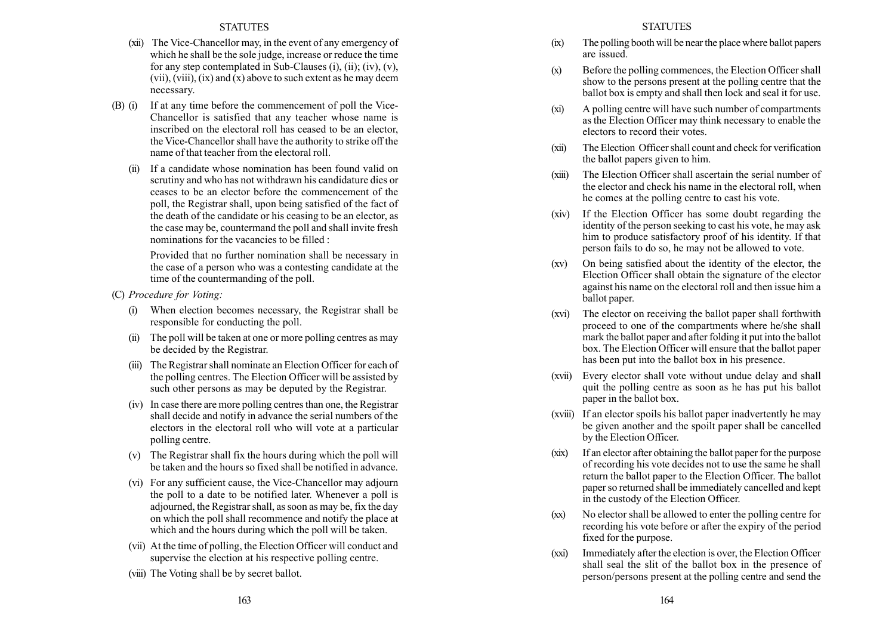- (xii) The Vice-Chancellor may, in the event of any emergency of which he shall be the sole judge, increase or reduce the time for any step contemplated in Sub-Clauses  $(i)$ ,  $(ii)$ ;  $(iv)$ ,  $(v)$ , (vii), (viii), (ix) and (x) above to such extent as he may deem necessary.
- (B) (i) If at any time before the commencement of poll the Vice-Chancellor is satisfied that any teacher whose name is inscribed on the electoral roll has ceased to be an elector, the Vice-Chancellor shall have the authority to strike off the name of that teacher from the electoral roll.
	- (ii) If a candidate whose nomination has been found valid on scrutiny and who has not withdrawn his candidature dies or ceases to be an elector before the commencement of the poll, the Registrar shall, upon being satisfied of the fact of the death of the candidate or his ceasing to be an elector, as the case may be, countermand the poll and shall invite fresh nominations for the vacancies to be filled :

Provided that no further nomination shall be necessary in the case of a person who was a contesting candidate at the time of the countermanding of the poll.

- (C) Procedure for Voting:
	- (i) When election becomes necessary, the Registrar shall be responsible for conducting the poll.
	- (ii) The poll will be taken at one or more polling centres as may be decided by the Registrar.
	- (iii) The Registrar shall nominate an Election Officer for each of the polling centres. The Election Officer will be assisted by such other persons as may be deputed by the Registrar.
	- (iv) In case there are more polling centres than one, the Registrar shall decide and notify in advance the serial numbers of the electors in the electoral roll who will vote at a particular polling centre.
	- (v) The Registrar shall fix the hours during which the poll will be taken and the hours so fixed shall be notified in advance.
	- (vi) For any sufficient cause, the Vice-Chancellor may adjourn the poll to a date to be notified later. Whenever a poll is adjourned, the Registrar shall, as soon as may be, fix the day on which the poll shall recommence and notify the place at which and the hours during which the poll will be taken.
	- (vii) At the time of polling, the Election Officer will conduct and supervise the election at his respective polling centre.
	- (viii) The Voting shall be by secret ballot.
- (ix) The polling booth will be near the place where ballot papers are issued.
- (x) Before the polling commences, the Election Officer shall show to the persons present at the polling centre that the ballot box is empty and shall then lock and seal it for use.
- (xi) A polling centre will have such number of compartments as the Election Officer may think necessary to enable the electors to record their votes.
- (xii) The Election Officer shall count and check for verification the ballot papers given to him.
- (xiii) The Election Officer shall ascertain the serial number of the elector and check his name in the electoral roll, when he comes at the polling centre to cast his vote.
- (xiv) If the Election Officer has some doubt regarding the identity of the person seeking to cast his vote, he may ask him to produce satisfactory proof of his identity. If that person fails to do so, he may not be allowed to vote.
- (xv) On being satisfied about the identity of the elector, the Election Officer shall obtain the signature of the elector against his name on the electoral roll and then issue him a ballot paper.
- (xvi) The elector on receiving the ballot paper shall forthwith proceed to one of the compartments where he/she shall mark the ballot paper and after folding it put into the ballot box. The Election Officer will ensure that the ballot paper has been put into the ballot box in his presence.
- (xvii) Every elector shall vote without undue delay and shall quit the polling centre as soon as he has put his ballot paper in the ballot box.
- (xviii) If an elector spoils his ballot paper inadvertently he may be given another and the spoilt paper shall be cancelled by the Election Officer.
- (xix) If an elector after obtaining the ballot paper for the purpose of recording his vote decides not to use the same he shall return the ballot paper to the Election Officer. The ballot paper so returned shall be immediately cancelled and kept in the custody of the Election Officer.
- (xx) No elector shall be allowed to enter the polling centre for recording his vote before or after the expiry of the period fixed for the purpose.
- (xxi) Immediately after the election is over, the Election Officer shall seal the slit of the ballot box in the presence of person/persons present at the polling centre and send the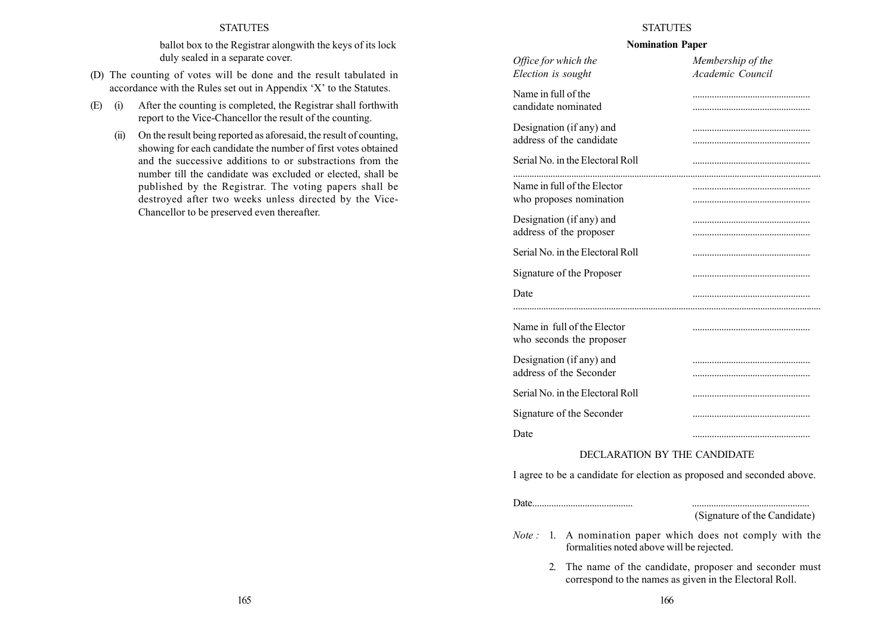ballot box to the Registrar alongwith the keys of its lock duly sealed in a separate cover.

- (D) The counting of votes will be done and the result tabulated in accordance with the Rules set out in Appendix  $X'$  to the Statutes.
- (E) (i) After the counting is completed, the Registrar shall forthwith report to the Vice-Chancellor the result of the counting.
	- (ii) On the result being reported as aforesaid, the result of counting, showing for each candidate the number of first votes obtained and the successive additions to or substractions from the number till the candidate was excluded or elected, shall be published by the Registrar. The voting papers shall be destroyed after two weeks unless directed by the Vice-Chancellor to be preserved even thereafter.

## **STATUTES**

#### Nomination Paper

| Office for which the                                    | Membership of the |  |
|---------------------------------------------------------|-------------------|--|
| Election is sought                                      | Academic Council  |  |
| Name in full of the<br>candidate nominated              |                   |  |
| Designation (if any) and<br>address of the candidate    |                   |  |
| Serial No. in the Electoral Roll                        |                   |  |
| Name in full of the Elector                             |                   |  |
| who proposes nomination                                 |                   |  |
|                                                         |                   |  |
| Designation (if any) and                                |                   |  |
| address of the proposer                                 |                   |  |
| Serial No. in the Electoral Roll                        |                   |  |
| Signature of the Proposer                               |                   |  |
| Date                                                    |                   |  |
|                                                         |                   |  |
| Name in full of the Elector<br>who seconds the proposer |                   |  |
| Designation (if any) and                                |                   |  |
| address of the Seconder                                 |                   |  |
| Serial No. in the Electoral Roll                        |                   |  |
| Signature of the Seconder                               |                   |  |
| Date                                                    |                   |  |
| DECLARATION BY THE CANDIDATE                            |                   |  |

# DECLARATION BY THE CANDIDATE

I agree to be a candidate for election as proposed and seconded above.

Date.......................................... .................................................

(Signature of the Candidate)

- Note : 1. A nomination paper which does not comply with the formalities noted above will be rejected.
	- 2. The name of the candidate, proposer and seconder must correspond to the names as given in the Electoral Roll.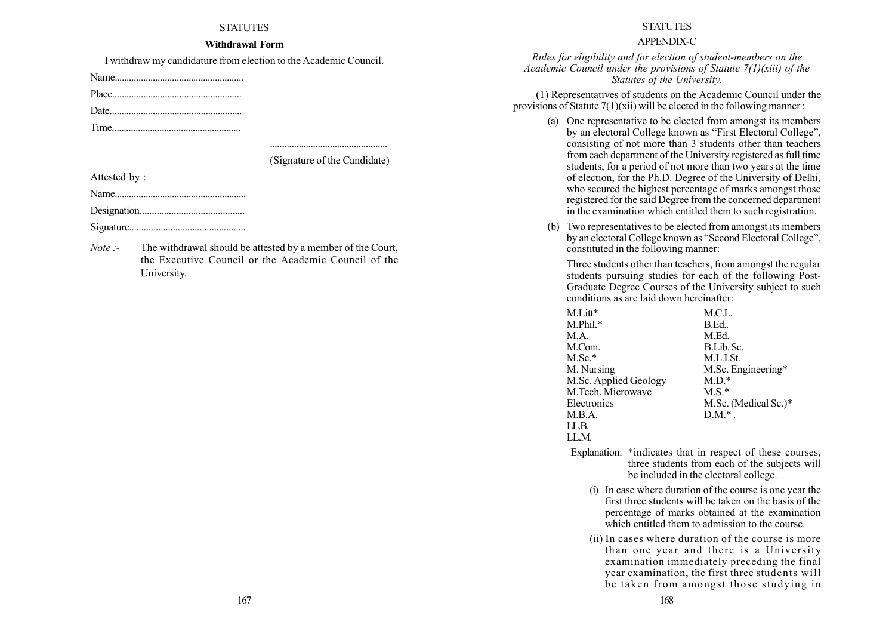#### Withdrawal Form

I withdraw my candidature from election to the Academic Council.

Name......................................................

Place......................................................

Date.......................................................

Time......................................................

................................................. (Signature of the Candidate)

Attested by :

Name.......................................................

Designation...........................................

Signature................................................

Note :- The withdrawal should be attested by a member of the Court, the Executive Council or the Academic Council of the University.

#### **STATUTES**

## APPENDIX-C

Rules for eligibility and for election of student-members on the Academic Council under the provisions of Statute  $7(1)$ (xiii) of the Statutes of the University.

(1) Representatives of students on the Academic Council under the provisions of Statute  $7(1)(xii)$  will be elected in the following manner:

- (a) One representative to be elected from amongst its members by an electoral College known as "First Electoral College". consisting of not more than 3 students other than teachers from each department of the University registered as full time students, for a period of not more than two years at the time of election, for the Ph.D. Degree of the University of Delhi, who secured the highest percentage of marks amongst those registered for the said Degree from the concerned department in the examination which entitled them to such registration.
- (b) Two representatives to be elected from amongst its members by an electoral College known as "Second Electoral College". constituted in the following manner:

Three students other than teachers, from amongst the regular students pursuing studies for each of the following Post-Graduate Degree Courses of the University subject to such conditions as are laid down hereinafter:

| M.Litt*               | M.C.L.               |
|-----------------------|----------------------|
| $M.P$ hil. $*$        | B.Ed                 |
| M.A.                  | M.Ed.                |
| M.Com.                | B.Lib. Sc.           |
| $M.Sc.*$              | M.L.I.St.            |
| M. Nursing            | M.Sc. Engineering*   |
| M.Sc. Applied Geology | $M.D.*$              |
| M.Tech. Microwave     | $M.S.*$              |
| Electronics           | M.Sc. (Medical Sc.)* |
| M.B.A.                | $DM.*$ .             |
| LLB.                  |                      |
| LLM.                  |                      |

- Explanation: \*indicates that in respect of these courses, three students from each of the subjects will be included in the electoral college.
	- (i) In case where duration of the course is one year the first three students will be taken on the basis of the percentage of marks obtained at the examination which entitled them to admission to the course.
	- (ii) In cases where duration of the course is more than one year and there is a University examination immediately preceding the final year examination, the first three students will be taken from amongst those studying in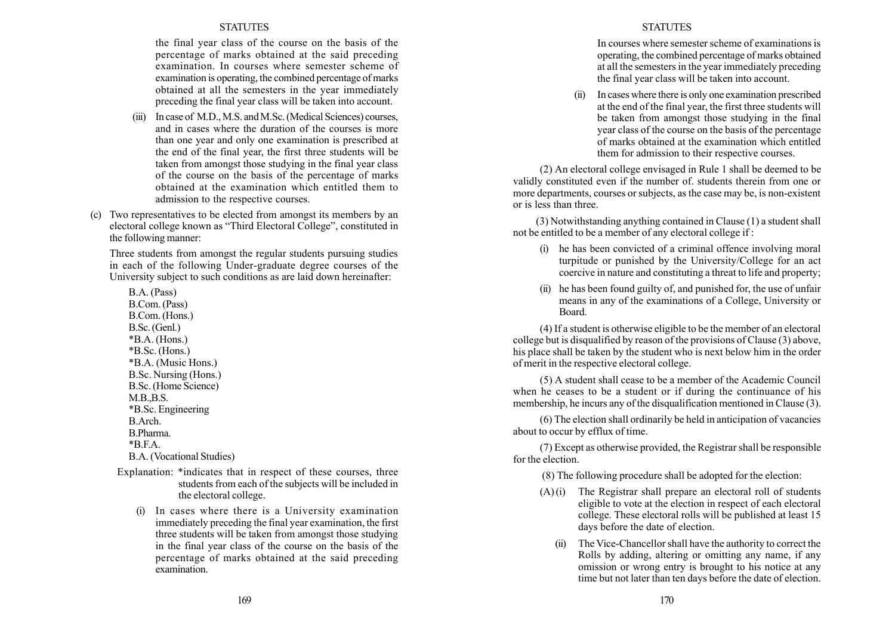the final year class of the course on the basis of the percentage of marks obtained at the said preceding examination. In courses where semester scheme of examination is operating, the combined percentage of marks obtained at all the semesters in the year immediately preceding the final year class will be taken into account.

- (iii) In case of M.D.,M.S. andM.Sc. (Medical Sciences) courses, and in cases where the duration of the courses is more than one year and only one examination is prescribed at the end of the final year, the first three students will be taken from amongst those studying in the final year class of the course on the basis of the percentage of marks obtained at the examination which entitled them to admission to the respective courses.
- (c) Two representatives to be elected from amongst its members by an electoral college known as "Third Electoral College", constituted in the following manner:

Three students from amongst the regular students pursuing studies in each of the following Under-graduate degree courses of the University subject to such conditions as are laid down hereinafter:

B.A. (Pass) B.Com. (Pass) B.Com. (Hons.) B.Sc. (Genl.) \*B.A. (Hons.) \*B.Sc. (Hons.) \*B.A. (Music Hons.) B.Sc. Nursing (Hons.) B.Sc. (Home Science) M.B.,B.S. \*B.Sc. Engineering B.Arch. B.Pharma.  $*BFA$ B.A. (Vocational Studies)

- Explanation: \*indicates that in respect of these courses, three students from each of the subjects will be included in the electoral college.
	- (i) In cases where there is a University examination immediately preceding the final year examination, the first three students will be taken from amongst those studying in the final year class of the course on the basis of the percentage of marks obtained at the said preceding examination.

#### **STATUTES**

In courses where semester scheme of examinations is operating, the combined percentage of marks obtained at all the semesters in the year immediately preceding the final year class will be taken into account.

In cases where there is only one examination prescribed at the end of the final year, the first three students will be taken from amongst those studying in the final year class of the course on the basis of the percentage of marks obtained at the examination which entitled them for admission to their respective courses.

(2) An electoral college envisaged in Rule 1 shall be deemed to be validly constituted even if the number of. students therein from one or more departments, courses or subjects, as the case may be, is non-existent or is less than three.

(3) Notwithstanding anything contained in Clause (1) a student shall not be entitled to be a member of any electoral college if :

- (i) he has been convicted of a criminal offence involving moral turpitude or punished by the University/College for an act coercive in nature and constituting a threat to life and property;
- (ii) he has been found guilty of, and punished for, the use of unfair means in any of the examinations of a College, University or Board.

(4) If a student is otherwise eligible to be the member of an electoral college but is disqualified by reason of the provisions of Clause (3) above, his place shall be taken by the student who is next below him in the order of merit in the respective electoral college.

(5) A student shall cease to be a member of the Academic Council when he ceases to be a student or if during the continuance of his membership, he incurs any of the disqualification mentioned in Clause (3).

(6) The election shall ordinarily be held in anticipation of vacancies about to occur by efflux of time.

(7) Except as otherwise provided, the Registrar shall be responsible for the election.

(8) The following procedure shall be adopted for the election:

- $(A)(i)$  The Registrar shall prepare an electoral roll of students eligible to vote at the election in respect of each electoral college. These electoral rolls will be published at least 15 days before the date of election.
	- (ii) The Vice-Chancellor shall have the authority to correct the Rolls by adding, altering or omitting any name, if any omission or wrong entry is brought to his notice at any time but not later than ten days before the date of election.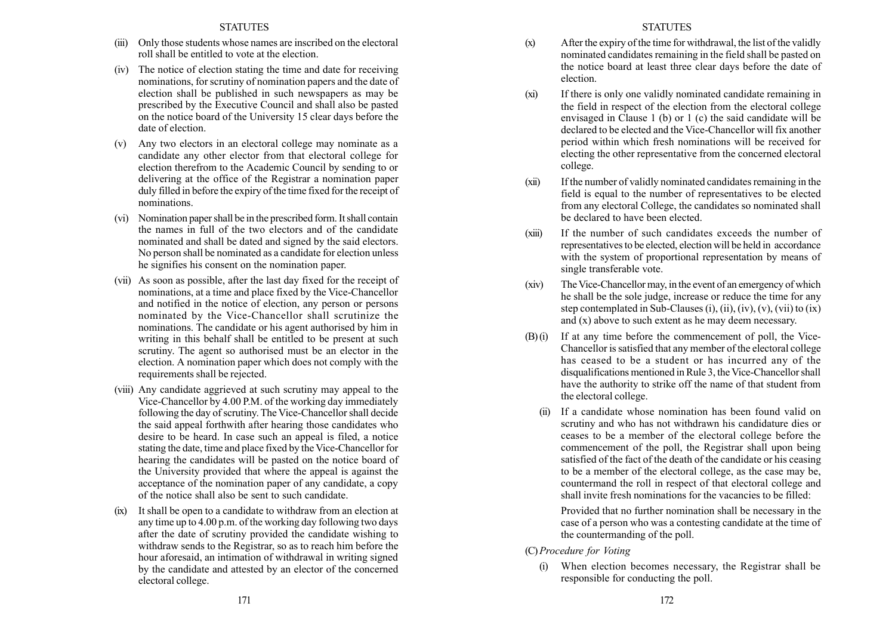- (iii) Only those students whose names are inscribed on the electoral roll shall be entitled to vote at the election.
- (iv) The notice of election stating the time and date for receiving nominations, for scrutiny of nomination papers and the date of election shall be published in such newspapers as may be prescribed by the Executive Council and shall also be pasted on the notice board of the University 15 clear days before the date of election.
- (v) Any two electors in an electoral college may nominate as a candidate any other elector from that electoral college for election therefrom to the Academic Council by sending to or delivering at the office of the Registrar a nomination paper duly filled in before the expiry of the time fixed for the receipt of nominations.
- (vi) Nomination paper shall be in the prescribed form. It shall contain the names in full of the two electors and of the candidate nominated and shall be dated and signed by the said electors. No person shall be nominated as a candidate for election unless he signifies his consent on the nomination paper.
- (vii) As soon as possible, after the last day fixed for the receipt of nominations, at a time and place fixed by the Vice-Chancellor and notified in the notice of election, any person or persons nominated by the Vice-Chancellor shall scrutinize the nominations. The candidate or his agent authorised by him in writing in this behalf shall be entitled to be present at such scrutiny. The agent so authorised must be an elector in the election. A nomination paper which does not comply with the requirements shall be rejected.
- (viii) Any candidate aggrieved at such scrutiny may appeal to the Vice-Chancellor by 4.00 P.M. of the working day immediately following the day of scrutiny. The Vice-Chancellor shall decide the said appeal forthwith after hearing those candidates who desire to be heard. In case such an appeal is filed, a notice stating the date, time and place fixed by the Vice-Chancellor for hearing the candidates will be pasted on the notice board of the University provided that where the appeal is against the acceptance of the nomination paper of any candidate, a copy of the notice shall also be sent to such candidate.
- (ix) It shall be open to a candidate to withdraw from an election at any time up to 4.00 p.m. of the working day following two days after the date of scrutiny provided the candidate wishing to withdraw sends to the Registrar, so as to reach him before the hour aforesaid, an intimation of withdrawal in writing signed by the candidate and attested by an elector of the concerned electoral college.
- (x) After the expiry of the time for withdrawal, the list of the validly nominated candidates remaining in the field shall be pasted on the notice board at least three clear days before the date of election.
- (xi) If there is only one validly nominated candidate remaining in the field in respect of the election from the electoral college envisaged in Clause 1 (b) or 1 (c) the said candidate will be declared to be elected and the Vice-Chancellor will fix another period within which fresh nominations will be received for electing the other representative from the concerned electoral college.
- (xii) If the number of validly nominated candidates remaining in the field is equal to the number of representatives to be elected from any electoral College, the candidates so nominated shall be declared to have been elected.
- (xiii) If the number of such candidates exceeds the number of representatives to be elected, election will be held in accordance with the system of proportional representation by means of single transferable vote.
- (xiv) The Vice-Chancellor may, in the event of an emergency of which he shall be the sole judge, increase or reduce the time for any step contemplated in Sub-Clauses  $(i)$ ,  $(ii)$ ,  $(iv)$ ,  $(v)$ ,  $(vii)$  to  $(ix)$ and (x) above to such extent as he may deem necessary.
- (B) (i) If at any time before the commencement of poll, the Vice-Chancellor is satisfied that any member of the electoral college has ceased to be a student or has incurred any of the disqualifications mentioned in Rule 3, the Vice-Chancellor shall have the authority to strike off the name of that student from the electoral college.
	- If a candidate whose nomination has been found valid on scrutiny and who has not withdrawn his candidature dies or ceases to be a member of the electoral college before the commencement of the poll, the Registrar shall upon being satisfied of the fact of the death of the candidate or his ceasing to be a member of the electoral college, as the case may be, countermand the roll in respect of that electoral college and shall invite fresh nominations for the vacancies to be filled:

Provided that no further nomination shall be necessary in the case of a person who was a contesting candidate at the time of the countermanding of the poll.

- (C)Procedure for Voting
	- (i) When election becomes necessary, the Registrar shall be responsible for conducting the poll.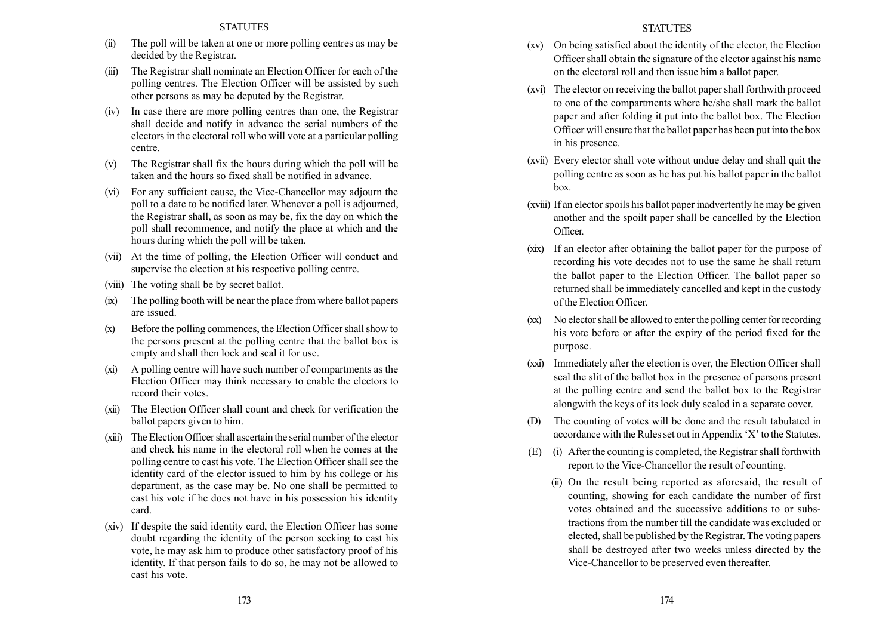- (ii) The poll will be taken at one or more polling centres as may be decided by the Registrar.
- (iii) The Registrar shall nominate an Election Officer for each of the polling centres. The Election Officer will be assisted by such other persons as may be deputed by the Registrar.
- (iv) In case there are more polling centres than one, the Registrar shall decide and notify in advance the serial numbers of the electors in the electoral roll who will vote at a particular polling centre.
- (v) The Registrar shall fix the hours during which the poll will be taken and the hours so fixed shall be notified in advance.
- (vi) For any sufficient cause, the Vice-Chancellor may adjourn the poll to a date to be notified later. Whenever a poll is adjourned, the Registrar shall, as soon as may be, fix the day on which the poll shall recommence, and notify the place at which and the hours during which the poll will be taken.
- (vii) At the time of polling, the Election Officer will conduct and supervise the election at his respective polling centre.
- (viii) The voting shall be by secret ballot.
- (ix) The polling booth will be near the place from where ballot papers are issued.
- (x) Before the polling commences, the Election Officer shall show to the persons present at the polling centre that the ballot box is empty and shall then lock and seal it for use.
- (xi) A polling centre will have such number of compartments as the Election Officer may think necessary to enable the electors to record their votes.
- (xii) The Election Officer shall count and check for verification the ballot papers given to him.
- (xiii) TheElection Officer shall ascertain the serial number of the elector and check his name in the electoral roll when he comes at the polling centre to cast his vote. The Election Officer shall see the identity card of the elector issued to him by his college or his department, as the case may be. No one shall be permitted to cast his vote if he does not have in his possession his identity card.
- (xiv) If despite the said identity card, the Election Officer has some doubt regarding the identity of the person seeking to cast his vote, he may ask him to produce other satisfactory proof of his identity. If that person fails to do so, he may not be allowed to cast his vote.

#### **STATUTES**

- (xv) On being satisfied about the identity of the elector, the Election Officer shall obtain the signature of the elector against his name on the electoral roll and then issue him a ballot paper.
- (xvi) The elector on receiving the ballot paper shall forthwith proceed to one of the compartments where he/she shall mark the ballot paper and after folding it put into the ballot box. The Election Officer will ensure that the ballot paper has been put into the box in his presence.
- (xvii) Every elector shall vote without undue delay and shall quit the polling centre as soon as he has put his ballot paper in the ballot box.
- (xviii) If an elector spoils his ballot paper inadvertently he may be given another and the spoilt paper shall be cancelled by the Election Officer.
- (xix) If an elector after obtaining the ballot paper for the purpose of recording his vote decides not to use the same he shall return the ballot paper to the Election Officer. The ballot paper so returned shall be immediately cancelled and kept in the custody of the Election Officer.
- (xx) No elector shall be allowed to enter the polling center for recording his vote before or after the expiry of the period fixed for the purpose.
- (xxi) Immediately after the election is over, the Election Officer shall seal the slit of the ballot box in the presence of persons present at the polling centre and send the ballot box to the Registrar alongwith the keys of its lock duly sealed in a separate cover.
- (D) The counting of votes will be done and the result tabulated in accordance with the Rules set out in Appendix 'X' to the Statutes.
- (E) (i) After the counting is completed, the Registrar shall forthwith report to the Vice-Chancellor the result of counting.
	- (ii) On the result being reported as aforesaid, the result of counting, showing for each candidate the number of first votes obtained and the successive additions to or substractions from the number till the candidate was excluded or elected, shall be published by the Registrar. The voting papers shall be destroyed after two weeks unless directed by the Vice-Chancellor to be preserved even thereafter.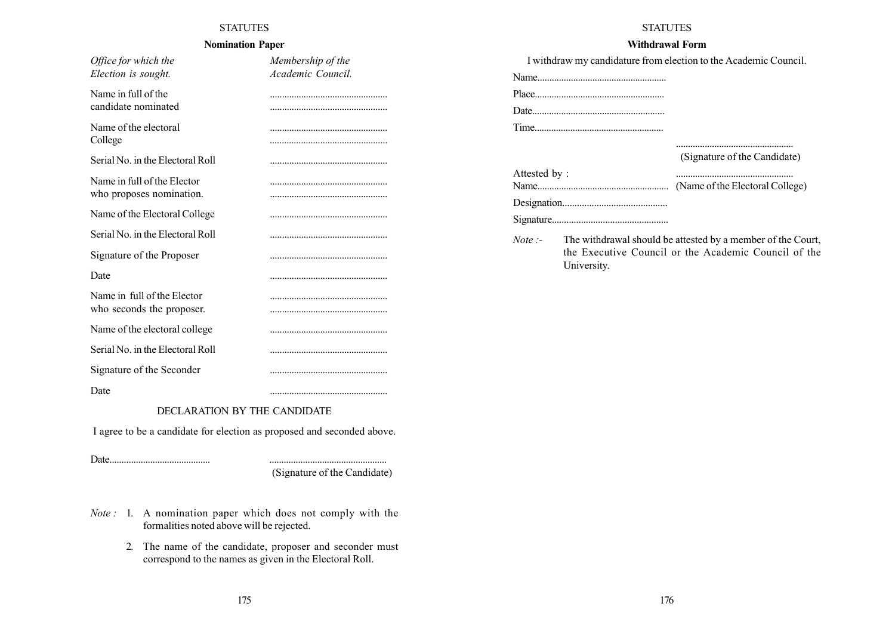# Nomination Paper

| Office for which the             | Membership of the |
|----------------------------------|-------------------|
| Election is sought.              | Academic Council. |
| Name in full of the              |                   |
| candidate nominated              |                   |
| Name of the electoral            |                   |
| College                          |                   |
| Serial No. in the Electoral Roll |                   |
| Name in full of the Elector      |                   |
| who proposes nomination.         |                   |
| Name of the Electoral College    |                   |
| Serial No. in the Electoral Roll |                   |
| Signature of the Proposer        |                   |
| Date                             |                   |
| Name in full of the Elector      |                   |
| who seconds the proposer.        |                   |
| Name of the electoral college    |                   |
| Serial No. in the Electoral Roll |                   |
| Signature of the Seconder        |                   |
| Date                             |                   |

DECLARATION BY THE CANDIDATE

I agree to be a candidate for election as proposed and seconded above.

Date.......................................... .................................................

(Signature of the Candidate)

- Note : 1. A nomination paper which does not comply with the formalities noted above will be rejected.
	- 2. The name of the candidate, proposer and seconder must correspond to the names as given in the Electoral Roll.

#### STATUTES

# Withdrawal Form

| I withdraw my candidature from election to the Academic Council.              |                              |
|-------------------------------------------------------------------------------|------------------------------|
|                                                                               |                              |
|                                                                               |                              |
|                                                                               |                              |
|                                                                               |                              |
|                                                                               | (Signature of the Candidate) |
| Attested by:                                                                  |                              |
|                                                                               |                              |
|                                                                               |                              |
| $N_{\alpha\alpha}$ . The withdrawal should be effected by a mamber of the Cou |                              |

Note :- The withdrawal should be attested by a member of the Court, the Executive Council or the Academic Council of the University.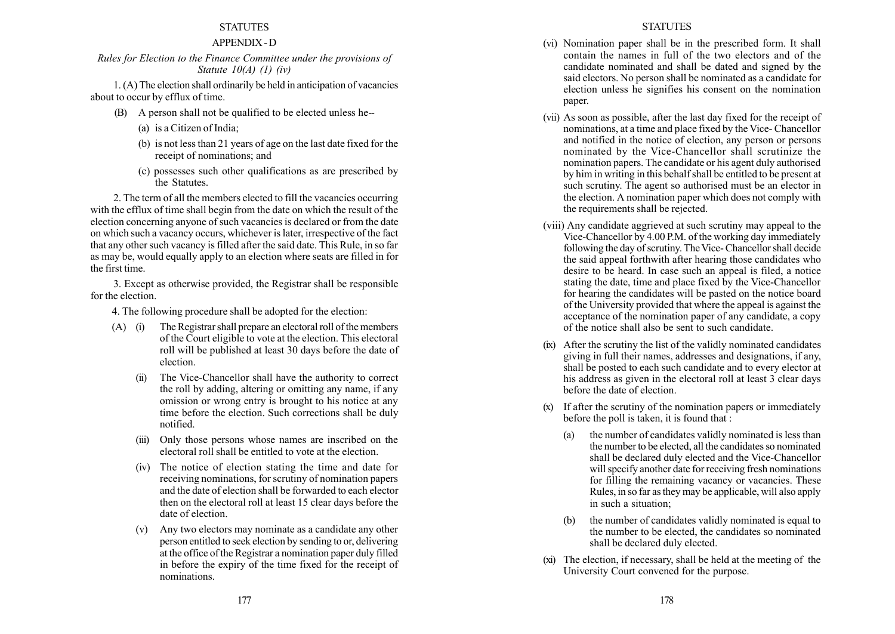## APPENDIX - D

# Rules for Election to the Finance Committee under the provisions of Statute  $10(A)$  (1) (iv)

1. (A) The election shall ordinarily be held in anticipation of vacancies about to occur by efflux of time.

- (B) A person shall not be qualified to be elected unless he--
	- (a) is a Citizen of India;
	- (b) is not less than 21 years of age on the last date fixed for the receipt of nominations; and
	- (c) possesses such other qualifications as are prescribed by the Statutes.

2. The term of all the members elected to fill the vacancies occurring with the efflux of time shall begin from the date on which the result of the election concerning anyone of such vacancies is declared or from the date on which such a vacancy occurs, whichever is later, irrespective of the fact that any other such vacancy is filled after the said date. This Rule, in so far as may be, would equally apply to an election where seats are filled in for the first time.

3. Except as otherwise provided, the Registrar shall be responsible for the election.

- 4. The following procedure shall be adopted for the election:
- (A) (i) The Registrar shall prepare an electoral roll of the members of the Court eligible to vote at the election. This electoral roll will be published at least 30 days before the date of election.
	- (ii) The Vice-Chancellor shall have the authority to correct the roll by adding, altering or omitting any name, if any omission or wrong entry is brought to his notice at any time before the election. Such corrections shall be duly notified.
	- (iii) Only those persons whose names are inscribed on the electoral roll shall be entitled to vote at the election.
	- (iv) The notice of election stating the time and date for receiving nominations, for scrutiny of nomination papers and the date of election shall be forwarded to each elector then on the electoral roll at least 15 clear days before the date of election.
	- (v) Any two electors may nominate as a candidate any other person entitled to seek election by sending to or, delivering at the office of the Registrar a nomination paper duly filled in before the expiry of the time fixed for the receipt of nominations.

#### **STATUTES**

- (vi) Nomination paper shall be in the prescribed form. It shall contain the names in full of the two electors and of the candidate nominated and shall be dated and signed by the said electors. No person shall be nominated as a candidate for election unless he signifies his consent on the nomination paper.
- (vii) As soon as possible, after the last day fixed for the receipt of nominations, at a time and place fixed by the Vice- Chancellor and notified in the notice of election, any person or persons nominated by the Vice-Chancellor shall scrutinize the nomination papers. The candidate or his agent duly authorised by him in writing in this behalf shall be entitled to be present at such scrutiny. The agent so authorised must be an elector in the election. A nomination paper which does not comply with the requirements shall be rejected.
- (viii) Any candidate aggrieved at such scrutiny may appeal to the Vice-Chancellor by 4.00 P.M. of the working day immediately following the day of scrutiny. The Vice- Chancellor shall decide the said appeal forthwith after hearing those candidates who desire to be heard. In case such an appeal is filed, a notice stating the date, time and place fixed by the Vice-Chancellor for hearing the candidates will be pasted on the notice board of the University provided that where the appeal is against the acceptance of the nomination paper of any candidate, a copy of the notice shall also be sent to such candidate.
- (ix) After the scrutiny the list of the validly nominated candidates giving in full their names, addresses and designations, if any, shall be posted to each such candidate and to every elector at his address as given in the electoral roll at least 3 clear days before the date of election.
- (x) If after the scrutiny of the nomination papers or immediately before the poll is taken, it is found that :
	- (a) the number of candidates validly nominated is less than the number to be elected, all the candidates so nominated shall be declared duly elected and the Vice-Chancellor will specify another date for receiving fresh nominations for filling the remaining vacancy or vacancies. These Rules, in so far as they may be applicable, will also apply in such a situation;
	- (b) the number of candidates validly nominated is equal to the number to be elected, the candidates so nominated shall be declared duly elected.
- (xi) The election, if necessary, shall be held at the meeting of the University Court convened for the purpose.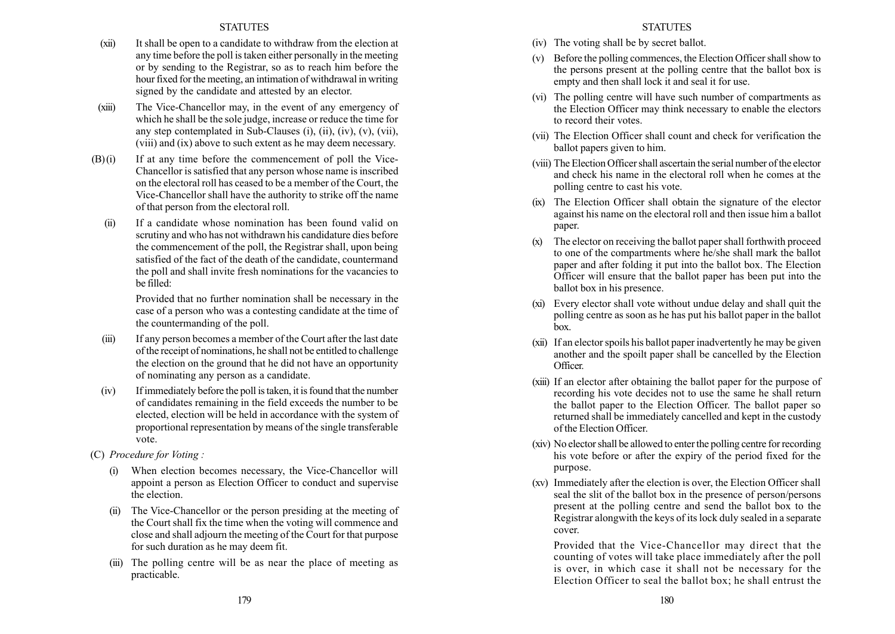- (xii) It shall be open to a candidate to withdraw from the election at any time before the poll is taken either personally in the meeting or by sending to the Registrar, so as to reach him before the hour fixed for the meeting, an intimation of withdrawal in writing signed by the candidate and attested by an elector.
- (xiii) The Vice-Chancellor may, in the event of any emergency of which he shall be the sole judge, increase or reduce the time for any step contemplated in Sub-Clauses (i), (ii), (iv), (v), (vii), (viii) and (ix) above to such extent as he may deem necessary.
- $(B)(i)$  If at any time before the commencement of poll the Vice-Chancellor is satisfied that any person whose name is inscribed on the electoral roll has ceased to be a member of the Court, the Vice-Chancellor shall have the authority to strike off the name of that person from the electoral roll.
	- (ii) If a candidate whose nomination has been found valid on scrutiny and who has not withdrawn his candidature dies before the commencement of the poll, the Registrar shall, upon being satisfied of the fact of the death of the candidate, countermand the poll and shall invite fresh nominations for the vacancies to be filled:

Provided that no further nomination shall be necessary in the case of a person who was a contesting candidate at the time of the countermanding of the poll.

- (iii) If any person becomes a member of the Court after the last date of the receipt of nominations, he shall not be entitled to challenge the election on the ground that he did not have an opportunity of nominating any person as a candidate.
- (iv) Ifimmediately before the poll is taken, it is found that the number of candidates remaining in the field exceeds the number to be elected, election will be held in accordance with the system of proportional representation by means of the single transferable vote.
- (C) Procedure for Voting :
	- When election becomes necessary, the Vice-Chancellor will appoint a person as Election Officer to conduct and supervise the election.
	- (ii) The Vice-Chancellor or the person presiding at the meeting of the Court shall fix the time when the voting will commence and close and shall adjourn the meeting of the Court for that purpose for such duration as he may deem fit.
	- (iii) The polling centre will be as near the place of meeting as practicable.

## **STATUTES**

- (iv) The voting shall be by secret ballot.
- (v) Before the polling commences, the Election Officer shall show to the persons present at the polling centre that the ballot box is empty and then shall lock it and seal it for use.
- (vi) The polling centre will have such number of compartments as the Election Officer may think necessary to enable the electors to record their votes.
- (vii) The Election Officer shall count and check for verification the ballot papers given to him.
- (viii) The Election Officer shall ascertain the serial number of the elector and check his name in the electoral roll when he comes at the polling centre to cast his vote.
- (ix) The Election Officer shall obtain the signature of the elector against his name on the electoral roll and then issue him a ballot paper.
- (x) The elector on receiving the ballot paper shall forthwith proceed to one of the compartments where he/she shall mark the ballot paper and after folding it put into the ballot box. The Election Officer will ensure that the ballot paper has been put into the ballot box in his presence.
- (xi) Every elector shall vote without undue delay and shall quit the polling centre as soon as he has put his ballot paper in the ballot box.
- (xii) If an elector spoils his ballot paper inadvertently he may be given another and the spoilt paper shall be cancelled by the Election Officer.
- (xiii) If an elector after obtaining the ballot paper for the purpose of recording his vote decides not to use the same he shall return the ballot paper to the Election Officer. The ballot paper so returned shall be immediately cancelled and kept in the custody of the Election Officer.
- (xiv) No elector shall be allowed to enter the polling centre for recording his vote before or after the expiry of the period fixed for the purpose.
- (xv) Immediately after the election is over, the Election Officer shall seal the slit of the ballot box in the presence of person/persons present at the polling centre and send the ballot box to the Registrar alongwith the keys of its lock duly sealed in a separate cover.

Provided that the Vice-Chancellor may direct that the counting of votes will take place immediately after the poll is over, in which case it shall not be necessary for the Election Officer to seal the ballot box; he shall entrust the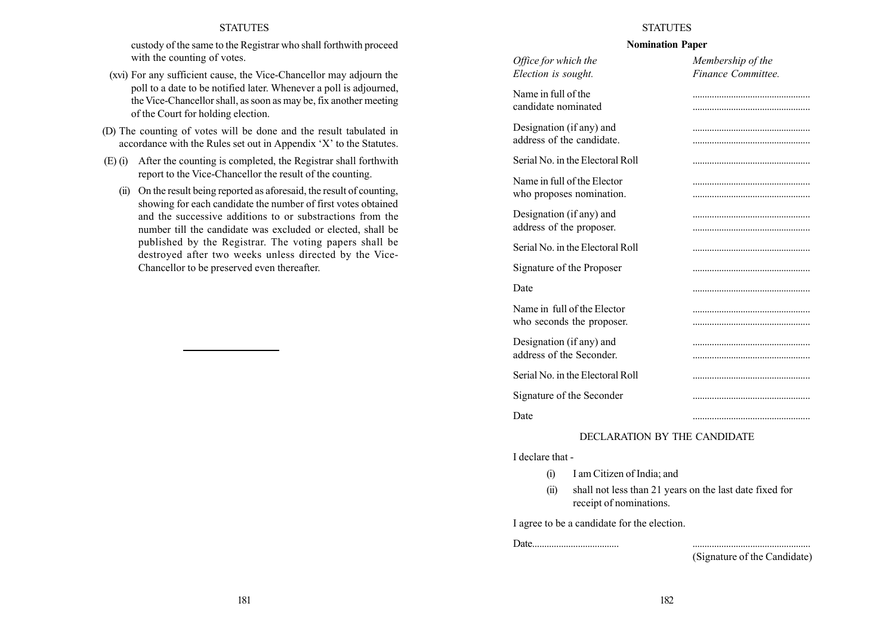custody of the same to the Registrar who shall forthwith proceed with the counting of votes.

- (xvi) For any sufficient cause, the Vice-Chancellor may adjourn the poll to a date to be notified later. Whenever a poll is adjourned, the Vice-Chancellor shall, as soon as may be, fix another meeting of the Court for holding election.
- (D) The counting of votes will be done and the result tabulated in accordance with the Rules set out in Appendix  $X'$  to the Statutes.
- (E) (i) After the counting is completed, the Registrar shall forthwith report to the Vice-Chancellor the result of the counting.
	- (ii) On the result being reported as aforesaid, the result of counting, showing for each candidate the number of first votes obtained and the successive additions to or substractions from the number till the candidate was excluded or elected, shall be published by the Registrar. The voting papers shall be destroyed after two weeks unless directed by the Vice-Chancellor to be preserved even thereafter.

#### **STATUTES**

#### Nomination Paper

| Office for which the<br>Election is sought.              | Membership of the<br>Finance Committee. |
|----------------------------------------------------------|-----------------------------------------|
| Name in full of the<br>candidate nominated               |                                         |
| Designation (if any) and<br>address of the candidate.    |                                         |
| Serial No. in the Electoral Roll                         |                                         |
| Name in full of the Elector<br>who proposes nomination.  |                                         |
| Designation (if any) and<br>address of the proposer.     |                                         |
| Serial No. in the Electoral Roll                         |                                         |
| Signature of the Proposer                                |                                         |
| Date                                                     |                                         |
| Name in full of the Elector<br>who seconds the proposer. |                                         |
| Designation (if any) and<br>address of the Seconder.     |                                         |
| Serial No. in the Electoral Roll                         |                                         |
| Signature of the Seconder                                |                                         |
| Date                                                     |                                         |

## DECLARATION BY THE CANDIDATE

I declare that -

- (i) I am Citizen of India; and
- (ii) shall not less than 21 years on the last date fixed for receipt of nominations.

I agree to be a candidate for the election.

Date.................................... .................................................

(Signature of the Candidate)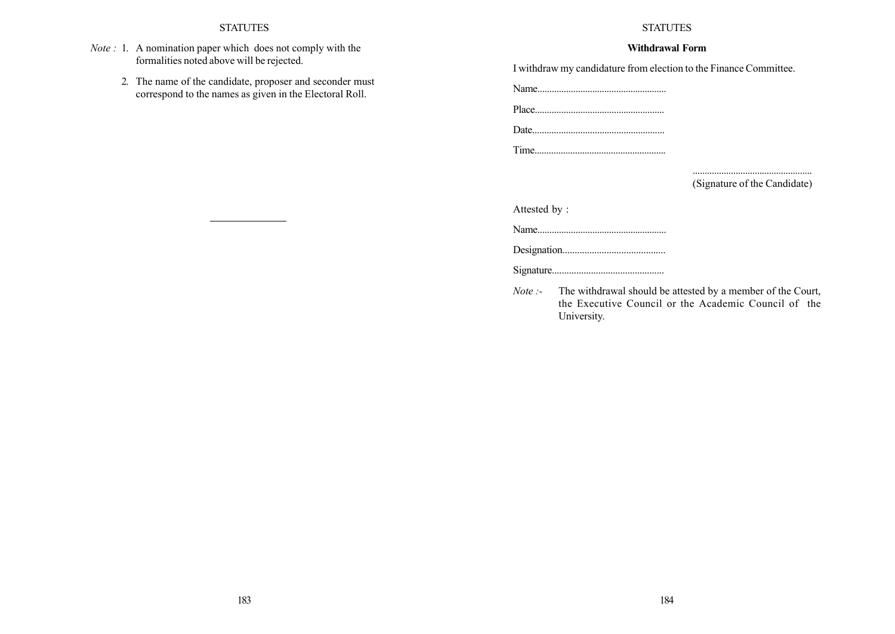- Note : 1. A nomination paper which does not comply with the formalities noted above will be rejected.
	- 2. The name of the candidate, proposer and seconder must correspond to the names as given in the Electoral Roll.

## STATUTES

## Withdrawal Form

I withdraw my candidature from election to the Finance Committee.

Name......................................................

Place...................................................... Date.......................................................

Time.......................................................

.................................................. (Signature of the Candidate)

Attested by :

Name......................................................

Designation..........................................

Signature..............................................

Note :- The withdrawal should be attested by a member of the Court, the Executive Council or the Academic Council of the University.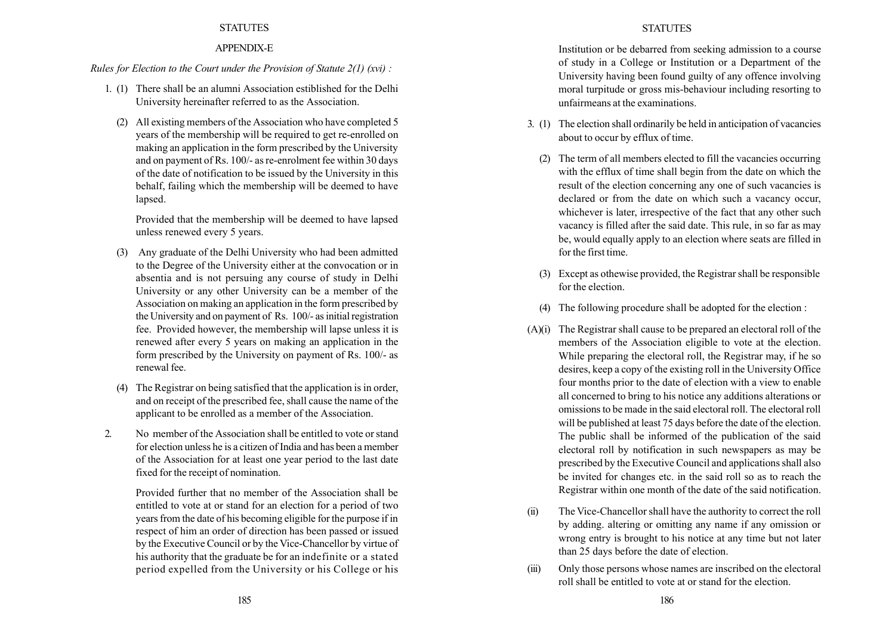## APPENDIX-E

## Rules for Election to the Court under the Provision of Statute  $2(1)$  (xvi) :

- 1. (1) There shall be an alumni Association estiblished for the Delhi University hereinafter referred to as the Association.
	- (2) All existing members of the Association who have completed 5 years of the membership will be required to get re-enrolled on making an application in the form prescribed by the University and on payment of Rs. 100/- as re-enrolment fee within 30 days of the date of notification to be issued by the University in this behalf, failing which the membership will be deemed to have lapsed.

Provided that the membership will be deemed to have lapsed unless renewed every 5 years.

- (3) Any graduate of the Delhi University who had been admitted to the Degree of the University either at the convocation or in absentia and is not persuing any course of study in Delhi University or any other University can be a member of the Association on making an application in the form prescribed by the University and on payment of Rs. 100/- as initial registration fee. Provided however, the membership will lapse unless it is renewed after every 5 years on making an application in the form prescribed by the University on payment of Rs. 100/- as renewal fee.
- (4) The Registrar on being satisfied that the application is in order, and on receipt of the prescribed fee, shall cause the name of the applicant to be enrolled as a member of the Association.
- 2. No member of the Association shall be entitled to vote or stand for election unless he is a citizen of India and has been a member of the Association for at least one year period to the last date fixed for the receipt of nomination.

Provided further that no member of the Association shall be entitled to vote at or stand for an election for a period of two years from the date of his becoming eligible for the purpose if in respect of him an order of direction has been passed or issued by the Executive Council or by the Vice-Chancellor by virtue of his authority that the graduate be for an indefinite or a stated period expelled from the University or his College or his

Institution or be debarred from seeking admission to a course of study in a College or Institution or a Department of the University having been found guilty of any offence involving moral turpitude or gross mis-behaviour including resorting to unfairmeans at the examinations.

- 3. (1) The election shall ordinarily be held in anticipation of vacancies about to occur by efflux of time.
	- (2) The term of all members elected to fill the vacancies occurring with the efflux of time shall begin from the date on which the result of the election concerning any one of such vacancies is declared or from the date on which such a vacancy occur, whichever is later, irrespective of the fact that any other such vacancy is filled after the said date. This rule, in so far as may be, would equally apply to an election where seats are filled in for the first time.
	- (3) Except as othewise provided, the Registrar shall be responsible for the election.
	- (4) The following procedure shall be adopted for the election :
- (A)(i) The Registrar shall cause to be prepared an electoral roll of the members of the Association eligible to vote at the election. While preparing the electoral roll, the Registrar may, if he so desires, keep a copy of the existing roll in the University Office four months prior to the date of election with a view to enable all concerned to bring to his notice any additions alterations or omissions to be made in the said electoral roll. The electoral roll will be published at least 75 days before the date of the election. The public shall be informed of the publication of the said electoral roll by notification in such newspapers as may be prescribed by the Executive Council and applications shall also be invited for changes etc. in the said roll so as to reach the Registrar within one month of the date of the said notification.
- (ii) The Vice-Chancellor shall have the authority to correct the roll by adding. altering or omitting any name if any omission or wrong entry is brought to his notice at any time but not later than 25 days before the date of election.
- (iii) Only those persons whose names are inscribed on the electoral roll shall be entitled to vote at or stand for the election.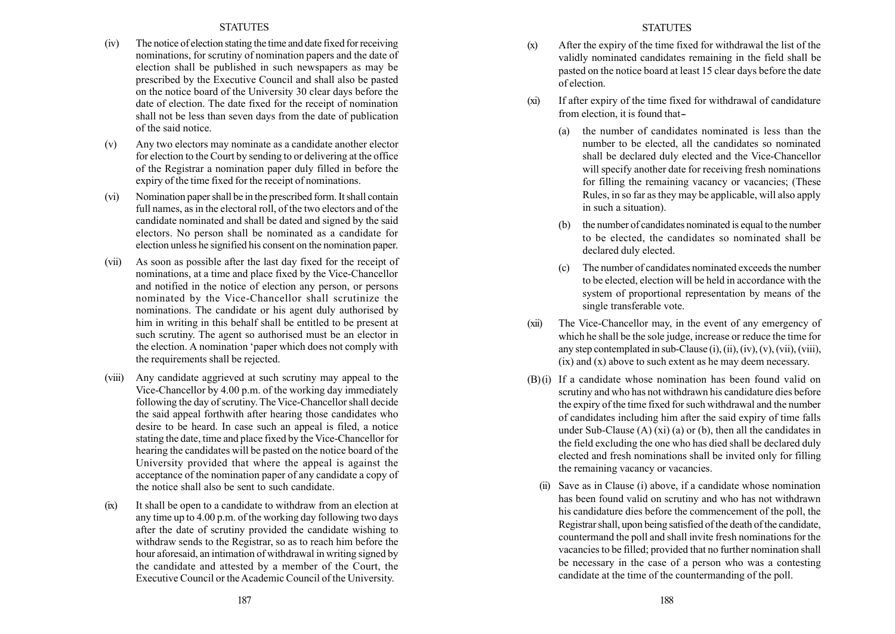- (iv) The notice of election stating the time and date fixed for receiving nominations, for scrutiny of nomination papers and the date of election shall be published in such newspapers as may be prescribed by the Executive Council and shall also be pasted on the notice board of the University 30 clear days before the date of election. The date fixed for the receipt of nomination shall not be less than seven days from the date of publication of the said notice.
- (v) Any two electors may nominate as a candidate another elector for election to the Court by sending to or delivering at the office of the Registrar a nomination paper duly filled in before the expiry of the time fixed for the receipt of nominations.
- (vi) Nomination paper shall be in the prescribed form. It shall contain full names, as in the electoral roll, of the two electors and of the candidate nominated and shall be dated and signed by the said electors. No person shall be nominated as a candidate for election unless he signified his consent on the nomination paper.
- (vii) As soon as possible after the last day fixed for the receipt of nominations, at a time and place fixed by the Vice-Chancellor and notified in the notice of election any person, or persons nominated by the Vice-Chancellor shall scrutinize the nominations. The candidate or his agent duly authorised by him in writing in this behalf shall be entitled to be present at such scrutiny. The agent so authorised must be an elector in the election. A nomination ëpaper which does not comply with the requirements shall be rejected.
- (viii) Any candidate aggrieved at such scrutiny may appeal to the Vice-Chancellor by 4.00 p.m. of the working day immediately following the day of scrutiny. The Vice-Chancellor shall decide the said appeal forthwith after hearing those candidates who desire to be heard. In case such an appeal is filed, a notice stating the date, time and place fixed by the Vice-Chancellor for hearing the candidates will be pasted on the notice board of the University provided that where the appeal is against the acceptance of the nomination paper of any candidate a copy of the notice shall also be sent to such candidate.
- (ix) It shall be open to a candidate to withdraw from an election at any time up to 4.00 p.m. of the working day following two days after the date of scrutiny provided the candidate wishing to withdraw sends to the Registrar, so as to reach him before the hour aforesaid, an intimation of withdrawal in writing signed by the candidate and attested by a member of the Court, the Executive Council or the Academic Council of the University.

## **STATUTES**

- (x) After the expiry of the time fixed for withdrawal the list of the validly nominated candidates remaining in the field shall be pasted on the notice board at least 15 clear days before the date of election.
- (xi) If after expiry of the time fixed for withdrawal of candidature from election, it is found that--
	- (a) the number of candidates nominated is less than the number to be elected, all the candidates so nominated shall be declared duly elected and the Vice-Chancellor will specify another date for receiving fresh nominations for filling the remaining vacancy or vacancies; (These Rules, in so far as they may be applicable, will also apply in such a situation).
	- the number of candidates nominated is equal to the number to be elected, the candidates so nominated shall be declared duly elected.
	- (c) The number of candidates nominated exceeds the number to be elected, election will be held in accordance with the system of proportional representation by means of the single transferable vote.
- (xii) The Vice-Chancellor may, in the event of any emergency of which he shall be the sole judge, increase or reduce the time for any step contemplated in sub-Clause  $(i)$ ,  $(ii)$ ,  $(iv)$ ,  $(v)$ ,  $(vii)$ ,  $(viii)$ , (ix) and (x) above to such extent as he may deem necessary.
- (B) (i) If a candidate whose nomination has been found valid on scrutiny and who has not withdrawn his candidature dies before the expiry of the time fixed for such withdrawal and the number of candidates including him after the said expiry of time falls under Sub-Clause  $(A)$  (xi) (a) or (b), then all the candidates in the field excluding the one who has died shall be declared duly elected and fresh nominations shall be invited only for filling the remaining vacancy or vacancies.
	- Save as in Clause (i) above, if a candidate whose nomination has been found valid on scrutiny and who has not withdrawn his candidature dies before the commencement of the poll, the Registrar shall, upon being satisfied of the death of the candidate, countermand the poll and shall invite fresh nominations for the vacancies to be filled; provided that no further nomination shall be necessary in the case of a person who was a contesting candidate at the time of the countermanding of the poll.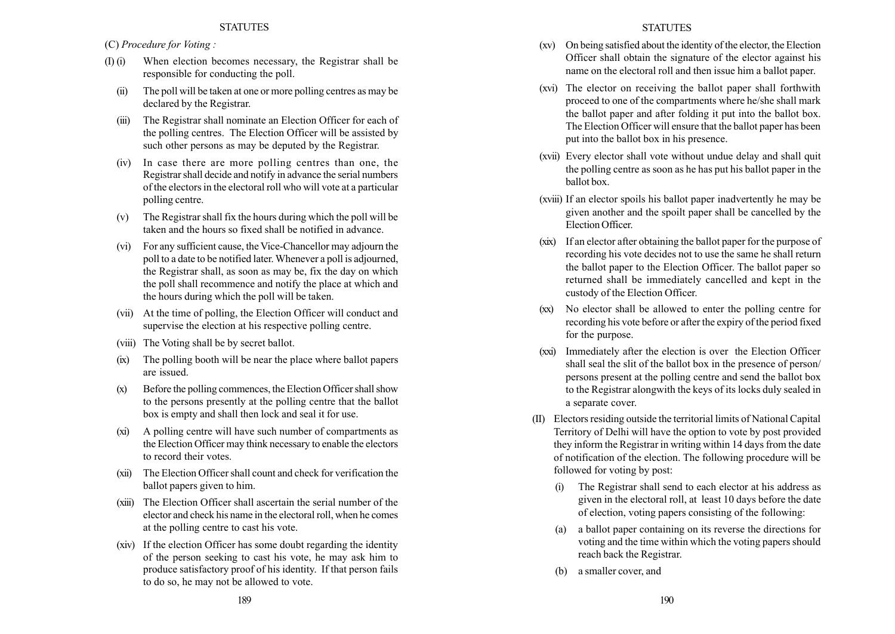(C) Procedure for Voting :

- (I) (i) When election becomes necessary, the Registrar shall be responsible for conducting the poll.
	- (ii) The poll will be taken at one or more polling centres as may be declared by the Registrar.
	- (iii) The Registrar shall nominate an Election Officer for each of the polling centres. The Election Officer will be assisted by such other persons as may be deputed by the Registrar.
	- (iv) In case there are more polling centres than one, the Registrar shall decide and notify in advance the serial numbers of the electors in the electoral roll who will vote at a particular polling centre.
	- (v) The Registrar shall fix the hours during which the poll will be taken and the hours so fixed shall be notified in advance.
	- (vi) For any sufficient cause, the Vice-Chancellor may adjourn the poll to a date to be notified later.Whenever a poll is adjourned, the Registrar shall, as soon as may be, fix the day on which the poll shall recommence and notify the place at which and the hours during which the poll will be taken.
	- (vii) At the time of polling, the Election Officer will conduct and supervise the election at his respective polling centre.
	- (viii) The Voting shall be by secret ballot.
	- (ix) The polling booth will be near the place where ballot papers are issued.
	- (x) Before the polling commences, the Election Officer shall show to the persons presently at the polling centre that the ballot box is empty and shall then lock and seal it for use.
	- (xi) A polling centre will have such number of compartments as the Election Officer may think necessary to enable the electors to record their votes.
	- (xii) The Election Officer shall count and check for verification the ballot papers given to him.
	- (xiii) The Election Officer shall ascertain the serial number of the elector and check his name in the electoral roll, when he comes at the polling centre to cast his vote.
	- (xiv) If the election Officer has some doubt regarding the identity of the person seeking to cast his vote, he may ask him to produce satisfactory proof of his identity. If that person fails to do so, he may not be allowed to vote.
- (xv) On being satisfied about the identity of the elector, the Election Officer shall obtain the signature of the elector against his name on the electoral roll and then issue him a ballot paper.
- (xvi) The elector on receiving the ballot paper shall forthwith proceed to one of the compartments where he/she shall mark the ballot paper and after folding it put into the ballot box. The Election Officer will ensure that the ballot paper has been put into the ballot box in his presence.
- (xvii) Every elector shall vote without undue delay and shall quit the polling centre as soon as he has put his ballot paper in the ballot box.
- (xviii) If an elector spoils his ballot paper inadvertently he may be given another and the spoilt paper shall be cancelled by the Election Officer.
- (xix) If an elector after obtaining the ballot paper for the purpose of recording his vote decides not to use the same he shall return the ballot paper to the Election Officer. The ballot paper so returned shall be immediately cancelled and kept in the custody of the Election Officer.
- (xx) No elector shall be allowed to enter the polling centre for recording his vote before or after the expiry of the period fixed for the purpose.
- (xxi) Immediately after the election is over the Election Officer shall seal the slit of the ballot box in the presence of person/ persons present at the polling centre and send the ballot box to the Registrar alongwith the keys of its locks duly sealed in a separate cover.
- (II) Electors residing outside the territorial limits of National Capital Territory of Delhi will have the option to vote by post provided they inform the Registrar in writing within 14 days from the date of notification of the election. The following procedure will be followed for voting by post:
	- (i) The Registrar shall send to each elector at his address as given in the electoral roll, at least 10 days before the date of election, voting papers consisting of the following:
	- (a) a ballot paper containing on its reverse the directions for voting and the time within which the voting papers should reach back the Registrar.
	- (b) a smaller cover, and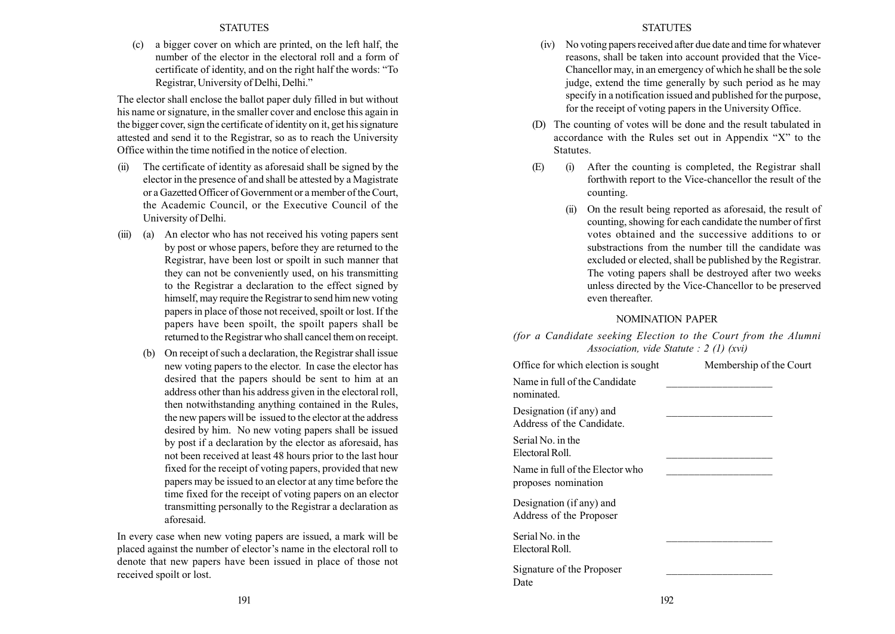(c) a bigger cover on which are printed, on the left half, the number of the elector in the electoral roll and a form of certificate of identity, and on the right half the words: "To Registrar, University of Delhi, Delhi.<sup>n</sup>

The elector shall enclose the ballot paper duly filled in but without his name or signature, in the smaller cover and enclose this again in the bigger cover, sign the certificate of identity on it, get his signature attested and send it to the Registrar, so as to reach the University Office within the time notified in the notice of election.

- (ii) The certificate of identity as aforesaid shall be signed by the elector in the presence of and shall be attested by a Magistrate or a Gazetted Officer of Government or a member of the Court, the Academic Council, or the Executive Council of the University of Delhi.
- (iii) (a) An elector who has not received his voting papers sent by post or whose papers, before they are returned to the Registrar, have been lost or spoilt in such manner that they can not be conveniently used, on his transmitting to the Registrar a declaration to the effect signed by himself, may require the Registrar to send him new voting papers in place of those not received, spoilt or lost. If the papers have been spoilt, the spoilt papers shall be returned to the Registrar who shall cancel them on receipt.
	- (b) On receipt of such a declaration, the Registrar shall issue new voting papers to the elector. In case the elector has desired that the papers should be sent to him at an address other than his address given in the electoral roll, then notwithstanding anything contained in the Rules, the new papers will be issued to the elector at the address desired by him. No new voting papers shall be issued by post if a declaration by the elector as aforesaid, has not been received at least 48 hours prior to the last hour fixed for the receipt of voting papers, provided that new papers may be issued to an elector at any time before the time fixed for the receipt of voting papers on an elector transmitting personally to the Registrar a declaration as aforesaid.

In every case when new voting papers are issued, a mark will be placed against the number of elector's name in the electoral roll to denote that new papers have been issued in place of those not received spoilt or lost.

- (iv) No voting papers received after due date and time for whatever reasons, shall be taken into account provided that the Vice-Chancellor may, in an emergency of which he shall be the sole judge, extend the time generally by such period as he may specify in a notification issued and published for the purpose, for the receipt of voting papers in the University Office.
- (D) The counting of votes will be done and the result tabulated in accordance with the Rules set out in Appendix  $X''$  to the Statutes.
- (E) (i) After the counting is completed, the Registrar shall forthwith report to the Vice-chancellor the result of the counting.
	- (ii) On the result being reported as aforesaid, the result of counting, showing for each candidate the number of first votes obtained and the successive additions to or substractions from the number till the candidate was excluded or elected, shall be published by the Registrar. The voting papers shall be destroyed after two weeks unless directed by the Vice-Chancellor to be preserved even thereafter.

## NOMINATION PAPER

(for a Candidate seeking Election to the Court from the Alumni Association, vide Statute : 2 (1) (xvi)

| Office for which election is sought                    | Membership of the Court |
|--------------------------------------------------------|-------------------------|
| Name in full of the Candidate<br>nominated.            |                         |
| Designation (if any) and<br>Address of the Candidate.  |                         |
| Serial No. in the<br>Electoral Roll.                   |                         |
| Name in full of the Elector who<br>proposes nomination |                         |
| Designation (if any) and<br>Address of the Proposer    |                         |
| Serial No. in the<br>Electoral Roll.                   |                         |
| Signature of the Proposer<br>Date                      |                         |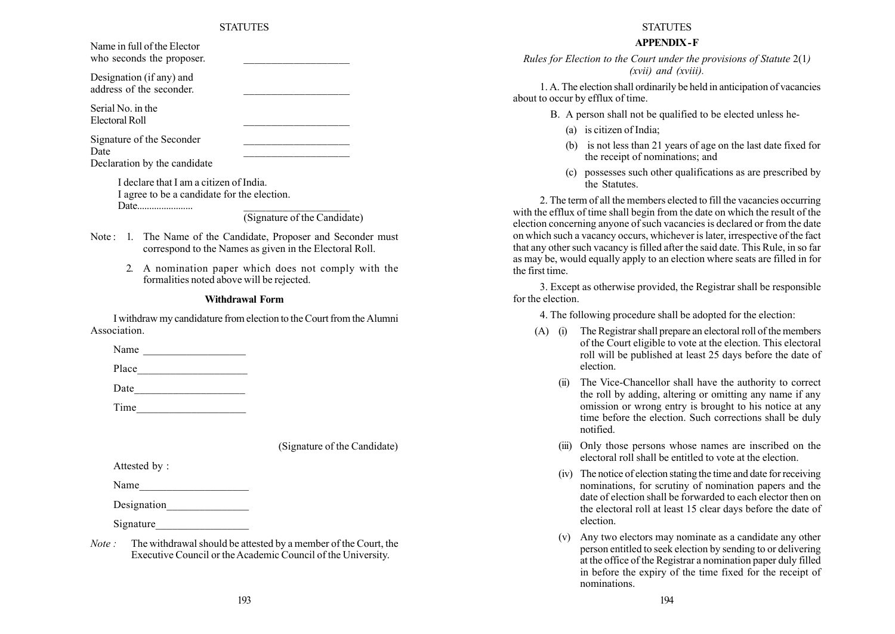| Name in full of the Elector<br>who seconds the proposer.                              |                              |
|---------------------------------------------------------------------------------------|------------------------------|
| Designation (if any) and<br>address of the seconder.                                  |                              |
| Serial No. in the<br>Electoral Roll                                                   |                              |
| Signature of the Seconder<br>Date<br>Declaration by the candidate                     |                              |
| I declare that I am a citizen of India<br>I agree to be a candidate for the election. |                              |
|                                                                                       | (Signature of the Candidate) |

- Note: 1. The Name of the Candidate, Proposer and Seconder must correspond to the Names as given in the Electoral Roll.
	- 2. A nomination paper which does not comply with the formalities noted above will be rejected.

#### Withdrawal Form

I withdraw my candidature from election to the Court from the Alumni Association.

Name

Place  $\Box$ 

Date  $\qquad \qquad \qquad$ 

Time\_\_\_\_\_\_\_\_\_\_\_\_\_\_\_\_\_\_\_\_

(Signature of the Candidate)

Attested by :

Name

Designation

Signature

Note : The withdrawal should be attested by a member of the Court, the Executive Council or the Academic Council of the University.

#### **STATUTES**

# APPENDIX -F

Rules for Election to the Court under the provisions of Statute 2(1) (xvii) and (xviii).

1. A. The election shall ordinarily be held in anticipation of vacancies about to occur by efflux of time.

- B. A person shall not be qualified to be elected unless he-
	- (a) is citizen of India;
	- (b) is not less than 21 years of age on the last date fixed for the receipt of nominations; and
	- (c) possesses such other qualifications as are prescribed by the Statutes.

2. The term of all the members elected to fill the vacancies occurring with the efflux of time shall begin from the date on which the result of the election concerning anyone of such vacancies is declared or from the date on which such a vacancy occurs, whichever is later, irrespective of the fact that any other such vacancy is filled after the said date. This Rule, in so far as may be, would equally apply to an election where seats are filled in for the first time.

3. Except as otherwise provided, the Registrar shall be responsible for the election.

4. The following procedure shall be adopted for the election:

- (A) (i) The Registrar shall prepare an electoral roll of the members of the Court eligible to vote at the election. This electoral roll will be published at least 25 days before the date of election.
	- (ii) The Vice-Chancellor shall have the authority to correct the roll by adding, altering or omitting any name if any omission or wrong entry is brought to his notice at any time before the election. Such corrections shall be duly notified.
	- (iii) Only those persons whose names are inscribed on the electoral roll shall be entitled to vote at the election.
	- (iv) The notice of election stating the time and date for receiving nominations, for scrutiny of nomination papers and the date of election shall be forwarded to each elector then on the electoral roll at least 15 clear days before the date of election.
	- (v) Any two electors may nominate as a candidate any other person entitled to seek election by sending to or delivering at the office of the Registrar a nomination paper duly filled in before the expiry of the time fixed for the receipt of nominations.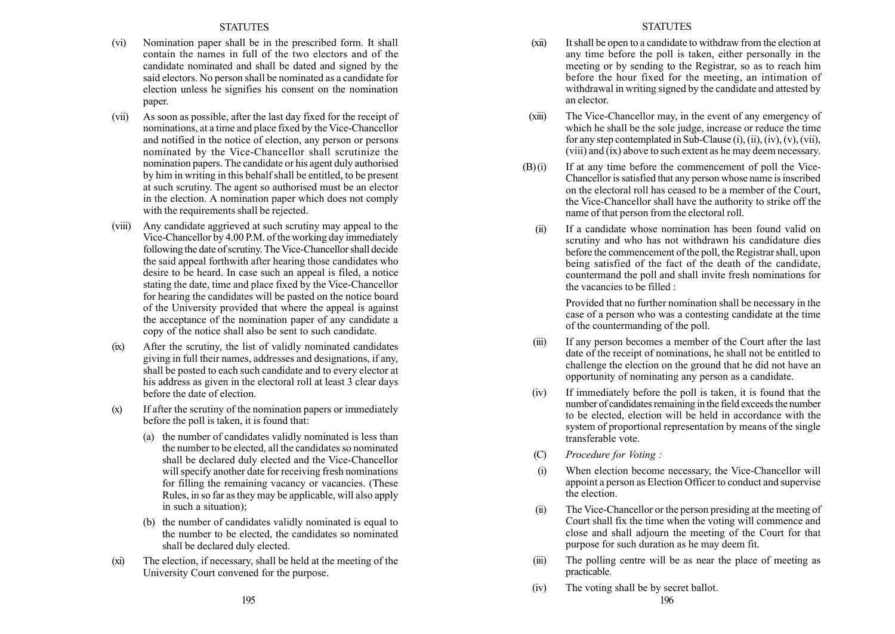- (vi) Nomination paper shall be in the prescribed form. It shall contain the names in full of the two electors and of the candidate nominated and shall be dated and signed by the said electors. No person shall be nominated as a candidate for election unless he signifies his consent on the nomination paper.
- (vii) As soon as possible, after the last day fixed for the receipt of nominations, at a time and place fixed by the Vice-Chancellor and notified in the notice of election, any person or persons nominated by the Vice-Chancellor shall scrutinize the nomination papers. The candidate or his agent duly authorised by him in writing in this behalf shall be entitled, to be present at such scrutiny. The agent so authorised must be an elector in the election. A nomination paper which does not comply with the requirements shall be rejected.
- (viii) Any candidate aggrieved at such scrutiny may appeal to the Vice-Chancellor by 4.00 P.M. of the working day immediately following the date of scrutiny. The Vice-Chancellor shall decide the said appeal forthwith after hearing those candidates who desire to be heard. In case such an appeal is filed, a notice stating the date, time and place fixed by the Vice-Chancellor for hearing the candidates will be pasted on the notice board of the University provided that where the appeal is against the acceptance of the nomination paper of any candidate a copy of the notice shall also be sent to such candidate.
- (ix) After the scrutiny, the list of validly nominated candidates giving in full their names, addresses and designations, if any, shall be posted to each such candidate and to every elector at his address as given in the electoral roll at least 3 clear days before the date of election.
- (x) If after the scrutiny of the nomination papers or immediately before the poll is taken, it is found that:
	- (a) the number of candidates validly nominated is less than the number to be elected, all the candidates so nominated shall be declared duly elected and the Vice-Chancellor will specify another date for receiving fresh nominations for filling the remaining vacancy or vacancies. (These Rules, in so far as they may be applicable, will also apply in such a situation);
	- (b) the number of candidates validly nominated is equal to the number to be elected, the candidates so nominated shall be declared duly elected.
- (xi) The election, if necessary, shall be held at the meeting of the University Court convened for the purpose.
- (xii) Itshall be open to a candidate to withdraw from the election at any time before the poll is taken, either personally in the meeting or by sending to the Registrar, so as to reach him before the hour fixed for the meeting, an intimation of withdrawal in writing signed by the candidate and attested by an elector.
- (xiii) The Vice-Chancellor may, in the event of any emergency of which he shall be the sole judge, increase or reduce the time for any step contemplated in Sub-Clause (i), (ii), (iv), (v), (vii), (viii) and (ix) above to such extent as he may deem necessary.
- $(B)(i)$  If at any time before the commencement of poll the Vice-Chancellor is satisfied that any person whose name is inscribed on the electoral roll has ceased to be a member of the Court, the Vice-Chancellor shall have the authority to strike off the name of that person from the electoral roll.
	- (ii) If a candidate whose nomination has been found valid on scrutiny and who has not withdrawn his candidature dies before the commencement of the poll, the Registrar shall, upon being satisfied of the fact of the death of the candidate, countermand the poll and shall invite fresh nominations for the vacancies to be filled :

Provided that no further nomination shall be necessary in the case of a person who was a contesting candidate at the time of the countermanding of the poll.

- (iii) If any person becomes a member of the Court after the last date of the receipt of nominations, he shall not be entitled to challenge the election on the ground that he did not have an opportunity of nominating any person as a candidate.
- (iv) If immediately before the poll is taken, it is found that the number of candidates remaining in the field exceeds the number to be elected, election will be held in accordance with the system of proportional representation by means of the single transferable vote.
- (C) Procedure for Voting :
- (i) When election become necessary, the Vice-Chancellor will appoint a person as Election Officer to conduct and supervise the election.
- (ii) The Vice-Chancellor or the person presiding at the meeting of Court shall fix the time when the voting will commence and close and shall adjourn the meeting of the Court for that purpose for such duration as he may deem fit.
- (iii) The polling centre will be as near the place of meeting as practicable.
- (iv) The voting shall be by secret ballot.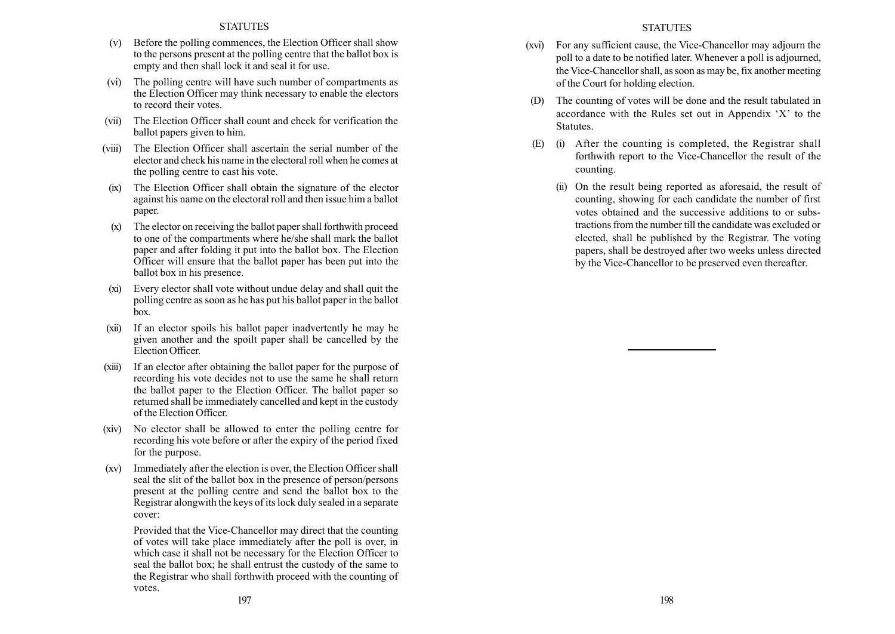- (v) Before the polling commences, the Election Officer shall show to the persons present at the polling centre that the ballot box is empty and then shall lock it and seal it for use.
- (vi) The polling centre will have such number of compartments as the Election Officer may think necessary to enable the electors to record their votes.
- (vii) The Election Officer shall count and check for verification the ballot papers given to him.
- (viii) The Election Officer shall ascertain the serial number of the elector and check his name in the electoral roll when he comes at the polling centre to cast his vote.
- (ix) The Election Officer shall obtain the signature of the elector against his name on the electoral roll and then issue him a ballot paper.
- (x) The elector on receiving the ballot paper shall forthwith proceed to one of the compartments where he/she shall mark the ballot paper and after folding it put into the ballot box. The Election Officer will ensure that the ballot paper has been put into the ballot box in his presence.
- (xi) Every elector shall vote without undue delay and shall quit the polling centre as soon as he has put his ballot paper in the ballot box.
- (xii) If an elector spoils his ballot paper inadvertently he may be given another and the spoilt paper shall be cancelled by the Election Officer.
- (xiii) If an elector after obtaining the ballot paper for the purpose of recording his vote decides not to use the same he shall return the ballot paper to the Election Officer. The ballot paper so returned shall be immediately cancelled and kept in the custody of the Election Officer.
- (xiv) No elector shall be allowed to enter the polling centre for recording his vote before or after the expiry of the period fixed for the purpose.
- (xv) Immediately after the election is over, the Election Officer shall seal the slit of the ballot box in the presence of person/persons present at the polling centre and send the ballot box to the Registrar alongwith the keys of its lock duly sealed in a separate cover:

Provided that the Vice-Chancellor may direct that the counting of votes will take place immediately after the poll is over, in which case it shall not be necessary for the Election Officer to seal the ballot box; he shall entrust the custody of the same to the Registrar who shall forthwith proceed with the counting of votes. 197 198

## **STATUTES**

- (xvi) For any sufficient cause, the Vice-Chancellor may adjourn the poll to a date to be notified later. Whenever a poll is adjourned, the Vice-Chancellor shall, as soon as may be, fix another meeting of the Court for holding election.
- (D) The counting of votes will be done and the result tabulated in accordance with the Rules set out in Appendix  $X'$  to the Statutes.
- (E) (i) After the counting is completed, the Registrar shall forthwith report to the Vice-Chancellor the result of the counting.
	- (ii) On the result being reported as aforesaid, the result of counting, showing for each candidate the number of first votes obtained and the successive additions to or substractions from the number till the candidate was excluded or elected, shall be published by the Registrar. The voting papers, shall be destroyed after two weeks unless directed by the Vice-Chancellor to be preserved even thereafter.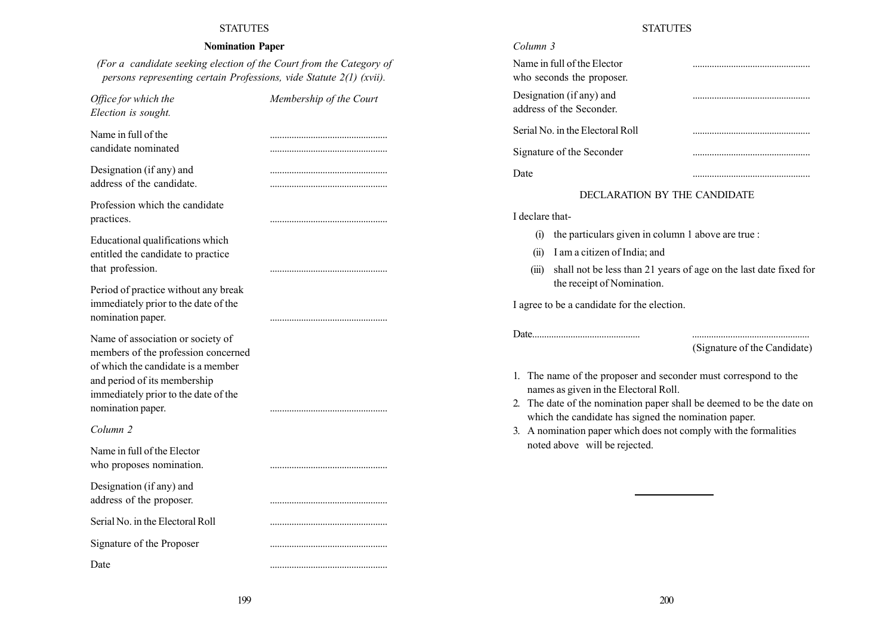# Nomination Paper

(For a candidate seeking election of the Court from the Category of persons representing certain Professions, vide Statute 2(1) (xvii).

| Office for which the<br>Election is sought.                                                                                                                                                                 | Membership of the Court |
|-------------------------------------------------------------------------------------------------------------------------------------------------------------------------------------------------------------|-------------------------|
| Name in full of the<br>candidate nominated                                                                                                                                                                  |                         |
| Designation (if any) and<br>address of the candidate.                                                                                                                                                       |                         |
| Profession which the candidate<br>practices.                                                                                                                                                                |                         |
| Educational qualifications which<br>entitled the candidate to practice<br>that profession.                                                                                                                  |                         |
| Period of practice without any break<br>immediately prior to the date of the<br>nomination paper.                                                                                                           |                         |
| Name of association or society of<br>members of the profession concerned<br>of which the candidate is a member<br>and period of its membership<br>immediately prior to the date of the<br>nomination paper. |                         |
| Column 2                                                                                                                                                                                                    |                         |
| Name in full of the Elector<br>who proposes nomination.                                                                                                                                                     |                         |
| Designation (if any) and<br>address of the proposer.                                                                                                                                                        |                         |
| Serial No. in the Electoral Roll                                                                                                                                                                            |                         |
| Signature of the Proposer                                                                                                                                                                                   |                         |
| Date                                                                                                                                                                                                        |                         |

# **STATUTES**

| Column 3                                                 |  |
|----------------------------------------------------------|--|
| Name in full of the Elector<br>who seconds the proposer. |  |
| Designation (if any) and<br>address of the Seconder      |  |
| Serial No. in the Electoral Roll                         |  |
| Signature of the Seconder                                |  |
| Date.                                                    |  |

# DECLARATION BY THE CANDIDATE

I declare that-

- (i) the particulars given in column 1 above are true :
- (ii) I am a citizen of India; and
- (iii) shall not be less than 21 years of age on the last date fixed for the receipt of Nomination.

I agree to be a candidate for the election.

Date............................................. .................................................

(Signature of the Candidate)

- 1. The name of the proposer and seconder must correspond to the names as given in the Electoral Roll.
- 2. The date of the nomination paper shall be deemed to be the date on which the candidate has signed the nomination paper.
- 3. A nomination paper which does not comply with the formalities noted above will be rejected.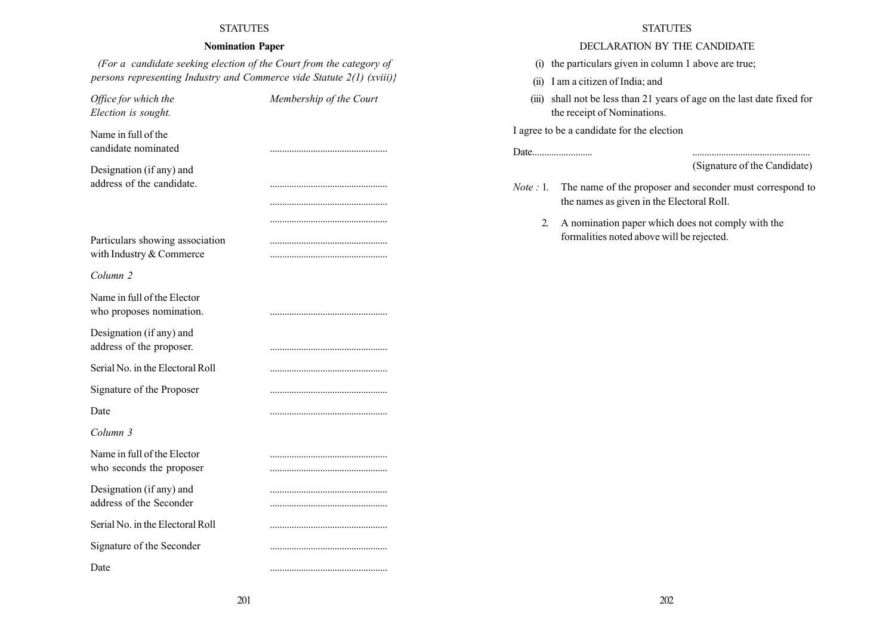# Nomination Paper

(For a candidate seeking election of the Court from the category of persons representing Industry and Commerce vide Statute  $2(1)$  (xviii)}

Office for which the Membership of the Court Election is sought. Name in full of the candidate nominated ................................................. Designation (if any) and address of the candidate. ................................................. ................................................. Particulars showing association with Industry & Commerce ................................................. Column 2 Name in full of the Elector who proposes nomination. ................................................. Designation (if any) and address of the proposer. ................................................. Serial No. in the Electoral Roll ................................................. Signature of the Proposer ................................................. Date ................................................. Column 3 Name in full of the Elector ................................................. who seconds the proposer ................................................. Designation (if any) and ................................................. address of the Seconder ................................................. Serial No. in the Electoral Roll ................................................. Signature of the Seconder ................................................. Date .................................................

## **STATUTES**

# DECLARATION BY THE CANDIDATE

- (i) the particulars given in column 1 above are true;
- (ii) I am a citizen of India; and
- (iii) shall not be less than 21 years of age on the last date fixed for the receipt of Nominations.

I agree to be a candidate for the election

# (Signature of the Candidate)

Note : 1. The name of the proposer and seconder must correspond to the names as given in the Electoral Roll.

2. A nomination paper which does not comply with the formalities noted above will be rejected.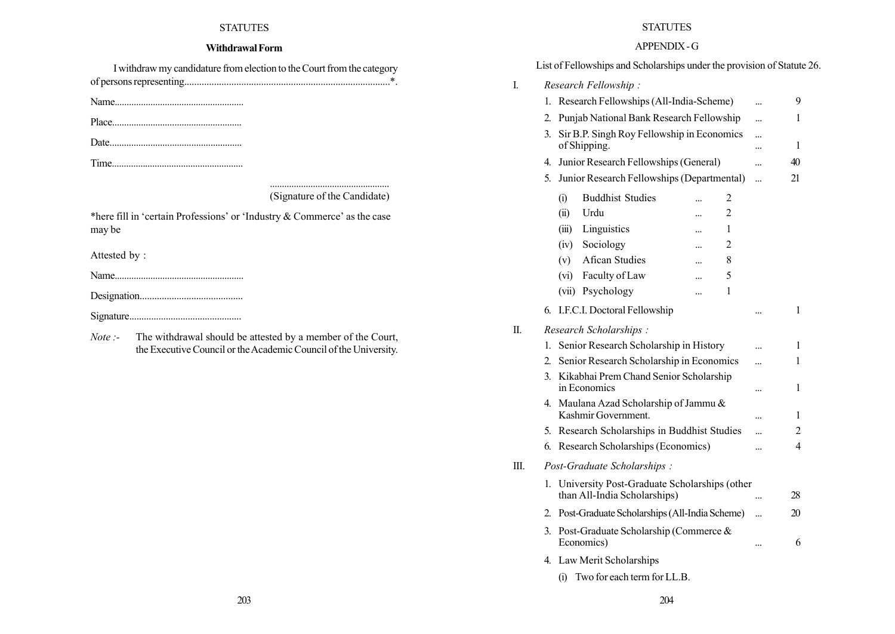# Withdrawal Form

| I withdraw my candidature from election to the Court from the category |  |
|------------------------------------------------------------------------|--|
|                                                                        |  |

Name......................................................

Place......................................................

Date.......................................................

Time.......................................................

#### .................................................. (Signature of the Candidate)

\*here fill in 'certain Professions' or 'Industry  $&$  Commerce' as the case may be

Attested by :

Name......................................................

Designation..........................................

- Signature..............................................
- Note :- The withdrawal should be attested by a member of the Court, the Executive Council or the Academic Council of the University.

# STATUTES

# APPENDIX -G

|    |    | <b>ALLENDIA</b> - U                                                          |           |    |  |  |  |  |  |  |  |  |  |  |
|----|----|------------------------------------------------------------------------------|-----------|----|--|--|--|--|--|--|--|--|--|--|
|    |    | List of Fellowships and Scholarships under the provision of Statute 26.      |           |    |  |  |  |  |  |  |  |  |  |  |
| I. |    | Research Fellowship:                                                         |           |    |  |  |  |  |  |  |  |  |  |  |
|    | 1. | Research Fellowships (All-India-Scheme)                                      | $\ddotsc$ | 9  |  |  |  |  |  |  |  |  |  |  |
|    | 2. | Punjab National Bank Research Fellowship                                     |           | 1  |  |  |  |  |  |  |  |  |  |  |
|    | 3. | Sir B.P. Singh Roy Fellowship in Economics<br>of Shipping.                   |           | 1  |  |  |  |  |  |  |  |  |  |  |
|    | 4. | Junior Research Fellowships (General)                                        | $\ddotsc$ | 40 |  |  |  |  |  |  |  |  |  |  |
|    | 5. | Junior Research Fellowships (Departmental)                                   | $\ddotsc$ | 21 |  |  |  |  |  |  |  |  |  |  |
|    |    | <b>Buddhist Studies</b><br>(i)<br>2                                          |           |    |  |  |  |  |  |  |  |  |  |  |
|    |    | (ii)<br>Urdu<br>$\overline{c}$<br>                                           |           |    |  |  |  |  |  |  |  |  |  |  |
|    |    | (iii)<br>Linguistics<br>1<br>                                                |           |    |  |  |  |  |  |  |  |  |  |  |
|    |    | Sociology<br>(iv)<br>$\overline{c}$<br>                                      |           |    |  |  |  |  |  |  |  |  |  |  |
|    |    | <b>Afican Studies</b><br>(v)<br>8<br>$\ddotsc$                               |           |    |  |  |  |  |  |  |  |  |  |  |
|    |    | Faculty of Law<br>(vi)<br>5<br>$\ddotsc$                                     |           |    |  |  |  |  |  |  |  |  |  |  |
|    |    | (vii) Psychology<br>1<br>                                                    |           |    |  |  |  |  |  |  |  |  |  |  |
|    | 6. | I.F.C.I. Doctoral Fellowship                                                 |           | 1  |  |  |  |  |  |  |  |  |  |  |
| П. |    | Research Scholarships:                                                       |           |    |  |  |  |  |  |  |  |  |  |  |
|    | 1. | Senior Research Scholarship in History                                       | $\ddotsc$ | 1  |  |  |  |  |  |  |  |  |  |  |
|    | 2. | Senior Research Scholarship in Economics                                     | $\ddotsc$ | 1  |  |  |  |  |  |  |  |  |  |  |
|    | 3. | Kikabhai Prem Chand Senior Scholarship<br>in Economics                       |           | 1  |  |  |  |  |  |  |  |  |  |  |
|    | 4. | Maulana Azad Scholarship of Jammu &<br>Kashmir Government.                   |           | 1  |  |  |  |  |  |  |  |  |  |  |
|    | 5. | Research Scholarships in Buddhist Studies                                    |           | 2  |  |  |  |  |  |  |  |  |  |  |
|    | 6. | Research Scholarships (Economics)                                            |           | 4  |  |  |  |  |  |  |  |  |  |  |
| Ш. |    | Post-Graduate Scholarships :                                                 |           |    |  |  |  |  |  |  |  |  |  |  |
|    | 1. | University Post-Graduate Scholarships (other<br>than All-India Scholarships) |           | 28 |  |  |  |  |  |  |  |  |  |  |
|    | 2. | Post-Graduate Scholarships (All-India Scheme)                                |           | 20 |  |  |  |  |  |  |  |  |  |  |
|    | 3. | Post-Graduate Scholarship (Commerce &<br>Economics)                          |           | 6  |  |  |  |  |  |  |  |  |  |  |
|    |    | 4. Law Merit Scholarships                                                    |           |    |  |  |  |  |  |  |  |  |  |  |
|    |    |                                                                              |           |    |  |  |  |  |  |  |  |  |  |  |

(i) Two for each term for LL.B.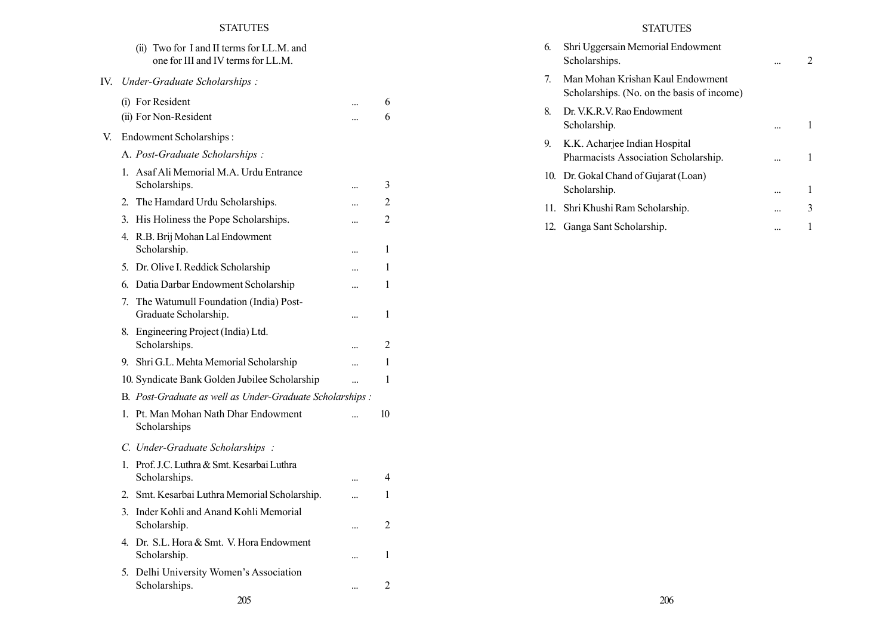|     | (ii) Two for I and II terms for LL.M. and<br>one for III and IV terms for LL.M. |           |                         |
|-----|---------------------------------------------------------------------------------|-----------|-------------------------|
| IV. | Under-Graduate Scholarships:                                                    |           |                         |
|     | (i) For Resident                                                                |           | 6                       |
|     | (ii) For Non-Resident                                                           | $\ddotsc$ | 6                       |
| V.  | <b>Endowment Scholarships:</b>                                                  |           |                         |
|     | A. Post-Graduate Scholarships:                                                  |           |                         |
|     | Asaf Ali Memorial M.A. Urdu Entrance<br>$1_{-}$<br>Scholarships.                | $\ddotsc$ | 3                       |
|     | The Hamdard Urdu Scholarships.<br>2.                                            |           | $\overline{c}$          |
|     | His Holiness the Pope Scholarships.<br>3.                                       |           | 2                       |
|     | 4.<br>R.B. Brij Mohan Lal Endowment<br>Scholarship.                             |           | 1                       |
|     | 5. Dr. Olive I. Reddick Scholarship                                             |           | 1                       |
|     | Datia Darbar Endowment Scholarship<br>6.                                        | $\ddotsc$ | 1                       |
|     | 7.<br>The Watumull Foundation (India) Post-<br>Graduate Scholarship.            |           | 1                       |
|     | Engineering Project (India) Ltd.<br>8.<br>Scholarships.                         |           | $\overline{\mathbf{c}}$ |
|     | 9. Shri G.L. Mehta Memorial Scholarship                                         | $\ddotsc$ | 1                       |
|     | 10. Syndicate Bank Golden Jubilee Scholarship                                   |           | 1                       |
|     | B. Post-Graduate as well as Under-Graduate Scholarships :                       |           |                         |
|     | Pt. Man Mohan Nath Dhar Endowment<br>$1_{-}$<br>Scholarships                    |           | 10                      |
|     | C. Under-Graduate Scholarships:                                                 |           |                         |
|     | Prof. J.C. Luthra & Smt. Kesarbai Luthra<br>1.<br>Scholarships.                 |           | 4                       |
|     | Smt. Kesarbai Luthra Memorial Scholarship.<br>2.                                | $\ddotsc$ | 1                       |
|     | Inder Kohli and Anand Kohli Memorial<br>3.<br>Scholarship.                      |           | 2                       |
|     | Dr. S.L. Hora & Smt. V. Hora Endowment<br>4.<br>Scholarship.                    | $\ddotsc$ | 1                       |
|     | 5.<br>Delhi University Women's Association<br>Scholarships.                     |           | $\overline{c}$          |

# STATUTES

| 6. | Shri Uggersain Memorial Endowment<br>Scholarships.                             |  |
|----|--------------------------------------------------------------------------------|--|
| 7. | Man Mohan Krishan Kaul Endowment<br>Scholarships. (No. on the basis of income) |  |
| 8. | Dr. V.K. R. V. Rao Endowment<br>Scholarship.                                   |  |
| 9. | K.K. Acharjee Indian Hospital<br>Pharmacists Association Scholarship.          |  |
|    | 10. Dr. Gokal Chand of Gujarat (Loan)<br>Scholarship.                          |  |
|    | 11. Shri Khushi Ram Scholarship.                                               |  |
|    | 12. Ganga Sant Scholarship.                                                    |  |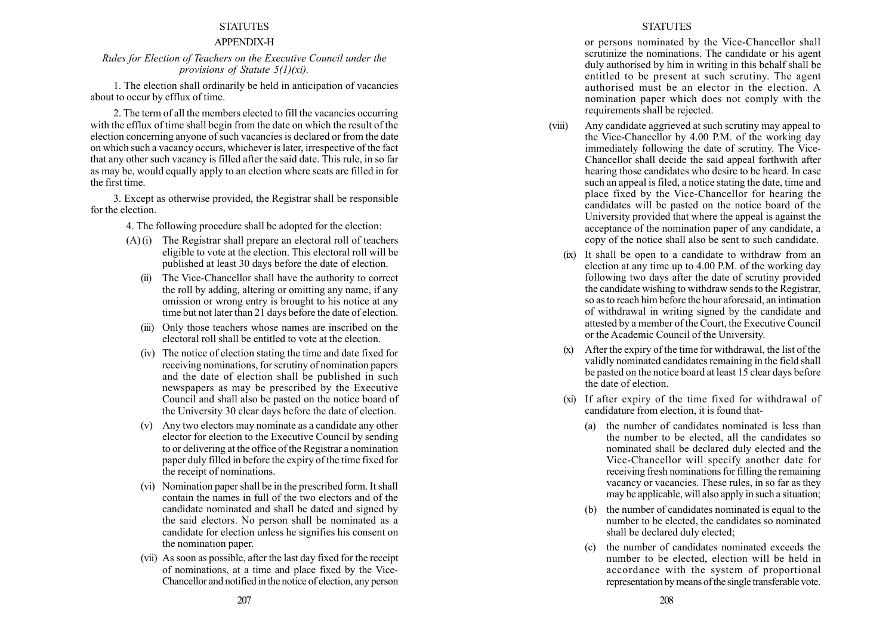# APPENDIX-H

# Rules for Election of Teachers on the Executive Council under the provisions of Statute  $5(1)(xi)$ .

1. The election shall ordinarily be held in anticipation of vacancies about to occur by efflux of time.

2. The term of all the members elected to fill the vacancies occurring with the efflux of time shall begin from the date on which the result of the election concerning anyone of such vacancies is declared or from the date on which such a vacancy occurs, whichever is later, irrespective of the fact that any other such vacancy is filled after the said date. This rule, in so far as may be, would equally apply to an election where seats are filled in for the first time.

3. Except as otherwise provided, the Registrar shall be responsible for the election.

4. The following procedure shall be adopted for the election:

- $(A)$  (i) The Registrar shall prepare an electoral roll of teachers eligible to vote at the election. This electoral roll will be published at least 30 days before the date of election.
	- (ii) The Vice-Chancellor shall have the authority to correct the roll by adding, altering or omitting any name, if any omission or wrong entry is brought to his notice at any time but not later than 21 days before the date of election.
	- (iii) Only those teachers whose names are inscribed on the electoral roll shall be entitled to vote at the election.
	- (iv) The notice of election stating the time and date fixed for receiving nominations, for scrutiny of nomination papers and the date of election shall be published in such newspapers as may be prescribed by the Executive Council and shall also be pasted on the notice board of the University 30 clear days before the date of election.
	- (v) Any two electors may nominate as a candidate any other elector for election to the Executive Council by sending to or delivering at the office of the Registrar a nomination paper duly filled in before the expiry of the time fixed for the receipt of nominations.
	- (vi) Nomination paper shall be in the prescribed form. It shall contain the names in full of the two electors and of the candidate nominated and shall be dated and signed by the said electors. No person shall be nominated as a candidate for election unless he signifies his consent on the nomination paper.
	- (vii) As soon as possible, after the last day fixed for the receipt of nominations, at a time and place fixed by the Vice-Chancellor and notified in the notice of election, any person

#### **STATUTES**

or persons nominated by the Vice-Chancellor shall scrutinize the nominations. The candidate or his agent duly authorised by him in writing in this behalf shall be entitled to be present at such scrutiny. The agent authorised must be an elector in the election. A nomination paper which does not comply with the requirements shall be rejected.

- (viii) Any candidate aggrieved at such scrutiny may appeal to the Vice-Chancellor by 4.00 P.M. of the working day immediately following the date of scrutiny. The Vice-Chancellor shall decide the said appeal forthwith after hearing those candidates who desire to be heard. In case such an appeal is filed, a notice stating the date, time and place fixed by the Vice-Chancellor for hearing the candidates will be pasted on the notice board of the University provided that where the appeal is against the acceptance of the nomination paper of any candidate, a copy of the notice shall also be sent to such candidate.
	- (ix) It shall be open to a candidate to withdraw from an election at any time up to 4.00 P.M. of the working day following two days after the date of scrutiny provided the candidate wishing to withdraw sends to the Registrar, so as to reach him before the hour aforesaid, an intimation of withdrawal in writing signed by the candidate and attested by a member of the Court, the Executive Council or the Academic Council of the University.
	- After the expiry of the time for withdrawal, the list of the validly nominated candidates remaining in the field shall be pasted on the notice board at least 15 clear days before the date of election.
	- (xi) If after expiry of the time fixed for withdrawal of candidature from election, it is found that-
		- (a) the number of candidates nominated is less than the number to be elected, all the candidates so nominated shall be declared duly elected and the Vice-Chancellor will specify another date for receiving fresh nominations for filling the remaining vacancy or vacancies. These rules, in so far as they may be applicable, will also apply in such a situation;
		- the number of candidates nominated is equal to the number to be elected, the candidates so nominated shall be declared duly elected;
		- (c) the number of candidates nominated exceeds the number to be elected, election will be held in accordance with the system of proportional representation by means of the single transferable vote.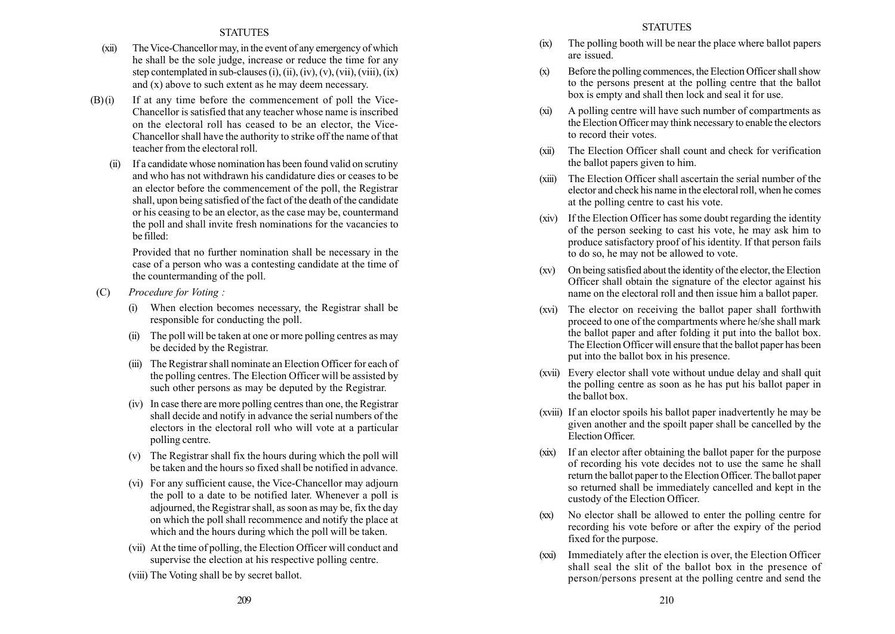- (xii) The Vice-Chancellor may, in the event of any emergency of which he shall be the sole judge, increase or reduce the time for any step contemplated in sub-clauses (i), (ii), (iv), (v), (vii), (viii), (ix) and (x) above to such extent as he may deem necessary.
- $(B)(i)$  If at any time before the commencement of poll the Vice-Chancellor is satisfied that any teacher whose name is inscribed on the electoral roll has ceased to be an elector, the Vice-Chancellor shall have the authority to strike off the name of that teacher from the electoral roll.
	- If a candidate whose nomination has been found valid on scrutiny and who has not withdrawn his candidature dies or ceases to be an elector before the commencement of the poll, the Registrar shall, upon being satisfied of the fact of the death of the candidate or his ceasing to be an elector, as the case may be, countermand the poll and shall invite fresh nominations for the vacancies to be filled:

Provided that no further nomination shall be necessary in the case of a person who was a contesting candidate at the time of the countermanding of the poll.

- (C) Procedure for Voting :
	- (i) When election becomes necessary, the Registrar shall be responsible for conducting the poll.
	- (ii) The poll will be taken at one or more polling centres as may be decided by the Registrar.
	- (iii) The Registrar shall nominate an Election Officer for each of the polling centres. The Election Officer will be assisted by such other persons as may be deputed by the Registrar.
	- (iv) In case there are more polling centres than one, the Registrar shall decide and notify in advance the serial numbers of the electors in the electoral roll who will vote at a particular polling centre.
	- (v) The Registrar shall fix the hours during which the poll will be taken and the hours so fixed shall be notified in advance.
	- (vi) For any sufficient cause, the Vice-Chancellor may adjourn the poll to a date to be notified later. Whenever a poll is adjourned, the Registrar shall, as soon as may be, fix the day on which the poll shall recommence and notify the place at which and the hours during which the poll will be taken.
	- (vii) At the time of polling, the Election Officer will conduct and supervise the election at his respective polling centre.
	- (viii) The Voting shall be by secret ballot.
- (ix) The polling booth will be near the place where ballot papers are issued.
- (x) Before the polling commences, the Election Officer shall show to the persons present at the polling centre that the ballot box is empty and shall then lock and seal it for use.
- (xi) A polling centre will have such number of compartments as the Election Officer may think necessary to enable the electors to record their votes.
- (xii) The Election Officer shall count and check for verification the ballot papers given to him.
- (xiii) The Election Officer shall ascertain the serial number of the elector and check his name in the electoral roll, when he comes at the polling centre to cast his vote.
- (xiv) If the Election Officer has some doubt regarding the identity of the person seeking to cast his vote, he may ask him to produce satisfactory proof of his identity. If that person fails to do so, he may not be allowed to vote.
- (xv) On being satisfied about the identity of the elector, the Election Officer shall obtain the signature of the elector against his name on the electoral roll and then issue him a ballot paper.
- (xvi) The elector on receiving the ballot paper shall forthwith proceed to one of the compartments where he/she shall mark the ballot paper and after folding it put into the ballot box. The Election Officer will ensure that the ballot paper has been put into the ballot box in his presence.
- (xvii) Every elector shall vote without undue delay and shall quit the polling centre as soon as he has put his ballot paper in the ballot box.
- (xviii) If an eloctor spoils his ballot paper inadvertently he may be given another and the spoilt paper shall be cancelled by the Election Officer.
- (xix) If an elector after obtaining the ballot paper for the purpose of recording his vote decides not to use the same he shall return the ballot paper to the Election Officer. The ballot paper so returned shall be immediately cancelled and kept in the custody of the Election Officer.
- (xx) No elector shall be allowed to enter the polling centre for recording his vote before or after the expiry of the period fixed for the purpose.
- (xxi) Immediately after the election is over, the Election Officer shall seal the slit of the ballot box in the presence of person/persons present at the polling centre and send the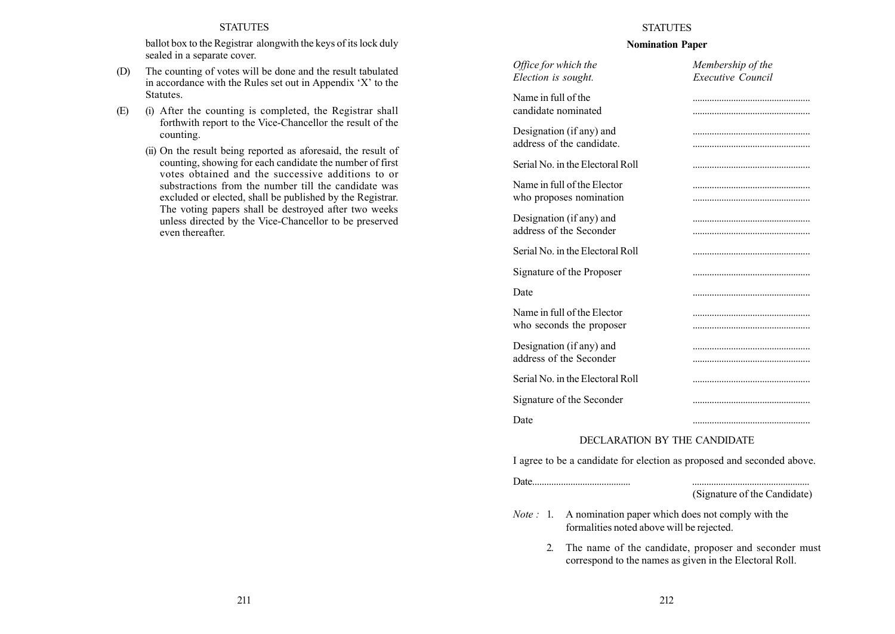ballot box to the Registrar alongwith the keys of its lock duly sealed in a separate cover.

- (D) The counting of votes will be done and the result tabulated in accordance with the Rules set out in Appendix  $X'$  to the Statutes.
- (E) (i) After the counting is completed, the Registrar shall forthwith report to the Vice-Chancellor the result of the counting.
	- (ii) On the result being reported as aforesaid, the result of counting, showing for each candidate the number of first votes obtained and the successive additions to or substractions from the number till the candidate was excluded or elected, shall be published by the Registrar. The voting papers shall be destroyed after two weeks unless directed by the Vice-Chancellor to be preserved even thereafter.

# **STATUTES**

# Nomination Paper

| Office for which the<br>Election is sought.             | Membership of the<br><b>Executive Council</b> |
|---------------------------------------------------------|-----------------------------------------------|
| Name in full of the<br>candidate nominated              |                                               |
| Designation (if any) and<br>address of the candidate.   |                                               |
| Serial No. in the Electoral Roll                        |                                               |
| Name in full of the Elector<br>who proposes nomination  |                                               |
| Designation (if any) and<br>address of the Seconder     |                                               |
| Serial No. in the Electoral Roll                        |                                               |
| Signature of the Proposer                               |                                               |
| Date                                                    |                                               |
| Name in full of the Elector<br>who seconds the proposer |                                               |
| Designation (if any) and<br>address of the Seconder     |                                               |
| Serial No. in the Electoral Roll                        |                                               |
| Signature of the Seconder                               |                                               |
| Date                                                    |                                               |

# DECLARATION BY THE CANDIDATE

I agree to be a candidate for election as proposed and seconded above.

Date......................................... .................................................

(Signature of the Candidate)

- Note : 1. A nomination paper which does not comply with the formalities noted above will be rejected.
	- 2. The name of the candidate, proposer and seconder must correspond to the names as given in the Electoral Roll.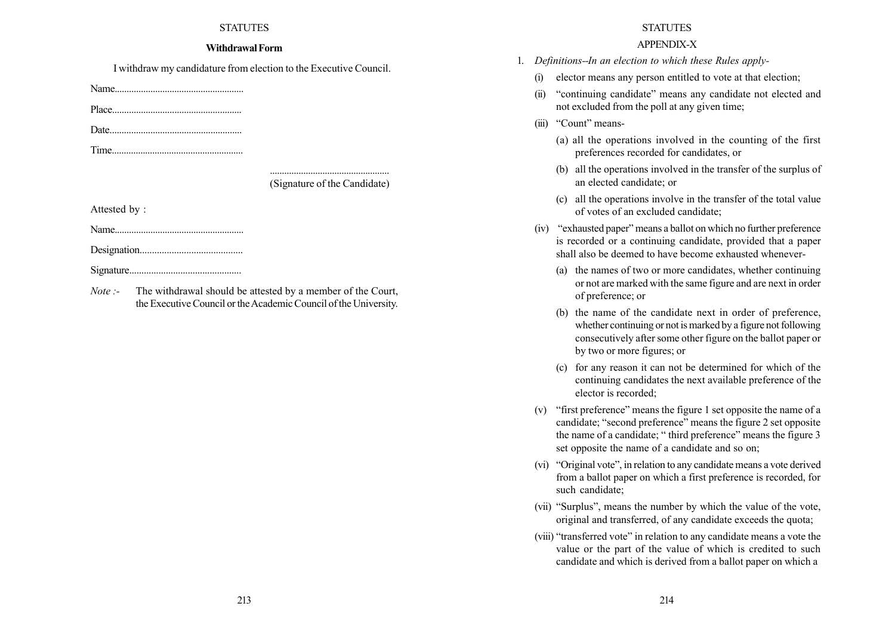## WithdrawalForm

I withdraw my candidature from election to the Executive Council.

Name......................................................

Place......................................................

Date.......................................................

Time.......................................................

(Signature of the Candidate)

Attested by :

Name......................................................

Designation..........................................

Signature..............................................

Note :- The withdrawal should be attested by a member of the Court, the Executive Council or the Academic Council of the University.

# **STATUTES**

# APPENDIX-X

- 1. Definitions--In an election to which these Rules apply-
	- (i) elector means any person entitled to vote at that election;
	- (ii) "continuing candidate" means any candidate not elected and not excluded from the poll at any given time;
	- (iii) "Count" means-
		- (a) all the operations involved in the counting of the first preferences recorded for candidates, or
		- (b) all the operations involved in the transfer of the surplus of an elected candidate; or
		- (c) all the operations involve in the transfer of the total value of votes of an excluded candidate;
	- $(iv)$  "exhausted paper" means a ballot on which no further preference is recorded or a continuing candidate, provided that a paper shall also be deemed to have become exhausted whenever-
		- (a) the names of two or more candidates, whether continuing or not are marked with the same figure and are next in order of preference; or
		- (b) the name of the candidate next in order of preference, whether continuing or not is marked by a figure not following consecutively after some other figure on the ballot paper or by two or more figures; or
		- (c) for any reason it can not be determined for which of the continuing candidates the next available preference of the elector is recorded;
	- (v) "first preference" means the figure 1 set opposite the name of a candidate; "second preference" means the figure 2 set opposite the name of a candidate; "third preference" means the figure 3 set opposite the name of a candidate and so on;
	- $(vi)$  "Original vote", in relation to any candidate means a vote derived from a ballot paper on which a first preference is recorded, for such candidate;
	- (vii) "Surplus", means the number by which the value of the vote, original and transferred, of any candidate exceeds the quota;
	- (viii) "transferred vote" in relation to any candidate means a vote the value or the part of the value of which is credited to such candidate and which is derived from a ballot paper on which a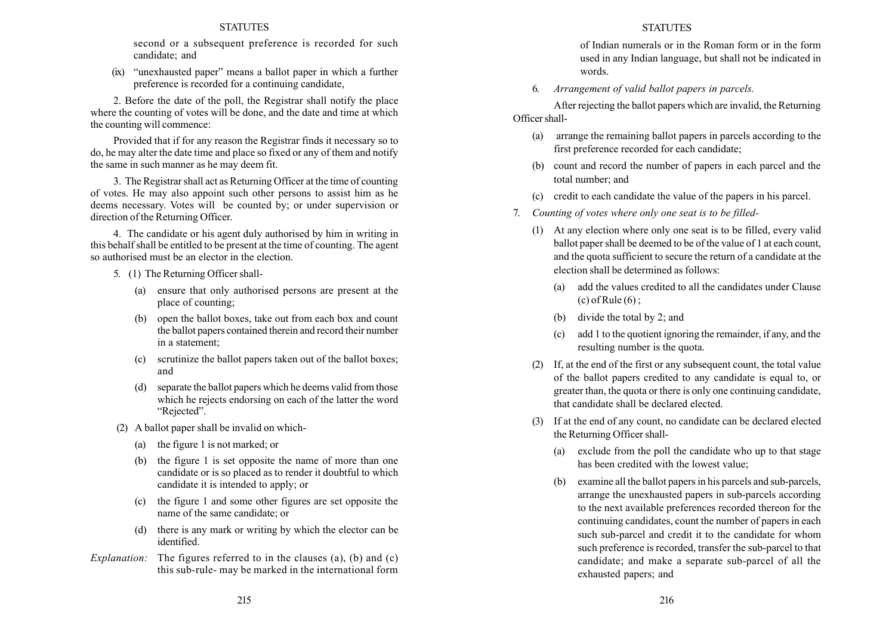second or a subsequent preference is recorded for such candidate; and

 $(ix)$  "unexhausted paper" means a ballot paper in which a further preference is recorded for a continuing candidate,

2. Before the date of the poll, the Registrar shall notify the place where the counting of votes will be done, and the date and time at which the counting will commence:

Provided that if for any reason the Registrar finds it necessary so to do, he may alter the date time and place so fixed or any of them and notify the same in such manner as he may deem fit.

3. The Registrar shall act as Returning Officer at the time of counting of votes. He may also appoint such other persons to assist him as he deems necessary. Votes will be counted by; or under supervision or direction of the Returning Officer.

4. The candidate or his agent duly authorised by him in writing in this behalf shall be entitled to be present at the time of counting. The agent so authorised must be an elector in the election.

- 5. (1) The Returning Officer shall-
	- (a) ensure that only authorised persons are present at the place of counting;
	- (b) open the ballot boxes, take out from each box and count the ballot papers contained therein and record their number in a statement;
	- (c) scrutinize the ballot papers taken out of the ballot boxes; and
	- (d) separate the ballot papers which he deems valid from those which he rejects endorsing on each of the latter the word "Rejected".
- (2) A ballot paper shall be invalid on which-
	- (a) the figure 1 is not marked; or
	- (b) the figure 1 is set opposite the name of more than one candidate or is so placed as to render it doubtful to which candidate it is intended to apply; or
	- (c) the figure 1 and some other figures are set opposite the name of the same candidate; or
	- (d) there is any mark or writing by which the elector can be identified.
- Explanation: The figures referred to in the clauses (a), (b) and (c) this sub-rule- may be marked in the international form

# STATUTES

of Indian numerals or in the Roman form or in the form used in any Indian language, but shall not be indicated in words.

6. Arrangement of valid ballot papers in parcels.

After rejecting the ballot papers which are invalid, the Returning Officer shall-

- (a) arrange the remaining ballot papers in parcels according to the first preference recorded for each candidate;
- (b) count and record the number of papers in each parcel and the total number; and
- (c) credit to each candidate the value of the papers in his parcel.
- 7. Counting of votes where only one seat is to be filled-
	- (1) At any election where only one seat is to be filled, every valid ballot paper shall be deemed to be of the value of 1 at each count, and the quota sufficient to secure the return of a candidate at the election shall be determined as follows:
		- (a) add the values credited to all the candidates under Clause  $(c)$  of Rule  $(6)$  ;
		- (b) divide the total by 2; and
		- (c) add 1 to the quotient ignoring the remainder, if any, and the resulting number is the quota.
	- (2) If, at the end of the first or any subsequent count, the total value of the ballot papers credited to any candidate is equal to, or greater than, the quota or there is only one continuing candidate, that candidate shall be declared elected.
	- (3) If at the end of any count, no candidate can be declared elected the Returning Officer shall-
		- (a) exclude from the poll the candidate who up to that stage has been credited with the lowest value;
		- (b) examine all the ballot papers in his parcels and sub-parcels, arrange the unexhausted papers in sub-parcels according to the next available preferences recorded thereon for the continuing candidates, count the number of papers in each such sub-parcel and credit it to the candidate for whom such preference is recorded, transfer the sub-parcel to that candidate; and make a separate sub-parcel of all the exhausted papers; and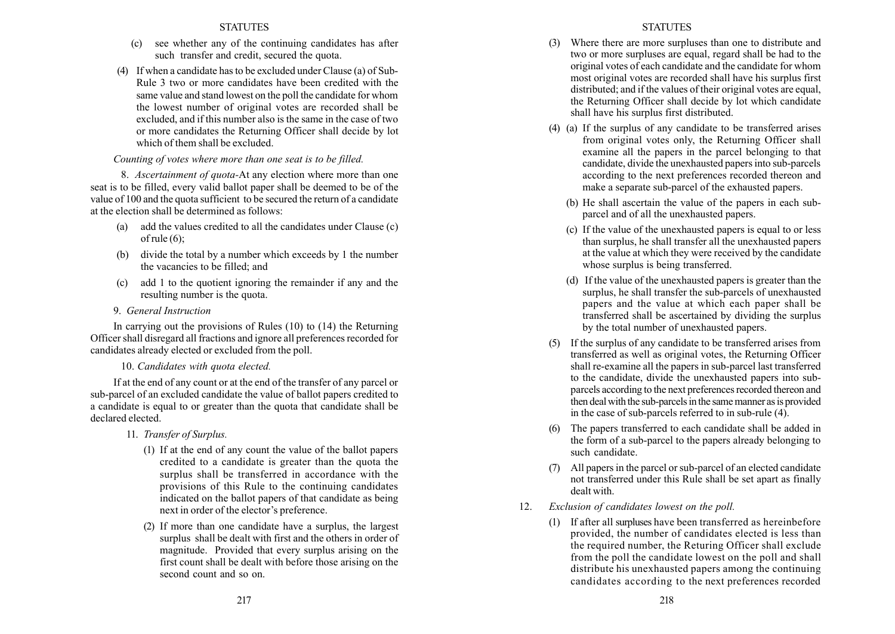- (c) see whether any of the continuing candidates has after such transfer and credit, secured the quota.
- (4) If when a candidate has to be excluded under Clause (a) of Sub-Rule 3 two or more candidates have been credited with the same value and stand lowest on the poll the candidate for whom the lowest number of original votes are recorded shall be excluded, and if this number also is the same in the case of two or more candidates the Returning Officer shall decide by lot which of them shall be excluded.

# Counting of votes where more than one seat is to be filled.

8. Ascertainment of quota-At any election where more than one seat is to be filled, every valid ballot paper shall be deemed to be of the value of 100 and the quota sufficient to be secured the return of a candidate at the election shall be determined as follows:

- (a) add the values credited to all the candidates under Clause (c) of rule  $(6)$ ;
- (b) divide the total by a number which exceeds by 1 the number the vacancies to be filled; and
- (c) add 1 to the quotient ignoring the remainder if any and the resulting number is the quota.
- 9. General Instruction

In carrying out the provisions of Rules (10) to (14) the Returning Officer shall disregard all fractions and ignore all preferences recorded for candidates already elected or excluded from the poll.

# 10. Candidates with quota elected.

If at the end of any count or at the end of the transfer of any parcel or sub-parcel of an excluded candidate the value of ballot papers credited to a candidate is equal to or greater than the quota that candidate shall be declared elected.

- 11. Transfer of Surplus.
	- (1) If at the end of any count the value of the ballot papers credited to a candidate is greater than the quota the surplus shall be transferred in accordance with the provisions of this Rule to the continuing candidates indicated on the ballot papers of that candidate as being next in order of the elector's preference.
	- (2) If more than one candidate have a surplus, the largest surplus shall be dealt with first and the others in order of magnitude. Provided that every surplus arising on the first count shall be dealt with before those arising on the second count and so on.
- (3) Where there are more surpluses than one to distribute and two or more surpluses are equal, regard shall be had to the original votes of each candidate and the candidate for whom most original votes are recorded shall have his surplus first distributed; and if the values of their original votes are equal. the Returning Officer shall decide by lot which candidate shall have his surplus first distributed.
- (4) (a) If the surplus of any candidate to be transferred arises from original votes only, the Returning Officer shall examine all the papers in the parcel belonging to that candidate, divide the unexhausted papers into sub-parcels according to the next preferences recorded thereon and make a separate sub-parcel of the exhausted papers.
	- (b) He shall ascertain the value of the papers in each subparcel and of all the unexhausted papers.
	- (c) If the value of the unexhausted papers is equal to or less than surplus, he shall transfer all the unexhausted papers at the value at which they were received by the candidate whose surplus is being transferred.
	- (d) If the value of the unexhausted papers is greater than the surplus, he shall transfer the sub-parcels of unexhausted papers and the value at which each paper shall be transferred shall be ascertained by dividing the surplus by the total number of unexhausted papers.
- (5) If the surplus of any candidate to be transferred arises from transferred as well as original votes, the Returning Officer shall re-examine all the papers in sub-parcel last transferred to the candidate, divide the unexhausted papers into subparcels according to the next preferences recorded thereon and then deal with the sub-parcels in the same manner as is provided in the case of sub-parcels referred to in sub-rule (4).
- (6) The papers transferred to each candidate shall be added in the form of a sub-parcel to the papers already belonging to such candidate.
- (7) All papers in the parcel or sub-parcel of an elected candidate not transferred under this Rule shall be set apart as finally dealt with.
- 12. Exclusion of candidates lowest on the poll.
	- (1) If after all surpluses have been transferred as hereinbefore provided, the number of candidates elected is less than the required number, the Returing Officer shall exclude from the poll the candidate lowest on the poll and shall distribute his unexhausted papers among the continuing candidates according to the next preferences recorded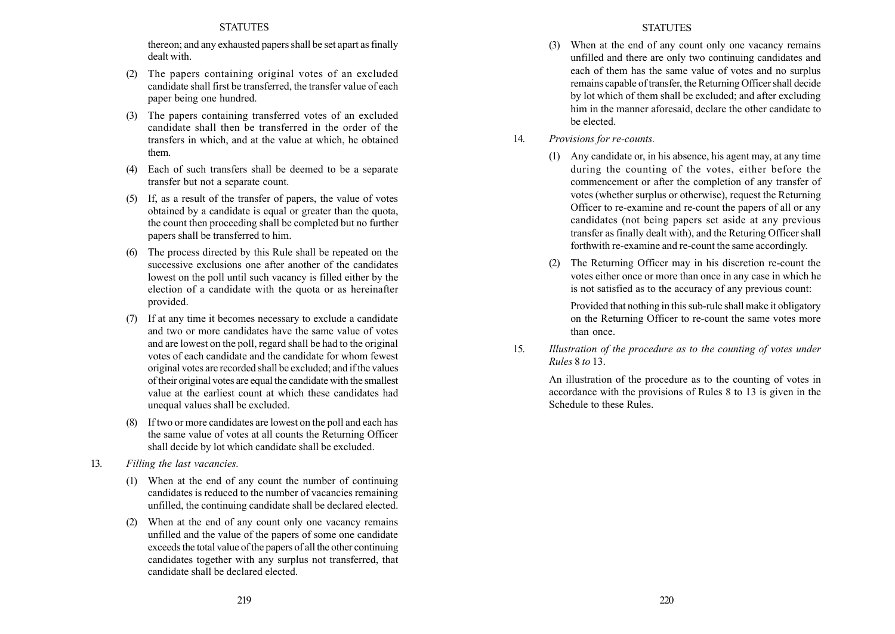thereon; and any exhausted papers shall be set apart as finally dealt with.

- (2) The papers containing original votes of an excluded candidate shall first be transferred, the transfer value of each paper being one hundred.
- (3) The papers containing transferred votes of an excluded candidate shall then be transferred in the order of the transfers in which, and at the value at which, he obtained them.
- (4) Each of such transfers shall be deemed to be a separate transfer but not a separate count.
- (5) If, as a result of the transfer of papers, the value of votes obtained by a candidate is equal or greater than the quota, the count then proceeding shall be completed but no further papers shall be transferred to him.
- (6) The process directed by this Rule shall be repeated on the successive exclusions one after another of the candidates lowest on the poll until such vacancy is filled either by the election of a candidate with the quota or as hereinafter provided.
- (7) If at any time it becomes necessary to exclude a candidate and two or more candidates have the same value of votes and are lowest on the poll, regard shall be had to the original votes of each candidate and the candidate for whom fewest original votes are recorded shall be excluded; and if the values of their original votes are equal the candidate with the smallest value at the earliest count at which these candidates had unequal values shall be excluded.
- (8) If two or more candidates are lowest on the poll and each has the same value of votes at all counts the Returning Officer shall decide by lot which candidate shall be excluded.
- 13. Filling the last vacancies.
	- (1) When at the end of any count the number of continuing candidates is reduced to the number of vacancies remaining unfilled, the continuing candidate shall be declared elected.
	- (2) When at the end of any count only one vacancy remains unfilled and the value of the papers of some one candidate exceeds the total value of the papers of all the other continuing candidates together with any surplus not transferred, that candidate shall be declared elected.
- (3) When at the end of any count only one vacancy remains unfilled and there are only two continuing candidates and each of them has the same value of votes and no surplus remains capable of transfer, the Returning Officer shall decide by lot which of them shall be excluded; and after excluding him in the manner aforesaid, declare the other candidate to be elected.
- 14. Provisions for re-counts.
	- (1) Any candidate or, in his absence, his agent may, at any time during the counting of the votes, either before the commencement or after the completion of any transfer of votes (whether surplus or otherwise), request the Returning Officer to re-examine and re-count the papers of all or any candidates (not being papers set aside at any previous transfer as finally dealt with), and the Returing Officer shall forthwith re-examine and re-count the same accordingly.
	- (2) The Returning Officer may in his discretion re-count the votes either once or more than once in any case in which he is not satisfied as to the accuracy of any previous count:

Provided that nothing in this sub-rule shall make it obligatory on the Returning Officer to re-count the same votes more than once.

15. Illustration of the procedure as to the counting of votes under Rules 8 to 13.

> An illustration of the procedure as to the counting of votes in accordance with the provisions of Rules 8 to 13 is given in the Schedule to these Rules.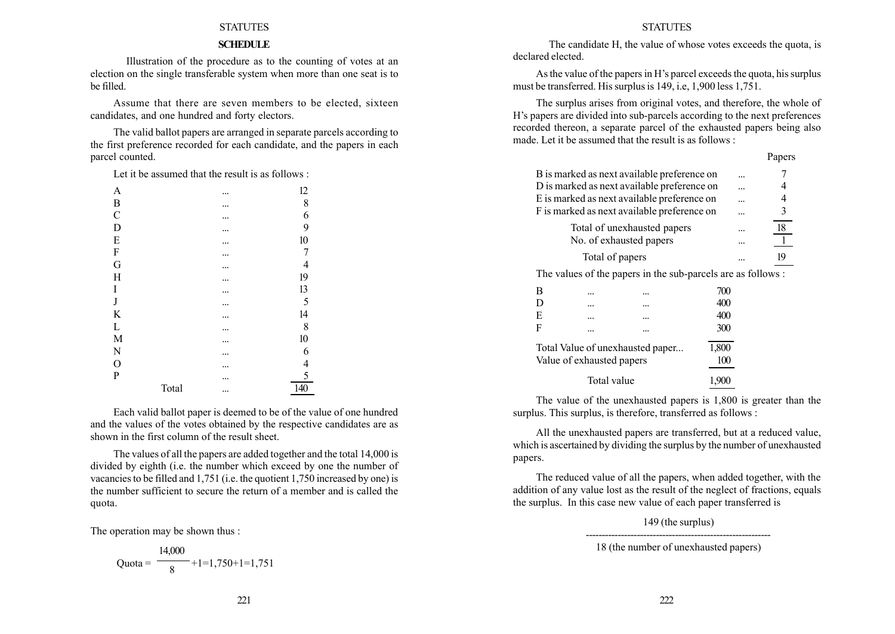# **SCHEDULE**

Illustration of the procedure as to the counting of votes at an election on the single transferable system when more than one seat is to be filled.

Assume that there are seven members to be elected, sixteen candidates, and one hundred and forty electors.

The valid ballot papers are arranged in separate parcels according to the first preference recorded for each candidate, and the papers in each parcel counted.

Let it be assumed that the result is as follows  $\cdot$ 

| A                |       | <br>12                       |
|------------------|-------|------------------------------|
| $\boldsymbol{B}$ |       | <br>8                        |
| $\mathcal{C}$    |       | <br>6                        |
| $\mathbf D$      |       | <br>9                        |
| ${\bf E}$        |       | 10                           |
| $\boldsymbol{F}$ |       | 7                            |
| G                |       | 4                            |
| $H_{\rm}$        |       | <br>19                       |
| I                |       | <br>13                       |
| $_{\rm J}$       |       | 5                            |
| K                |       | <br>14                       |
| L                |       | 8                            |
| $\mathbf M$      |       | <br>10                       |
| $\mathbf N$      |       | <br>6                        |
| $\mathcal{O}$    |       | <br>$\overline{\mathcal{L}}$ |
| $\mathbf{P}$     |       | <br>5                        |
|                  | Total | <br>140                      |

Each valid ballot paper is deemed to be of the value of one hundred and the values of the votes obtained by the respective candidates are as shown in the first column of the result sheet.

The values of all the papers are added together and the total 14,000 is divided by eighth (i.e. the number which exceed by one the number of vacancies to be filled and 1,751 (i.e. the quotient 1,750 increased by one) is the number sufficient to secure the return of a member and is called the quota.

The operation may be shown thus :

Quota = 
$$
\frac{14,000}{8} + 1 = 1,750 + 1 = 1,751
$$

#### **STATUTES**

The candidate H, the value of whose votes exceeds the quota, is declared elected.

As the value of the papers in H's parcel exceeds the quota, his surplus must be transferred. His surplus is 149, i.e, 1,900 less 1,751.

The surplus arises from original votes, and therefore, the whole of H's papers are divided into sub-parcels according to the next preferences recorded thereon, a separate parcel of the exhausted papers being also made. Let it be assumed that the result is as follows :

Days ago

|                                             |                                             |                                                              |       | rapers |
|---------------------------------------------|---------------------------------------------|--------------------------------------------------------------|-------|--------|
|                                             | B is marked as next available preference on |                                                              |       |        |
|                                             | D is marked as next available preference on |                                                              | 4     |        |
|                                             | E is marked as next available preference on |                                                              | 4     |        |
| F is marked as next available preference on | 3                                           |                                                              |       |        |
|                                             | Total of unexhausted papers                 |                                                              | 18    |        |
|                                             | No. of exhausted papers                     |                                                              |       |        |
|                                             | Total of papers                             |                                                              | 19    |        |
|                                             |                                             | The values of the papers in the sub-parcels are as follows : |       |        |
| B                                           |                                             |                                                              | 700   |        |
| D                                           |                                             |                                                              | 400   |        |
| E                                           |                                             |                                                              | 400   |        |
| F                                           |                                             |                                                              | 300   |        |
|                                             | Total Value of unexhausted paper            | 1,800                                                        |       |        |
|                                             | Value of exhausted papers                   |                                                              | 100   |        |
|                                             | Total value                                 |                                                              | 1,900 |        |

The value of the unexhausted papers is 1,800 is greater than the surplus. This surplus, is therefore, transferred as follows :

All the unexhausted papers are transferred, but at a reduced value, which is ascertained by dividing the surplus by the number of unexhausted papers.

The reduced value of all the papers, when added together, with the addition of any value lost as the result of the neglect of fractions, equals the surplus. In this case new value of each paper transferred is

> 149 (the surplus) ----------------------------------------------------------

<sup>18 (</sup>the number of unexhausted papers)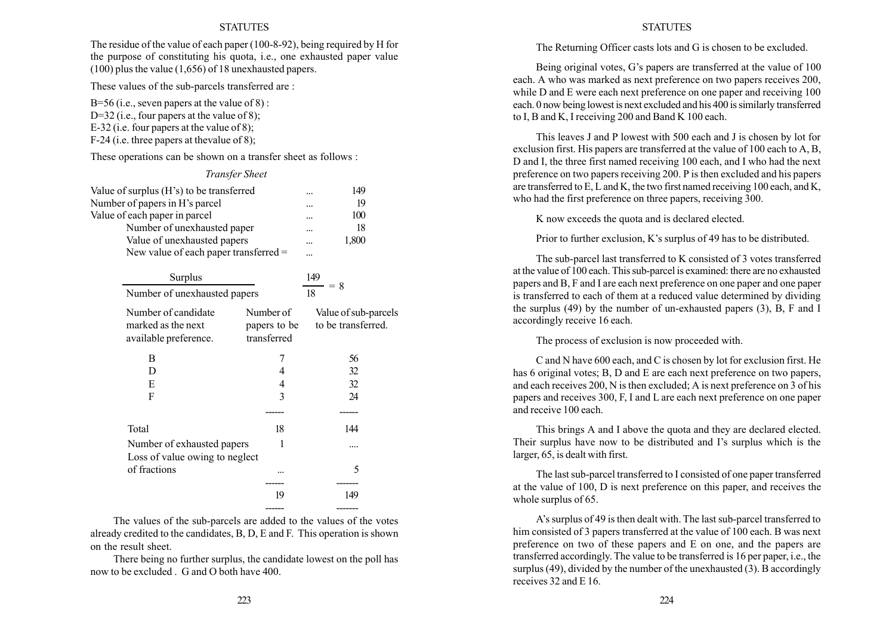The residue of the value of each paper (100-8-92), being required by H for the purpose of constituting his quota, i.e., one exhausted paper value (100) plus the value (1,656) of 18 unexhausted papers.

These values of the sub-parcels transferred are :

B=56 (i.e., seven papers at the value of  $8$ ): D=32 (i.e., four papers at the value of 8); E-32 (i.e. four papers at the value of 8); F-24 (i.e. three papers at thevalue of 8);

These operations can be shown on a transfer sheet as follows :

## Transfer Sheet

| Value of surplus (H's) to be transferred<br>Number of papers in H's parcel<br>Value of each paper in parcel<br>Number of unexhausted paper<br>Value of unexhausted papers<br>New value of each paper transferred = | 149<br>19<br>100<br>18<br>1,800          |                                            |
|--------------------------------------------------------------------------------------------------------------------------------------------------------------------------------------------------------------------|------------------------------------------|--------------------------------------------|
| Surplus                                                                                                                                                                                                            |                                          | 149                                        |
| Number of unexhausted papers                                                                                                                                                                                       |                                          | $= 8$<br>18                                |
| Number of candidate<br>marked as the next<br>available preference.                                                                                                                                                 | Number of<br>papers to be<br>transferred | Value of sub-parcels<br>to be transferred. |
| B                                                                                                                                                                                                                  | 7                                        | 56                                         |
| D                                                                                                                                                                                                                  | 4                                        | 32                                         |
| E                                                                                                                                                                                                                  | 4                                        | 32                                         |
| F                                                                                                                                                                                                                  | 3                                        | 24                                         |
|                                                                                                                                                                                                                    |                                          |                                            |
| Total                                                                                                                                                                                                              | 18                                       | 144                                        |
| Number of exhausted papers<br>Loss of value owing to neglect                                                                                                                                                       | 1                                        |                                            |
| of fractions                                                                                                                                                                                                       |                                          | 5                                          |
|                                                                                                                                                                                                                    | 19                                       | 149                                        |
|                                                                                                                                                                                                                    |                                          |                                            |

The values of the sub-parcels are added to the values of the votes already credited to the candidates, B, D, E and F. This operation is shown on the result sheet.

There being no further surplus, the candidate lowest on the poll has now to be excluded . G and O both have 400.

#### STATUTES

The Returning Officer casts lots and G is chosen to be excluded.

Being original votes, G's papers are transferred at the value of 100 each. A who was marked as next preference on two papers receives 200, while D and E were each next preference on one paper and receiving 100 each. 0 now being lowest is next excluded and his 400 is similarly transferred to I, B and K, I receiving 200 and Band K 100 each.

This leaves J and P lowest with 500 each and J is chosen by lot for exclusion first. His papers are transferred at the value of 100 each to A, B, D and I, the three first named receiving 100 each, and I who had the next preference on two papers receiving 200. P is then excluded and his papers are transferred to E, L and K, the two first named receiving 100 each, and K, who had the first preference on three papers, receiving 300.

K now exceeds the quota and is declared elected.

Prior to further exclusion, K's surplus of 49 has to be distributed.

The sub-parcel last transferred to K consisted of 3 votes transferred at the value of 100 each. This sub-parcel is examined: there are no exhausted papers and B, F and I are each next preference on one paper and one paper is transferred to each of them at a reduced value determined by dividing the surplus (49) by the number of un-exhausted papers (3), B, F and I accordingly receive 16 each.

The process of exclusion is now proceeded with.

C and N have 600 each, and C is chosen by lot for exclusion first. He has 6 original votes; B, D and E are each next preference on two papers, and each receives 200, N is then excluded; A is next preference on 3 of his papers and receives 300, F, I and L are each next preference on one paper and receive 100 each.

This brings A and I above the quota and they are declared elected. Their surplus have now to be distributed and I's surplus which is the larger, 65, is dealt with first.

The last sub-parcel transferred to I consisted of one paper transferred at the value of 100, D is next preference on this paper, and receives the whole surplus of 65.

Aís surplus of 49 is then dealt with. The last sub-parcel transferred to him consisted of 3 papers transferred at the value of 100 each. B was next preference on two of these papers and E on one, and the papers are transferred accordingly. The value to be transferred is 16 per paper, i.e., the surplus (49), divided by the number of the unexhausted (3). B accordingly receives 32 and E 16.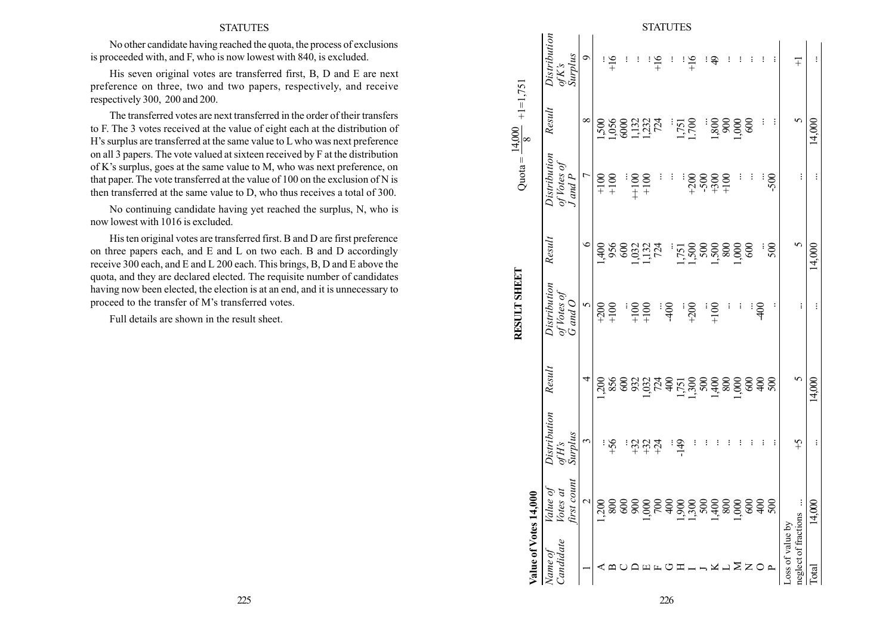No other candidate having reached the quota, the process of exclusions is proceeded with, and F, who is now lowest with 840, is excluded.

His seven original votes are transferred first, B, D and E are next preference on three, two and two papers, respectively, and receive respectively 300, 200 and 200.

The transferred votes are next transferred in the order of their transfers to F. The 3 votes received at the value of eight each at the distribution of H's surplus are transferred at the same value to L who was next preference on all 3 papers. The vote valued at sixteen received by F at the distribution of K's surplus, goes at the same value to M, who was next preference, on that paper. The vote transferred at the value of 100 on the exclusion of N is then transferred at the same value to D, who thus receives a total of 300.

No continuing candidate having yet reached the surplus, N, who is now lowest with 1016 is excluded.

His ten original votes are transferred first. B and D are first preference on three papers each, and E and L on two each. B and D accordingly receive 300 each, and E and L 200 each. This brings, B, D and E above the quota, and they are declared elected. The requisite number of candidates having now been elected, the election is at an end, and it is unnecessary to proceed to the transfer of M's transferred votes.

Full details are shown in the result sheet.

|                                     |                       |                                                   |                |            |                                   |          |                    |                 | <b>STATUTES</b> |               |          |                                                           |            |                     |                                             |          |                |        |                  |                      |          |
|-------------------------------------|-----------------------|---------------------------------------------------|----------------|------------|-----------------------------------|----------|--------------------|-----------------|-----------------|---------------|----------|-----------------------------------------------------------|------------|---------------------|---------------------------------------------|----------|----------------|--------|------------------|----------------------|----------|
|                                     |                       | Distribution<br>of K's<br>Surplus                 | $\circ$        |            | $\frac{91}{4}$                    | $\vdots$ | $\vdots$           |                 | $+16$           | ፧             | $\vdots$ | $+16$                                                     | $\ddot{ }$ | $\vdots$            |                                             | $\vdots$ | $\vdots$       |        | $\mp$            |                      | $\vdots$ |
| Quota = $\frac{14,000}{8}$ +1=1,751 |                       | Result                                            | $\infty$       |            | 1,056<br>0,056<br>1,2724<br>1,274 |          |                    |                 |                 |               |          | 1,751<br>1.700                                            |            | $\frac{1,800}{900}$ |                                             | 600      |                |        |                  | $\sigma$             | 14,000   |
|                                     |                       | Distribution<br>of Votes of<br>$J$ and $P$        | $\overline{C}$ |            | $+100$<br>+100                    |          |                    | $\frac{100}{1}$ | ÷               | į             |          | $\begin{array}{c} 18080 \\ 7080 \\ + 4094 \\ \end{array}$ |            |                     | į                                           | į        |                | $-500$ |                  | $\vdots$             | $\vdots$ |
|                                     |                       | Result                                            | $\circ$        |            | 1468                              |          |                    |                 | $324$<br>$724$  |               |          | 1750<br>1500<br>1500                                      |            | $800\,$             | 1,000                                       |          |                | 500    |                  | $\mathbf{\hat{c}}$   | 14,000   |
| RESULT SHEET                        |                       | Distribution<br>of Votes of<br>G and O            | $\overline{5}$ |            | $^{+200}_{+100}$                  |          |                    | $\frac{00}{1}$  |                 | $\frac{1}{2}$ |          | $+200$                                                    | $+100$     | $\vdots$            | $\vdots$                                    | $\vdots$ | $rac{40}{5}$   |        |                  | $\vdots$             | :        |
|                                     |                       | Result                                            | 4              |            | 13888837797288980                 |          |                    |                 |                 |               |          |                                                           |            |                     |                                             |          | $\frac{6}{3}$  | 500    |                  | $\circ$              | 14,000   |
|                                     |                       | Distribution<br><b>Surplus</b><br>$of H \emph{S}$ | $\epsilon$     |            | 9\$÷.                             |          |                    |                 | 유유주             |               | $-149$   | $\vdots$                                                  | $\vdots$   | $\vdots$            | $\vdots$                                    | $\vdots$ | $\vdots$       |        |                  | $\mathcal{G}^+$      | $\vdots$ |
|                                     |                       | first count<br>pя<br>Value<br><b>Votes</b>        | $\mathbf 2$    | $\sim 200$ |                                   |          | 88886 <del>8</del> |                 |                 |               |          |                                                           |            |                     | $\begin{array}{c} 800 \\ 1,000 \end{array}$ |          | $rac{60}{400}$ | 500    |                  |                      | 14,000   |
|                                     | Value of Votes 14,000 | <i>candidate</i><br>Name of                       |                |            |                                   |          |                    |                 |                 |               |          |                                                           |            |                     |                                             |          |                |        | Loss of value by | neglect of fractions | Total    |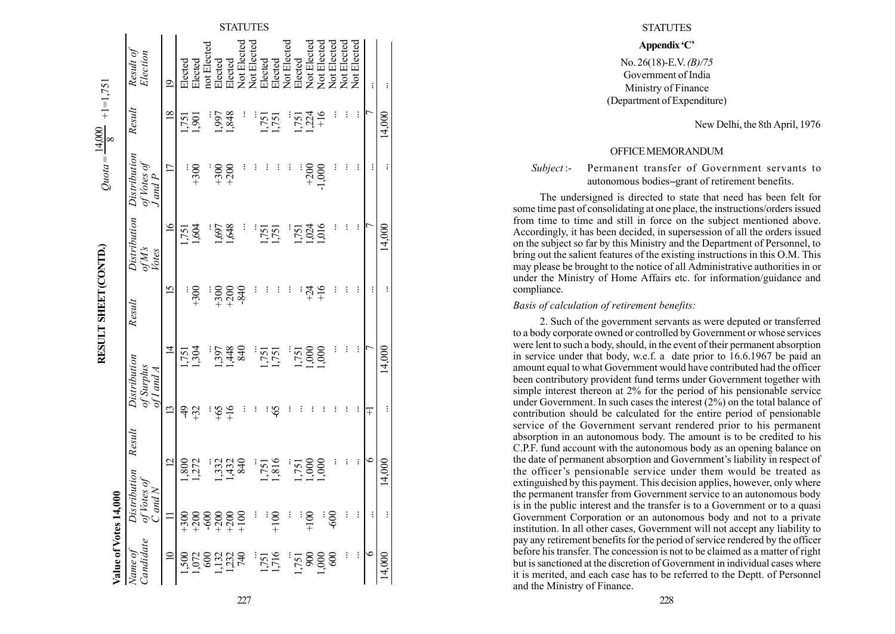| Value of Votes 14,               | $\overline{0}$                                                                                                                                                                                                                                                                                               |                      |        |                             |                  | RESULT SHEET (CONTD.) |                | $Quota = -$           | $+1=1,751$<br>14,000<br>$\infty$ |                |
|----------------------------------|--------------------------------------------------------------------------------------------------------------------------------------------------------------------------------------------------------------------------------------------------------------------------------------------------------------|----------------------|--------|-----------------------------|------------------|-----------------------|----------------|-----------------------|----------------------------------|----------------|
|                                  | Dis                                                                                                                                                                                                                                                                                                          | tribution            | Result |                             | Distribution     | Result                | Distribution   | Distribution          | Result                           | Result of      |
| Name of<br>Candidate             | $\tilde{\varphi}_a$                                                                                                                                                                                                                                                                                          | 'otes of<br>$Md$ $N$ |        | of Surplus<br>of I and A    |                  |                       | ofM's<br>Votes | of Votes of<br>Jand P |                                  | Election       |
| $\supseteq$                      |                                                                                                                                                                                                                                                                                                              | $\overline{C}$       |        | $\overline{13}$             | $\overline{4}$   | $\overline{15}$       | $\tilde{q}$    | $\overline{17}$       | $\overline{8}$                   | $\overline{9}$ |
|                                  |                                                                                                                                                                                                                                                                                                              | 1,800                |        | ᡇ                           | [75]             |                       | 1,751          |                       | 1,751                            | Elected        |
| 1,072<br>1,073<br>1,273<br>1,274 | $\begin{array}{l} 0000000 \\ + 000000 \\ + 000000 \\ + 000000 \\ + 000000 \\ + 000000 \\ + 000000 \\ + 000000 \\ + 000000 \\ + 000000 \\ + 000000 \\ + 000000 \\ + 000000 \\ + 000000 \\ + 000000 \\ + 000000 \\ + 000000 \\ + 000000 \\ + 000000 \\ + 000000 \\ + 000000 \\ + 000000 \\ + 000000 \\ + 0000$ | 1,272                |        | $\widetilde{\mathcal{Z}}^+$ | ,304             | $+300$                | 1,604          | $+300$                | 1,901                            | Elected        |
|                                  |                                                                                                                                                                                                                                                                                                              |                      |        |                             |                  |                       |                |                       |                                  | not Elected    |
|                                  |                                                                                                                                                                                                                                                                                                              | 1,332                |        | ∯                           | ,397             | $+300$                | 1,697          | $+300$                | .997                             | Elected        |
|                                  |                                                                                                                                                                                                                                                                                                              | 1,432                |        | $\frac{91}{1}$              | ,448             | $+200$                | 1,648          | $+200$                | ,848                             | Elected        |
|                                  |                                                                                                                                                                                                                                                                                                              | 840                  |        |                             | 840              | -840                  |                |                       |                                  | Not Elected    |
|                                  | $\frac{1}{2}$                                                                                                                                                                                                                                                                                                |                      |        |                             |                  |                       |                |                       |                                  | Not Elected    |
| $\frac{1,751}{1,716}$            |                                                                                                                                                                                                                                                                                                              | 1,751                |        |                             | 1,751            |                       | 1,751          |                       | 1,751                            | Elected        |
|                                  | $\frac{100}{1}$                                                                                                                                                                                                                                                                                              | 1,816                |        | နှ                          | 1,751            |                       | 1,751          |                       | 1,751                            | Elected        |
|                                  | ł                                                                                                                                                                                                                                                                                                            |                      |        |                             |                  |                       |                |                       |                                  | Not Elected    |
|                                  |                                                                                                                                                                                                                                                                                                              | 1,751                |        |                             | [75]             |                       | 1,751          |                       | 1,751                            | Elected        |
|                                  | $\frac{100}{1}$                                                                                                                                                                                                                                                                                              | 1,000                |        |                             | 000 <sub>1</sub> | $+24$                 | 1,024          | $+200$                | 1,224                            | Not Elected    |
| $1,751$<br>$1,900$<br>$1,000$    |                                                                                                                                                                                                                                                                                                              | 000                  |        |                             | 000.1            | $\frac{91}{4}$        | 016            | $-1,000$              | $^{+16}$                         | Not Elected    |
|                                  | 600                                                                                                                                                                                                                                                                                                          |                      |        |                             |                  | $\vdots$              |                |                       |                                  | Not Elected    |
|                                  |                                                                                                                                                                                                                                                                                                              | $\vdots$             |        |                             |                  | $\vdots$              |                |                       |                                  | Not Elected    |
|                                  |                                                                                                                                                                                                                                                                                                              |                      |        |                             | ÷                |                       | $\vdots$       |                       | ÷                                | Not Elected    |
|                                  | $\vdots$                                                                                                                                                                                                                                                                                                     | $\circ$              |        | Ŧ                           |                  | :                     |                | $\vdots$              |                                  | $\vdots$       |
| 14,000                           |                                                                                                                                                                                                                                                                                                              | 14,000               |        | $\vdots$                    | 14,000           | $\vdots$              | 14,000         |                       | 14,000                           |                |
|                                  |                                                                                                                                                                                                                                                                                                              |                      |        |                             |                  |                       |                |                       |                                  |                |

14,000

#### **STATUTES**

# Appendix 'C'

No. 26(18)-E.V. (B)/75 Government of India Ministry of Finance (Department of Expenditure)

New Delhi, the 8th April, 1976

OFFICEMEMORANDUM

Subject:- Permanent transfer of Government servants to autonomous bodies--grant of retirement benefits.

The undersigned is directed to state that need has been felt for some time past of consolidating at one place, the instructions/orders issued from time to time and still in force on the subject mentioned above. Accordingly, it has been decided, in supersession of all the orders issued on the subject so far by this Ministry and the Department of Personnel, to bring out the salient features of the existing instructions in this O.M. This may please be brought to the notice of all Administrative authorities in or under the Ministry of Home Affairs etc. for information/guidance and compliance.

#### Basis of calculation of retirement benefits:

2. Such of the government servants as were deputed or transferred to a body corporate owned or controlled by Government or whose services were lent to such a body, should, in the event of their permanent absorption in service under that body, w.e.f. a date prior to 16.6.1967 be paid an amount equal to what Government would have contributed had the officer been contributory provident fund terms under Government together with simple interest thereon at 2% for the period of his pensionable service under Government. In such cases the interest (2%) on the total balance of contribution should be calculated for the entire period of pensionable service of the Government servant rendered prior to his permanent absorption in an autonomous body. The amount is to be credited to his C.P.F. fund account with the autonomous body as an opening balance on the date of permanent absorption and Government's liability in respect of the officer's pensionable service under them would be treated as extinguished by this payment. This decision applies, however, only where the permanent transfer from Government service to an autonomous body is in the public interest and the transfer is to a Government or to a quasi Government Corporation or an autonomous body and not to a private institution. In all other cases, Government will not accept any liability to pay any retirement benefits for the period of service rendered by the officer before his transfer. The concession is not to be claimed as a matter of right but is sanctioned at the discretion of Government in individual cases where it is merited, and each case has to be referred to the Deptt. of Personnel and the Ministry of Finance.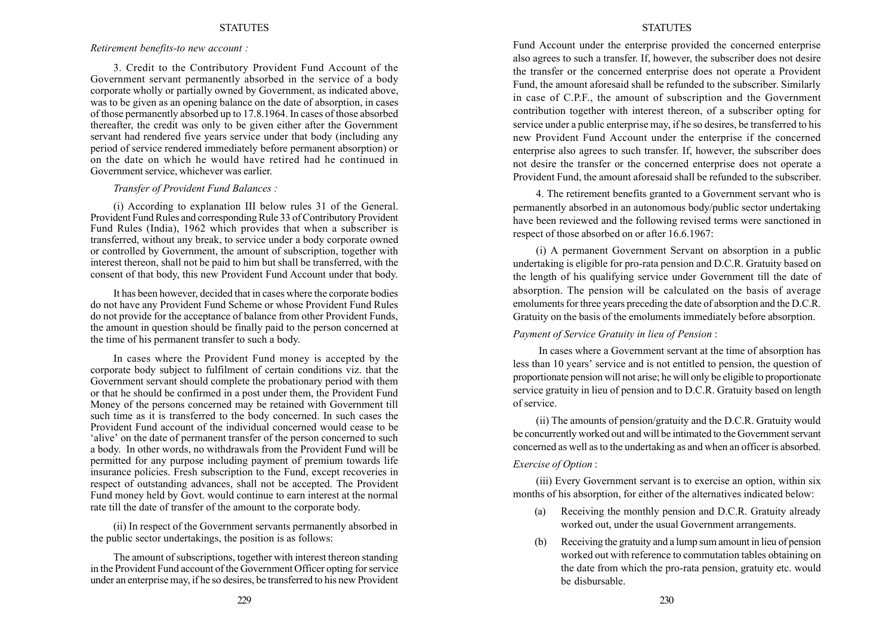Retirement benefits-to new account :

3. Credit to the Contributory Provident Fund Account of the Government servant permanently absorbed in the service of a body corporate wholly or partially owned by Government, as indicated above, was to be given as an opening balance on the date of absorption, in cases of those permanently absorbed up to 17.8.1964. In cases of those absorbed thereafter, the credit was only to be given either after the Government servant had rendered five years service under that body (including any period of service rendered immediately before permanent absorption) or on the date on which he would have retired had he continued in Government service, whichever was earlier.

#### Transfer of Provident Fund Balances :

(i) According to explanation III below rules 31 of the General. Provident Fund Rules and corresponding Rule 33 of Contributory Provident Fund Rules (India), 1962 which provides that when a subscriber is transferred, without any break, to service under a body corporate owned or controlled by Government, the amount of subscription, together with interest thereon, shall not be paid to him but shall be transferred, with the consent of that body, this new Provident Fund Account under that body.

It has been however, decided that in cases where the corporate bodies do not have any Provident Fund Scheme or whose Provident Fund Rules do not provide for the acceptance of balance from other Provident Funds, the amount in question should be finally paid to the person concerned at the time of his permanent transfer to such a body.

In cases where the Provident Fund money is accepted by the corporate body subject to fulfilment of certain conditions viz. that the Government servant should complete the probationary period with them or that he should be confirmed in a post under them, the Provident Fund Money of the persons concerned may be retained with Government till such time as it is transferred to the body concerned. In such cases the Provident Fund account of the individual concerned would cease to be alive' on the date of permanent transfer of the person concerned to such a body. In other words, no withdrawals from the Provident Fund will be permitted for any purpose including payment of premium towards life insurance policies. Fresh subscription to the Fund, except recoveries in respect of outstanding advances, shall not be accepted. The Provident Fund money held by Govt. would continue to earn interest at the normal rate till the date of transfer of the amount to the corporate body.

(ii) In respect of the Government servants permanently absorbed in the public sector undertakings, the position is as follows:

The amount of subscriptions, together with interest thereon standing in the Provident Fund account of the Government Officer opting for service under an enterprise may, if he so desires, be transferred to his new Provident

### STATUTES

Fund Account under the enterprise provided the concerned enterprise also agrees to such a transfer. If, however, the subscriber does not desire the transfer or the concerned enterprise does not operate a Provident Fund, the amount aforesaid shall be refunded to the subscriber. Similarly in case of C.P.F., the amount of subscription and the Government contribution together with interest thereon, of a subscriber opting for service under a public enterprise may, if he so desires, be transferred to his new Provident Fund Account under the enterprise if the concerned enterprise also agrees to such transfer. If, however, the subscriber does not desire the transfer or the concerned enterprise does not operate a Provident Fund, the amount aforesaid shall be refunded to the subscriber.

4. The retirement benefits granted to a Government servant who is permanently absorbed in an autonomous body/public sector undertaking have been reviewed and the following revised terms were sanctioned in respect of those absorbed on or after 16.6.1967:

(i) A permanent Government Servant on absorption in a public undertaking is eligible for pro-rata pension and D.C.R. Gratuity based on the length of his qualifying service under Government till the date of absorption. The pension will be calculated on the basis of average emoluments for three years preceding the date of absorption and the D.C.R. Gratuity on the basis of the emoluments immediately before absorption.

#### Payment of Service Gratuity in lieu of Pension :

In cases where a Government servant at the time of absorption has less than 10 years' service and is not entitled to pension, the question of proportionate pension will not arise; he will only be eligible to proportionate service gratuity in lieu of pension and to D.C.R. Gratuity based on length of service.

(ii) The amounts of pension/gratuity and the D.C.R. Gratuity would be concurrently worked out and will be intimated to the Government servant concerned as well as to the undertaking as and when an officer is absorbed. Exercise of Option :

(iii) Every Government servant is to exercise an option, within six months of his absorption, for either of the alternatives indicated below:

- (a) Receiving the monthly pension and D.C.R. Gratuity already worked out, under the usual Government arrangements.
- (b) Receiving the gratuity and a lump sum amount in lieu of pension worked out with reference to commutation tables obtaining on the date from which the pro-rata pension, gratuity etc. would be disbursable.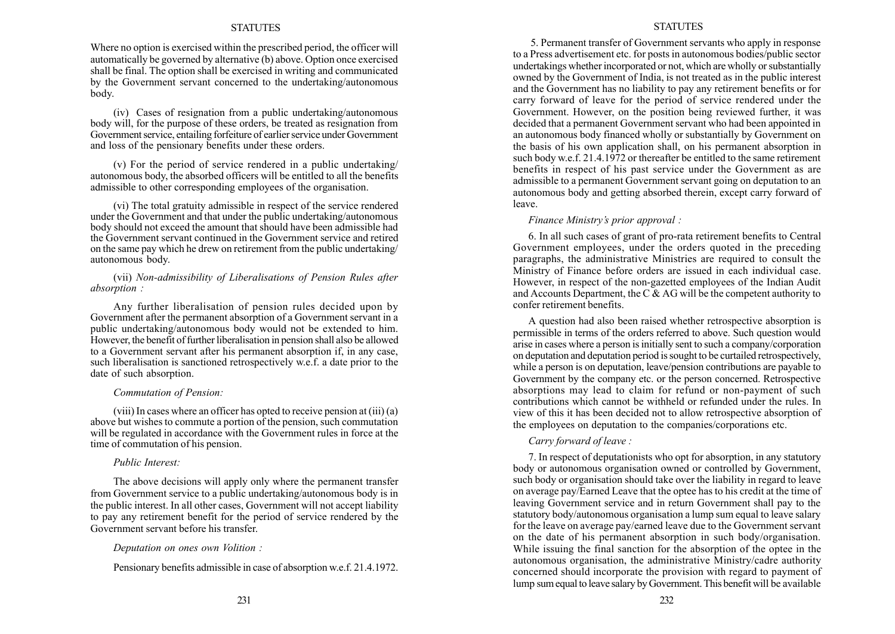Where no option is exercised within the prescribed period, the officer will automatically be governed by alternative (b) above. Option once exercised shall be final. The option shall be exercised in writing and communicated by the Government servant concerned to the undertaking/autonomous body.

(iv) Cases of resignation from a public undertaking/autonomous body will, for the purpose of these orders, be treated as resignation from Government service, entailing forfeiture of earlier service under Government and loss of the pensionary benefits under these orders.

(v) For the period of service rendered in a public undertaking/ autonomous body, the absorbed officers will be entitled to all the benefits admissible to other corresponding employees of the organisation.

(vi) The total gratuity admissible in respect of the service rendered under the Government and that under the public undertaking/autonomous body should not exceed the amount that should have been admissible had the Government servant continued in the Government service and retired on the same pay which he drew on retirement from the public undertaking/ autonomous body.

## (vii) Non-admissibility of Liberalisations of Pension Rules after absorption :

Any further liberalisation of pension rules decided upon by Government after the permanent absorption of a Government servant in a public undertaking/autonomous body would not be extended to him. However, the benefit of further liberalisation in pension shall also be allowed to a Government servant after his permanent absorption if, in any case, such liberalisation is sanctioned retrospectively w.e.f. a date prior to the date of such absorption.

### Commutation of Pension:

(viii) In cases where an officer has opted to receive pension at (iii) (a) above but wishes to commute a portion of the pension, such commutation will be regulated in accordance with the Government rules in force at the time of commutation of his pension.

#### Public Interest:

The above decisions will apply only where the permanent transfer from Government service to a public undertaking/autonomous body is in the public interest. In all other cases, Government will not accept liability to pay any retirement benefit for the period of service rendered by the Government servant before his transfer.

### Deputation on ones own Volition :

Pensionary benefits admissible in case of absorption w.e.f. 21.4.1972.

#### **STATUTES**

5. Permanent transfer of Government servants who apply in response to a Press advertisement etc. for posts in autonomous bodies/public sector undertakings whether incorporated or not, which are wholly or substantially owned by the Government of India, is not treated as in the public interest and the Government has no liability to pay any retirement benefits or for carry forward of leave for the period of service rendered under the Government. However, on the position being reviewed further, it was decided that a permanent Government servant who had been appointed in an autonomous body financed wholly or substantially by Government on the basis of his own application shall, on his permanent absorption in such body w.e.f. 21.4.1972 or thereafter be entitled to the same retirement benefits in respect of his past service under the Government as are admissible to a permanent Government servant going on deputation to an autonomous body and getting absorbed therein, except carry forward of leave.

## Finance Ministry's prior approval :

6. In all such cases of grant of pro-rata retirement benefits to Central Government employees, under the orders quoted in the preceding paragraphs, the administrative Ministries are required to consult the Ministry of Finance before orders are issued in each individual case. However, in respect of the non-gazetted employees of the Indian Audit and Accounts Department, the C  $\&$  AG will be the competent authority to confer retirement benefits.

A question had also been raised whether retrospective absorption is permissible in terms of the orders referred to above. Such question would arise in cases where a person is initially sent to such a company/corporation on deputation and deputation period is sought to be curtailed retrospectively, while a person is on deputation, leave/pension contributions are payable to Government by the company etc. or the person concerned. Retrospective absorptions may lead to claim for refund or non-payment of such contributions which cannot be withheld or refunded under the rules. In view of this it has been decided not to allow retrospective absorption of the employees on deputation to the companies/corporations etc.

# Carry forward of leave :

7. In respect of deputationists who opt for absorption, in any statutory body or autonomous organisation owned or controlled by Government, such body or organisation should take over the liability in regard to leave on average pay/Earned Leave that the optee has to his credit at the time of leaving Government service and in return Government shall pay to the statutory body/autonomous organisation a lump sum equal to leave salary for the leave on average pay/earned leave due to the Government servant on the date of his permanent absorption in such body/organisation. While issuing the final sanction for the absorption of the optee in the autonomous organisation, the administrative Ministry/cadre authority concerned should incorporate the provision with regard to payment of lump sumequal to leave salary by Government. This benefit will be available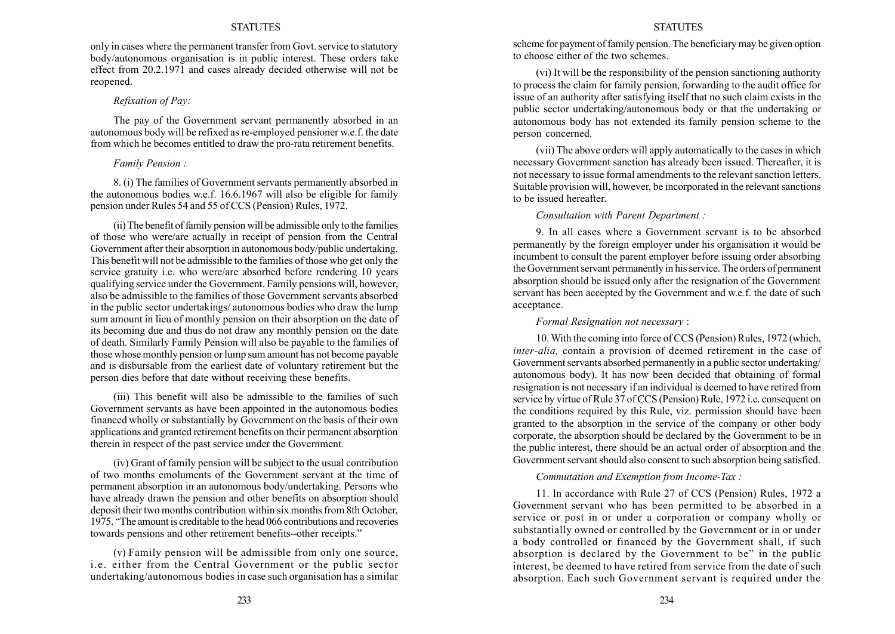only in cases where the permanent transfer from Govt. service to statutory body/autonomous organisation is in public interest. These orders take effect from 20.2.1971 and cases already decided otherwise will not be reopened.

# Refixation of Pay:

The pay of the Government servant permanently absorbed in an autonomous body will be refixed as re-employed pensioner w.e.f. the date from which he becomes entitled to draw the pro-rata retirement benefits.

## Family Pension :

8. (i) The families of Government servants permanently absorbed in the autonomous bodies w.e.f. 16.6.1967 will also be eligible for family pension under Rules 54 and 55 of CCS (Pension) Rules, 1972.

(ii) The benefit of family pension will be admissible only to the families of those who were/are actually in receipt of pension from the Central Government after their absorption in autonomous body/public undertaking. This benefit will not be admissible to the families of those who get only the service gratuity i.e. who were/are absorbed before rendering 10 years qualifying service under the Government. Family pensions will, however, also be admissible to the families of those Government servants absorbed in the public sector undertakings/ autonomous bodies who draw the lump sum amount in lieu of monthly pension on their absorption on the date of its becoming due and thus do not draw any monthly pension on the date of death. Similarly Family Pension will also be payable to the families of those whose monthly pension or lump sum amount has not become payable and is disbursable from the earliest date of voluntary retirement but the person dies before that date without receiving these benefits.

(iii) This benefit will also be admissible to the families of such Government servants as have been appointed in the autonomous bodies financed wholly or substantially by Government on the basis of their own applications and granted retirement benefits on their permanent absorption therein in respect of the past service under the Government.

(iv) Grant of family pension will be subject to the usual contribution of two months emoluments of the Government servant at the time of permanent absorption in an autonomous body/undertaking. Persons who have already drawn the pension and other benefits on absorption should deposit their two months contribution within six months from 8th October, 1975. "The amount is creditable to the head 066 contributions and recoveries towards pensions and other retirement benefits--other receipts.<sup>"</sup>

(v) Family pension will be admissible from only one source, i.e. either from the Central Government or the public sector undertaking/autonomous bodies in case such organisation has a similar

#### STATUTES

scheme for payment of family pension. The beneficiary may be given option to choose either of the two schemes.

(vi) It will be the responsibility of the pension sanctioning authority to process the claim for family pension, forwarding to the audit office for issue of an authority after satisfying itself that no such claim exists in the public sector undertaking/autonomous body or that the undertaking or autonomous body has not extended its family pension scheme to the person concerned.

(vii) The above orders will apply automatically to the cases in which necessary Government sanction has already been issued. Thereafter, it is not necessary to issue formal amendments to the relevant sanction letters. Suitable provision will, however, be incorporated in the relevant sanctions to be issued hereafter.

#### Consultation with Parent Department :

9. In all cases where a Government servant is to be absorbed permanently by the foreign employer under his organisation it would be incumbent to consult the parent employer before issuing order absorbing the Government servant permanently in his service. The orders of permanent absorption should be issued only after the resignation of the Government servant has been accepted by the Government and w.e.f. the date of such acceptance.

#### Formal Resignation not necessary :

10.With the coming into force of CCS (Pension) Rules, 1972 (which, inter-alia, contain a provision of deemed retirement in the case of Government servants absorbed permanently in a public sector undertaking/ autonomous body). It has now been decided that obtaining of formal resignation is not necessary if an individual is deemed to have retired from service by virtue of Rule 37 of CCS (Pension) Rule, 1972 i.e. consequent on the conditions required by this Rule, viz. permission should have been granted to the absorption in the service of the company or other body corporate, the absorption should be declared by the Government to be in the public interest, there should be an actual order of absorption and the Government servant should also consent to such absorption being satisfied.

Commutation and Exemption from Income-Tax :

11. In accordance with Rule 27 of CCS (Pension) Rules, 1972 a Government servant who has been permitted to be absorbed in a service or post in or under a corporation or company wholly or substantially owned or controlled by the Government or in or under a body controlled or financed by the Government shall, if such absorption is declared by the Government to be" in the public interest, be deemed to have retired from service from the date of such absorption. Each such Government servant is required under the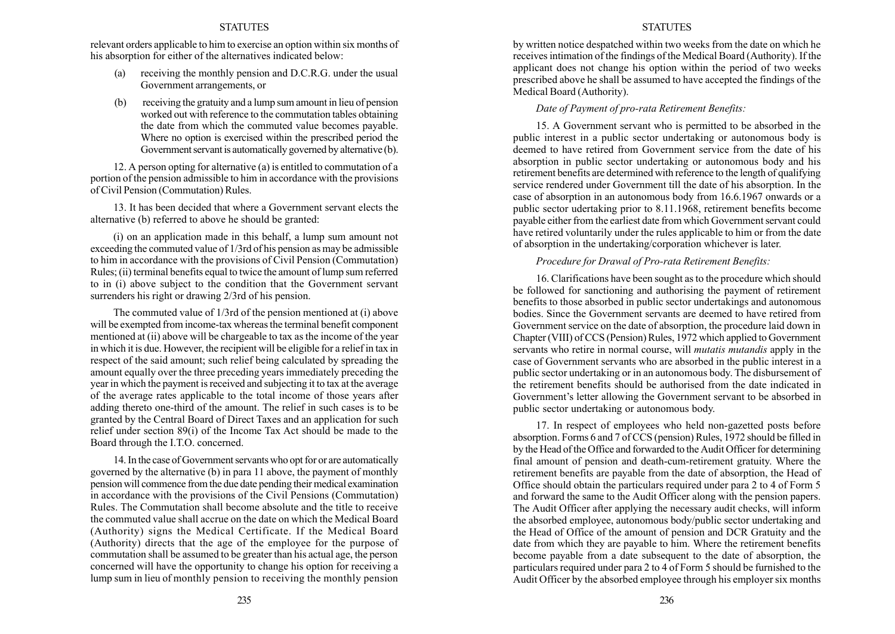relevant orders applicable to him to exercise an option within six months of his absorption for either of the alternatives indicated below:

- (a) receiving the monthly pension and D.C.R.G. under the usual Government arrangements, or
- (b) receiving the gratuity and a lump sum amount in lieu of pension worked out with reference to the commutation tables obtaining the date from which the commuted value becomes payable. Where no option is exercised within the prescribed period the Government servant is automatically governed by alternative (b).

12. A person opting for alternative (a) is entitled to commutation of a portion of the pension admissible to him in accordance with the provisions of Civil Pension (Commutation) Rules.

13. It has been decided that where a Government servant elects the alternative (b) referred to above he should be granted:

(i) on an application made in this behalf, a lump sum amount not exceeding the commuted value of 1/3rd of his pension as may be admissible to him in accordance with the provisions of Civil Pension (Commutation) Rules; (ii) terminal benefits equal to twice the amount of lump sum referred to in (i) above subject to the condition that the Government servant surrenders his right or drawing 2/3rd of his pension.

The commuted value of 1/3rd of the pension mentioned at (i) above will be exempted from income-tax whereas the terminal benefit component mentioned at (ii) above will be chargeable to tax as the income of the year in which it is due. However, the recipient will be eligible for a relief in tax in respect of the said amount; such relief being calculated by spreading the amount equally over the three preceding years immediately preceding the year in which the payment is received and subjecting it to tax at the average of the average rates applicable to the total income of those years after adding thereto one-third of the amount. The relief in such cases is to be granted by the Central Board of Direct Taxes and an application for such relief under section 89(i) of the Income Tax Act should be made to the Board through the I.T.O. concerned.

14. In the case of Government servants who opt for or are automatically governed by the alternative (b) in para 11 above, the payment of monthly pension will commence from the due date pending their medical examination in accordance with the provisions of the Civil Pensions (Commutation) Rules. The Commutation shall become absolute and the title to receive the commuted value shall accrue on the date on which the Medical Board (Authority) signs the Medical Certificate. If the Medical Board (Authority) directs that the age of the employee for the purpose of commutation shall be assumed to be greater than his actual age, the person concerned will have the opportunity to change his option for receiving a lump sum in lieu of monthly pension to receiving the monthly pension by written notice despatched within two weeks from the date on which he receives intimation of the findings of the Medical Board (Authority). If the applicant does not change his option within the period of two weeks prescribed above he shall be assumed to have accepted the findings of the Medical Board (Authority).

#### Date of Payment of pro-rata Retirement Benefits:

15. A Government servant who is permitted to be absorbed in the public interest in a public sector undertaking or autonomous body is deemed to have retired from Government service from the date of his absorption in public sector undertaking or autonomous body and his retirement benefits are determined with reference to the length of qualifying service rendered under Government till the date of his absorption. In the case of absorption in an autonomous body from 16.6.1967 onwards or a public sector udertaking prior to 8.11.1968, retirement benefits become payable either from the earliest date from which Government servant could have retired voluntarily under the rules applicable to him or from the date of absorption in the undertaking/corporation whichever is later.

#### Procedure for Drawal of Pro-rata Retirement Benefits:

16. Clarifications have been sought as to the procedure which should be followed for sanctioning and authorising the payment of retirement benefits to those absorbed in public sector undertakings and autonomous bodies. Since the Government servants are deemed to have retired from Government service on the date of absorption, the procedure laid down in Chapter (VIII) of CCS (Pension) Rules, 1972 which applied to Government servants who retire in normal course, will mutatis mutandis apply in the case of Government servants who are absorbed in the public interest in a public sector undertaking or in an autonomous body. The disbursement of the retirement benefits should be authorised from the date indicated in Government's letter allowing the Government servant to be absorbed in public sector undertaking or autonomous body.

17. In respect of employees who held non-gazetted posts before absorption. Forms 6 and 7 of CCS (pension) Rules, 1972 should be filled in by the Head of the Office and forwarded to the Audit Officer for determining final amount of pension and death-cum-retirement gratuity. Where the retirement benefits are payable from the date of absorption, the Head of Office should obtain the particulars required under para 2 to 4 of Form 5 and forward the same to the Audit Officer along with the pension papers. The Audit Officer after applying the necessary audit checks, will inform the absorbed employee, autonomous body/public sector undertaking and the Head of Office of the amount of pension and DCR Gratuity and the date from which they are payable to him. Where the retirement benefits become payable from a date subsequent to the date of absorption, the particulars required under para 2 to 4 of Form 5 should be furnished to the Audit Officer by the absorbed employee through his employer six months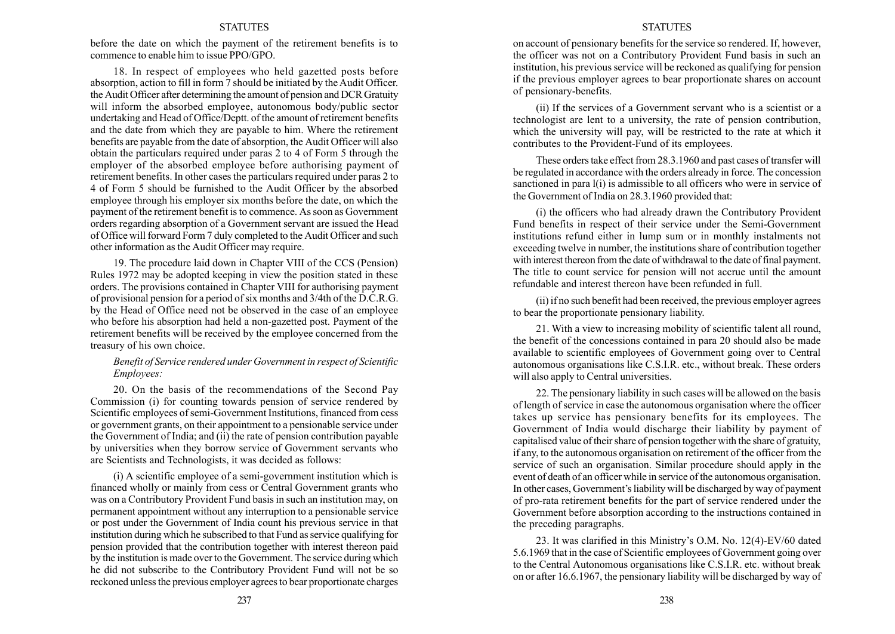before the date on which the payment of the retirement benefits is to commence to enable him to issue PPO/GPO.

18. In respect of employees who held gazetted posts before absorption, action to fill in form 7 should be initiated by the Audit Officer. the Audit Officer after determining the amount of pension and DCR Gratuity will inform the absorbed employee, autonomous body/public sector undertaking and Head of Office/Deptt. of the amount of retirement benefits and the date from which they are payable to him. Where the retirement benefits are payable from the date of absorption, the Audit Officer will also obtain the particulars required under paras 2 to 4 of Form 5 through the employer of the absorbed employee before authorising payment of retirement benefits. In other cases the particulars required under paras 2 to 4 of Form 5 should be furnished to the Audit Officer by the absorbed employee through his employer six months before the date, on which the payment of the retirement benefit is to commence. As soon as Government orders regarding absorption of a Government servant are issued the Head of Office will forward Form 7 duly completed to the Audit Officer and such other information as the Audit Officer may require.

19. The procedure laid down in Chapter VIII of the CCS (Pension) Rules 1972 may be adopted keeping in view the position stated in these orders. The provisions contained in Chapter VIII for authorising payment of provisional pension for a period of six months and 3/4th of the D.C.R.G. by the Head of Office need not be observed in the case of an employee who before his absorption had held a non-gazetted post. Payment of the retirement benefits will be received by the employee concerned from the treasury of his own choice.

# Benefit of Service rendered under Government in respect of Scientific Employees:

20. On the basis of the recommendations of the Second Pay Commission (i) for counting towards pension of service rendered by Scientific employees of semi-Government Institutions, financed from cess or government grants, on their appointment to a pensionable service under the Government of India; and (ii) the rate of pension contribution payable by universities when they borrow service of Government servants who are Scientists and Technologists, it was decided as follows:

(i) A scientific employee of a semi-government institution which is financed wholly or mainly from cess or Central Government grants who was on a Contributory Provident Fund basis in such an institution may, on permanent appointment without any interruption to a pensionable service or post under the Government of India count his previous service in that institution during which he subscribed to that Fund as service qualifying for pension provided that the contribution together with interest thereon paid by the institution is made over to the Government. The service during which he did not subscribe to the Contributory Provident Fund will not be so reckoned unless the previous employer agrees to bear proportionate charges

#### **STATUTES**

on account of pensionary benefits for the service so rendered. If, however, the officer was not on a Contributory Provident Fund basis in such an institution, his previous service will be reckoned as qualifying for pension if the previous employer agrees to bear proportionate shares on account of pensionary-benefits.

(ii) If the services of a Government servant who is a scientist or a technologist are lent to a university, the rate of pension contribution, which the university will pay, will be restricted to the rate at which it contributes to the Provident-Fund of its employees.

These orders take effect from 28.3.1960 and past cases of transfer will be regulated in accordance with the orders already in force. The concession sanctioned in para l(i) is admissible to all officers who were in service of the Government of India on 28.3.1960 provided that:

(i) the officers who had already drawn the Contributory Provident Fund benefits in respect of their service under the Semi-Government institutions refund either in lump sum or in monthly instalments not exceeding twelve in number, the institutions share of contribution together with interest thereon from the date of withdrawal to the date of final payment. The title to count service for pension will not accrue until the amount refundable and interest thereon have been refunded in full.

(ii) if no such benefit had been received, the previous employer agrees to bear the proportionate pensionary liability.

21. With a view to increasing mobility of scientific talent all round, the benefit of the concessions contained in para 20 should also be made available to scientific employees of Government going over to Central autonomous organisations like C.S.I.R. etc., without break. These orders will also apply to Central universities.

22. The pensionary liability in such cases will be allowed on the basis of length of service in case the autonomous organisation where the officer takes up service has pensionary benefits for its employees. The Government of India would discharge their liability by payment of capitalised value of their share of pension together with the share of gratuity, if any, to the autonomous organisation on retirement of the officer from the service of such an organisation. Similar procedure should apply in the event of death of an officer while in service of the autonomous organisation. In other cases, Government's liability will be discharged by way of payment of pro-rata retirement benefits for the part of service rendered under the Government before absorption according to the instructions contained in the preceding paragraphs.

23. It was clarified in this Ministry's O.M. No. 12(4)-EV/60 dated 5.6.1969 that in the case of Scientific employees of Government going over to the Central Autonomous organisations like C.S.I.R. etc. without break on or after 16.6.1967, the pensionary liability will be discharged by way of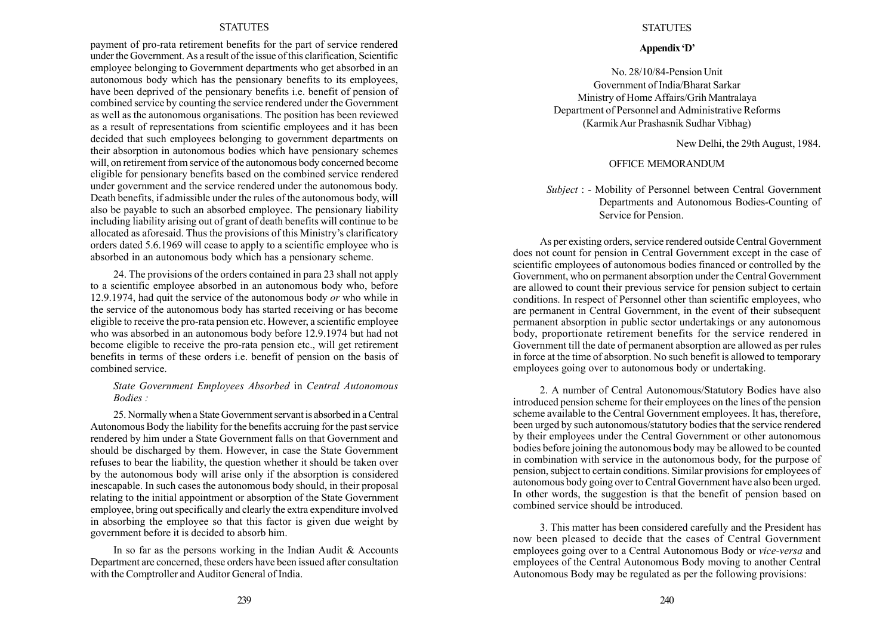payment of pro-rata retirement benefits for the part of service rendered under the Government. As a result of the issue of this clarification, Scientific employee belonging to Government departments who get absorbed in an autonomous body which has the pensionary benefits to its employees, have been deprived of the pensionary benefits i.e. benefit of pension of combined service by counting the service rendered under the Government as well as the autonomous organisations. The position has been reviewed as a result of representations from scientific employees and it has been decided that such employees belonging to government departments on their absorption in autonomous bodies which have pensionary schemes will, on retirement from service of the autonomous body concerned become eligible for pensionary benefits based on the combined service rendered under government and the service rendered under the autonomous body. Death benefits, if admissible under the rules of the autonomous body, will also be payable to such an absorbed employee. The pensionary liability including liability arising out of grant of death benefits will continue to be allocated as aforesaid. Thus the provisions of this Ministry's clarificatory orders dated 5.6.1969 will cease to apply to a scientific employee who is absorbed in an autonomous body which has a pensionary scheme.

24. The provisions of the orders contained in para 23 shall not apply to a scientific employee absorbed in an autonomous body who, before 12.9.1974, had quit the service of the autonomous body or who while in the service of the autonomous body has started receiving or has become eligible to receive the pro-rata pension etc. However, a scientific employee who was absorbed in an autonomous body before 12.9.1974 but had not become eligible to receive the pro-rata pension etc., will get retirement benefits in terms of these orders i.e. benefit of pension on the basis of combined service.

# State Government Employees Absorbed in Central Autonomous Bodies :

25. Normally when a State Government servant is absorbed in a Central Autonomous Body the liability for the benefits accruing for the past service rendered by him under a State Government falls on that Government and should be discharged by them. However, in case the State Government refuses to bear the liability, the question whether it should be taken over by the autonomous body will arise only if the absorption is considered inescapable. In such cases the autonomous body should, in their proposal relating to the initial appointment or absorption of the State Government employee, bring out specifically and clearly the extra expenditure involved in absorbing the employee so that this factor is given due weight by government before it is decided to absorb him.

In so far as the persons working in the Indian Audit & Accounts Department are concerned, these orders have been issued after consultation with the Comptroller and Auditor General of India.

# **STATUTES**

#### Appendix 'D'

No. 28/10/84-Pension Unit Government of India/Bharat Sarkar Ministry of Home Affairs/Grih Mantralaya Department of Personnel and Administrative Reforms (KarmikAur Prashasnik Sudhar Vibhag)

New Delhi, the 29th August, 1984.

## OFFICE MEMORANDUM

# Subject : - Mobility of Personnel between Central Government Departments and Autonomous Bodies-Counting of Service for Pension.

As per existing orders, service rendered outside Central Government does not count for pension in Central Government except in the case of scientific employees of autonomous bodies financed or controlled by the Government, who on permanent absorption under the Central Government are allowed to count their previous service for pension subject to certain conditions. In respect of Personnel other than scientific employees, who are permanent in Central Government, in the event of their subsequent permanent absorption in public sector undertakings or any autonomous body, proportionate retirement benefits for the service rendered in Government till the date of permanent absorption are allowed as per rules in force at the time of absorption. No such benefit is allowed to temporary employees going over to autonomous body or undertaking.

2. A number of Central Autonomous/Statutory Bodies have also introduced pension scheme for their employees on the lines of the pension scheme available to the Central Government employees. It has, therefore, been urged by such autonomous/statutory bodies that the service rendered by their employees under the Central Government or other autonomous bodies before joining the autonomous body may be allowed to be counted in combination with service in the autonomous body, for the purpose of pension, subject to certain conditions. Similar provisions for employees of autonomous body going over to Central Government have also been urged. In other words, the suggestion is that the benefit of pension based on combined service should be introduced.

3. This matter has been considered carefully and the President has now been pleased to decide that the cases of Central Government employees going over to a Central Autonomous Body or vice-versa and employees of the Central Autonomous Body moving to another Central Autonomous Body may be regulated as per the following provisions: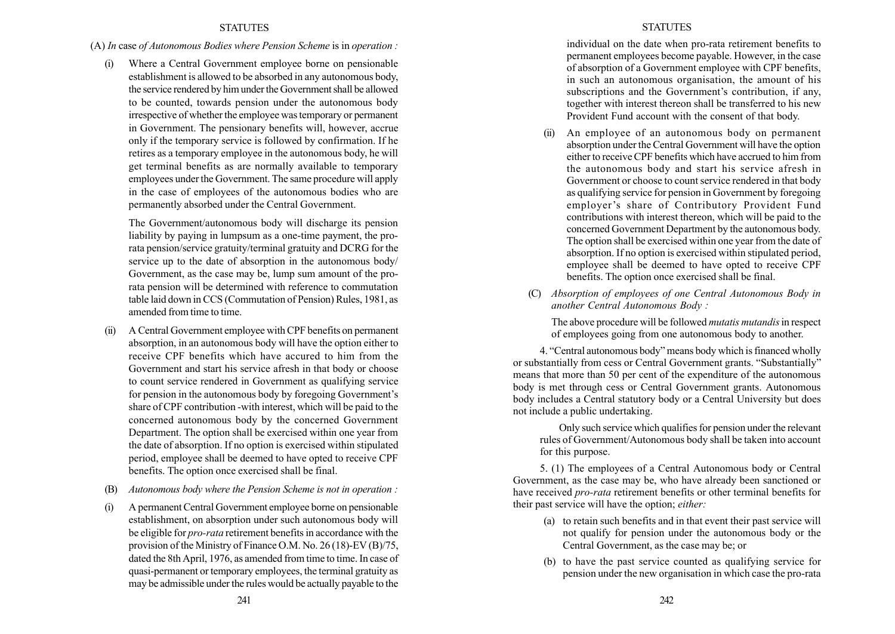# (A) In case of Autonomous Bodies where Pension Scheme is in operation :

(i) Where a Central Government employee borne on pensionable establishment is allowed to be absorbed in any autonomous body, the service rendered by him under the Government shall be allowed to be counted, towards pension under the autonomous body irrespective of whether the employee was temporary or permanent in Government. The pensionary benefits will, however, accrue only if the temporary service is followed by confirmation. If he retires as a temporary employee in the autonomous body, he will get terminal benefits as are normally available to temporary employees under the Government. The same procedure will apply in the case of employees of the autonomous bodies who are permanently absorbed under the Central Government.

The Government/autonomous body will discharge its pension liability by paying in lumpsum as a one-time payment, the prorata pension/service gratuity/terminal gratuity and DCRG for the service up to the date of absorption in the autonomous body/ Government, as the case may be, lump sum amount of the prorata pension will be determined with reference to commutation table laid down in CCS (Commutation of Pension) Rules, 1981, as amended from time to time.

- (ii) A Central Government employee with CPF benefits on permanent absorption, in an autonomous body will have the option either to receive CPF benefits which have accured to him from the Government and start his service afresh in that body or choose to count service rendered in Government as qualifying service for pension in the autonomous body by foregoing Government's share of CPF contribution -with interest, which will be paid to the concerned autonomous body by the concerned Government Department. The option shall be exercised within one year from the date of absorption. If no option is exercised within stipulated period, employee shall be deemed to have opted to receive CPF benefits. The option once exercised shall be final.
- (B) Autonomous body where the Pension Scheme is not in operation :
- (i) A permanent Central Government employee borne on pensionable establishment, on absorption under such autonomous body will be eligible for pro-rata retirement benefits in accordance with the provision of the Ministry of Finance O.M. No. 26 (18)-EV (B)/75, dated the 8th April, 1976, as amended from time to time. In case of quasi-permanent or temporary employees, the terminal gratuity as may be admissible under the rules would be actually payable to the

### **STATUTES**

individual on the date when pro-rata retirement benefits to permanent employees become payable. However, in the case of absorption of a Government employee with CPF benefits, in such an autonomous organisation, the amount of his subscriptions and the Government's contribution, if any, together with interest thereon shall be transferred to his new Provident Fund account with the consent of that body.

- (ii) An employee of an autonomous body on permanent absorption under the Central Government will have the option either to receive CPF benefits which have accrued to him from the autonomous body and start his service afresh in Government or choose to count service rendered in that body as qualifying service for pension in Government by foregoing employer's share of Contributory Provident Fund contributions with interest thereon, which will be paid to the concerned Government Department by the autonomous body. The option shall be exercised within one year from the date of absorption. If no option is exercised within stipulated period, employee shall be deemed to have opted to receive CPF benefits. The option once exercised shall be final.
- (C) Absorption of employees of one Central Autonomous Body in another Central Autonomous Body :

The above procedure will be followed *mutatis mutandis* in respect of employees going from one autonomous body to another.

4. "Central autonomous body" means body which is financed wholly or substantially from cess or Central Government grants. "Substantially" means that more than 50 per cent of the expenditure of the autonomous body is met through cess or Central Government grants. Autonomous body includes a Central statutory body or a Central University but does not include a public undertaking.

Only such service which qualifies for pension under the relevant rules of Government/Autonomous body shall be taken into account for this purpose.

5. (1) The employees of a Central Autonomous body or Central Government, as the case may be, who have already been sanctioned or have received pro-rata retirement benefits or other terminal benefits for their past service will have the option; either:

- (a) to retain such benefits and in that event their past service will not qualify for pension under the autonomous body or the Central Government, as the case may be; or
- (b) to have the past service counted as qualifying service for pension under the new organisation in which case the pro-rata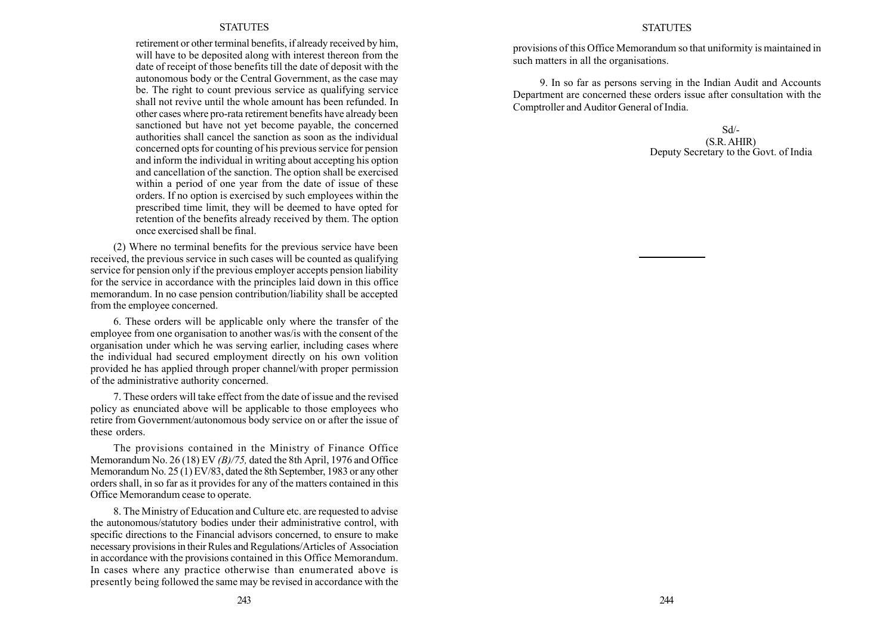retirement or other terminal benefits, if already received by him, will have to be deposited along with interest thereon from the date of receipt of those benefits till the date of deposit with the autonomous body or the Central Government, as the case may be. The right to count previous service as qualifying service shall not revive until the whole amount has been refunded. In other cases where pro-rata retirement benefits have already been sanctioned but have not yet become payable, the concerned authorities shall cancel the sanction as soon as the individual concerned opts for counting of his previous service for pension and inform the individual in writing about accepting his option and cancellation of the sanction. The option shall be exercised within a period of one year from the date of issue of these orders. If no option is exercised by such employees within the prescribed time limit, they will be deemed to have opted for retention of the benefits already received by them. The option once exercised shall be final.

(2) Where no terminal benefits for the previous service have been received, the previous service in such cases will be counted as qualifying service for pension only if the previous employer accepts pension liability for the service in accordance with the principles laid down in this office memorandum. In no case pension contribution/liability shall be accepted from the employee concerned.

6. These orders will be applicable only where the transfer of the employee from one organisation to another was/is with the consent of the organisation under which he was serving earlier, including cases where the individual had secured employment directly on his own volition provided he has applied through proper channel/with proper permission of the administrative authority concerned.

7. These orders will take effect from the date of issue and the revised policy as enunciated above will be applicable to those employees who retire from Government/autonomous body service on or after the issue of these orders.

The provisions contained in the Ministry of Finance Office Memorandum No. 26 (18) EV (B)/75, dated the 8th April, 1976 and Office Memorandum No. 25 (1) EV/83, dated the 8th September, 1983 or any other orders shall, in so far as it provides for any of the matters contained in this Office Memorandum cease to operate.

8. The Ministry of Education and Culture etc. are requested to advise the autonomous/statutory bodies under their administrative control, with specific directions to the Financial advisors concerned, to ensure to make necessary provisions in their Rules and Regulations/Articles of Association in accordance with the provisions contained in this Office Memorandum. In cases where any practice otherwise than enumerated above is presently being followed the same may be revised in accordance with the

#### **STATUTES**

provisions of this Office Memorandum so that uniformity is maintained in such matters in all the organisations.

9. In so far as persons serving in the Indian Audit and Accounts Department are concerned these orders issue after consultation with the Comptroller and Auditor General of India.

> Sd/- (S.R. AHIR) Deputy Secretary to the Govt. of India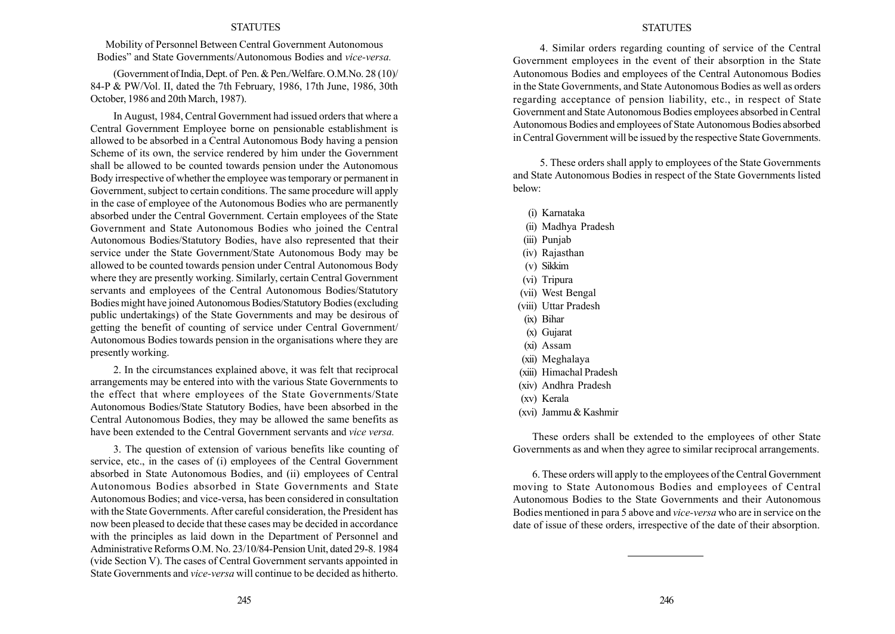Mobility of Personnel Between Central Government Autonomous Bodies" and State Governments/Autonomous Bodies and *vice-versa*.

(Government ofIndia, Dept. of Pen. & Pen./Welfare. O.M.No. 28 (10)/ 84-P & PW/Vol. II, dated the 7th February, 1986, 17th June, 1986, 30th October, 1986 and 20th March, 1987).

In August, 1984, Central Government had issued orders that where a Central Government Employee borne on pensionable establishment is allowed to be absorbed in a Central Autonomous Body having a pension Scheme of its own, the service rendered by him under the Government shall be allowed to be counted towards pension under the Autonomous Body irrespective of whether the employee was temporary or permanent in Government, subject to certain conditions. The same procedure will apply in the case of employee of the Autonomous Bodies who are permanently absorbed under the Central Government. Certain employees of the State Government and State Autonomous Bodies who joined the Central Autonomous Bodies/Statutory Bodies, have also represented that their service under the State Government/State Autonomous Body may be allowed to be counted towards pension under Central Autonomous Body where they are presently working. Similarly, certain Central Government servants and employees of the Central Autonomous Bodies/Statutory Bodies might have joined Autonomous Bodies/Statutory Bodies (excluding public undertakings) of the State Governments and may be desirous of getting the benefit of counting of service under Central Government/ Autonomous Bodies towards pension in the organisations where they are presently working.

2. In the circumstances explained above, it was felt that reciprocal arrangements may be entered into with the various State Governments to the effect that where employees of the State Governments/State Autonomous Bodies/State Statutory Bodies, have been absorbed in the Central Autonomous Bodies, they may be allowed the same benefits as have been extended to the Central Government servants and vice versa.

3. The question of extension of various benefits like counting of service, etc., in the cases of (i) employees of the Central Government absorbed in State Autonomous Bodies, and (ii) employees of Central Autonomous Bodies absorbed in State Governments and State Autonomous Bodies; and vice-versa, has been considered in consultation with the State Governments. After careful consideration, the President has now been pleased to decide that these cases may be decided in accordance with the principles as laid down in the Department of Personnel and Administrative Reforms O.M. No. 23/10/84-Pension Unit, dated 29-8. 1984 (vide Section V). The cases of Central Government servants appointed in State Governments and vice-versa will continue to be decided as hitherto.

## **STATUTES**

4. Similar orders regarding counting of service of the Central Government employees in the event of their absorption in the State Autonomous Bodies and employees of the Central Autonomous Bodies in the State Governments, and State Autonomous Bodies as well as orders regarding acceptance of pension liability, etc., in respect of State Government and State Autonomous Bodies employees absorbed in Central Autonomous Bodies and employees of State Autonomous Bodies absorbed in Central Government will be issued by the respective State Governments.

5. These orders shall apply to employees of the State Governments and State Autonomous Bodies in respect of the State Governments listed below:

- (i) Karnataka (ii) Madhya Pradesh (iii) Punjab (iv) Rajasthan (v) Sikkim (vi) Tripura (vii) West Bengal (viii) Uttar Pradesh (ix) Bihar (x) Gujarat
- (xi) Assam
- (xii) Meghalaya
- (xiii) Himachal Pradesh
- (xiv) Andhra Pradesh
- (xv) Kerala
- (xvi) Jammu & Kashmir

These orders shall be extended to the employees of other State Governments as and when they agree to similar reciprocal arrangements.

6. These orders will apply to the employees of the Central Government moving to State Autonomous Bodies and employees of Central Autonomous Bodies to the State Governments and their Autonomous Bodies mentioned in para 5 above and vice-versa who are in service on the date of issue of these orders, irrespective of the date of their absorption.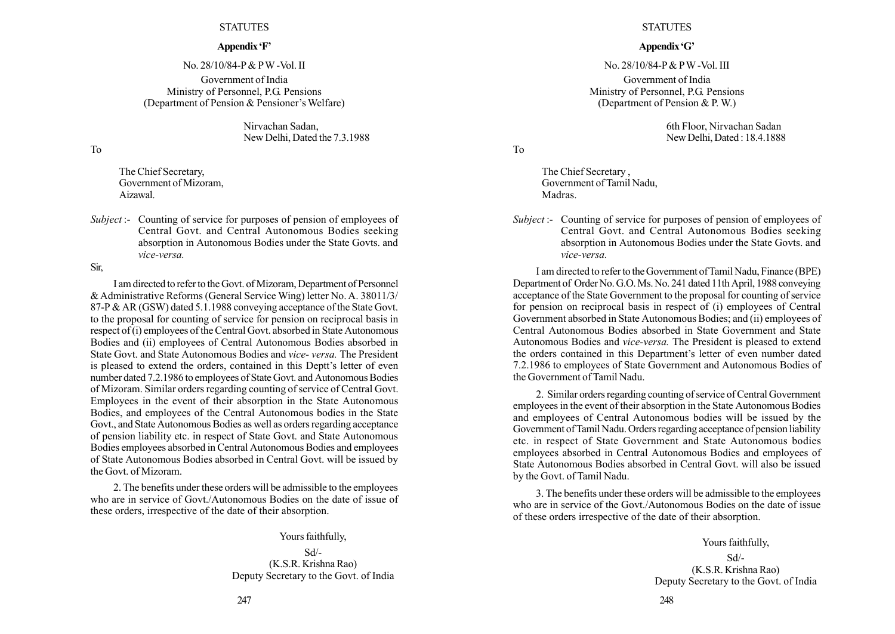#### Appendix 'F'

No. 28/10/84-P & PW -Vol. II Government of India Ministry of Personnel, P.G. Pensions (Department of Pension  $&$  Pensioner's Welfare)

> Nirvachan Sadan, New Delhi, Dated the 7.3.1988

To

The Chief Secretary, Government of Mizoram, Aizawal.

Subject :- Counting of service for purposes of pension of employees of Central Govt. and Central Autonomous Bodies seeking absorption in Autonomous Bodies under the State Govts. and vice-versa.

Sir,

I am directed to refer to the Govt. of Mizoram, Department of Personnel & Administrative Reforms (General Service Wing) letter No. A. 38011/3/ 87-P & AR (GSW) dated 5.1.1988 conveying acceptance of the State Govt. to the proposal for counting of service for pension on reciprocal basis in respect of (i) employees of the Central Govt. absorbed in State Autonomous Bodies and (ii) employees of Central Autonomous Bodies absorbed in State Govt. and State Autonomous Bodies and vice- versa. The President is pleased to extend the orders, contained in this Deptt's letter of even number dated 7.2.1986 to employees of State Govt. and Autonomous Bodies of Mizoram. Similar orders regarding counting of service of Central Govt. Employees in the event of their absorption in the State Autonomous Bodies, and employees of the Central Autonomous bodies in the State Govt., and State Autonomous Bodies as well as orders regarding acceptance of pension liability etc. in respect of State Govt. and State Autonomous Bodies employees absorbed in Central Autonomous Bodies and employees of State Autonomous Bodies absorbed in Central Govt. will be issued by the Govt. of Mizoram.

2. The benefits under these orders will be admissible to the employees who are in service of Govt./Autonomous Bodies on the date of issue of these orders, irrespective of the date of their absorption.

# Yours faithfully,

Sd/- (K.S.R. Krishna Rao) Deputy Secretary to the Govt. of India

#### **STATUTES**

#### Appendix 'G'

No. 28/10/84-P& PW -Vol. III Government of India Ministry of Personnel, P.G. Pensions (Department of Pension & P. W.)

> 6th Floor, Nirvachan Sadan New Delhi, Dated : 18.4.1888

To

The Chief Secretary , Government of Tamil Nadu, Madras.

Subject :- Counting of service for purposes of pension of employees of Central Govt. and Central Autonomous Bodies seeking absorption in Autonomous Bodies under the State Govts. and vice-versa.

I am directed to refer to theGovernment ofTamil Nadu, Finance (BPE) Department of Order No. G.O.Ms. No. 241 dated 11th April, 1988 conveying acceptance of the State Government to the proposal for counting of service for pension on reciprocal basis in respect of (i) employees of Central Government absorbed in State Autonomous Bodies; and (ii) employees of Central Autonomous Bodies absorbed in State Government and State Autonomous Bodies and vice-versa. The President is pleased to extend the orders contained in this Department's letter of even number dated 7.2.1986 to employees of State Government and Autonomous Bodies of the Government of Tamil Nadu.

2. Similar orders regarding counting of service of Central Government employees in the event of their absorption in the State Autonomous Bodies and employees of Central Autonomous bodies will be issued by the Government of Tamil Nadu. Orders regarding acceptance of pension liability etc. in respect of State Government and State Autonomous bodies employees absorbed in Central Autonomous Bodies and employees of State Autonomous Bodies absorbed in Central Govt. will also be issued by the Govt. of Tamil Nadu.

3. The benefits under these orders will be admissible to the employees who are in service of the Govt./Autonomous Bodies on the date of issue of these orders irrespective of the date of their absorption.

> Yours faithfully, Sd/- (K.S.R. Krishna Rao) Deputy Secretary to the Govt. of India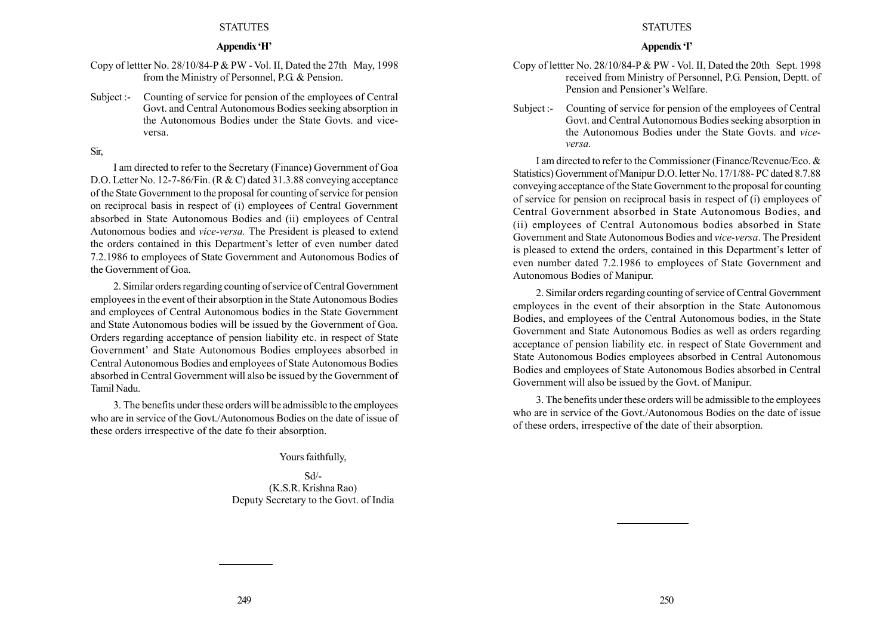# Appendix 'H'

Copy of lettter No. 28/10/84-P & PW - Vol. II, Dated the 27th May, 1998 from the Ministry of Personnel, P.G. & Pension.

Subject :- Counting of service for pension of the employees of Central Govt. and Central Autonomous Bodies seeking absorption in the Autonomous Bodies under the State Govts. and viceversa.

## Sir,

I am directed to refer to the Secretary (Finance) Government of Goa D.O. Letter No. 12-7-86/Fin. (R & C) dated 31.3.88 conveying acceptance of the State Government to the proposal for counting of service for pension on reciprocal basis in respect of (i) employees of Central Government absorbed in State Autonomous Bodies and (ii) employees of Central Autonomous bodies and vice-versa. The President is pleased to extend the orders contained in this Department's letter of even number dated 7.2.1986 to employees of State Government and Autonomous Bodies of the Government of Goa.

2. Similar orders regarding counting of service of Central Government employees in the event of their absorption in the State Autonomous Bodies and employees of Central Autonomous bodies in the State Government and State Autonomous bodies will be issued by the Government of Goa. Orders regarding acceptance of pension liability etc. in respect of State Government' and State Autonomous Bodies employees absorbed in Central Autonomous Bodies and employees of State Autonomous Bodies absorbed in Central Government will also be issued by the Government of Tamil Nadu.

3. The benefits under these orders will be admissible to the employees who are in service of the Govt./Autonomous Bodies on the date of issue of these orders irrespective of the date fo their absorption.

Yours faithfully,

Sd/- (K.S.R. Krishna Rao) Deputy Secretary to the Govt. of India

#### **STATUTES**

## Appendix T

- Copy of lettter No. 28/10/84-P & PW Vol. II, Dated the 20th Sept. 1998 received from Ministry of Personnel, P.G. Pension, Deptt. of Pension and Pensioner's Welfare.
- Subject :- Counting of service for pension of the employees of Central Govt. and Central Autonomous Bodies seeking absorption in the Autonomous Bodies under the State Govts. and viceversa.

I am directed to refer to the Commissioner (Finance/Revenue/Eco. & Statistics) Government of Manipur D.O. letter No. 17/1/88- PC dated 8.7.88 conveying acceptance of the State Government to the proposal for counting of service for pension on reciprocal basis in respect of (i) employees of Central Government absorbed in State Autonomous Bodies, and (ii) employees of Central Autonomous bodies absorbed in State Government and State Autonomous Bodies and vice-versa. The President is pleased to extend the orders, contained in this Department's letter of even number dated 7.2.1986 to employees of State Government and Autonomous Bodies of Manipur.

2. Similar orders regarding counting of service of Central Government employees in the event of their absorption in the State Autonomous Bodies, and employees of the Central Autonomous bodies, in the State Government and State Autonomous Bodies as well as orders regarding acceptance of pension liability etc. in respect of State Government and State Autonomous Bodies employees absorbed in Central Autonomous Bodies and employees of State Autonomous Bodies absorbed in Central Government will also be issued by the Govt. of Manipur.

3. The benefits under these orders will be admissible to the employees who are in service of the Govt./Autonomous Bodies on the date of issue of these orders, irrespective of the date of their absorption.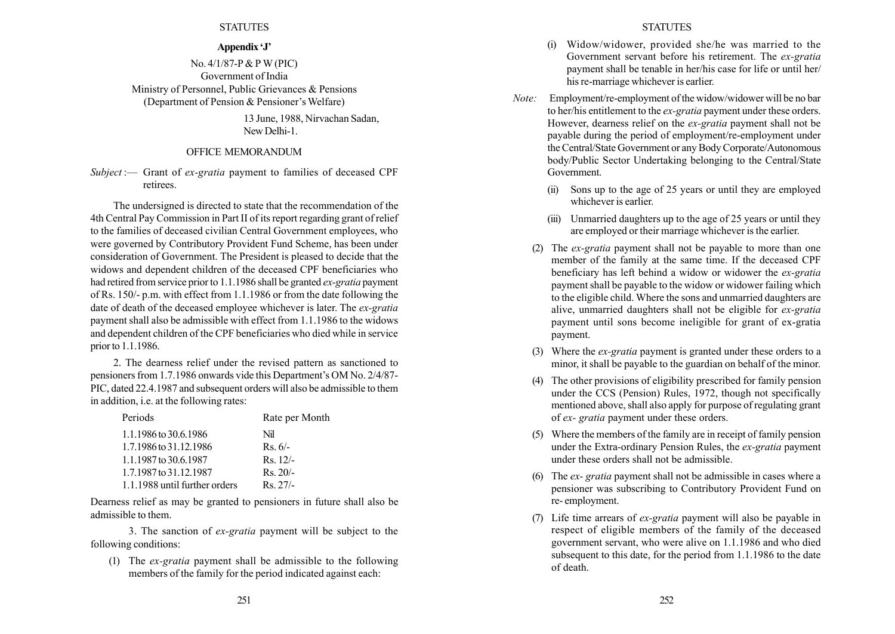# Appendix 'J'

No. 4/1/87-P&PW (PIC) Government of India Ministry of Personnel, Public Grievances & Pensions (Department of Pension  $&$  Pensioner's Welfare)

> 13 June, 1988, Nirvachan Sadan, New Delhi-1.

# OFFICE MEMORANDUM

Subject :— Grant of ex-gratia payment to families of deceased CPF retirees.

The undersigned is directed to state that the recommendation of the 4th Central Pay Commission in Part II of its report regarding grant of relief to the families of deceased civilian Central Government employees, who were governed by Contributory Provident Fund Scheme, has been under consideration of Government. The President is pleased to decide that the widows and dependent children of the deceased CPF beneficiaries who had retired from service prior to 1.1.1986 shall be granted ex-gratia payment of Rs. 150/- p.m. with effect from 1.1.1986 or from the date following the date of death of the deceased employee whichever is later. The ex-gratia payment shall also be admissible with effect from 1.1.1986 to the widows and dependent children of the CPF beneficiaries who died while in service prior to 1.1.1986.

2. The dearness relief under the revised pattern as sanctioned to pensioners from 1.7.1986 onwards vide this Department's OM No. 2/4/87-PIC, dated 22.4.1987 and subsequent orders will also be admissible to them in addition, i.e. at the following rates:

| Periods                       | Rate per Month |
|-------------------------------|----------------|
| 1.1.1986 to 30.6.1986         | Nil            |
| 1.7.1986 to 31.12.1986        | $Rs.6/-$       |
| 1.1.1987 to 30.6.1987         | $Rs. 12/-$     |
| 1.7.1987 to 31.12.1987        | $Rs. 20/-$     |
| 1.1.1988 until further orders | $Rs$ 27/-      |

Dearness relief as may be granted to pensioners in future shall also be admissible to them.

3. The sanction of ex-gratia payment will be subject to the following conditions:

(1) The ex-gratia payment shall be admissible to the following members of the family for the period indicated against each:

- (i) Widow/widower, provided she/he was married to the Government servant before his retirement. The ex-gratia payment shall be tenable in her/his case for life or until her/ his re-marriage whichever is earlier.
- Note: Employment/re-employment of the widow/widower will be no bar to her/his entitlement to the ex-gratia payment under these orders. However, dearness relief on the ex-gratia payment shall not be payable during the period of employment/re-employment under the Central/State Government or any Body Corporate/Autonomous body/Public Sector Undertaking belonging to the Central/State Government.
	- (ii) Sons up to the age of 25 years or until they are employed whichever is earlier.
	- (iii) Unmarried daughters up to the age of 25 years or until they are employed or their marriage whichever is the earlier.
	- (2) The ex-gratia payment shall not be payable to more than one member of the family at the same time. If the deceased CPF beneficiary has left behind a widow or widower the ex-gratia payment shall be payable to the widow or widower failing which to the eligible child. Where the sons and unmarried daughters are alive, unmarried daughters shall not be eligible for ex-gratia payment until sons become ineligible for grant of ex-gratia payment.
	- (3) Where the ex-gratia payment is granted under these orders to a minor, it shall be payable to the guardian on behalf of the minor.
	- (4) The other provisions of eligibility prescribed for family pension under the CCS (Pension) Rules, 1972, though not specifically mentioned above, shall also apply for purpose of regulating grant of ex- gratia payment under these orders.
	- (5) Where the members of the family are in receipt of family pension under the Extra-ordinary Pension Rules, the ex-gratia payment under these orders shall not be admissible.
	- (6) The ex- gratia payment shall not be admissible in cases where a pensioner was subscribing to Contributory Provident Fund on re- employment.
	- (7) Life time arrears of ex-gratia payment will also be payable in respect of eligible members of the family of the deceased government servant, who were alive on 1.1.1986 and who died subsequent to this date, for the period from 1.1.1986 to the date of death.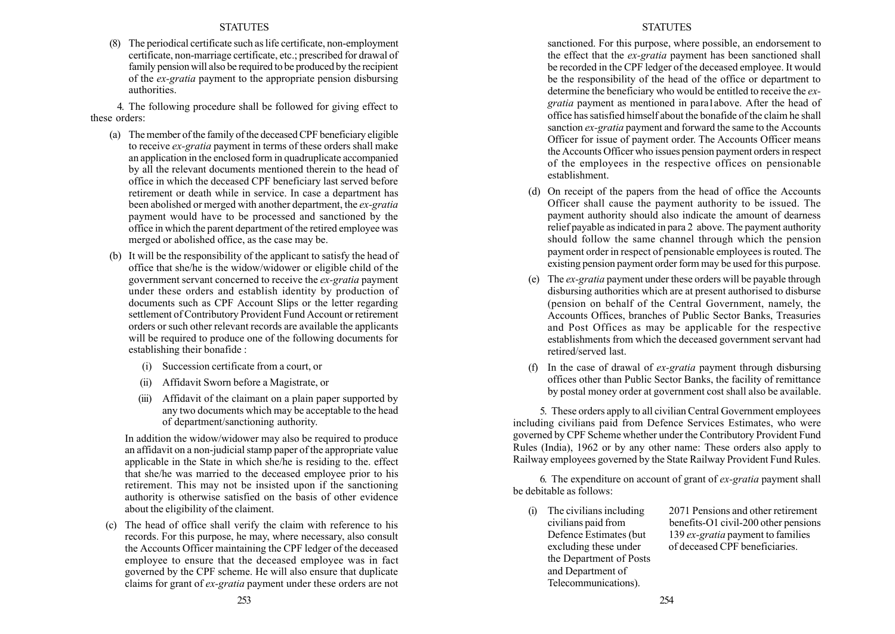The periodical certificate such as life certificate, non-employment certificate, non-marriage certificate, etc.; prescribed for drawal of family pension will also be required to be produced by the recipient of the ex-gratia payment to the appropriate pension disbursing authorities.

4. The following procedure shall be followed for giving effect to these orders:

- (a) The member of the family of the deceased CPF beneficiary eligible to receive ex-gratia payment in terms of these orders shall make an application in the enclosed form in quadruplicate accompanied by all the relevant documents mentioned therein to the head of office in which the deceased CPF beneficiary last served before retirement or death while in service. In case a department has been abolished or merged with another department, the ex-gratia payment would have to be processed and sanctioned by the office in which the parent department of the retired employee was merged or abolished office, as the case may be.
- (b) It will be the responsibility of the applicant to satisfy the head of office that she/he is the widow/widower or eligible child of the government servant concerned to receive the ex-gratia payment under these orders and establish identity by production of documents such as CPF Account Slips or the letter regarding settlement of Contributory Provident Fund Account or retirement orders or such other relevant records are available the applicants will be required to produce one of the following documents for establishing their bonafide :
	- (i) Succession certificate from a court, or
	- (ii) Affidavit Sworn before a Magistrate, or
	- (iii) Affidavit of the claimant on a plain paper supported by any two documents which may be acceptable to the head of department/sanctioning authority.

In addition the widow/widower may also be required to produce an affidavit on a non-judicial stamp paper of the appropriate value applicable in the State in which she/he is residing to the. effect that she/he was married to the deceased employee prior to his retirement. This may not be insisted upon if the sanctioning authority is otherwise satisfied on the basis of other evidence about the eligibility of the claiment.

(c) The head of office shall verify the claim with reference to his records. For this purpose, he may, where necessary, also consult the Accounts Officer maintaining the CPF ledger of the deceased employee to ensure that the deceased employee was in fact governed by the CPF scheme. He will also ensure that duplicate claims for grant of ex-gratia payment under these orders are not

# **STATUTES**

sanctioned. For this purpose, where possible, an endorsement to the effect that the *ex-gratia* payment has been sanctioned shall be recorded in the CPF ledger of the deceased employee. It would be the responsibility of the head of the office or department to determine the beneficiary who would be entitled to receive the exgratia payment as mentioned in para1above. After the head of office has satisfied himself about the bonafide of the claim he shall sanction ex-gratia payment and forward the same to the Accounts Officer for issue of payment order. The Accounts Officer means the Accounts Officer who issues pension payment orders in respect of the employees in the respective offices on pensionable establishment.

- (d) On receipt of the papers from the head of office the Accounts Officer shall cause the payment authority to be issued. The payment authority should also indicate the amount of dearness relief payable as indicated in para 2 above. The payment authority should follow the same channel through which the pension payment order in respect of pensionable employees is routed. The existing pension payment order form may be used for this purpose.
- (e) The ex-gratia payment under these orders will be payable through disbursing authorities which are at present authorised to disburse (pension on behalf of the Central Government, namely, the Accounts Offices, branches of Public Sector Banks, Treasuries and Post Offices as may be applicable for the respective establishments from which the deceased government servant had retired/served last.
- (f) In the case of drawal of ex-gratia payment through disbursing offices other than Public Sector Banks, the facility of remittance by postal money order at government cost shall also be available.

5. These orders apply to all civilian Central Government employees including civilians paid from Defence Services Estimates, who were governed by CPF Scheme whether under the Contributory Provident Fund Rules (India), 1962 or by any other name: These orders also apply to Railway employees governed by the State Railway Provident Fund Rules.

6. The expenditure on account of grant of ex-gratia payment shall be debitable as follows:

the Department of Posts and Department of Telecommunications).

(i) The civilians including 2071 Pensions and other retirement civilians paid from benefits-O1 civil-200 other pensions Defence Estimates (but 139 ex-gratia payment to families excluding these under of deceased CPF beneficiaries.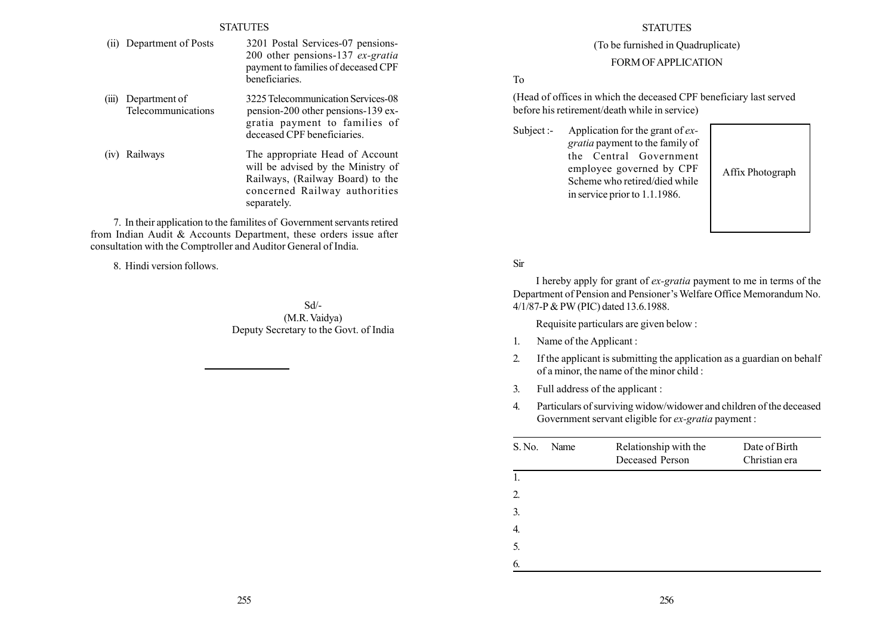- (ii) Department of Posts 3201 Postal Services-07 pensions-200 other pensions-137 ex-gratia payment to families of deceased CPF beneficiaries.
- (iii) Department of 3225Telecommunication Services-08 Telecommunications pension-200 other pensions-139 exgratia payment to families of deceased CPF beneficiaries.
- (iv) Railways The appropriate Head of Account will be advised by the Ministry of Railways, (Railway Board) to the concerned Railway authorities separately.

7. In their application to the familites of Government servants retired from Indian Audit & Accounts Department, these orders issue after consultation with the Comptroller and Auditor General of India.

8. Hindi version follows.

Sd/- (M.R. Vaidya) Deputy Secretary to the Govt. of India

# **STATUTES**

# (To be furnished in Quadruplicate)

# FORM OF APPLICATION

# To

(Head of offices in which the deceased CPF beneficiary last served before his retirement/death while in service)

Subject :- Application for the grant of  $ex$ gratia payment to the family of the Central Government employee governed by CPF Scheme who retired/died while in service prior to 1.1.1986.

Affix Photograph

# Sir

I hereby apply for grant of ex-gratia payment to me in terms of the Department of Pension and Pensioner's Welfare Office Memorandum No. 4/1/87-P & PW (PIC) dated 13.6.1988.

Requisite particulars are given below :

- 1. Name of the Applicant :
- 2. If the applicant is submitting the application as a guardian on behalf of a minor, the name of the minor child :
- 3. Full address of the applicant :
- 4. Particulars of surviving widow/widower and children of the deceased Government servant eligible for ex-gratia payment :

| S. No. | Name | Relationship with the<br>Deceased Person | Date of Birth<br>Christian era |
|--------|------|------------------------------------------|--------------------------------|
| 1.     |      |                                          |                                |
| 2.     |      |                                          |                                |
| 3.     |      |                                          |                                |
| 4.     |      |                                          |                                |
| 5.     |      |                                          |                                |
| 6.     |      |                                          |                                |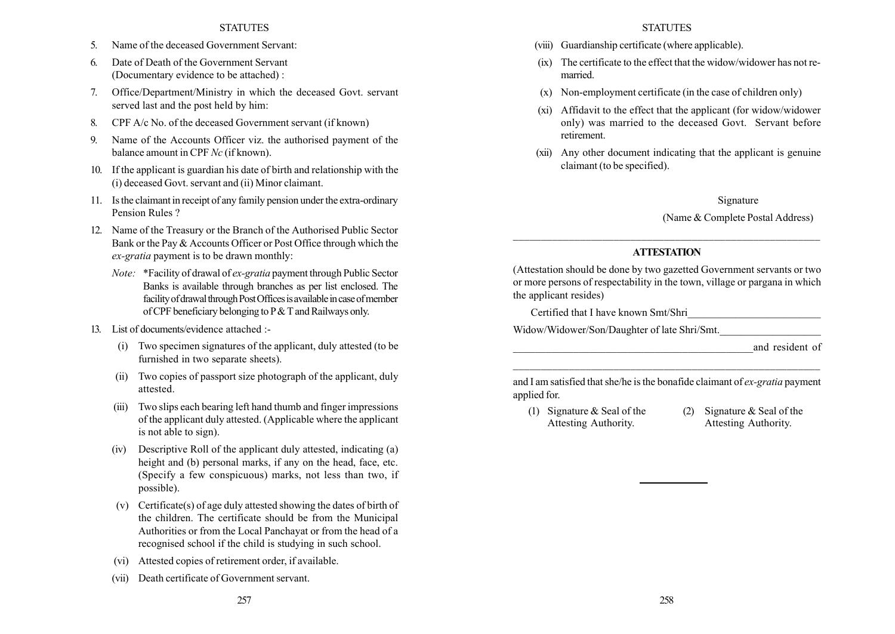- 5. Name of the deceased Government Servant:
- 6. Date of Death of the Government Servant (Documentary evidence to be attached) :
- 7. Office/Department/Ministry in which the deceased Govt. servant served last and the post held by him:
- 8. CPF A/c No. of the deceased Government servant (if known)
- 9. Name of the Accounts Officer viz. the authorised payment of the balance amount in CPF Nc (if known).
- 10. If the applicant is guardian his date of birth and relationship with the (i) deceased Govt. servant and (ii) Minor claimant.
- 11. Is the claimant in receipt of any family pension under the extra-ordinary Pension Rules ?
- 12. Name of the Treasury or the Branch of the Authorised Public Sector Bank or the Pay & Accounts Officer or Post Office through which the ex-gratia payment is to be drawn monthly:
	- Note: \*Facility of drawal of ex-gratia payment through Public Sector Banks is available through branches as per list enclosed. The facility of drawal through Post Offices is available in case of member of CPF beneficiary belonging to P& T and Railways only.
- 13. List of documents/evidence attached :-
	- (i) Two specimen signatures of the applicant, duly attested (to be furnished in two separate sheets).
	- (ii) Two copies of passport size photograph of the applicant, duly attested.
	- (iii) Two slips each bearing left hand thumb and finger impressions of the applicant duly attested. (Applicable where the applicant is not able to sign).
	- (iv) Descriptive Roll of the applicant duly attested, indicating (a) height and (b) personal marks, if any on the head, face, etc. (Specify a few conspicuous) marks, not less than two, if possible).
	- (v) Certificate(s) of age duly attested showing the dates of birth of the children. The certificate should be from the Municipal Authorities or from the Local Panchayat or from the head of a recognised school if the child is studying in such school.
	- (vi) Attested copies of retirement order, if available.
	- (vii) Death certificate of Government servant.

# **STATUTES**

- (viii) Guardianship certificate (where applicable).
- (ix) The certificate to the effect that the widow/widower has not remarried.
- (x) Non-employment certificate (in the case of children only)
- (xi) Affidavit to the effect that the applicant (for widow/widower only) was married to the deceased Govt. Servant before retirement.
- (xii) Any other document indicating that the applicant is genuine claimant (to be specified).

# Signature

# (Name & Complete Postal Address)

# **ATTESTATION**

(Attestation should be done by two gazetted Government servants or two or more persons of respectability in the town, village or pargana in which the applicant resides)

Certified that I have known Smt/Shri\_\_\_\_\_\_\_\_\_\_\_\_\_\_\_\_\_\_\_\_\_\_\_\_\_

Widow/Widower/Son/Daughter of late Shri/Smt.

and resident of

and I am satisfied that she/he is the bonafide claimant of ex-gratia payment applied for.

- (1) Signature  $\&$  Seal of the (2) Signature  $\&$  Seal of the
	- Attesting Authority. Attesting Authority.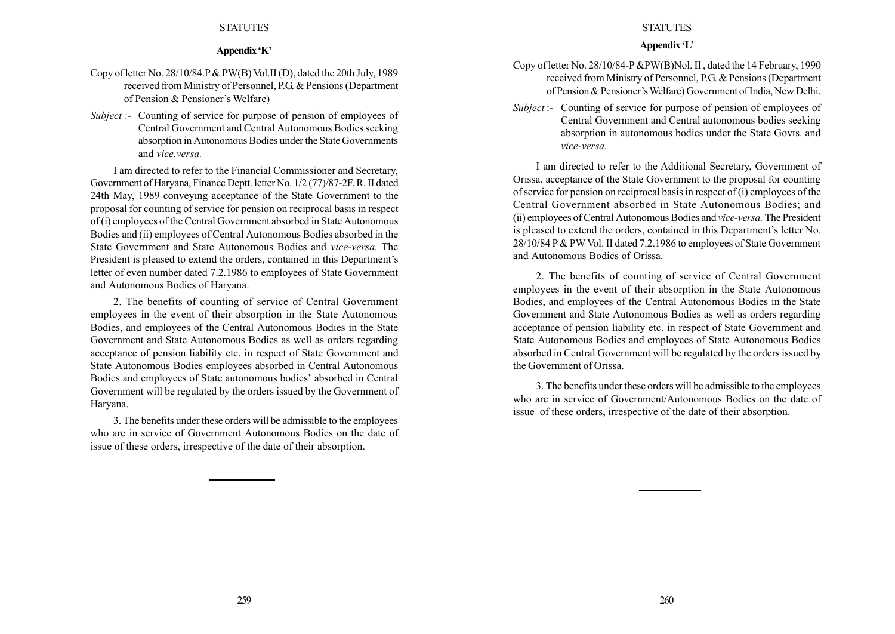## Appendix 'K'

- Copy of letter No. 28/10/84.P& PW(B) Vol.II (D), dated the 20th July, 1989 received from Ministry of Personnel, P.G. & Pensions (Department of Pension & Pensioner's Welfare)
- Subject :- Counting of service for purpose of pension of employees of Central Government and Central Autonomous Bodies seeking absorption in Autonomous Bodies under the State Governments and vice.versa.

I am directed to refer to the Financial Commissioner and Secretary, Government of Haryana, Finance Deptt. letter No. 1/2 (77)/87-2F. R. II dated 24th May, 1989 conveying acceptance of the State Government to the proposal for counting of service for pension on reciprocal basis in respect of (i) employees of the Central Government absorbed in State Autonomous Bodies and (ii) employees of Central Autonomous Bodies absorbed in the State Government and State Autonomous Bodies and vice-versa. The President is pleased to extend the orders, contained in this Department's letter of even number dated 7.2.1986 to employees of State Government and Autonomous Bodies of Haryana.

2. The benefits of counting of service of Central Government employees in the event of their absorption in the State Autonomous Bodies, and employees of the Central Autonomous Bodies in the State Government and State Autonomous Bodies as well as orders regarding acceptance of pension liability etc. in respect of State Government and State Autonomous Bodies employees absorbed in Central Autonomous Bodies and employees of State autonomous bodies' absorbed in Central Government will be regulated by the orders issued by the Government of Haryana.

3. The benefits under these orders will be admissible to the employees who are in service of Government Autonomous Bodies on the date of issue of these orders, irrespective of the date of their absorption.

# **STATUTES**

# Appendix 'L'

- Copy of letter No. 28/10/84-P &PW(B)Nol. II , dated the 14 February, 1990 received from Ministry of Personnel, P.G. & Pensions (Department of Pension & Pensioner's Welfare) Government of India, New Delhi.
- Subject :- Counting of service for purpose of pension of employees of Central Government and Central autonomous bodies seeking absorption in autonomous bodies under the State Govts. and vice-versa.

I am directed to refer to the Additional Secretary, Government of Orissa, acceptance of the State Government to the proposal for counting of service for pension on reciprocal basis in respect of (i) employees of the Central Government absorbed in State Autonomous Bodies; and (ii) employees of Central Autonomous Bodies and vice-versa. The President is pleased to extend the orders, contained in this Department's letter No. 28/10/84 P & PW Vol. II dated 7.2.1986 to employees of State Government and Autonomous Bodies of Orissa.

2. The benefits of counting of service of Central Government employees in the event of their absorption in the State Autonomous Bodies, and employees of the Central Autonomous Bodies in the State Government and State Autonomous Bodies as well as orders regarding acceptance of pension liability etc. in respect of State Government and State Autonomous Bodies and employees of State Autonomous Bodies absorbed in Central Government will be regulated by the orders issued by the Government of Orissa.

3. The benefits under these orders will be admissible to the employees who are in service of Government/Autonomous Bodies on the date of issue of these orders, irrespective of the date of their absorption.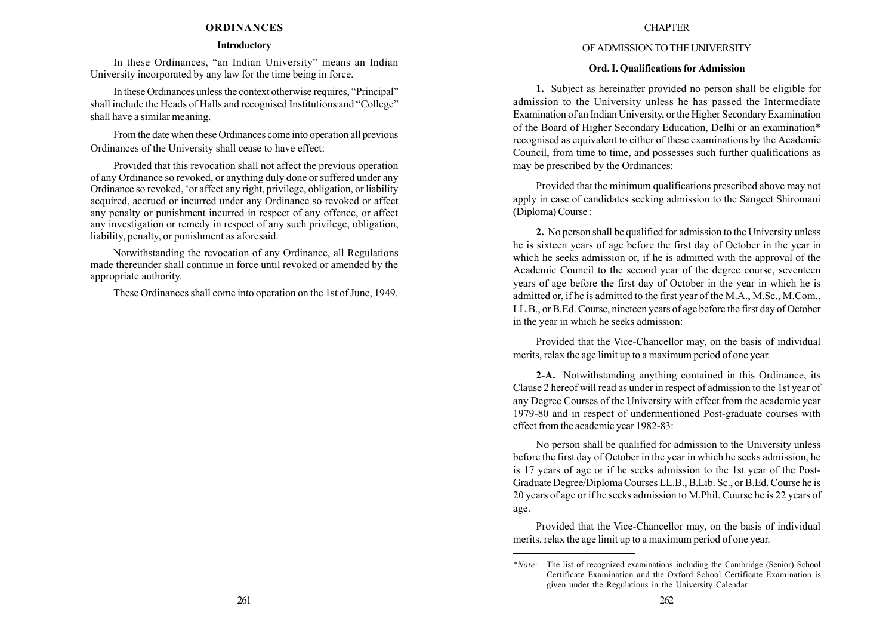#### ORDINANCES

#### Introductory

In these Ordinances, "an Indian University" means an Indian University incorporated by any law for the time being in force.

In these Ordinances unless the context otherwise requires, "Principal" shall include the Heads of Halls and recognised Institutions and "College" shall have a similar meaning.

From the date when these Ordinances come into operation all previous Ordinances of the University shall cease to have effect:

Provided that this revocation shall not affect the previous operation of any Ordinance so revoked, or anything duly done or suffered under any Ordinance so revoked, ëor affect any right, privilege, obligation, or liability acquired, accrued or incurred under any Ordinance so revoked or affect any penalty or punishment incurred in respect of any offence, or affect any investigation or remedy in respect of any such privilege, obligation, liability, penalty, or punishment as aforesaid.

Notwithstanding the revocation of any Ordinance, all Regulations made thereunder shall continue in force until revoked or amended by the appropriate authority.

These Ordinances shall come into operation on the 1st of June, 1949.

#### **CHAPTER**

# OF ADMISSIONTOTHE UNIVERSITY

## Ord. I. Qualifications for Admission

1. Subject as hereinafter provided no person shall be eligible for admission to the University unless he has passed the Intermediate Examination of an Indian University, or the Higher Secondary Examination of the Board of Higher Secondary Education, Delhi or an examination\* recognised as equivalent to either of these examinations by the Academic Council, from time to time, and possesses such further qualifications as may be prescribed by the Ordinances:

Provided that the minimum qualifications prescribed above may not apply in case of candidates seeking admission to the Sangeet Shiromani (Diploma) Course :

2. No person shall be qualified for admission to the University unless he is sixteen years of age before the first day of October in the year in which he seeks admission or, if he is admitted with the approval of the Academic Council to the second year of the degree course, seventeen years of age before the first day of October in the year in which he is admitted or, if he is admitted to the first year of the M.A., M.Sc., M.Com., LL.B., or B.Ed. Course, nineteen years of age before the first day of October in the year in which he seeks admission:

Provided that the Vice-Chancellor may, on the basis of individual merits, relax the age limit up to a maximum period of one year.

2-A. Notwithstanding anything contained in this Ordinance, its Clause 2 hereof will read as under in respect of admission to the 1st year of any Degree Courses of the University with effect from the academic year 1979-80 and in respect of undermentioned Post-graduate courses with effect from the academic year 1982-83:

No person shall be qualified for admission to the University unless before the first day of October in the year in which he seeks admission, he is 17 years of age or if he seeks admission to the 1st year of the Post-Graduate Degree/Diploma Courses LL.B., B.Lib. Sc., or B.Ed. Course he is 20 years of age or if he seeks admission to M.Phil. Course he is 22 years of age.

Provided that the Vice-Chancellor may, on the basis of individual merits, relax the age limit up to a maximum period of one year.

<sup>\*</sup>Note: The list of recognized examinations including the Cambridge (Senior) School Certificate Examination and the Oxford School Certificate Examination is given under the Regulations in the University Calendar.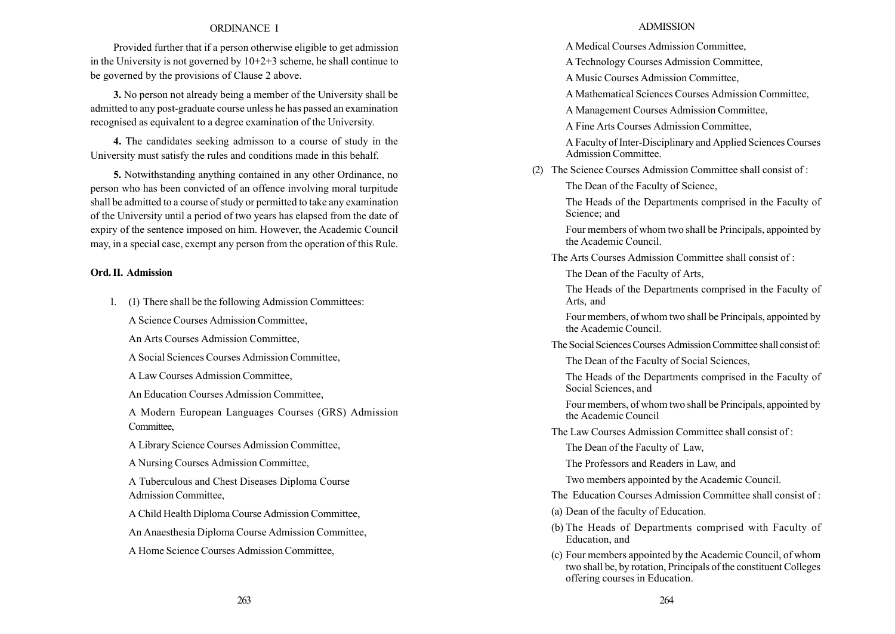#### ORDINANCE I

Provided further that if a person otherwise eligible to get admission in the University is not governed by  $10+2+3$  scheme, he shall continue to be governed by the provisions of Clause 2 above.

3. No person not already being a member of the University shall be admitted to any post-graduate course unless he has passed an examination recognised as equivalent to a degree examination of the University.

4. The candidates seeking admisson to a course of study in the University must satisfy the rules and conditions made in this behalf.

5. Notwithstanding anything contained in any other Ordinance, no person who has been convicted of an offence involving moral turpitude shall be admitted to a course of study or permitted to take any examination of the University until a period of two years has elapsed from the date of expiry of the sentence imposed on him. However, the Academic Council may, in a special case, exempt any person from the operation of this Rule.

## Ord. II. Admission

1. (1) There shall be the following Admission Committees:

A Science Courses Admission Committee,

An Arts Courses Admission Committee,

A Social Sciences Courses Admission Committee,

A Law Courses Admission Committee,

An Education Courses Admission Committee,

A Modern European Languages Courses (GRS) Admission Committee,

A Library Science Courses Admission Committee,

A Nursing Courses Admission Committee,

A Tuberculous and Chest Diseases Diploma Course Admission Committee,

A Child Health Diploma Course Admission Committee,

An Anaesthesia Diploma Course Admission Committee,

A Home Science Courses Admission Committee,

#### ADMISSION

A Medical Courses Admission Committee,

A Technology Courses Admission Committee,

A Music Courses Admission Committee,

A Mathematical Sciences Courses Admission Committee,

A Management Courses Admission Committee,

A Fine Arts Courses Admission Committee,

A Faculty of Inter-Disciplinary and Applied Sciences Courses Admission Committee.

(2) The Science Courses Admission Committee shall consist of :

The Dean of the Faculty of Science,

The Heads of the Departments comprised in the Faculty of Science; and

Four members of whom two shall be Principals, appointed by the Academic Council.

The Arts Courses Admission Committee shall consist of :

The Dean of the Faculty of Arts,

The Heads of the Departments comprised in the Faculty of Arts, and

Four members, of whom two shall be Principals, appointed by the Academic Council.

The Social Sciences Courses Admission Committee shall consist of:

The Dean of the Faculty of Social Sciences,

The Heads of the Departments comprised in the Faculty of Social Sciences, and

Four members, of whom two shall be Principals, appointed by the Academic Council

The Law Courses Admission Committee shall consist of :

The Dean of the Faculty of Law,

The Professors and Readers in Law, and

Two members appointed by the Academic Council.

The Education Courses Admission Committee shall consist of :

(a) Dean of the faculty of Education.

- (b) The Heads of Departments comprised with Faculty of Education, and
- (c) Four members appointed by the Academic Council, of whom two shall be, by rotation, Principals of the constituent Colleges offering courses in Education.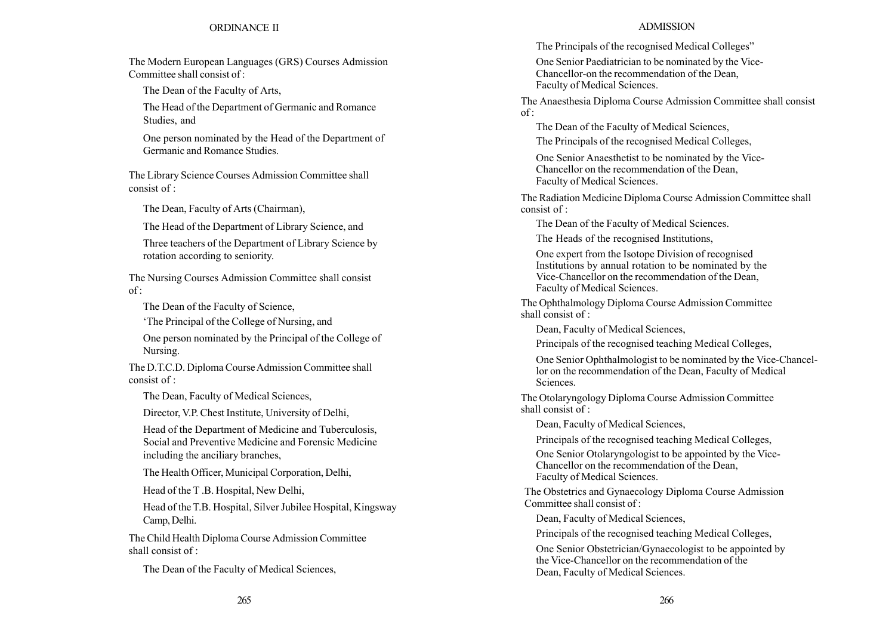# ORDINANCE II

The Modern European Languages (GRS) Courses Admission Committee shall consist of :

The Dean of the Faculty of Arts,

The Head of the Department of Germanic and Romance Studies, and

One person nominated by the Head of the Department of Germanic and Romance Studies.

The Library Science Courses Admission Committee shall consist of :

The Dean, Faculty of Arts (Chairman),

The Head of the Department of Library Science, and

Three teachers of the Department of Library Science by rotation according to seniority.

The Nursing Courses Admission Committee shall consist  $of$ :

The Dean of the Faculty of Science,

ëThe Principal of the College of Nursing, and

One person nominated by the Principal of the College of Nursing.

The D.T.C.D. Diploma Course Admission Committee shall consist of :

The Dean, Faculty of Medical Sciences,

Director, V.P. Chest Institute, University of Delhi,

Head of the Department of Medicine and Tuberculosis, Social and Preventive Medicine and Forensic Medicine including the anciliary branches,

The Health Officer, Municipal Corporation, Delhi,

Head of the T .B. Hospital, New Delhi,

Head of the T.B. Hospital, Silver Jubilee Hospital, Kingsway Camp, Delhi.

The Child Health Diploma Course Admission Committee shall consist of  $\cdot$ 

The Dean of the Faculty of Medical Sciences,

# ADMISSION

The Principals of the recognised Medical Colleges<sup>"</sup>

One Senior Paediatrician to be nominated by the Vice-Chancellor-on the recommendation of the Dean, Faculty of Medical Sciences.

The Anaesthesia Diploma Course Admission Committee shall consist  $of$ :

The Dean of the Faculty of Medical Sciences,

The Principals of the recognised Medical Colleges,

One Senior Anaesthetist to be nominated by the Vice-Chancellor on the recommendation of the Dean, Faculty of Medical Sciences.

The Radiation Medicine Diploma Course Admission Committee shall consist of :

The Dean of the Faculty of Medical Sciences.

The Heads of the recognised Institutions,

One expert from the Isotope Division of recognised Institutions by annual rotation to be nominated by the Vice-Chancellor on the recommendation of the Dean, Faculty of Medical Sciences.

The Ophthalmology Diploma Course Admission Committee shall consist of :

Dean, Faculty of Medical Sciences,

Principals of the recognised teaching Medical Colleges,

One Senior Ophthalmologist to be nominated by the Vice-Chancellor on the recommendation of the Dean, Faculty of Medical Sciences.

The Otolaryngology Diploma Course Admission Committee shall consist of :

Dean, Faculty of Medical Sciences,

Principals of the recognised teaching Medical Colleges,

One Senior Otolaryngologist to be appointed by the Vice-Chancellor on the recommendation of the Dean, Faculty of Medical Sciences.

The Obstetrics and Gynaecology Diploma Course Admission Committee shall consist of :

Dean, Faculty of Medical Sciences,

Principals of the recognised teaching Medical Colleges,

One Senior Obstetrician/Gynaecologist to be appointed by the Vice-Chancellor on the recommendation of the Dean, Faculty of Medical Sciences.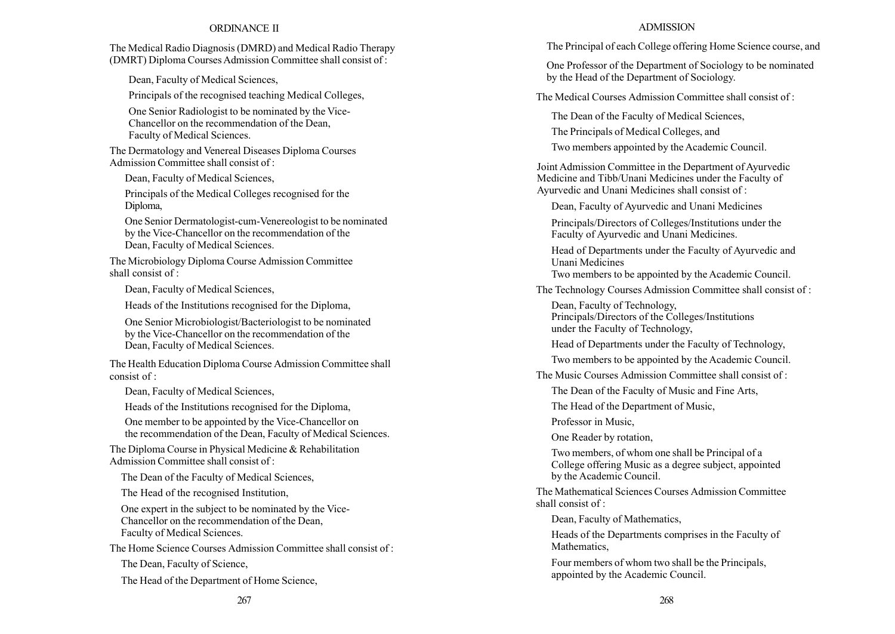## ORDINANCE II

The Medical Radio Diagnosis (DMRD) and Medical Radio Therapy (DMRT) Diploma Courses Admission Committee shall consist of :

Dean, Faculty of Medical Sciences,

Principals of the recognised teaching Medical Colleges,

One Senior Radiologist to be nominated by the Vice-Chancellor on the recommendation of the Dean, Faculty of Medical Sciences.

The Dermatology and Venereal Diseases Diploma Courses Admission Committee shall consist of :

Dean, Faculty of Medical Sciences,

Principals of the Medical Colleges recognised for the Diploma,

One Senior Dermatologist-cum-Venereologist to be nominated by the Vice-Chancellor on the recommendation of the Dean, Faculty of Medical Sciences.

The Microbiology Diploma Course Admission Committee shall consist of :

Dean, Faculty of Medical Sciences,

Heads of the Institutions recognised for the Diploma,

One Senior Microbiologist/Bacteriologist to be nominated by the Vice-Chancellor on the recommendation of the Dean, Faculty of Medical Sciences.

The Health Education Diploma Course Admission Committee shall consist of :

Dean, Faculty of Medical Sciences,

Heads of the Institutions recognised for the Diploma,

One member to be appointed by the Vice-Chancellor on the recommendation of the Dean, Faculty of Medical Sciences.

The Diploma Course in Physical Medicine & Rehabilitation Admission Committee shall consist of :

The Dean of the Faculty of Medical Sciences,

The Head of the recognised Institution,

One expert in the subject to be nominated by the Vice-Chancellor on the recommendation of the Dean, Faculty of Medical Sciences.

The Home Science Courses Admission Committee shall consist of :

The Dean, Faculty of Science,

The Head of the Department of Home Science,

### ADMISSION

The Principal of each College offering Home Science course, and

One Professor of the Department of Sociology to be nominated by the Head of the Department of Sociology.

The Medical Courses Admission Committee shall consist of :

The Dean of the Faculty of Medical Sciences,

The Principals of Medical Colleges, and

Two members appointed by the Academic Council.

Joint Admission Committee in the Department of Ayurvedic Medicine and Tibb/Unani Medicines under the Faculty of Ayurvedic and Unani Medicines shall consist of :

Dean, Faculty of Ayurvedic and Unani Medicines

Principals/Directors of Colleges/Institutions under the Faculty of Ayurvedic and Unani Medicines.

Head of Departments under the Faculty of Ayurvedic and Unani Medicines

Two members to be appointed by the Academic Council.

The Technology Courses Admission Committee shall consist of :

Dean, Faculty of Technology, Principals/Directors of the Colleges/Institutions under the Faculty of Technology,

Head of Departments under the Faculty of Technology,

Two members to be appointed by the Academic Council.

The Music Courses Admission Committee shall consist of :

The Dean of the Faculty of Music and Fine Arts,

The Head of the Department of Music,

Professor in Music,

One Reader by rotation,

Two members, of whom one shall be Principal of a College offering Music as a degree subject, appointed by the Academic Council.

The Mathematical Sciences Courses Admission Committee shall consist of :

Dean, Faculty of Mathematics,

Heads of the Departments comprises in the Faculty of Mathematics,

Four members of whom two shall be the Principals, appointed by the Academic Council.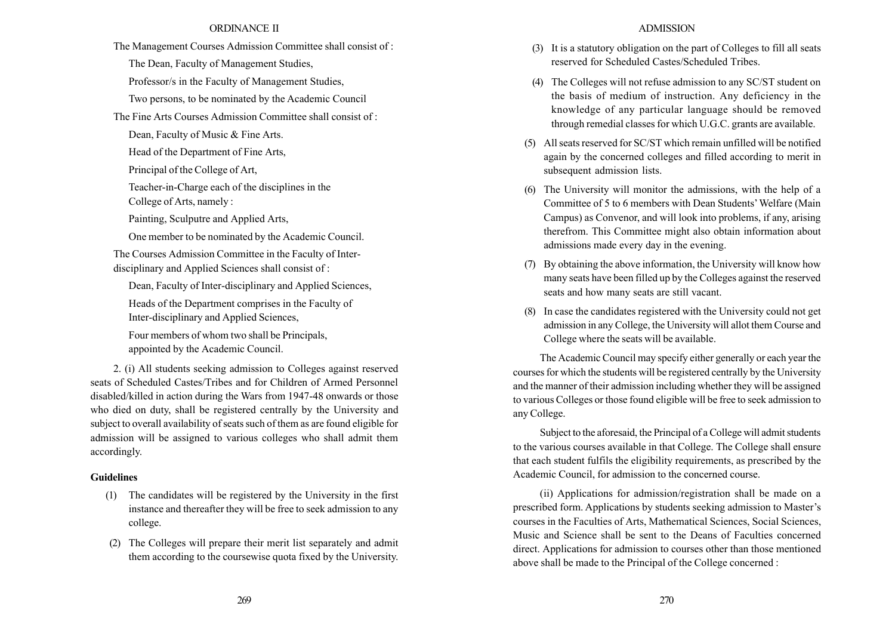### ORDINANCE II

The Management Courses Admission Committee shall consist of :

The Dean, Faculty of Management Studies,

Professor/s in the Faculty of Management Studies,

Two persons, to be nominated by the Academic Council

The Fine Arts Courses Admission Committee shall consist of :

Dean, Faculty of Music & Fine Arts.

Head of the Department of Fine Arts,

Principal of the College of Art,

Teacher-in-Charge each of the disciplines in the College of Arts, namely :

Painting, Sculputre and Applied Arts,

One member to be nominated by the Academic Council.

The Courses Admission Committee in the Faculty of Interdisciplinary and Applied Sciences shall consist of :

Dean, Faculty of Inter-disciplinary and Applied Sciences, Heads of the Department comprises in the Faculty of Inter-disciplinary and Applied Sciences,

Four members of whom two shall be Principals, appointed by the Academic Council.

2. (i) All students seeking admission to Colleges against reserved seats of Scheduled Castes/Tribes and for Children of Armed Personnel disabled/killed in action during the Wars from 1947-48 onwards or those who died on duty, shall be registered centrally by the University and subject to overall availability of seats such of them as are found eligible for admission will be assigned to various colleges who shall admit them accordingly.

### Guidelines

- (1) The candidates will be registered by the University in the first instance and thereafter they will be free to seek admission to any college.
- (2) The Colleges will prepare their merit list separately and admit them according to the coursewise quota fixed by the University.

#### ADMISSION

- (3) It is a statutory obligation on the part of Colleges to fill all seats reserved for Scheduled Castes/Scheduled Tribes.
- (4) The Colleges will not refuse admission to any SC/ST student on the basis of medium of instruction. Any deficiency in the knowledge of any particular language should be removed through remedial classes for which U.G.C. grants are available.
- (5) All seats reserved for SC/ST which remain unfilled will be notified again by the concerned colleges and filled according to merit in subsequent admission lists.
- (6) The University will monitor the admissions, with the help of a Committee of 5 to 6 members with Dean Students' Welfare (Main Campus) as Convenor, and will look into problems, if any, arising therefrom. This Committee might also obtain information about admissions made every day in the evening.
- (7) By obtaining the above information, the University will know how many seats have been filled up by the Colleges against the reserved seats and how many seats are still vacant.
- (8) In case the candidates registered with the University could not get admission in any College, the University will allot them Course and College where the seats will be available.

The Academic Council may specify either generally or each year the courses for which the students will be registered centrally by the University and the manner of their admission including whether they will be assigned to various Colleges or those found eligible will be free to seek admission to any College.

Subject to the aforesaid, the Principal of a College will admit students to the various courses available in that College. The College shall ensure that each student fulfils the eligibility requirements, as prescribed by the Academic Council, for admission to the concerned course.

(ii) Applications for admission/registration shall be made on a prescribed form. Applications by students seeking admission to Master's courses in the Faculties of Arts, Mathematical Sciences, Social Sciences, Music and Science shall be sent to the Deans of Faculties concerned direct. Applications for admission to courses other than those mentioned above shall be made to the Principal of the College concerned :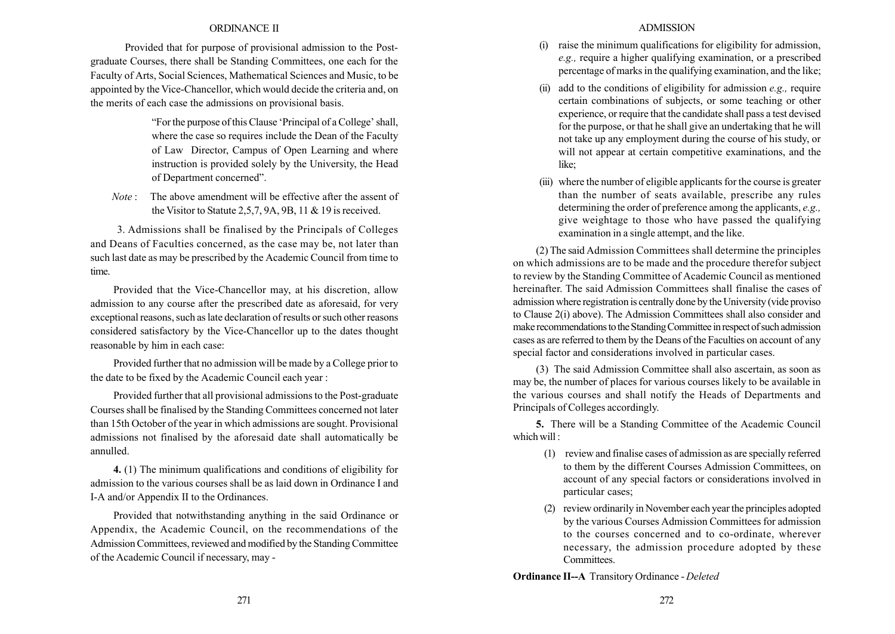## ORDINANCE II

Provided that for purpose of provisional admission to the Postgraduate Courses, there shall be Standing Committees, one each for the Faculty of Arts, Social Sciences, Mathematical Sciences and Music, to be appointed by the Vice-Chancellor, which would decide the criteria and, on the merits of each case the admissions on provisional basis.

> "For the purpose of this Clause 'Principal of a College' shall, where the case so requires include the Dean of the Faculty of Law Director, Campus of Open Learning and where instruction is provided solely by the University, the Head of Department concerned".

Note : The above amendment will be effective after the assent of the Visitor to Statute 2,5,7, 9A, 9B, 11 & 19 is received.

3. Admissions shall be finalised by the Principals of Colleges and Deans of Faculties concerned, as the case may be, not later than such last date as may be prescribed by the Academic Council from time to time.

Provided that the Vice-Chancellor may, at his discretion, allow admission to any course after the prescribed date as aforesaid, for very exceptional reasons, such as late declaration of results or such other reasons considered satisfactory by the Vice-Chancellor up to the dates thought reasonable by him in each case:

Provided further that no admission will be made by a College prior to the date to be fixed by the Academic Council each year :

Provided further that all provisional admissions to the Post-graduate Courses shall be finalised by the Standing Committees concerned not later than 15th October of the year in which admissions are sought. Provisional admissions not finalised by the aforesaid date shall automatically be annulled.

4. (1) The minimum qualifications and conditions of eligibility for admission to the various courses shall be as laid down in Ordinance I and I-A and/or Appendix II to the Ordinances.

Provided that notwithstanding anything in the said Ordinance or Appendix, the Academic Council, on the recommendations of the Admission Committees, reviewed and modified by the Standing Committee of the Academic Council if necessary, may -

### ADMISSION

- raise the minimum qualifications for eligibility for admission, e.g., require a higher qualifying examination, or a prescribed percentage of marks in the qualifying examination, and the like;
- add to the conditions of eligibility for admission  $e.g.,$  require certain combinations of subjects, or some teaching or other experience, or require that the candidate shall pass a test devised for the purpose, or that he shall give an undertaking that he will not take up any employment during the course of his study, or will not appear at certain competitive examinations, and the like;
- (iii) where the number of eligible applicants for the course is greater than the number of seats available, prescribe any rules determining the order of preference among the applicants, *e.g.*, give weightage to those who have passed the qualifying examination in a single attempt, and the like.

(2) The said Admission Committees shall determine the principles on which admissions are to be made and the procedure therefor subject to review by the Standing Committee of Academic Council as mentioned hereinafter. The said Admission Committees shall finalise the cases of admission where registration is centrally done by the University (vide proviso to Clause 2(i) above). The Admission Committees shall also consider and make recommendations to the Standing Committee in respect of such admission cases as are referred to them by the Deans of the Faculties on account of any special factor and considerations involved in particular cases.

(3) The said Admission Committee shall also ascertain, as soon as may be, the number of places for various courses likely to be available in the various courses and shall notify the Heads of Departments and Principals of Colleges accordingly.

5. There will be a Standing Committee of the Academic Council which will ·

- (1) review and finalise cases of admission as are specially referred to them by the different Courses Admission Committees, on account of any special factors or considerations involved in particular cases;
- (2) review ordinarily in November each year the principles adopted by the various Courses Admission Committees for admission to the courses concerned and to co-ordinate, wherever necessary, the admission procedure adopted by these Committees.

Ordinance II--A Transitory Ordinance - Deleted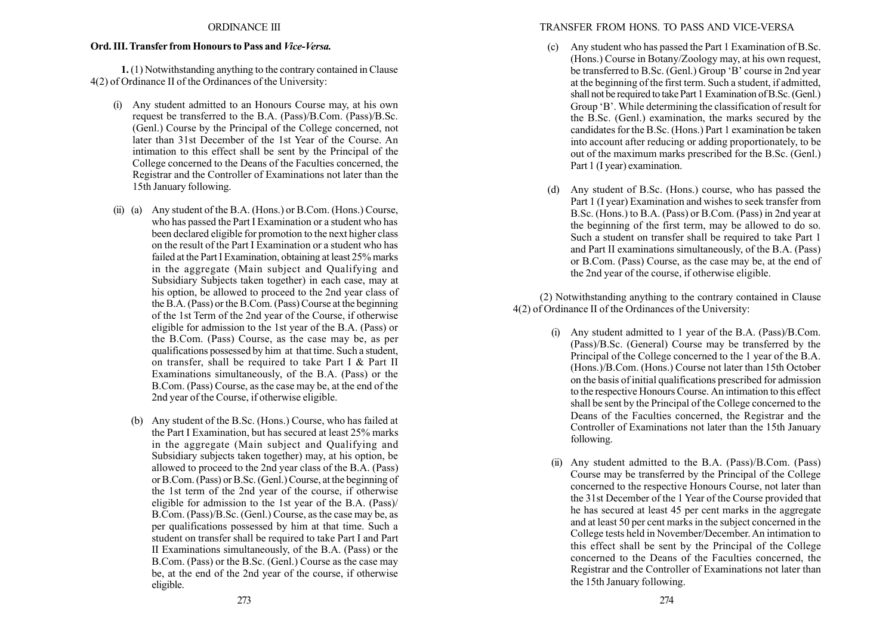### ORDINANCE III

### Ord. III. Transfer from Honours to Pass and Vice-Versa.

1. (1) Notwithstanding anything to the contrary contained in Clause 4(2) of Ordinance II of the Ordinances of the University:

- (i) Any student admitted to an Honours Course may, at his own request be transferred to the B.A. (Pass)/B.Com. (Pass)/B.Sc. (Genl.) Course by the Principal of the College concerned, not later than 31st December of the 1st Year of the Course. An intimation to this effect shall be sent by the Principal of the College concerned to the Deans of the Faculties concerned, the Registrar and the Controller of Examinations not later than the 15th January following.
- (ii) (a) Any student of the B.A. (Hons.) or B.Com. (Hons.) Course, who has passed the Part I Examination or a student who has been declared eligible for promotion to the next higher class on the result of the Part I Examination or a student who has failed at the Part I Examination, obtaining at least 25% marks in the aggregate (Main subject and Qualifying and Subsidiary Subjects taken together) in each case, may at his option, be allowed to proceed to the 2nd year class of the B.A. (Pass) or the B.Com. (Pass) Course at the beginning of the 1st Term of the 2nd year of the Course, if otherwise eligible for admission to the 1st year of the B.A. (Pass) or the B.Com. (Pass) Course, as the case may be, as per qualifications possessed by him at that time. Such a student, on transfer, shall be required to take Part I & Part II Examinations simultaneously, of the B.A. (Pass) or the B.Com. (Pass) Course, as the case may be, at the end of the 2nd year of the Course, if otherwise eligible.
	- (b) Any student of the B.Sc. (Hons.) Course, who has failed at the Part I Examination, but has secured at least 25% marks in the aggregate (Main subject and Qualifying and Subsidiary subjects taken together) may, at his option, be allowed to proceed to the 2nd year class of the B.A. (Pass) or B.Com. (Pass) or B.Sc. (Genl.) Course, at the beginning of the 1st term of the 2nd year of the course, if otherwise eligible for admission to the 1st year of the B.A. (Pass)/ B.Com. (Pass)/B.Sc. (Genl.) Course, as the case may be, as per qualifications possessed by him at that time. Such a student on transfer shall be required to take Part I and Part II Examinations simultaneously, of the B.A. (Pass) or the B.Com. (Pass) or the B.Sc. (Genl.) Course as the case may be, at the end of the 2nd year of the course, if otherwise eligible.

# TRANSFER FROM HONS. TO PASS AND VICE-VERSA

- (c) Any student who has passed the Part 1 Examination of B.Sc. (Hons.) Course in Botany/Zoology may, at his own request, be transferred to B.Sc. (Genl.) Group 'B' course in 2nd year at the beginning of the first term. Such a student, if admitted, shall not be required to take Part 1 Examination of B.Sc. (Genl.) Group 'B'. While determining the classification of result for the B.Sc. (Genl.) examination, the marks secured by the candidates for the B.Sc. (Hons.) Part 1 examination be taken into account after reducing or adding proportionately, to be out of the maximum marks prescribed for the B.Sc. (Genl.) Part 1 (I year) examination.
- (d) Any student of B.Sc. (Hons.) course, who has passed the Part 1 (I year) Examination and wishes to seek transfer from B.Sc. (Hons.) to B.A. (Pass) or B.Com. (Pass) in 2nd year at the beginning of the first term, may be allowed to do so. Such a student on transfer shall be required to take Part 1 and Part II examinations simultaneously, of the B.A. (Pass) or B.Com. (Pass) Course, as the case may be, at the end of the 2nd year of the course, if otherwise eligible.

(2) Notwithstanding anything to the contrary contained in Clause 4(2) of Ordinance II of the Ordinances of the University:

- (i) Any student admitted to 1 year of the B.A. (Pass)/B.Com. (Pass)/B.Sc. (General) Course may be transferred by the Principal of the College concerned to the 1 year of the B.A. (Hons.)/B.Com. (Hons.) Course not later than 15th October on the basis of initial qualifications prescribed for admission to the respective Honours Course. An intimation to this effect shall be sent by the Principal of the College concerned to the Deans of the Faculties concerned, the Registrar and the Controller of Examinations not later than the 15th January following.
- (ii) Any student admitted to the B.A. (Pass)/B.Com. (Pass) Course may be transferred by the Principal of the College concerned to the respective Honours Course, not later than the 31st December of the 1 Year of the Course provided that he has secured at least 45 per cent marks in the aggregate and at least 50 per cent marks in the subject concerned in the College tests held in November/December. An intimation to this effect shall be sent by the Principal of the College concerned to the Deans of the Faculties concerned, the Registrar and the Controller of Examinations not later than the 15th January following.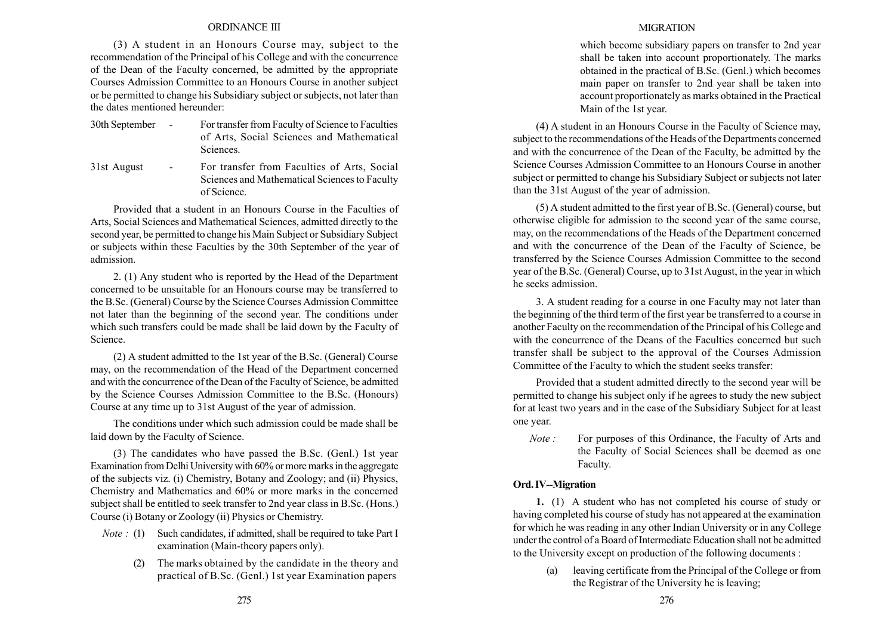### ORDINANCE III

(3) A student in an Honours Course may, subject to the recommendation of the Principal of his College and with the concurrence of the Dean of the Faculty concerned, be admitted by the appropriate Courses Admission Committee to an Honours Course in another subject or be permitted to change his Subsidiary subject or subjects, not later than the dates mentioned hereunder:

30th September - For transfer from Faculty of Science to Faculties of Arts, Social Sciences and Mathematical **Sciences** 

31st August - For transfer from Faculties of Arts, Social Sciences and Mathematical Sciences to Faculty of Science.

Provided that a student in an Honours Course in the Faculties of Arts, Social Sciences and Mathematical Sciences, admitted directly to the second year, be permitted to change his Main Subject or Subsidiary Subject or subjects within these Faculties by the 30th September of the year of admission.

2. (1) Any student who is reported by the Head of the Department concerned to be unsuitable for an Honours course may be transferred to the B.Sc. (General) Course by the Science Courses Admission Committee not later than the beginning of the second year. The conditions under which such transfers could be made shall be laid down by the Faculty of Science.

(2) A student admitted to the 1st year of the B.Sc. (General) Course may, on the recommendation of the Head of the Department concerned and with the concurrence of the Dean of the Faculty of Science, be admitted by the Science Courses Admission Committee to the B.Sc. (Honours) Course at any time up to 31st August of the year of admission.

The conditions under which such admission could be made shall be laid down by the Faculty of Science.

(3) The candidates who have passed the B.Sc. (Genl.) 1st year Examination from Delhi University with 60% or more marks in the aggregate of the subjects viz. (i) Chemistry, Botany and Zoology; and (ii) Physics, Chemistry and Mathematics and 60% or more marks in the concerned subject shall be entitled to seek transfer to 2nd year class in B.Sc. (Hons.) Course (i) Botany or Zoology (ii) Physics or Chemistry.

- *Note* : (1) Such candidates, if admitted, shall be required to take Part I examination (Main-theory papers only).
	- (2) The marks obtained by the candidate in the theory and practical of B.Sc. (Genl.) 1st year Examination papers

## **MIGRATION**

which become subsidiary papers on transfer to 2nd year shall be taken into account proportionately. The marks obtained in the practical of B.Sc. (Genl.) which becomes main paper on transfer to 2nd year shall be taken into account proportionately as marks obtained in the Practical Main of the 1st year.

(4) A student in an Honours Course in the Faculty of Science may, subject to the recommendations of the Heads of the Departments concerned and with the concurrence of the Dean of the Faculty, be admitted by the Science Courses Admission Committee to an Honours Course in another subject or permitted to change his Subsidiary Subject or subjects not later than the 31st August of the year of admission.

(5) A student admitted to the first year of B.Sc. (General) course, but otherwise eligible for admission to the second year of the same course, may, on the recommendations of the Heads of the Department concerned and with the concurrence of the Dean of the Faculty of Science, be transferred by the Science Courses Admission Committee to the second year of the B.Sc. (General) Course, up to 31st August, in the year in which he seeks admission.

3. A student reading for a course in one Faculty may not later than the beginning of the third term of the first year be transferred to a course in another Faculty on the recommendation of the Principal of his College and with the concurrence of the Deans of the Faculties concerned but such transfer shall be subject to the approval of the Courses Admission Committee of the Faculty to which the student seeks transfer:

Provided that a student admitted directly to the second year will be permitted to change his subject only if he agrees to study the new subject for at least two years and in the case of the Subsidiary Subject for at least one year.

Note : For purposes of this Ordinance, the Faculty of Arts and the Faculty of Social Sciences shall be deemed as one Faculty.

# Ord. IV--Migration

1. (1) A student who has not completed his course of study or having completed his course of study has not appeared at the examination for which he was reading in any other Indian University or in any College under the control of a Board of Intermediate Education shall not be admitted to the University except on production of the following documents :

> (a) leaving certificate from the Principal of the College or from the Registrar of the University he is leaving;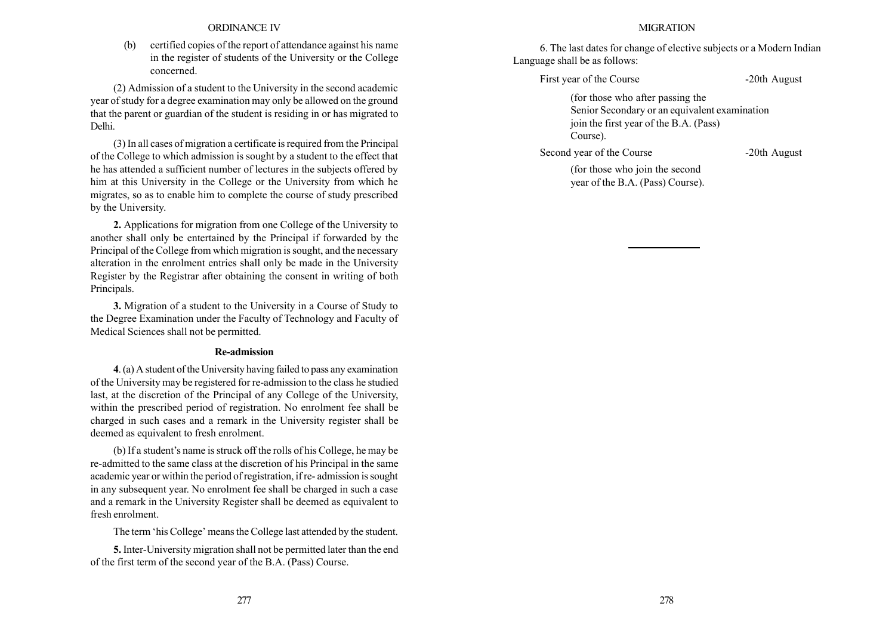### ORDINANCE IV

(b) certified copies of the report of attendance against his name in the register of students of the University or the College concerned.

(2) Admission of a student to the University in the second academic year of study for a degree examination may only be allowed on the ground that the parent or guardian of the student is residing in or has migrated to Delhi.

(3) In all cases of migration a certificate is required from the Principal of the College to which admission is sought by a student to the effect that he has attended a sufficient number of lectures in the subjects offered by him at this University in the College or the University from which he migrates, so as to enable him to complete the course of study prescribed by the University.

2. Applications for migration from one College of the University to another shall only be entertained by the Principal if forwarded by the Principal of the College from which migration is sought, and the necessary alteration in the enrolment entries shall only be made in the University Register by the Registrar after obtaining the consent in writing of both Principals.

3. Migration of a student to the University in a Course of Study to the Degree Examination under the Faculty of Technology and Faculty of Medical Sciences shall not be permitted.

#### Re-admission

4. (a) A student of the University having failed to pass any examination of the University may be registered for re-admission to the class he studied last, at the discretion of the Principal of any College of the University, within the prescribed period of registration. No enrolment fee shall be charged in such cases and a remark in the University register shall be deemed as equivalent to fresh enrolment.

(b) If a student's name is struck off the rolls of his College, he may be re-admitted to the same class at the discretion of his Principal in the same academic year or within the period of registration, if re- admission is sought in any subsequent year. No enrolment fee shall be charged in such a case and a remark in the University Register shall be deemed as equivalent to fresh enrolment.

The term 'his College' means the College last attended by the student.

5. Inter-University migration shall not be permitted later than the end of the first term of the second year of the B.A. (Pass) Course.

#### **MIGRATION**

6. The last dates for change of elective subjects or a Modern Indian Language shall be as follows:

First year of the Course -20th August

(for those who after passing the Senior Secondary or an equivalent examination join the first year of the B.A. (Pass) Course).

Second year of the Course -20th August

(for those who join the second year of the B.A. (Pass) Course).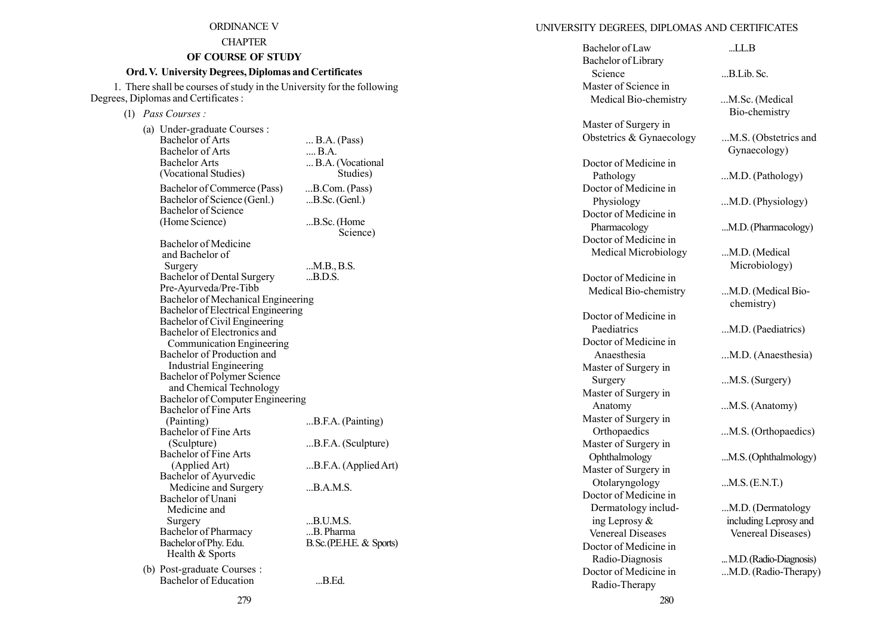## ORDINANCE V

## **CHAPTER**

# OF COURSE OF STUDY

# Ord. V. University Degrees, Diplomas and Certificates

1. There shall be courses of study in the University for the following Degrees, Diplomas and Certificates :

(1) Pass Courses :

| (a) Under-graduate Courses :<br><b>Bachelor of Arts</b><br><b>Bachelor of Arts</b><br><b>Bachelor Arts</b><br>(Vocational Studies) | $\ldots$ B.A. (Pass)<br>B.A.<br>B.A. (Vocational<br>Studies) |
|------------------------------------------------------------------------------------------------------------------------------------|--------------------------------------------------------------|
| Bachelor of Commerce (Pass)<br>Bachelor of Science (Genl.)<br><b>Bachelor</b> of Science                                           | B.Com. (Pass)<br>$B.Sc.$ (Genl.)                             |
| (Home Science)                                                                                                                     | B.Sc. (Home<br>Science)                                      |
| Bachelor of Medicine<br>and Bachelor of                                                                                            |                                                              |
| Surgery<br>Bachelor of Dental Surgery<br>Pre-Ayurveda/Pre-Tibb                                                                     | M.B., B.S.<br>B.D.S.                                         |
| Bachelor of Mechanical Engineering<br>Bachelor of Electrical Engineering                                                           |                                                              |
| Bachelor of Civil Engineering<br>Bachelor of Electronics and<br>Communication Engineering                                          |                                                              |
| Bachelor of Production and<br><b>Industrial Engineering</b>                                                                        |                                                              |
| Bachelor of Polymer Science<br>and Chemical Technology                                                                             |                                                              |
| Bachelor of Computer Engineering<br>Bachelor of Fine Arts                                                                          |                                                              |
| (Painting)<br><b>Bachelor of Fine Arts</b>                                                                                         | B.F.A. (Painting)                                            |
| (Sculpture)<br><b>Bachelor of Fine Arts</b>                                                                                        | B.F.A. (Sculpture)                                           |
| (Applied Art)<br>Bachelor of Ayurvedic                                                                                             | B.F.A. (Applied Art)                                         |
| Medicine and Surgery<br>Bachelor of Unani                                                                                          | B.A.M.S.                                                     |
| Medicine and<br>Surgery                                                                                                            | B.U.M.S.                                                     |
| Bachelor of Pharmacy<br>Bachelor of Phy. Edu.                                                                                      | B. Pharma<br>B. Sc. (P.E.H.E. & Sports)                      |
| Health & Sports<br>(b) Post-graduate Courses :                                                                                     |                                                              |
| <b>Bachelor</b> of Education                                                                                                       | B.Ed.                                                        |

# UNIVERSITY DEGREES, DIPLOMAS AND CERTIFICATES

| Bachelor of Law          | LL.B                                 |
|--------------------------|--------------------------------------|
| Bachelor of Library      |                                      |
| Science                  | B.Lib. Sc.                           |
| Master of Science in     |                                      |
| Medical Bio-chemistry    | M.Sc. (Medical                       |
|                          | Bio-chemistry                        |
| Master of Surgery in     |                                      |
| Obstetrics & Gynaecology | M.S. (Obstetrics and<br>Gynaecology) |
| Doctor of Medicine in    |                                      |
| Pathology                | M.D. (Pathology)                     |
| Doctor of Medicine in    |                                      |
| Physiology               | M.D. (Physiology)                    |
| Doctor of Medicine in    |                                      |
| Pharmacology             | M.D. (Pharmacology)                  |
| Doctor of Medicine in    |                                      |
| Medical Microbiology     | M.D. (Medical                        |
|                          | Microbiology)                        |
| Doctor of Medicine in    |                                      |
| Medical Bio-chemistry    | M.D. (Medical Bio-                   |
|                          | chemistry)                           |
| Doctor of Medicine in    |                                      |
| Paediatrics              | M.D. (Paediatrics)                   |
| Doctor of Medicine in    |                                      |
| Anaesthesia              | M.D. (Anaesthesia)                   |
| Master of Surgery in     |                                      |
| Surgery                  | M.S. (Surgery)                       |
| Master of Surgery in     |                                      |
| Anatomy                  | M.S. (Anatomy)                       |
| Master of Surgery in     |                                      |
| Orthopaedics             | M.S. (Orthopaedics)                  |
| Master of Surgery in     |                                      |
| Ophthalmology            | M.S. (Ophthalmology)                 |
| Master of Surgery in     |                                      |
| Otolaryngology           | $M.S.$ (E.N.T.)                      |
| Doctor of Medicine in    |                                      |
| Dermatology includ-      | M.D. (Dermatology                    |
| ing Leprosy &            | including Leprosy and                |
| <b>Venereal Diseases</b> | Venereal Diseases)                   |
| Doctor of Medicine in    |                                      |
| Radio-Diagnosis          | M.D. (Radio-Diagnosis)               |
| Doctor of Medicine in    | M.D. (Radio-Therapy)                 |
| Radio-Therany            |                                      |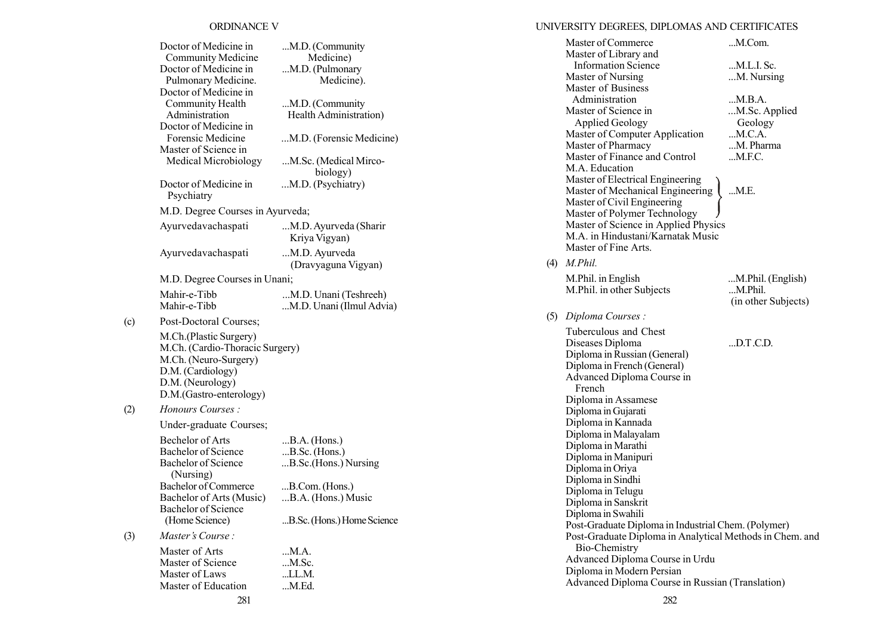## ORDINANCE V

|     | Doctor of Medicine in<br>Community Medicine<br>Doctor of Medicine in<br>Pulmonary Medicine.<br>Doctor of Medicine in                                   | M.D. (Community<br>Medicine)<br>M.D. (Pulmonary<br>Medicine). |
|-----|--------------------------------------------------------------------------------------------------------------------------------------------------------|---------------------------------------------------------------|
|     | Community Health<br>Administration<br>Doctor of Medicine in                                                                                            | M.D. (Community<br>Health Administration)                     |
|     | Forensic Medicine<br>Master of Science in                                                                                                              | M.D. (Forensic Medicine)                                      |
|     | Medical Microbiology                                                                                                                                   | M.Sc. (Medical Mirco-<br>biology)                             |
|     | Doctor of Medicine in<br>Psychiatry                                                                                                                    | M.D. (Psychiatry)                                             |
|     | M.D. Degree Courses in Ayurveda;                                                                                                                       |                                                               |
|     | Ayurvedavachaspati                                                                                                                                     | M.D. Ayurveda (Sharir<br>Kriya Vigyan)                        |
|     | Ayurvedavachaspati                                                                                                                                     | M.D. Ayurveda<br>(Dravyaguna Vigyan)                          |
|     | M.D. Degree Courses in Unani;                                                                                                                          |                                                               |
|     | Mahir-e-Tibb<br>Mahir-e-Tibb                                                                                                                           | M.D. Unani (Teshreeh)<br>M.D. Unani (Ilmul Advia)             |
| (c) | Post-Doctoral Courses;                                                                                                                                 |                                                               |
|     | M.Ch.(Plastic Surgery)<br>M.Ch. (Cardio-Thoracic Surgery)<br>M.Ch. (Neuro-Surgery)<br>D.M. (Cardiology)<br>D.M. (Neurology)<br>D.M.(Gastro-enterology) |                                                               |
| (2) | <i>Honours Courses:</i>                                                                                                                                |                                                               |
|     | Under-graduate Courses;                                                                                                                                |                                                               |
|     | Bechelor of Arts                                                                                                                                       | $B.A.$ (Hons.)                                                |
|     | <b>Bachelor of Science</b><br><b>Bachelor of Science</b><br>(Nursing)                                                                                  | $B.Sc.$ (Hons.)<br>B.Sc.(Hons.) Nursing                       |
|     | Bachelor of Commerce                                                                                                                                   | B.Com. (Hons.)                                                |
|     | Bachelor of Arts (Music)<br>Bachelor of Science<br>(Home Science)                                                                                      | B.A. (Hons.) Music<br>B.Sc. (Hons.) Home Science              |
| (3) | Master's Course:                                                                                                                                       |                                                               |
|     | Master of Arts                                                                                                                                         | M.A.                                                          |
|     | Master of Science                                                                                                                                      | $M$ . Sc.                                                     |
|     | Master of Laws                                                                                                                                         | LL.M.                                                         |
|     | Master of Education                                                                                                                                    | M.Ed.                                                         |

# UNIVERSITY DEGREES, DIPLOMAS AND CERTIFICATES

|     | Master of Commerce                                       | M.Com.                       |  |
|-----|----------------------------------------------------------|------------------------------|--|
|     | Master of Library and                                    |                              |  |
|     | <b>Information Science</b>                               | M.L.I. Sc.                   |  |
|     | Master of Nursing                                        | M. Nursing                   |  |
|     | Master of Business                                       |                              |  |
|     | Administration                                           | M.B.A.                       |  |
|     | Master of Science in                                     | M.Sc. Applied                |  |
|     | <b>Applied Geology</b>                                   | Geology                      |  |
|     | Master of Computer Application                           | M.C.A.                       |  |
|     | Master of Pharmacy                                       | M. Pharma                    |  |
|     | Master of Finance and Control                            | $$ M.F.C.                    |  |
|     | M.A. Education                                           |                              |  |
|     | Master of Electrical Engineering                         |                              |  |
|     | Master of Mechanical Engineering                         | M.E.                         |  |
|     | Master of Civil Engineering                              |                              |  |
|     | Master of Polymer Technology                             |                              |  |
|     | Master of Science in Applied Physics                     |                              |  |
|     | M.A. in Hindustani/Karnatak Music                        |                              |  |
|     | Master of Fine Arts.                                     |                              |  |
| (4) | M.Phil.                                                  |                              |  |
|     |                                                          |                              |  |
|     | M.Phil. in English                                       | M.Phil. (English)<br>M.Phil. |  |
|     | M.Phil. in other Subjects                                |                              |  |
|     |                                                          | (in other Subjects)          |  |
| (5) | Diploma Courses:                                         |                              |  |
|     | Tuberculous and Chest                                    |                              |  |
|     | Diseases Diploma                                         | $$ D.T.C.D.                  |  |
|     | Diploma in Russian (General)                             |                              |  |
|     | Diploma in French (General)                              |                              |  |
|     | Advanced Diploma Course in                               |                              |  |
|     | French                                                   |                              |  |
|     | Diploma in Assamese                                      |                              |  |
|     | Diploma in Gujarati                                      |                              |  |
|     | Diploma in Kannada                                       |                              |  |
|     | Diploma in Malayalam                                     |                              |  |
|     | Diploma in Marathi                                       |                              |  |
|     | Diploma in Manipuri                                      |                              |  |
|     | Diploma in Oriya                                         |                              |  |
|     | Diploma in Sindhi                                        |                              |  |
|     | Diploma in Telugu                                        |                              |  |
|     | Diploma in Sanskrit                                      |                              |  |
|     | Diploma in Swahili                                       |                              |  |
|     | Post-Graduate Diploma in Industrial Chem. (Polymer)      |                              |  |
|     | Post-Graduate Diploma in Analytical Methods in Chem. and |                              |  |
|     | Bio-Chemistry                                            |                              |  |
|     | Advanced Diploma Course in Urdu                          |                              |  |
|     | Diploma in Modern Persian                                |                              |  |
|     | Advanced Diploma Course in Russian (Translation)         |                              |  |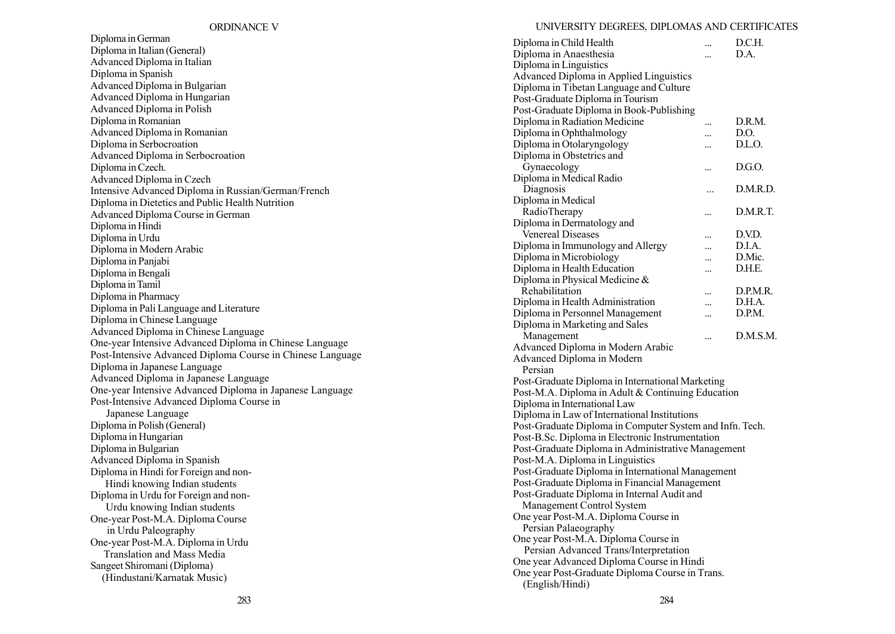Diploma in German Diploma in Italian (General) Advanced Diploma in Italian Diploma in Spanish Advanced Diploma in Bulgarian Advanced Diploma in Hungarian Advanced Diploma in Polish Diploma in Romanian Advanced Diploma in Romanian Diploma in Serbocroation Advanced Diploma in Serbocroation Diploma in Czech. Advanced Diploma in Czech Intensive Advanced Diploma in Russian/German/French Diploma in Dietetics and Public Health Nutrition Advanced Diploma Course in German Diploma in Hindi Diploma in Urdu Diploma in Modern Arabic Diploma in Panjabi Diploma in Bengali Diploma in Tamil Diploma in Pharmacy Diploma in Pali Language and Literature Diploma in Chinese Language Advanced Diploma in Chinese Language One-year Intensive Advanced Diploma in Chinese Language Post-Intensive Advanced Diploma Course in Chinese Language Diploma in Japanese Language Advanced Diploma in Japanese Language One-year Intensive Advanced Diploma in Japanese Language Post-Intensive Advanced Diploma Course in Japanese Language Diploma in Polish (General) Diploma in Hungarian Diploma in Bulgarian Advanced Diploma in Spanish Diploma in Hindi for Foreign and non-Hindi knowing Indian students Diploma in Urdu for Foreign and non-Urdu knowing Indian students One-year Post-M.A. Diploma Course in Urdu Paleography One-year Post-M.A. Diploma in Urdu Translation and Mass Media Sangeet Shiromani (Diploma) (Hindustani/Karnatak Music)

#### UNIVERSITY DEGREES, DIPLOMAS AND CERTIFICATES

| Diploma in Child Health                                  |           | D.C.H.   |
|----------------------------------------------------------|-----------|----------|
| Diploma in Anaesthesia                                   | $\ddotsc$ | D.A.     |
| Diploma in Linguistics                                   |           |          |
| Advanced Diploma in Applied Linguistics                  |           |          |
| Diploma in Tibetan Language and Culture                  |           |          |
| Post-Graduate Diploma in Tourism                         |           |          |
| Post-Graduate Diploma in Book-Publishing                 |           |          |
| Diploma in Radiation Medicine                            |           | D.R.M.   |
| Diploma in Ophthalmology                                 |           | D.O.     |
| Diploma in Otolaryngology                                |           | D.L.O.   |
| Diploma in Obstetrics and                                |           |          |
| Gynaecology                                              |           | D.G.O.   |
| Diploma in Medical Radio                                 |           |          |
| Diagnosis                                                | $\ddotsc$ | D.M.R.D. |
| Diploma in Medical                                       |           |          |
| RadioTherapy                                             |           | D.M.R.T. |
| Diploma in Dermatology and                               |           |          |
| Venereal Diseases                                        |           | D.V.D.   |
| Diploma in Immunology and Allergy                        |           | D.I.A.   |
| Diploma in Microbiology                                  |           | D.Mic.   |
| Diploma in Health Education                              |           | D.H.E.   |
| Diploma in Physical Medicine &                           |           |          |
| Rehabilitation                                           |           | D.P.M.R. |
| Diploma in Health Administration                         | $\ddotsc$ | D.H.A.   |
| Diploma in Personnel Management                          | $\ddotsc$ | D.P.M.   |
| Diploma in Marketing and Sales                           |           |          |
| Management                                               |           | D.M.S.M. |
| Advanced Diploma in Modern Arabic                        |           |          |
| Advanced Diploma in Modern                               |           |          |
| Persian                                                  |           |          |
| Post-Graduate Diploma in International Marketing         |           |          |
| Post-M.A. Diploma in Adult & Continuing Education        |           |          |
| Diploma in International Law                             |           |          |
| Diploma in Law of International Institutions             |           |          |
| Post-Graduate Diploma in Computer System and Infn. Tech. |           |          |
| Post-B.Sc. Diploma in Electronic Instrumentation         |           |          |
| Post-Graduate Diploma in Administrative Management       |           |          |
| Post-M.A. Diploma in Linguistics                         |           |          |
| Post-Graduate Diploma in International Management        |           |          |
| Post-Graduate Diploma in Financial Management            |           |          |
| Post-Graduate Diploma in Internal Audit and              |           |          |
| Management Control System                                |           |          |
| One year Post-M.A. Diploma Course in                     |           |          |
| Persian Palaeography                                     |           |          |
| One year Post-M.A. Diploma Course in                     |           |          |
| Persian Advanced Trans/Interpretation                    |           |          |
| One year Advanced Diploma Course in Hindi                |           |          |
| One year Post-Graduate Diploma Course in Trans.          |           |          |
| (English/Hindi)                                          |           |          |
|                                                          |           |          |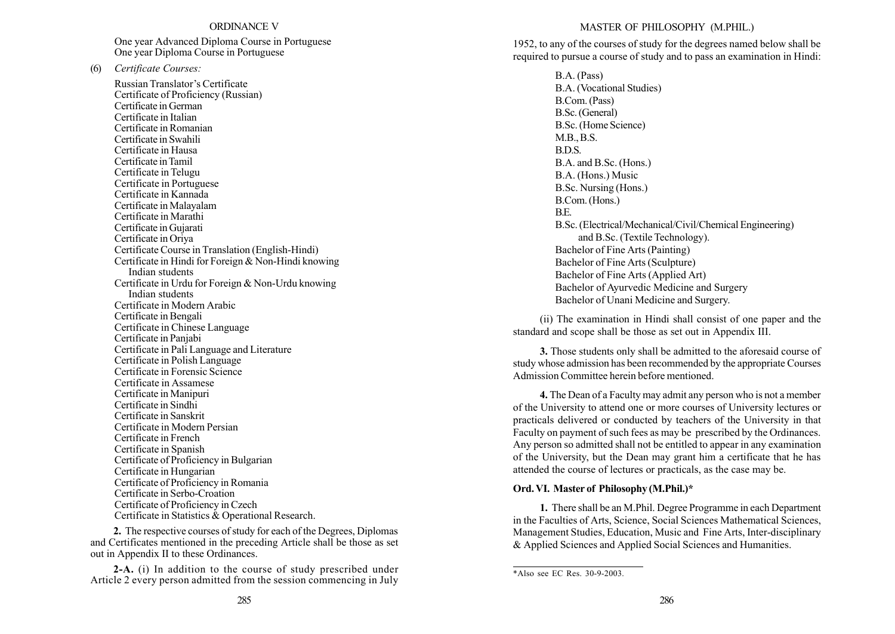#### ORDINANCE V

One year Advanced Diploma Course in Portuguese One year Diploma Course in Portuguese

(6) Certificate Courses:

Russian Translator's Certificate Certificate of Proficiency (Russian) Certificate in German Certificate in Italian Certificate in Romanian Certificate in Swahili Certificate in Hausa Certificate in Tamil Certificate in Telugu Certificate in Portuguese Certificate in Kannada Certificate in Malayalam Certificate in Marathi Certificate in Gujarati Certificate in Oriya Certificate Course in Translation (English-Hindi) Certificate in Hindi for Foreign & Non-Hindi knowing Indian students Certificate in Urdu for Foreign & Non-Urdu knowing Indian students Certificate in Modern Arabic Certificate in Bengali Certificate in Chinese Language Certificate in Panjabi Certificate in Pali Language and Literature Certificate in Polish Language Certificate in Forensic Science Certificate in Assamese Certificate in Manipuri Certificate in Sindhi Certificate in Sanskrit Certificate in Modern Persian Certificate in French Certificate in Spanish Certificate of Proficiency in Bulgarian Certificate in Hungarian Certificate of Proficiency in Romania Certificate in Serbo-Croation Certificate of Proficiency in Czech Certificate in Statistics & Operational Research.

2. The respective courses of study for each of the Degrees, Diplomas and Certificates mentioned in the preceding Article shall be those as set out in Appendix II to these Ordinances.

2-A. (i) In addition to the course of study prescribed under Article 2 every person admitted from the session commencing in July

### MASTER OF PHILOSOPHY (M.PHIL.)

1952, to any of the courses of study for the degrees named below shall be required to pursue a course of study and to pass an examination in Hindi:

> B.A. (Pass) B.A. (Vocational Studies) B.Com. (Pass) B.Sc. (General) B.Sc. (Home Science) M.B., B.S. B.D.S. B.A. and B.Sc. (Hons.) B.A. (Hons.) Music B.Sc. Nursing (Hons.) B.Com. (Hons.) B.E. B.Sc. (Electrical/Mechanical/Civil/Chemical Engineering) and B.Sc. (Textile Technology). Bachelor of Fine Arts (Painting) Bachelor of Fine Arts (Sculpture) Bachelor of Fine Arts (Applied Art) Bachelor of Ayurvedic Medicine and Surgery Bachelor of Unani Medicine and Surgery.

(ii) The examination in Hindi shall consist of one paper and the standard and scope shall be those as set out in Appendix III.

3. Those students only shall be admitted to the aforesaid course of study whose admission has been recommended by the appropriate Courses Admission Committee herein before mentioned.

4. The Dean of a Faculty may admit any person who is not a member of the University to attend one or more courses of University lectures or practicals delivered or conducted by teachers of the University in that Faculty on payment of such fees as may be prescribed by the Ordinances. Any person so admitted shall not be entitled to appear in any examination of the University, but the Dean may grant him a certificate that he has attended the course of lectures or practicals, as the case may be.

#### Ord. VI. Master of Philosophy (M.Phil.)\*

1. There shall be an M.Phil. Degree Programme in each Department in the Faculties of Arts, Science, Social Sciences Mathematical Sciences, Management Studies, Education, Music and Fine Arts, Inter-disciplinary & Applied Sciences and Applied Social Sciences and Humanities.

<sup>\*</sup>Also see EC Res. 30-9-2003.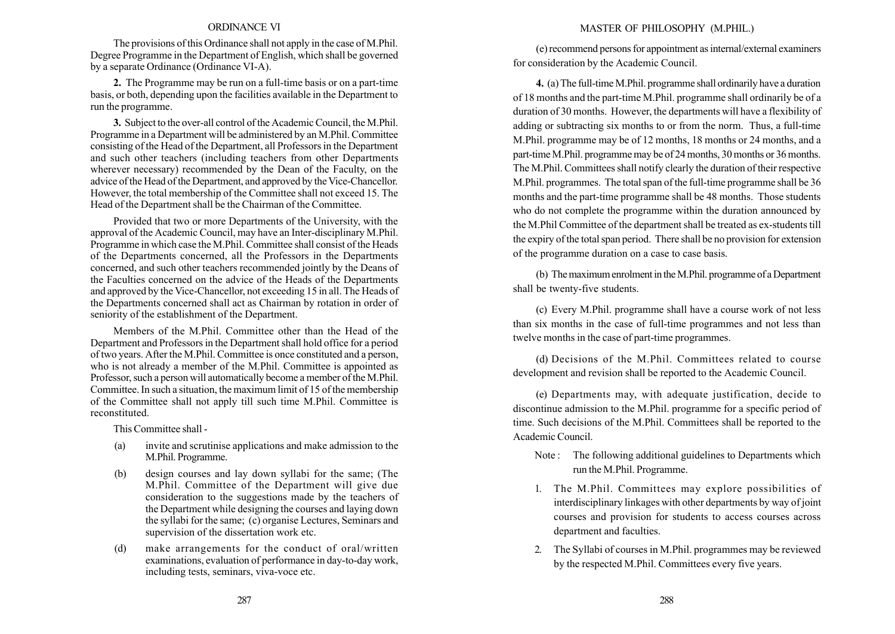#### ORDINANCE VI

The provisions of this Ordinance shall not apply in the case of M.Phil. Degree Programme in the Department of English, which shall be governed by a separate Ordinance (Ordinance VI-A).

2. The Programme may be run on a full-time basis or on a part-time basis, or both, depending upon the facilities available in the Department to run the programme.

3. Subject to the over-all control of the Academic Council, the M.Phil. Programme in a Department will be administered by an M.Phil. Committee consisting of the Head of the Department, all Professors in the Department and such other teachers (including teachers from other Departments wherever necessary) recommended by the Dean of the Faculty, on the advice of the Head of the Department, and approved by the Vice-Chancellor. However, the total membership of the Committee shall not exceed 15. The Head of the Department shall be the Chairman of the Committee.

Provided that two or more Departments of the University, with the approval of the Academic Council, may have an Inter-disciplinary M.Phil. Programme in which case the M.Phil. Committee shall consist of the Heads of the Departments concerned, all the Professors in the Departments concerned, and such other teachers recommended jointly by the Deans of the Faculties concerned on the advice of the Heads of the Departments and approved by the Vice-Chancellor, not exceeding 15 in all. The Heads of the Departments concerned shall act as Chairman by rotation in order of seniority of the establishment of the Department.

Members of the M.Phil. Committee other than the Head of the Department and Professors in the Department shall hold office for a period of two years. After the M.Phil. Committee is once constituted and a person, who is not already a member of the M.Phil. Committee is appointed as Professor, such a person will automatically become a member of the M.Phil. Committee. In such a situation, the maximum limit of 15 of the membership of the Committee shall not apply till such time M.Phil. Committee is reconstituted.

This Committee shall -

- (a) invite and scrutinise applications and make admission to the M.Phil. Programme.
- (b) design courses and lay down syllabi for the same; (The M.Phil. Committee of the Department will give due consideration to the suggestions made by the teachers of the Department while designing the courses and laying down the syllabi for the same; (c) organise Lectures, Seminars and supervision of the dissertation work etc.
- (d) make arrangements for the conduct of oral/written examinations, evaluation of performance in day-to-day work, including tests, seminars, viva-voce etc.

### MASTER OF PHILOSOPHY (M.PHIL.)

(e) recommend persons for appointment as internal/external examiners for consideration by the Academic Council.

4. (a) The full-time M.Phil. programme shall ordinarily have a duration of 18 months and the part-time M.Phil. programme shall ordinarily be of a duration of 30 months. However, the departments will have a flexibility of adding or subtracting six months to or from the norm. Thus, a full-time M.Phil. programme may be of 12 months, 18 months or 24 months, and a part-time M.Phil. programme may be of 24 months, 30 months or 36 months. The M.Phil. Committees shall notify clearly the duration of their respective M.Phil. programmes. The total span of the full-time programme shall be 36 months and the part-time programme shall be 48 months. Those students who do not complete the programme within the duration announced by the M.Phil Committee of the department shall be treated as ex-students till the expiry of the total span period. There shall be no provision for extension of the programme duration on a case to case basis.

(b) The maximum enrolment in the M.Phil. programme of a Department shall be twenty-five students.

(c) Every M.Phil. programme shall have a course work of not less than six months in the case of full-time programmes and not less than twelve months in the case of part-time programmes.

(d) Decisions of the M.Phil. Committees related to course development and revision shall be reported to the Academic Council.

(e) Departments may, with adequate justification, decide to discontinue admission to the M.Phil. programme for a specific period of time. Such decisions of the M.Phil. Committees shall be reported to the Academic Council.

- Note : The following additional guidelines to Departments which run the M.Phil. Programme.
- 1. The M.Phil. Committees may explore possibilities of interdisciplinary linkages with other departments by way of joint courses and provision for students to access courses across department and faculties.
- 2. The Syllabi of courses in M.Phil. programmes may be reviewed by the respected M.Phil. Committees every five years.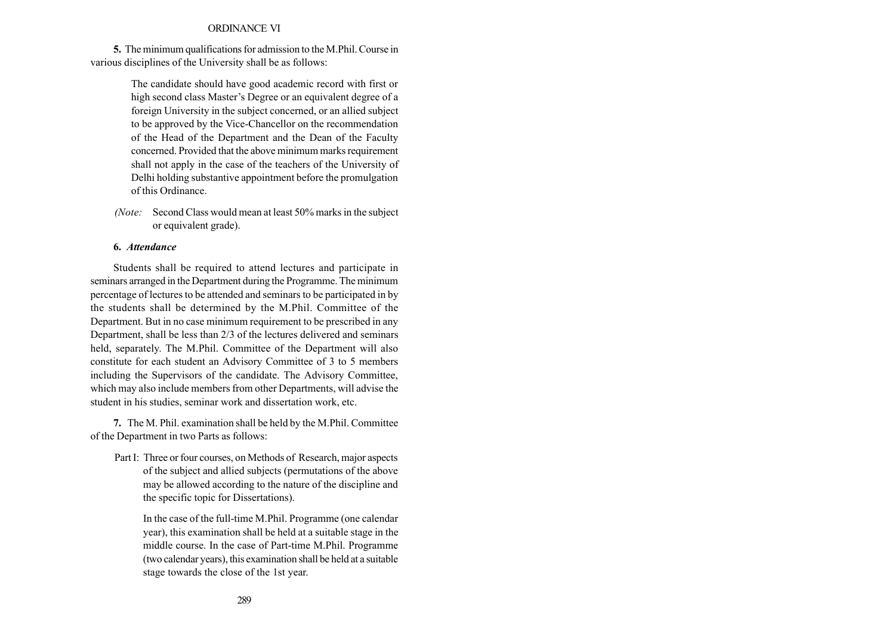#### ORDINANCE VI

5. The minimum qualifications for admission to the M.Phil. Course in various disciplines of the University shall be as follows:

> The candidate should have good academic record with first or high second class Master's Degree or an equivalent degree of a foreign University in the subject concerned, or an allied subject to be approved by the Vice-Chancellor on the recommendation of the Head of the Department and the Dean of the Faculty concerned. Provided that the above minimum marks requirement shall not apply in the case of the teachers of the University of Delhi holding substantive appointment before the promulgation of this Ordinance.

(Note: Second Class would mean at least 50% marks in the subject or equivalent grade).

#### 6. Attendance

Students shall be required to attend lectures and participate in seminars arranged in the Department during the Programme. The minimum percentage of lectures to be attended and seminars to be participated in by the students shall be determined by the M.Phil. Committee of the Department. But in no case minimum requirement to be prescribed in any Department, shall be less than 2/3 of the lectures delivered and seminars held, separately. The M.Phil. Committee of the Department will also constitute for each student an Advisory Committee of 3 to 5 members including the Supervisors of the candidate. The Advisory Committee, which may also include members from other Departments, will advise the student in his studies, seminar work and dissertation work, etc.

7. The M. Phil. examination shall be held by the M.Phil. Committee of the Department in two Parts as follows:

Part I: Three or four courses, on Methods of Research, major aspects of the subject and allied subjects (permutations of the above may be allowed according to the nature of the discipline and the specific topic for Dissertations).

In the case of the full-time M.Phil. Programme (one calendar year), this examination shall be held at a suitable stage in the middle course. In the case of Part-time M.Phil. Programme (two calendar years), this examination shall be held at a suitable stage towards the close of the 1st year.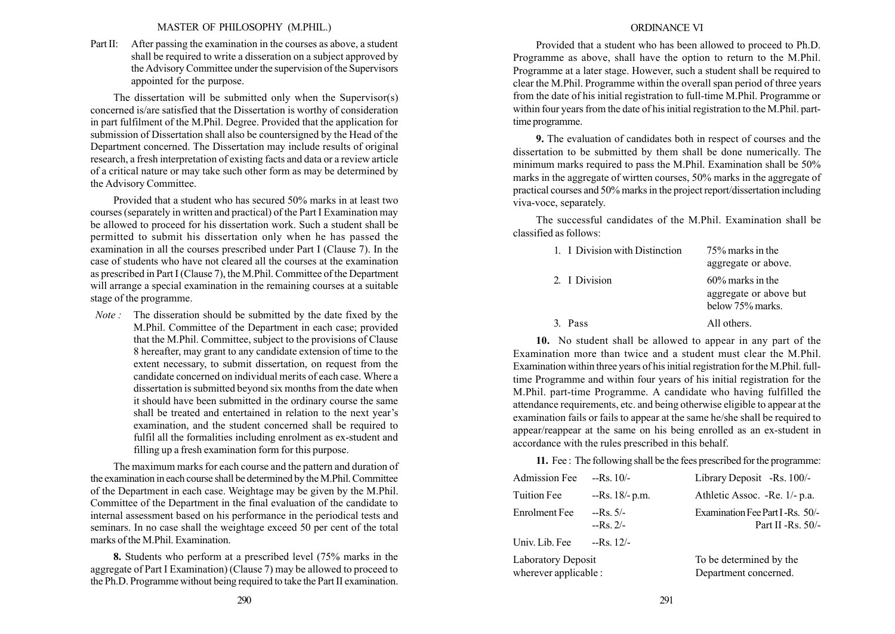#### MASTER OF PHILOSOPHY (M.PHIL.)

Part II: After passing the examination in the courses as above, a student shall be required to write a disseration on a subject approved by the Advisory Committee under the supervision of the Supervisors appointed for the purpose.

The dissertation will be submitted only when the Supervisor(s) concerned is/are satisfied that the Dissertation is worthy of consideration in part fulfilment of the M.Phil. Degree. Provided that the application for submission of Dissertation shall also be countersigned by the Head of the Department concerned. The Dissertation may include results of original research, a fresh interpretation of existing facts and data or a review article of a critical nature or may take such other form as may be determined by the Advisory Committee.

Provided that a student who has secured 50% marks in at least two courses (separately in written and practical) of the Part I Examination may be allowed to proceed for his dissertation work. Such a student shall be permitted to submit his dissertation only when he has passed the examination in all the courses prescribed under Part I (Clause 7). In the case of students who have not cleared all the courses at the examination as prescribed in Part I (Clause 7), the M.Phil. Committee of the Department will arrange a special examination in the remaining courses at a suitable stage of the programme.

Note : The disseration should be submitted by the date fixed by the M.Phil. Committee of the Department in each case; provided that the M.Phil. Committee, subject to the provisions of Clause 8 hereafter, may grant to any candidate extension of time to the extent necessary, to submit dissertation, on request from the candidate concerned on individual merits of each case. Where a dissertation is submitted beyond six months from the date when it should have been submitted in the ordinary course the same shall be treated and entertained in relation to the next year's examination, and the student concerned shall be required to fulfil all the formalities including enrolment as ex-student and filling up a fresh examination form for this purpose.

The maximum marks for each course and the pattern and duration of the examination in each course shall be determined by the M.Phil. Committee of the Department in each case. Weightage may be given by the M.Phil. Committee of the Department in the final evaluation of the candidate to internal assessment based on his performance in the periodical tests and seminars. In no case shall the weightage exceed 50 per cent of the total marks of the M.Phil. Examination.

8. Students who perform at a prescribed level (75% marks in the aggregate of Part I Examination) (Clause 7) may be allowed to proceed to the Ph.D. Programme without being required to take the Part II examination.

#### ORDINANCE VI

Provided that a student who has been allowed to proceed to Ph.D. Programme as above, shall have the option to return to the M.Phil. Programme at a later stage. However, such a student shall be required to clear the M.Phil. Programme within the overall span period of three years from the date of his initial registration to full-time M.Phil. Programme or within four years from the date of his initial registration to the M.Phil. parttime programme.

9. The evaluation of candidates both in respect of courses and the dissertation to be submitted by them shall be done numerically. The minimum marks required to pass the M.Phil. Examination shall be 50% marks in the aggregate of wirtten courses, 50% marks in the aggregate of practical courses and 50% marks in the project report/dissertation including viva-voce, separately.

The successful candidates of the M.Phil. Examination shall be classified as follows:

| 1. I Division with Distinction | 75% marks in the<br>aggregate or above.                           |
|--------------------------------|-------------------------------------------------------------------|
| 2. I Division                  | $60\%$ marks in the<br>aggregate or above but<br>below 75% marks. |
| Pass                           | All others.                                                       |

10. No student shall be allowed to appear in any part of the Examination more than twice and a student must clear the M.Phil. Examination within three years of his initial registration for the M.Phil. fulltime Programme and within four years of his initial registration for the M.Phil. part-time Programme. A candidate who having fulfilled the attendance requirements, etc. and being otherwise eligible to appear at the examination fails or fails to appear at the same he/she shall be required to appear/reappear at the same on his being enrolled as an ex-student in accordance with the rules prescribed in this behalf.

11. Fee : The following shall be the fees prescribed for the programme:

| <b>Admission Fee</b>                               | $-Rs. 10/-$             | Library Deposit -Rs. 100/-                               |
|----------------------------------------------------|-------------------------|----------------------------------------------------------|
| <b>Tuition Fee</b>                                 | $-Rs. 18/- p.m.$        | Athletic Assoc. -Re. 1/- p.a.                            |
| <b>Enrolment</b> Fee                               | $-Rs. 5/-$<br>$-Rs$ 2/- | Examination Fee Part I-Rs. 50/-<br>Part II - $Rs. 50/$ - |
| Univ. Lib. Fee                                     | $-Rs. 12/-$             |                                                          |
| <b>Laboratory Deposit</b><br>wherever applicable : |                         | To be determined by the<br>Department concerned.         |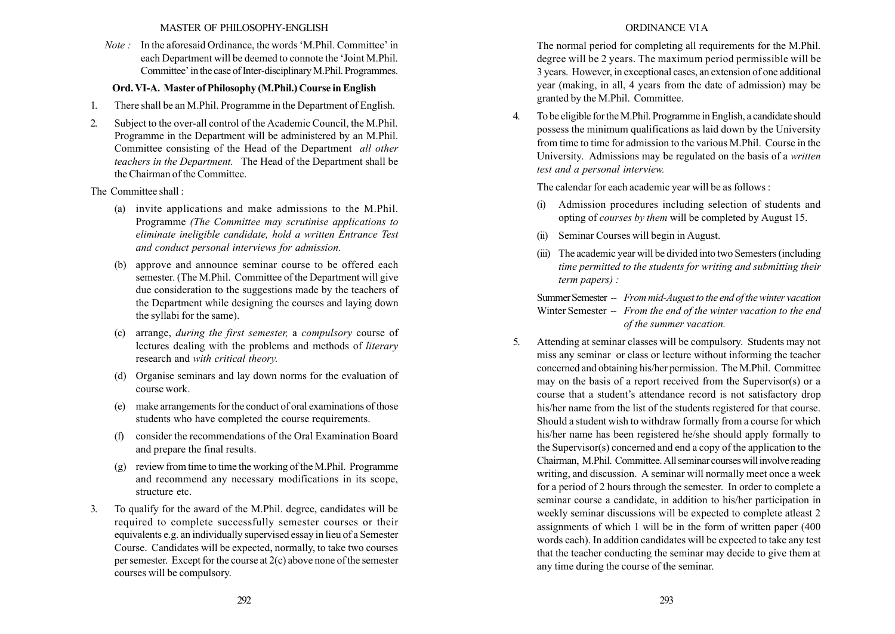### MASTER OF PHILOSOPHY-ENGLISH

 $Note:$  In the aforesaid Ordinance, the words 'M.Phil. Committee' in each Department will be deemed to connote the 'Joint M.Phil. Committee' in the case of Inter-disciplinary M.Phil. Programmes.

## Ord. VI-A. Master of Philosophy (M.Phil.) Course in English

- 1. There shall be an M.Phil. Programme in the Department of English.
- 2. Subject to the over-all control of the Academic Council, the M.Phil. Programme in the Department will be administered by an M.Phil. Committee consisting of the Head of the Department all other teachers in the Department. The Head of the Department shall be the Chairman of the Committee.

The Committee shall :

- (a) invite applications and make admissions to the M.Phil. Programme (The Committee may scrutinise applications to eliminate ineligible candidate, hold a written Entrance Test and conduct personal interviews for admission.
- (b) approve and announce seminar course to be offered each semester. (The M.Phil. Committee of the Department will give due consideration to the suggestions made by the teachers of the Department while designing the courses and laying down the syllabi for the same).
- (c) arrange, during the first semester, a compulsory course of lectures dealing with the problems and methods of literary research and with critical theory.
- (d) Organise seminars and lay down norms for the evaluation of course work.
- (e) make arrangements for the conduct of oral examinations of those students who have completed the course requirements.
- (f) consider the recommendations of the Oral Examination Board and prepare the final results.
- (g) review from time to time the working of the M.Phil. Programme and recommend any necessary modifications in its scope, structure etc.
- 3. To qualify for the award of the M.Phil. degree, candidates will be required to complete successfully semester courses or their equivalents e.g. an individually supervised essay in lieu of a Semester Course. Candidates will be expected, normally, to take two courses per semester. Except for the course at  $2(c)$  above none of the semester courses will be compulsory.

# ORDINANCE VI A

The normal period for completing all requirements for the M.Phil. degree will be 2 years. The maximum period permissible will be 3 years. However, in exceptional cases, an extension of one additional year (making, in all, 4 years from the date of admission) may be granted by the M.Phil. Committee.

4. To be eligible for theM.Phil. Programme in English, a candidate should possess the minimum qualifications as laid down by the University from time to time for admission to the various M.Phil. Course in the University. Admissions may be regulated on the basis of a written test and a personal interview.

The calendar for each academic year will be as follows :

- Admission procedures including selection of students and opting of courses by them will be completed by August 15.
- (ii) Seminar Courses will begin in August.
- (iii) The academic year will be divided into two Semesters (including time permitted to the students for writing and submitting their term papers) :

Summer Semester - From mid-August to the end of the winter vacation Winter Semester -- From the end of the winter vacation to the end of the summer vacation.

5. Attending at seminar classes will be compulsory. Students may not miss any seminar or class or lecture without informing the teacher concerned and obtaining his/her permission. The M.Phil. Committee may on the basis of a report received from the Supervisor(s) or a course that a student's attendance record is not satisfactory drop his/her name from the list of the students registered for that course. Should a student wish to withdraw formally from a course for which his/her name has been registered he/she should apply formally to the Supervisor(s) concerned and end a copy of the application to the Chairman, M.Phil. Committee. All seminar courses willinvolve reading writing, and discussion. A seminar will normally meet once a week for a period of 2 hours through the semester. In order to complete a seminar course a candidate, in addition to his/her participation in weekly seminar discussions will be expected to complete atleast 2 assignments of which 1 will be in the form of written paper (400 words each). In addition candidates will be expected to take any test that the teacher conducting the seminar may decide to give them at any time during the course of the seminar.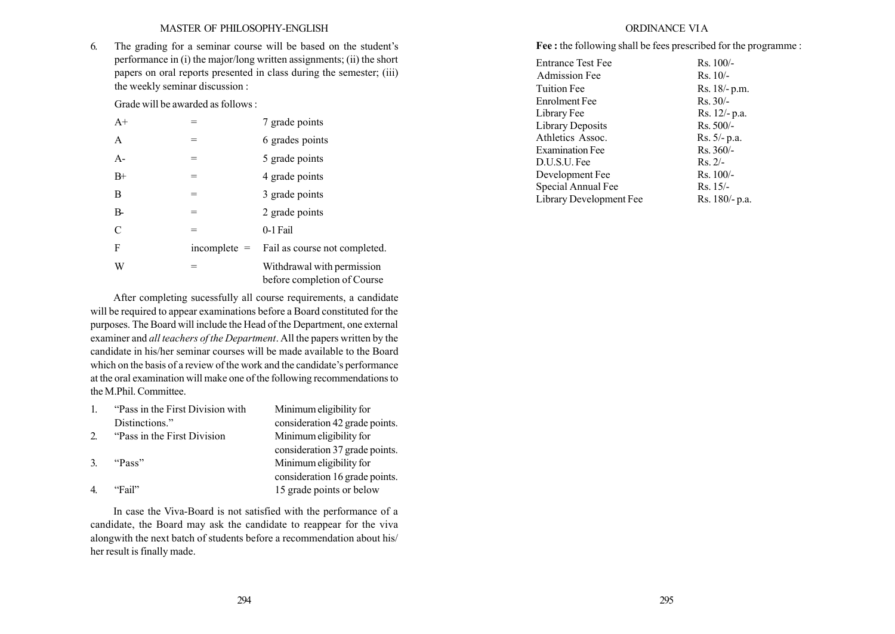6. The grading for a seminar course will be based on the student's performance in (i) the major/long written assignments; (ii) the short papers on oral reports presented in class during the semester; (iii) the weekly seminar discussion :

Grade will be awarded as follows :

| $A+$  |                | 7 grade points                                            |
|-------|----------------|-----------------------------------------------------------|
| A     | =              | 6 grades points                                           |
| $A-$  | $=$            | 5 grade points                                            |
| $B+$  | $=$            | 4 grade points                                            |
| B     |                | 3 grade points                                            |
| $B -$ |                | 2 grade points                                            |
| C     | $=$            | 0-1 Fail                                                  |
| F     | $incomplete =$ | Fail as course not completed.                             |
| W     |                | Withdrawal with permission<br>before completion of Course |

After completing sucessfully all course requirements, a candidate will be required to appear examinations before a Board constituted for the purposes. The Board will include the Head of the Department, one external examiner and all teachers of the Department. All the papers written by the candidate in his/her seminar courses will be made available to the Board which on the basis of a review of the work and the candidate's performance at the oral examination will make one of the following recommendations to the M.Phil. Committee.

|               | "Pass in the First Division with" | Minimum eligibility for        |
|---------------|-----------------------------------|--------------------------------|
|               | Distinctions."                    | consideration 42 grade points. |
| 2             | "Pass in the First Division"      | Minimum eligibility for        |
|               |                                   | consideration 37 grade points. |
| $\mathcal{R}$ | "Pass"                            | Minimum eligibility for        |
|               |                                   | consideration 16 grade points. |
|               | "Fail"                            | 15 grade points or below       |

In case the Viva-Board is not satisfied with the performance of a candidate, the Board may ask the candidate to reappear for the viva alongwith the next batch of students before a recommendation about his/ her result is finally made.

# ORDINANCE VI A

Fee : the following shall be fees prescribed for the programme :

| <b>Entrance Test Fee</b> | $Rs. 100/-$     |
|--------------------------|-----------------|
| <b>Admission Fee</b>     | $Rs. 10/-$      |
| Tuition Fee              | $Rs. 18/- p.m.$ |
| Enrolment Fee            | $Rs. 30/-$      |
| Library Fee              | Rs. 12/- p.a.   |
| Library Deposits         | Rs. 500/-       |
| Athletics Assoc.         | $Rs. 5/- p.a.$  |
| <b>Examination Fee</b>   | $Rs.360/-$      |
| D.U.S.U. Fee             | $Rs. 2/-$       |
| Development Fee          | $Rs. 100/-$     |
| Special Annual Fee       | $Rs. 15/-$      |
| Library Development Fee  | Rs. 180/- p.a.  |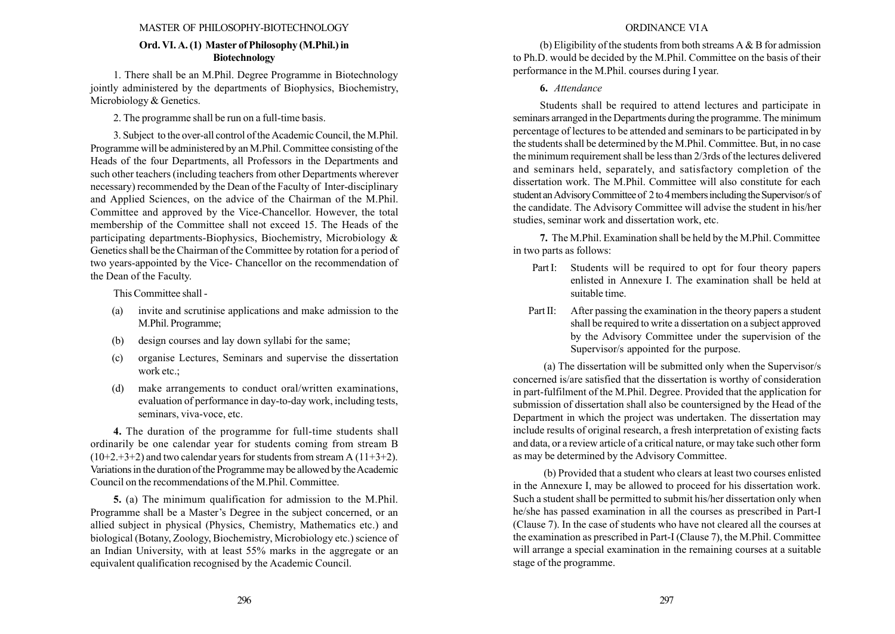#### MASTER OF PHILOSOPHY-BIOTECHNOLOGY

### Ord. VI. A. (1) Master of Philosophy (M.Phil.) in Biotechnology

1. There shall be an M.Phil. Degree Programme in Biotechnology jointly administered by the departments of Biophysics, Biochemistry, Microbiology & Genetics.

2. The programme shall be run on a full-time basis.

3. Subject to the over-all control of the Academic Council, the M.Phil. Programme will be administered by an M.Phil. Committee consisting of the Heads of the four Departments, all Professors in the Departments and such other teachers (including teachers from other Departments wherever necessary) recommended by the Dean of the Faculty of Inter-disciplinary and Applied Sciences, on the advice of the Chairman of the M.Phil. Committee and approved by the Vice-Chancellor. However, the total membership of the Committee shall not exceed 15. The Heads of the participating departments-Biophysics, Biochemistry, Microbiology & Genetics shall be the Chairman of the Committee by rotation for a period of two years-appointed by the Vice- Chancellor on the recommendation of the Dean of the Faculty.

This Committee shall -

- (a) invite and scrutinise applications and make admission to the M.Phil. Programme;
- (b) design courses and lay down syllabi for the same;
- (c) organise Lectures, Seminars and supervise the dissertation work etc.;
- (d) make arrangements to conduct oral/written examinations, evaluation of performance in day-to-day work, including tests, seminars, viva-voce, etc.

4. The duration of the programme for full-time students shall ordinarily be one calendar year for students coming from stream B  $(10+2.+3+2)$  and two calendar years for students from stream A  $(11+3+2)$ . Variations in the duration of the Programme may be allowed by the Academic Council on the recommendations of the M.Phil. Committee.

5. (a) The minimum qualification for admission to the M.Phil. Programme shall be a Master's Degree in the subject concerned, or an allied subject in physical (Physics, Chemistry, Mathematics etc.) and biological (Botany, Zoology, Biochemistry, Microbiology etc.) science of an Indian University, with at least 55% marks in the aggregate or an equivalent qualification recognised by the Academic Council.

#### ORDINANCE VI A

(b) Eligibility of the students from both streams  $A \& B$  for admission to Ph.D. would be decided by the M.Phil. Committee on the basis of their performance in the M.Phil. courses during I year.

#### 6. Attendance

Students shall be required to attend lectures and participate in seminars arranged in the Departments during the programme. The minimum percentage of lectures to be attended and seminars to be participated in by the students shall be determined by the M.Phil. Committee. But, in no case the minimum requirement shall be less than 2/3rds of the lectures delivered and seminars held, separately, and satisfactory completion of the dissertation work. The M.Phil. Committee will also constitute for each student an Advisory Committee of 2 to 4 members including the Supervisor/s of the candidate. The Advisory Committee will advise the student in his/her studies, seminar work and dissertation work, etc.

7. The M.Phil. Examination shall be held by the M.Phil. Committee in two parts as follows:

- Part I: Students will be required to opt for four theory papers enlisted in Annexure I. The examination shall be held at suitable time.
- Part II: After passing the examination in the theory papers a student shall be required to write a dissertation on a subject approved by the Advisory Committee under the supervision of the Supervisor/s appointed for the purpose.

(a) The dissertation will be submitted only when the Supervisor/s concerned is/are satisfied that the dissertation is worthy of consideration in part-fulfilment of the M.Phil. Degree. Provided that the application for submission of dissertation shall also be countersigned by the Head of the Department in which the project was undertaken. The dissertation may include results of original research, a fresh interpretation of existing facts and data, or a review article of a critical nature, or may take such other form as may be determined by the Advisory Committee.

(b) Provided that a student who clears at least two courses enlisted in the Annexure I, may be allowed to proceed for his dissertation work. Such a student shall be permitted to submit his/her dissertation only when he/she has passed examination in all the courses as prescribed in Part-I (Clause 7). In the case of students who have not cleared all the courses at the examination as prescribed in Part-I (Clause 7), the M.Phil. Committee will arrange a special examination in the remaining courses at a suitable stage of the programme.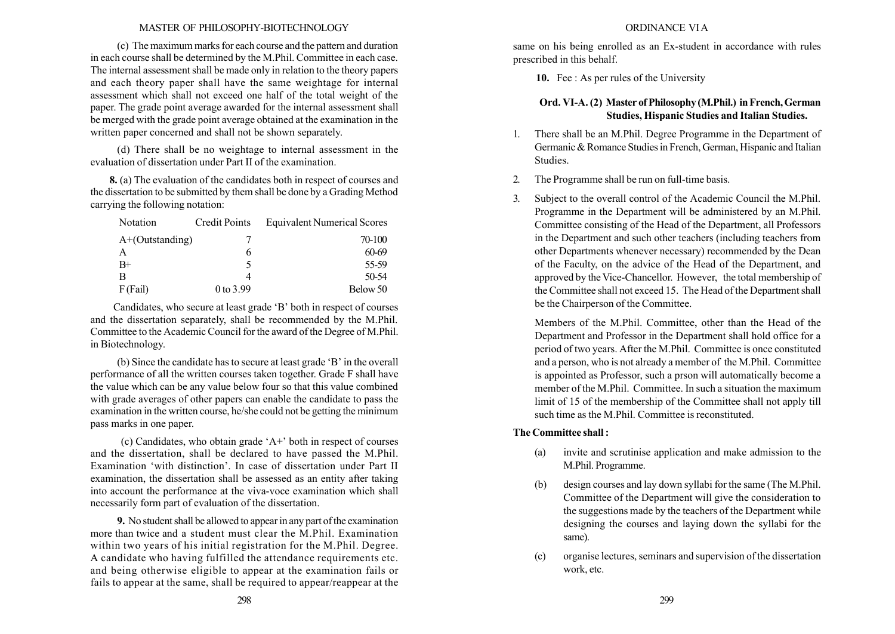#### MASTER OF PHILOSOPHY-BIOTECHNOLOGY

(c) The maximum marks for each course and the pattern and duration in each course shall be determined by the M.Phil. Committee in each case. The internal assessment shall be made only in relation to the theory papers and each theory paper shall have the same weightage for internal assessment which shall not exceed one half of the total weight of the paper. The grade point average awarded for the internal assessment shall be merged with the grade point average obtained at the examination in the written paper concerned and shall not be shown separately.

(d) There shall be no weightage to internal assessment in the evaluation of dissertation under Part II of the examination.

8. (a) The evaluation of the candidates both in respect of courses and the dissertation to be submitted by them shall be done by a Grading Method carrying the following notation:

| Notation           | <b>Credit Points</b> | <b>Equivalent Numerical Scores</b> |
|--------------------|----------------------|------------------------------------|
| $A+$ (Outstanding) |                      | 70-100                             |
| A                  | 6                    | 60-69                              |
| $B+$               |                      | 55-59                              |
| R                  | 4                    | 50-54                              |
| $F$ (Fail)         | 0 to 3.99            | Below 50                           |

Candidates, who secure at least grade 'B' both in respect of courses and the dissertation separately, shall be recommended by the M.Phil. Committee to the Academic Council for the award of the Degree of M.Phil. in Biotechnology.

(b) Since the candidate has to secure at least grade  $B'$  in the overall performance of all the written courses taken together. Grade F shall have the value which can be any value below four so that this value combined with grade averages of other papers can enable the candidate to pass the examination in the written course, he/she could not be getting the minimum pass marks in one paper.

(c) Candidates, who obtain grade  $A^+$  both in respect of courses and the dissertation, shall be declared to have passed the M.Phil. Examination 'with distinction'. In case of dissertation under Part II examination, the dissertation shall be assessed as an entity after taking into account the performance at the viva-voce examination which shall necessarily form part of evaluation of the dissertation.

9. No student shall be allowed to appear in any part of the examination more than twice and a student must clear the M.Phil. Examination within two years of his initial registration for the M.Phil. Degree. A candidate who having fulfilled the attendance requirements etc. and being otherwise eligible to appear at the examination fails or fails to appear at the same, shall be required to appear/reappear at the

#### ORDINANCE VI A

same on his being enrolled as an Ex-student in accordance with rules prescribed in this behalf.

10. Fee : As per rules of the University

# Ord. VI-A. (2) Master of Philosophy (M.Phil.) in French, German Studies, Hispanic Studies and Italian Studies.

- 1. There shall be an M.Phil. Degree Programme in the Department of Germanic & Romance Studies in French, German, Hispanic and Italian Studies.
- 2. The Programme shall be run on full-time basis.
- 3. Subject to the overall control of the Academic Council the M.Phil. Programme in the Department will be administered by an M.Phil. Committee consisting of the Head of the Department, all Professors in the Department and such other teachers (including teachers from other Departments whenever necessary) recommended by the Dean of the Faculty, on the advice of the Head of the Department, and approved by the Vice-Chancellor. However, the total membership of the Committee shall not exceed 15. The Head of the Department shall be the Chairperson of the Committee.

Members of the M.Phil. Committee, other than the Head of the Department and Professor in the Department shall hold office for a period of two years. After the M.Phil. Committee is once constituted and a person, who is not already a member of the M.Phil. Committee is appointed as Professor, such a prson will automatically become a member of the M.Phil. Committee. In such a situation the maximum limit of 15 of the membership of the Committee shall not apply till such time as the M.Phil. Committee is reconstituted.

### The Committee shall :

- (a) invite and scrutinise application and make admission to the M.Phil. Programme.
- (b) design courses and lay down syllabi for the same (The M.Phil. Committee of the Department will give the consideration to the suggestions made by the teachers of the Department while designing the courses and laying down the syllabi for the same).
- (c) organise lectures, seminars and supervision of the dissertation work, etc.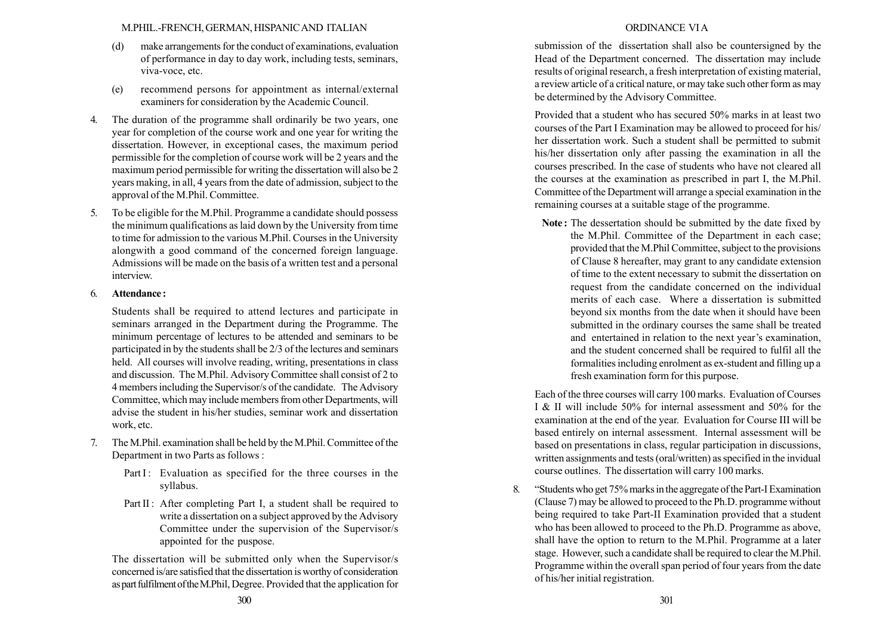### M.PHIL.-FRENCH, GERMAN, HISPANICAND ITALIAN

- (d) make arrangements for the conduct of examinations, evaluation of performance in day to day work, including tests, seminars, viva-voce, etc.
- (e) recommend persons for appointment as internal/external examiners for consideration by the Academic Council.
- 4. The duration of the programme shall ordinarily be two years, one year for completion of the course work and one year for writing the dissertation. However, in exceptional cases, the maximum period permissible for the completion of course work will be 2 years and the maximum period permissible for writing the dissertation will also be 2 years making, in all, 4 years from the date of admission, subject to the approval of the M.Phil. Committee.
- 5. To be eligible for the M.Phil. Programme a candidate should possess the minimum qualifications as laid down by the University from time to time for admission to the various M.Phil. Courses in the University alongwith a good command of the concerned foreign language. Admissions will be made on the basis of a written test and a personal interview.

## 6. Attendance :

Students shall be required to attend lectures and participate in seminars arranged in the Department during the Programme. The minimum percentage of lectures to be attended and seminars to be participated in by the students shall be 2/3 of the lectures and seminars held. All courses will involve reading, writing, presentations in class and discussion. The M.Phil. Advisory Committee shall consist of 2 to 4 members including the Supervisor/s of the candidate. The Advisory Committee, which may include members from other Departments, will advise the student in his/her studies, seminar work and dissertation work, etc.

- 7. The M.Phil. examination shall be held by the M.Phil. Committee of the Department in two Parts as follows :
	- Part I: Evaluation as specified for the three courses in the syllabus.
	- Part II : After completing Part I, a student shall be required to write a dissertation on a subject approved by the Advisory Committee under the supervision of the Supervisor/s appointed for the puspose.

The dissertation will be submitted only when the Supervisor/s concerned is/are satisfied that the dissertation is worthy of consideration as part fulfilmentoftheM.Phil, Degree. Provided that the application for

# ORDINANCE VI A

submission of the dissertation shall also be countersigned by the Head of the Department concerned. The dissertation may include results of original research, a fresh interpretation of existing material, a review article of a critical nature, or may take such other form as may be determined by the Advisory Committee.

Provided that a student who has secured 50% marks in at least two courses of the Part I Examination may be allowed to proceed for his/ her dissertation work. Such a student shall be permitted to submit his/her dissertation only after passing the examination in all the courses prescribed. In the case of students who have not cleared all the courses at the examination as prescribed in part I, the M.Phil. Committee of the Department will arrange a special examination in the remaining courses at a suitable stage of the programme.

Note : The dessertation should be submitted by the date fixed by the M.Phil. Committee of the Department in each case; provided that the M.Phil Committee, subject to the provisions of Clause 8 hereafter, may grant to any candidate extension of time to the extent necessary to submit the dissertation on request from the candidate concerned on the individual merits of each case. Where a dissertation is submitted beyond six months from the date when it should have been submitted in the ordinary courses the same shall be treated and entertained in relation to the next year's examination, and the student concerned shall be required to fulfil all the formalities including enrolment as ex-student and filling up a fresh examination form for this purpose.

Each of the three courses will carry 100 marks. Evaluation of Courses I & II will include 50% for internal assessment and 50% for the examination at the end of the year. Evaluation for Course III will be based entirely on internal assessment. Internal assessment will be based on presentations in class, regular participation in discussions, written assignments and tests (oral/written) as specified in the invidual course outlines. The dissertation will carry 100 marks.

8. "Students who get 75% marks in the aggregate of the Part-I Examination (Clause 7) may be allowed to proceed to the Ph.D. programme without being required to take Part-II Examination provided that a student who has been allowed to proceed to the Ph.D. Programme as above, shall have the option to return to the M.Phil. Programme at a later stage. However, such a candidate shall be required to clear the M.Phil. Programme within the overall span period of four years from the date of his/her initial registration.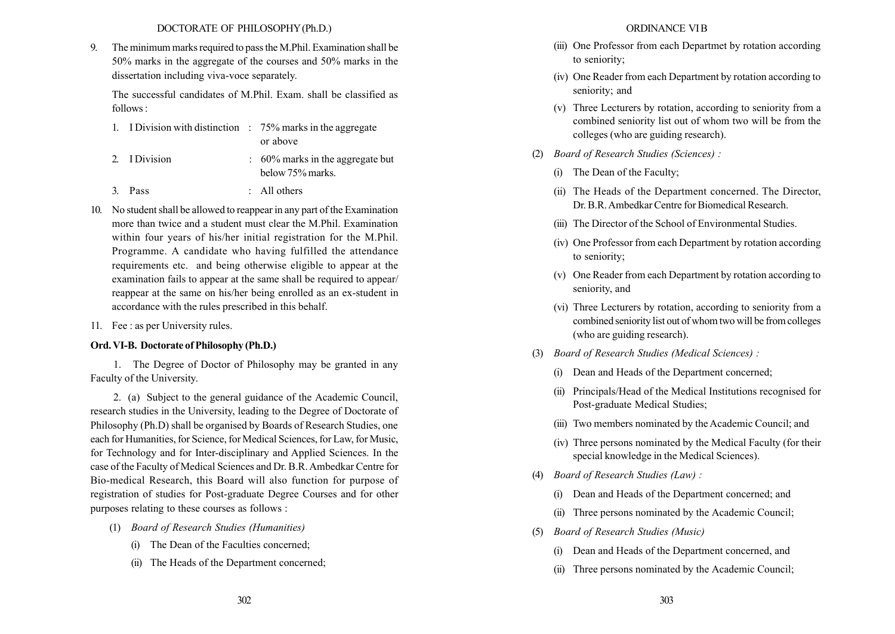9. The minimum marks required to pass the M.Phil. Examination shall be 50% marks in the aggregate of the courses and 50% marks in the dissertation including viva-voce separately.

The successful candidates of M.Phil. Exam. shall be classified as follows :

|  |               | 1. I Division with distinction $\therefore$ 75% marks in the aggregate |
|--|---------------|------------------------------------------------------------------------|
|  |               | or above                                                               |
|  | 2. I Division | $\approx 60\%$ marks in the aggregate but<br>below 75% marks.          |
|  | 3. Pass       | : All others                                                           |

- 10. No student shall be allowed to reappear in any part of the Examination more than twice and a student must clear the M.Phil. Examination within four years of his/her initial registration for the M.Phil. Programme. A candidate who having fulfilled the attendance requirements etc. and being otherwise eligible to appear at the examination fails to appear at the same shall be required to appear/ reappear at the same on his/her being enrolled as an ex-student in accordance with the rules prescribed in this behalf.
- 11. Fee : as per University rules.

### Ord. VI-B. Doctorate of Philosophy (Ph.D.)

1. The Degree of Doctor of Philosophy may be granted in any Faculty of the University.

2. (a) Subject to the general guidance of the Academic Council, research studies in the University, leading to the Degree of Doctorate of Philosophy (Ph.D) shall be organised by Boards of Research Studies, one each for Humanities, for Science, for Medical Sciences, for Law, for Music, for Technology and for Inter-disciplinary and Applied Sciences. In the case of the Faculty of Medical Sciences and Dr. B.R. Ambedkar Centre for Bio-medical Research, this Board will also function for purpose of registration of studies for Post-graduate Degree Courses and for other purposes relating to these courses as follows :

- (1) Board of Research Studies (Humanities)
	- (i) The Dean of the Faculties concerned;
	- (ii) The Heads of the Department concerned;

#### ORDINANCE VIB

- (iii) One Professor from each Departmet by rotation according to seniority;
- (iv) One Reader from each Department by rotation according to seniority; and
- (v) Three Lecturers by rotation, according to seniority from a combined seniority list out of whom two will be from the colleges (who are guiding research).
- (2) Board of Research Studies (Sciences) :
	- (i) The Dean of the Faculty;
	- (ii) The Heads of the Department concerned. The Director, Dr. B.R.Ambedkar Centre for Biomedical Research.
	- (iii) The Director of the School of Environmental Studies.
	- (iv) One Professor from each Department by rotation according to seniority;
	- (v) One Reader from each Department by rotation according to seniority, and
	- (vi) Three Lecturers by rotation, according to seniority from a combined seniority list out of whom two will be from colleges (who are guiding research).
- (3) Board of Research Studies (Medical Sciences) :
	- (i) Dean and Heads of the Department concerned;
	- (ii) Principals/Head of the Medical Institutions recognised for Post-graduate Medical Studies;
	- (iii) Two members nominated by the Academic Council; and
	- (iv) Three persons nominated by the Medical Faculty (for their special knowledge in the Medical Sciences).
- (4) Board of Research Studies (Law) :
	- (i) Dean and Heads of the Department concerned; and
	- (ii) Three persons nominated by the Academic Council;
- (5) Board of Research Studies (Music)
	- (i) Dean and Heads of the Department concerned, and
	- (ii) Three persons nominated by the Academic Council;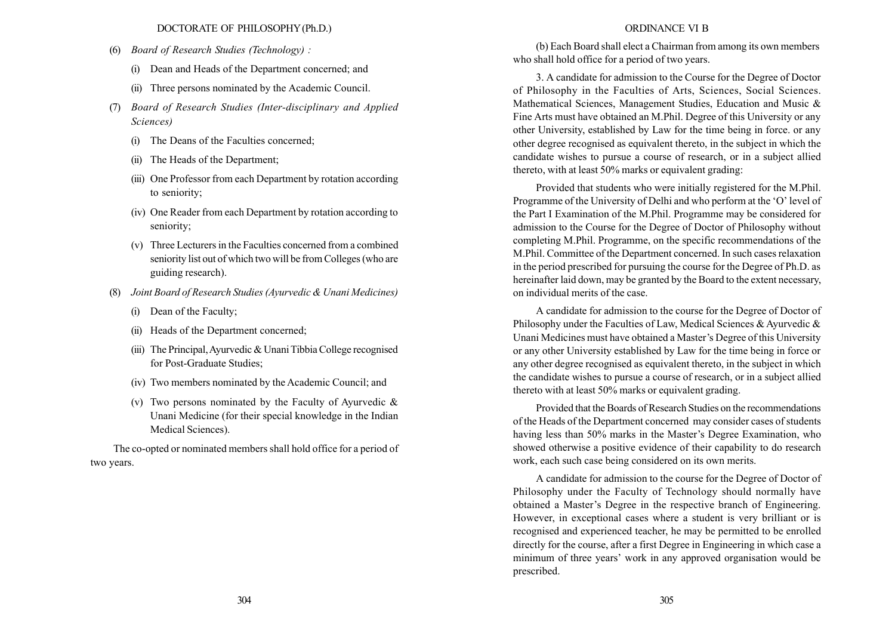- (6) Board of Research Studies (Technology) :
	- (i) Dean and Heads of the Department concerned; and
	- (ii) Three persons nominated by the Academic Council.
- (7) Board of Research Studies (Inter-disciplinary and Applied Sciences)
	- (i) The Deans of the Faculties concerned;
	- (ii) The Heads of the Department;
	- (iii) One Professor from each Department by rotation according to seniority;
	- (iv) One Reader from each Department by rotation according to seniority;
	- (v) Three Lecturers in the Faculties concerned from a combined seniority list out of which two will be from Colleges (who are guiding research).
- (8) Joint Board of Research Studies (Ayurvedic & Unani Medicines)
	- (i) Dean of the Faculty;
	- (ii) Heads of the Department concerned;
	- (iii) The Principal,Ayurvedic & Unani Tibbia College recognised for Post-Graduate Studies;
	- (iv) Two members nominated by the Academic Council; and
	- (v) Two persons nominated by the Faculty of Ayurvedic  $\&$ Unani Medicine (for their special knowledge in the Indian Medical Sciences).

The co-opted or nominated members shall hold office for a period of two years.

### ORDINANCE VI B

(b) Each Board shall elect a Chairman from among its own members who shall hold office for a period of two years.

3. A candidate for admission to the Course for the Degree of Doctor of Philosophy in the Faculties of Arts, Sciences, Social Sciences. Mathematical Sciences, Management Studies, Education and Music & Fine Arts must have obtained an M.Phil. Degree of this University or any other University, established by Law for the time being in force. or any other degree recognised as equivalent thereto, in the subject in which the candidate wishes to pursue a course of research, or in a subject allied thereto, with at least 50% marks or equivalent grading:

Provided that students who were initially registered for the M.Phil. Programme of the University of Delhi and who perform at the 'O' level of the Part I Examination of the M.Phil. Programme may be considered for admission to the Course for the Degree of Doctor of Philosophy without completing M.Phil. Programme, on the specific recommendations of the M.Phil. Committee of the Department concerned. In such cases relaxation in the period prescribed for pursuing the course for the Degree of Ph.D. as hereinafter laid down, may be granted by the Board to the extent necessary, on individual merits of the case.

A candidate for admission to the course for the Degree of Doctor of Philosophy under the Faculties of Law, Medical Sciences & Ayurvedic & Unani Medicines must have obtained a Master's Degree of this University or any other University established by Law for the time being in force or any other degree recognised as equivalent thereto, in the subject in which the candidate wishes to pursue a course of research, or in a subject allied thereto with at least 50% marks or equivalent grading.

Provided that the Boards of Research Studies on the recommendations of the Heads of the Department concerned may consider cases of students having less than 50% marks in the Master's Degree Examination, who showed otherwise a positive evidence of their capability to do research work, each such case being considered on its own merits.

A candidate for admission to the course for the Degree of Doctor of Philosophy under the Faculty of Technology should normally have obtained a Master's Degree in the respective branch of Engineering. However, in exceptional cases where a student is very brilliant or is recognised and experienced teacher, he may be permitted to be enrolled directly for the course, after a first Degree in Engineering in which case a minimum of three years' work in any approved organisation would be prescribed.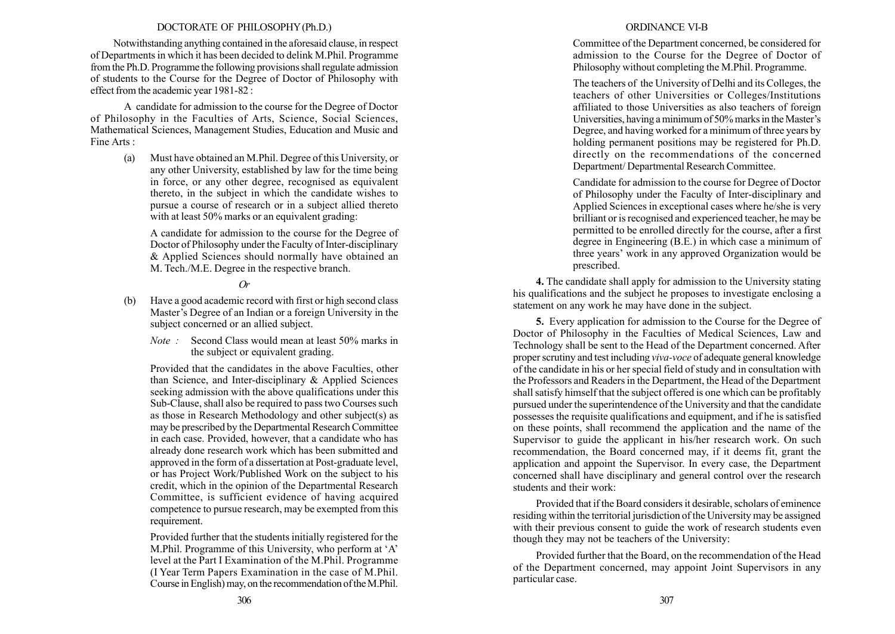Notwithstanding anything contained in the aforesaid clause, in respect of Departments in which it has been decided to delink M.Phil. Programme from the Ph.D. Programme the following provisions shall regulate admission of students to the Course for the Degree of Doctor of Philosophy with effect from the academic year 1981-82 :

A candidate for admission to the course for the Degree of Doctor of Philosophy in the Faculties of Arts, Science, Social Sciences, Mathematical Sciences, Management Studies, Education and Music and Fine Arts :

> (a) Must have obtained an M.Phil. Degree of this University, or any other University, established by law for the time being in force, or any other degree, recognised as equivalent thereto, in the subject in which the candidate wishes to pursue a course of research or in a subject allied thereto with at least 50% marks or an equivalent grading:

A candidate for admission to the course for the Degree of Doctor of Philosophy under the Faculty of Inter-disciplinary & Applied Sciences should normally have obtained an M. Tech./M.E. Degree in the respective branch.

### Or

- (b) Have a good academic record with first or high second class Master's Degree of an Indian or a foreign University in the subject concerned or an allied subject.
	- Note : Second Class would mean at least 50% marks in the subject or equivalent grading.

Provided that the candidates in the above Faculties, other than Science, and Inter-disciplinary & Applied Sciences seeking admission with the above qualifications under this Sub-Clause, shall also be required to pass two Courses such as those in Research Methodology and other subject(s) as may be prescribed by the Departmental Research Committee in each case. Provided, however, that a candidate who has already done research work which has been submitted and approved in the form of a dissertation at Post-graduate level, or has Project Work/Published Work on the subject to his credit, which in the opinion of the Departmental Research Committee, is sufficient evidence of having acquired competence to pursue research, may be exempted from this requirement.

Provided further that the students initially registered for the M.Phil. Programme of this University, who perform at 'A' level at the Part I Examination of the M.Phil. Programme (I Year Term Papers Examination in the case of M.Phil. Course in English) may, on the recommendation of theM.Phil.

### ORDINANCE VI-B

Committee of the Department concerned, be considered for admission to the Course for the Degree of Doctor of Philosophy without completing the M.Phil. Programme.

The teachers of the University of Delhi and its Colleges, the teachers of other Universities or Colleges/Institutions affiliated to those Universities as also teachers of foreign Universities, having a minimum of 50% marks in the Master's Degree, and having worked for a minimum of three years by holding permanent positions may be registered for Ph.D. directly on the recommendations of the concerned Department/ Departmental Research Committee.

Candidate for admission to the course for Degree of Doctor of Philosophy under the Faculty of Inter-disciplinary and Applied Sciences in exceptional cases where he/she is very brilliant or is recognised and experienced teacher, he may be permitted to be enrolled directly for the course, after a first degree in Engineering (B.E.) in which case a minimum of three years' work in any approved Organization would be prescribed.

4. The candidate shall apply for admission to the University stating his qualifications and the subject he proposes to investigate enclosing a statement on any work he may have done in the subject.

5. Every application for admission to the Course for the Degree of Doctor of Philosophy in the Faculties of Medical Sciences, Law and Technology shall be sent to the Head of the Department concerned. After proper scrutiny and test including viva-voce of adequate general knowledge of the candidate in his or her special field of study and in consultation with the Professors and Readers in the Department, the Head of the Department shall satisfy himself that the subject offered is one which can be profitably pursued under the superintendence of the University and that the candidate possesses the requisite qualifications and equipment, and if he is satisfied on these points, shall recommend the application and the name of the Supervisor to guide the applicant in his/her research work. On such recommendation, the Board concerned may, if it deems fit, grant the application and appoint the Supervisor. In every case, the Department concerned shall have disciplinary and general control over the research students and their work:

Provided that if the Board considers it desirable, scholars of eminence residing within the territorial jurisdiction of the University may be assigned with their previous consent to guide the work of research students even though they may not be teachers of the University:

Provided further that the Board, on the recommendation of the Head of the Department concerned, may appoint Joint Supervisors in any particular case.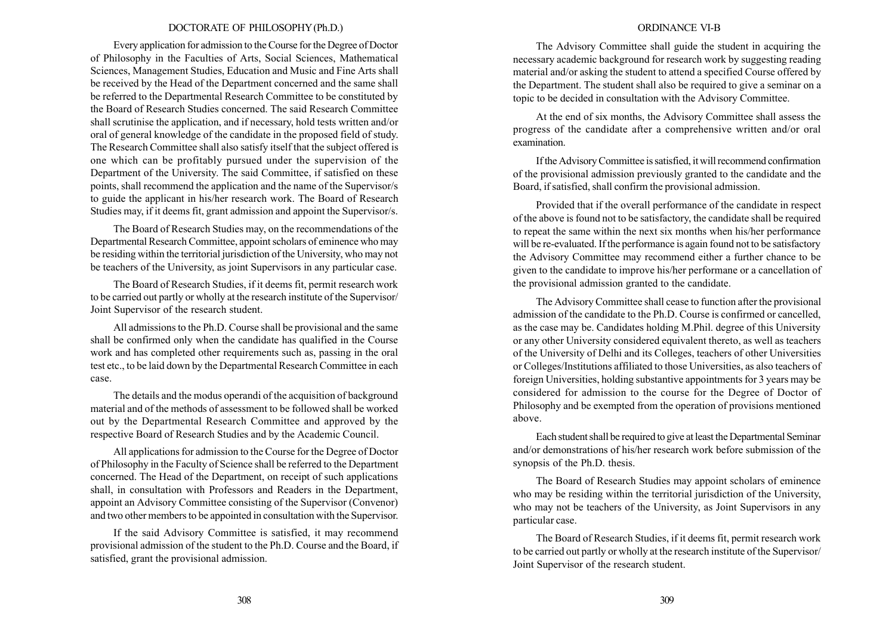Every application for admission to the Course for the Degree of Doctor of Philosophy in the Faculties of Arts, Social Sciences, Mathematical Sciences, Management Studies, Education and Music and Fine Arts shall be received by the Head of the Department concerned and the same shall be referred to the Departmental Research Committee to be constituted by the Board of Research Studies concerned. The said Research Committee shall scrutinise the application, and if necessary, hold tests written and/or oral of general knowledge of the candidate in the proposed field of study. The Research Committee shall also satisfy itself that the subject offered is one which can be profitably pursued under the supervision of the Department of the University. The said Committee, if satisfied on these points, shall recommend the application and the name of the Supervisor/s to guide the applicant in his/her research work. The Board of Research Studies may, if it deems fit, grant admission and appoint the Supervisor/s.

The Board of Research Studies may, on the recommendations of the Departmental Research Committee, appoint scholars of eminence who may be residing within the territorial jurisdiction of the University, who may not be teachers of the University, as joint Supervisors in any particular case.

The Board of Research Studies, if it deems fit, permit research work to be carried out partly or wholly at the research institute of the Supervisor/ Joint Supervisor of the research student.

All admissions to the Ph.D. Course shall be provisional and the same shall be confirmed only when the candidate has qualified in the Course work and has completed other requirements such as, passing in the oral test etc., to be laid down by the Departmental Research Committee in each case.

The details and the modus operandi of the acquisition of background material and of the methods of assessment to be followed shall be worked out by the Departmental Research Committee and approved by the respective Board of Research Studies and by the Academic Council.

All applications for admission to the Course for the Degree of Doctor of Philosophy in the Faculty of Science shall be referred to the Department concerned. The Head of the Department, on receipt of such applications shall, in consultation with Professors and Readers in the Department, appoint an Advisory Committee consisting of the Supervisor (Convenor) and two other members to be appointed in consultation with the Supervisor.

If the said Advisory Committee is satisfied, it may recommend provisional admission of the student to the Ph.D. Course and the Board, if satisfied, grant the provisional admission.

#### ORDINANCE VI-B

The Advisory Committee shall guide the student in acquiring the necessary academic background for research work by suggesting reading material and/or asking the student to attend a specified Course offered by the Department. The student shall also be required to give a seminar on a topic to be decided in consultation with the Advisory Committee.

At the end of six months, the Advisory Committee shall assess the progress of the candidate after a comprehensive written and/or oral examination.

If the Advisory Committee is satisfied, it will recommend confirmation of the provisional admission previously granted to the candidate and the Board, if satisfied, shall confirm the provisional admission.

Provided that if the overall performance of the candidate in respect of the above is found not to be satisfactory, the candidate shall be required to repeat the same within the next six months when his/her performance will be re-evaluated. If the performance is again found not to be satisfactory the Advisory Committee may recommend either a further chance to be given to the candidate to improve his/her performane or a cancellation of the provisional admission granted to the candidate.

The Advisory Committee shall cease to function after the provisional admission of the candidate to the Ph.D. Course is confirmed or cancelled, as the case may be. Candidates holding M.Phil. degree of this University or any other University considered equivalent thereto, as well as teachers of the University of Delhi and its Colleges, teachers of other Universities or Colleges/Institutions affiliated to those Universities, as also teachers of foreign Universities, holding substantive appointments for 3 years may be considered for admission to the course for the Degree of Doctor of Philosophy and be exempted from the operation of provisions mentioned above.

Each student shall be required to give at least the Departmental Seminar and/or demonstrations of his/her research work before submission of the synopsis of the Ph.D. thesis.

The Board of Research Studies may appoint scholars of eminence who may be residing within the territorial jurisdiction of the University, who may not be teachers of the University, as Joint Supervisors in any particular case.

The Board of Research Studies, if it deems fit, permit research work to be carried out partly or wholly at the research institute of the Supervisor/ Joint Supervisor of the research student.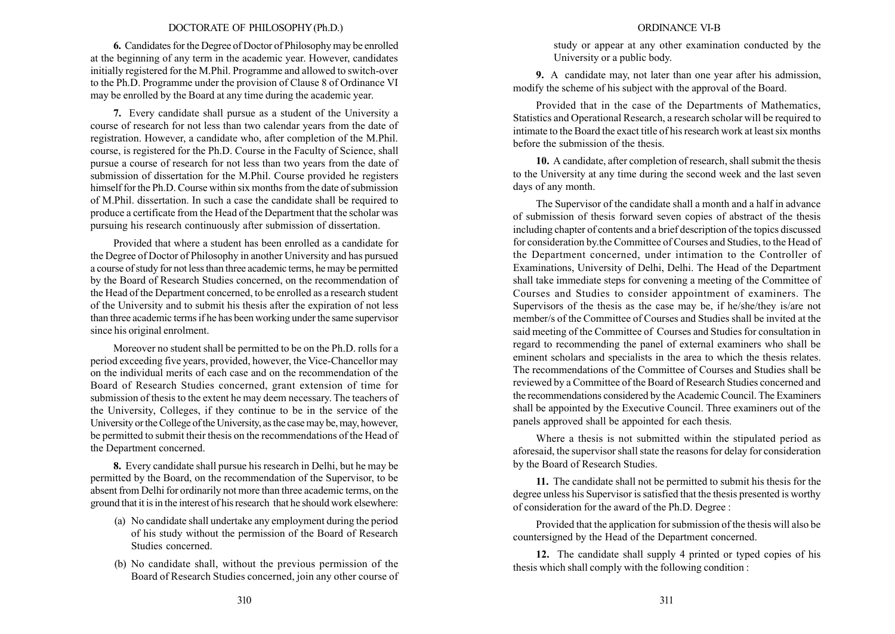6. Candidates for the Degree of Doctor of Philosophy may be enrolled at the beginning of any term in the academic year. However, candidates initially registered for the M.Phil. Programme and allowed to switch-over to the Ph.D. Programme under the provision of Clause 8 of Ordinance VI may be enrolled by the Board at any time during the academic year.

7. Every candidate shall pursue as a student of the University a course of research for not less than two calendar years from the date of registration. However, a candidate who, after completion of the M.Phil. course, is registered for the Ph.D. Course in the Faculty of Science, shall pursue a course of research for not less than two years from the date of submission of dissertation for the M.Phil. Course provided he registers himself for the Ph.D. Course within six months from the date of submission of M.Phil. dissertation. In such a case the candidate shall be required to produce a certificate from the Head of the Department that the scholar was pursuing his research continuously after submission of dissertation.

Provided that where a student has been enrolled as a candidate for the Degree of Doctor of Philosophy in another University and has pursued a course of study for not less than three academic terms, he may be permitted by the Board of Research Studies concerned, on the recommendation of the Head of the Department concerned, to be enrolled as a research student of the University and to submit his thesis after the expiration of not less than three academic terms if he has been working under the same supervisor since his original enrolment.

Moreover no student shall be permitted to be on the Ph.D. rolls for a period exceeding five years, provided, however, the Vice-Chancellor may on the individual merits of each case and on the recommendation of the Board of Research Studies concerned, grant extension of time for submission of thesis to the extent he may deem necessary. The teachers of the University, Colleges, if they continue to be in the service of the University or the College of the University, as the case may be, may, however, be permitted to submit their thesis on the recommendations of the Head of the Department concerned.

8. Every candidate shall pursue his research in Delhi, but he may be permitted by the Board, on the recommendation of the Supervisor, to be absent from Delhi for ordinarily not more than three academic terms, on the ground that it is in the interest of his research that he should work elsewhere:

- (a) No candidate shall undertake any employment during the period of his study without the permission of the Board of Research Studies concerned.
- (b) No candidate shall, without the previous permission of the Board of Research Studies concerned, join any other course of

#### ORDINANCE VI-B

study or appear at any other examination conducted by the University or a public body.

9. A candidate may, not later than one year after his admission, modify the scheme of his subject with the approval of the Board.

Provided that in the case of the Departments of Mathematics, Statistics and Operational Research, a research scholar will be required to intimate to the Board the exact title of his research work at least six months before the submission of the thesis.

10. A candidate, after completion of research, shall submit the thesis to the University at any time during the second week and the last seven days of any month.

The Supervisor of the candidate shall a month and a half in advance of submission of thesis forward seven copies of abstract of the thesis including chapter of contents and a brief description of the topics discussed for consideration by.the Committee of Courses and Studies, to the Head of the Department concerned, under intimation to the Controller of Examinations, University of Delhi, Delhi. The Head of the Department shall take immediate steps for convening a meeting of the Committee of Courses and Studies to consider appointment of examiners. The Supervisors of the thesis as the case may be, if he/she/they is/are not member/s of the Committee of Courses and Studies shall be invited at the said meeting of the Committee of Courses and Studies for consultation in regard to recommending the panel of external examiners who shall be eminent scholars and specialists in the area to which the thesis relates. The recommendations of the Committee of Courses and Studies shall be reviewed by a Committee of the Board of Research Studies concerned and the recommendations considered by the Academic Council. The Examiners shall be appointed by the Executive Council. Three examiners out of the panels approved shall be appointed for each thesis.

Where a thesis is not submitted within the stipulated period as aforesaid, the supervisor shall state the reasons for delay for consideration by the Board of Research Studies.

11. The candidate shall not be permitted to submit his thesis for the degree unless his Supervisor is satisfied that the thesis presented is worthy of consideration for the award of the Ph.D. Degree :

Provided that the application for submission of the thesis will also be countersigned by the Head of the Department concerned.

12. The candidate shall supply 4 printed or typed copies of his thesis which shall comply with the following condition :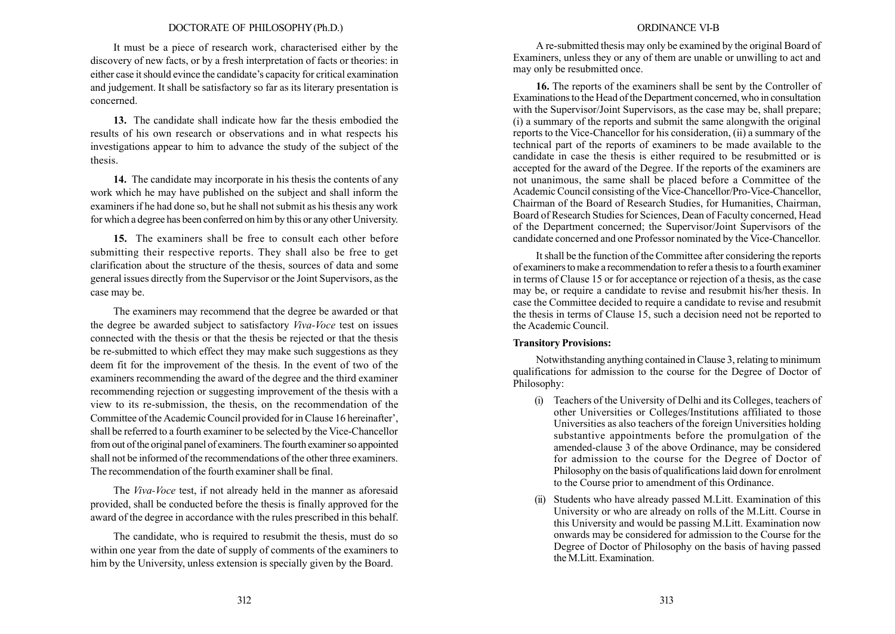It must be a piece of research work, characterised either by the discovery of new facts, or by a fresh interpretation of facts or theories: in either case it should evince the candidate's capacity for critical examination and judgement. It shall be satisfactory so far as its literary presentation is concerned.

13. The candidate shall indicate how far the thesis embodied the results of his own research or observations and in what respects his investigations appear to him to advance the study of the subject of the thesis.

14. The candidate may incorporate in his thesis the contents of any work which he may have published on the subject and shall inform the examiners if he had done so, but he shall not submit as his thesis any work for which a degree has been conferred on him by this or any other University.

15. The examiners shall be free to consult each other before submitting their respective reports. They shall also be free to get clarification about the structure of the thesis, sources of data and some general issues directly from the Supervisor or the Joint Supervisors, as the case may be.

The examiners may recommend that the degree be awarded or that the degree be awarded subject to satisfactory Viva-Voce test on issues connected with the thesis or that the thesis be rejected or that the thesis be re-submitted to which effect they may make such suggestions as they deem fit for the improvement of the thesis. In the event of two of the examiners recommending the award of the degree and the third examiner recommending rejection or suggesting improvement of the thesis with a view to its re-submission, the thesis, on the recommendation of the Committee of the Academic Council provided for in Clause 16 hereinafter<sup>2</sup>, shall be referred to a fourth examiner to be selected by the Vice-Chancellor from out of the original panel of examiners. The fourth examiner so appointed shall not be informed of the recommendations of the other three examiners. The recommendation of the fourth examiner shall be final.

The Viva-Voce test, if not already held in the manner as aforesaid provided, shall be conducted before the thesis is finally approved for the award of the degree in accordance with the rules prescribed in this behalf.

The candidate, who is required to resubmit the thesis, must do so within one year from the date of supply of comments of the examiners to him by the University, unless extension is specially given by the Board.

#### ORDINANCE VI-B

A re-submitted thesis may only be examined by the original Board of Examiners, unless they or any of them are unable or unwilling to act and may only be resubmitted once.

16. The reports of the examiners shall be sent by the Controller of Examinations to the Head of the Department concerned, who in consultation with the Supervisor/Joint Supervisors, as the case may be, shall prepare; (i) a summary of the reports and submit the same alongwith the original reports to the Vice-Chancellor for his consideration, (ii) a summary of the technical part of the reports of examiners to be made available to the candidate in case the thesis is either required to be resubmitted or is accepted for the award of the Degree. If the reports of the examiners are not unanimous, the same shall be placed before a Committee of the Academic Council consisting of the Vice-Chancellor/Pro-Vice-Chancellor, Chairman of the Board of Research Studies, for Humanities, Chairman, Board of Research Studies for Sciences, Dean of Faculty concerned, Head of the Department concerned; the Supervisor/Joint Supervisors of the candidate concerned and one Professor nominated by the Vice-Chancellor.

It shall be the function of the Committee after considering the reports of examiners to make a recommendation to refer a thesis to a fourth examiner in terms of Clause 15 or for acceptance or rejection of a thesis, as the case may be, or require a candidate to revise and resubmit his/her thesis. In case the Committee decided to require a candidate to revise and resubmit the thesis in terms of Clause 15, such a decision need not be reported to the Academic Council.

#### Transitory Provisions:

Notwithstanding anything contained in Clause 3, relating to minimum qualifications for admission to the course for the Degree of Doctor of Philosophy:

- (i) Teachers of the University of Delhi and its Colleges, teachers of other Universities or Colleges/Institutions affiliated to those Universities as also teachers of the foreign Universities holding substantive appointments before the promulgation of the amended-clause 3 of the above Ordinance, may be considered for admission to the course for the Degree of Doctor of Philosophy on the basis of qualifications laid down for enrolment to the Course prior to amendment of this Ordinance.
- (ii) Students who have already passed M.Litt. Examination of this University or who are already on rolls of the M.Litt. Course in this University and would be passing M.Litt. Examination now onwards may be considered for admission to the Course for the Degree of Doctor of Philosophy on the basis of having passed the M.Litt. Examination.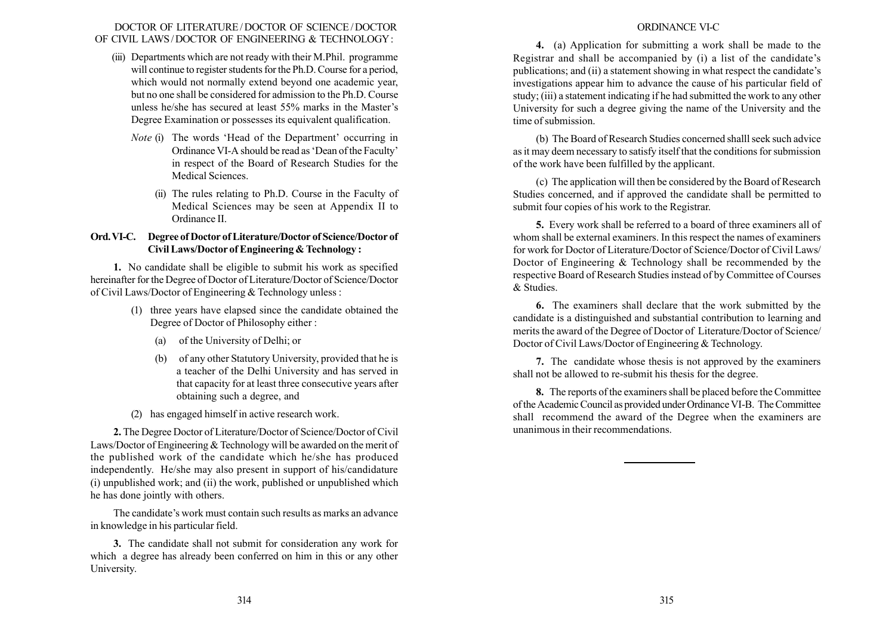### DOCTOR OF LITERATURE/ DOCTOR OF SCIENCE/ DOCTOR OF CIVIL LAWS/ DOCTOR OF ENGINEERING & TECHNOLOGY:

- (iii) Departments which are not ready with their M.Phil. programme will continue to register students for the Ph.D. Course for a period, which would not normally extend beyond one academic year, but no one shall be considered for admission to the Ph.D. Course unless he/she has secured at least 55% marks in the Master's Degree Examination or possesses its equivalent qualification.
	- *Note* (i) The words 'Head of the Department' occurring in Ordinance VI-A should be read as 'Dean of the Faculty' in respect of the Board of Research Studies for the Medical Sciences.
		- (ii) The rules relating to Ph.D. Course in the Faculty of Medical Sciences may be seen at Appendix II to Ordinance II.

# Ord.VI-C. Degree of Doctor of Literature/Doctor of Science/Doctor of Civil Laws/Doctor of Engineering & Technology :

1. No candidate shall be eligible to submit his work as specified hereinafter for the Degree of Doctor of Literature/Doctor of Science/Doctor of Civil Laws/Doctor of Engineering & Technology unless :

- (1) three years have elapsed since the candidate obtained the Degree of Doctor of Philosophy either :
	- (a) of the University of Delhi; or
	- (b) of any other Statutory University, provided that he is a teacher of the Delhi University and has served in that capacity for at least three consecutive years after obtaining such a degree, and
- (2) has engaged himself in active research work.

2. The Degree Doctor of Literature/Doctor of Science/Doctor of Civil Laws/Doctor of Engineering & Technology will be awarded on the merit of the published work of the candidate which he/she has produced independently. He/she may also present in support of his/candidature (i) unpublished work; and (ii) the work, published or unpublished which he has done jointly with others.

The candidate's work must contain such results as marks an advance in knowledge in his particular field.

3. The candidate shall not submit for consideration any work for which a degree has already been conferred on him in this or any other University.

## ORDINANCE VI-C

4. (a) Application for submitting a work shall be made to the Registrar and shall be accompanied by  $(i)$  a list of the candidate's publications; and (ii) a statement showing in what respect the candidate's investigations appear him to advance the cause of his particular field of study; (iii) a statement indicating if he had submitted the work to any other University for such a degree giving the name of the University and the time of submission.

(b) The Board of Research Studies concerned shalll seek such advice as it may deem necessary to satisfy itself that the conditions for submission of the work have been fulfilled by the applicant.

(c) The application will then be considered by the Board of Research Studies concerned, and if approved the candidate shall be permitted to submit four copies of his work to the Registrar.

5. Every work shall be referred to a board of three examiners all of whom shall be external examiners. In this respect the names of examiners for work for Doctor of Literature/Doctor of Science/Doctor of Civil Laws/ Doctor of Engineering & Technology shall be recommended by the respective Board of Research Studies instead of by Committee of Courses & Studies.

6. The examiners shall declare that the work submitted by the candidate is a distinguished and substantial contribution to learning and merits the award of the Degree of Doctor of Literature/Doctor of Science/ Doctor of Civil Laws/Doctor of Engineering & Technology.

7. The candidate whose thesis is not approved by the examiners shall not be allowed to re-submit his thesis for the degree.

8. The reports of the examiners shall be placed before the Committee of the Academic Council as provided under Ordinance VI-B. The Committee shall recommend the award of the Degree when the examiners are unanimous in their recommendations.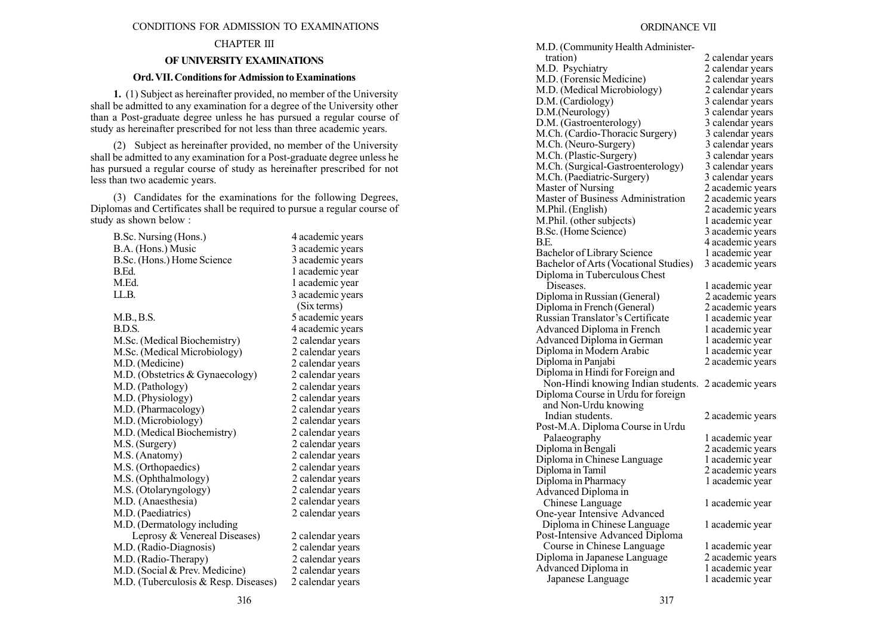#### CONDITIONS FOR ADMISSION TO EXAMINATIONS

### CHAPTER III

#### OF UNIVERSITY EXAMINATIONS

### Ord. VII. Conditions for Admission to Examinations

1. (1) Subject as hereinafter provided, no member of the University shall be admitted to any examination for a degree of the University other than a Post-graduate degree unless he has pursued a regular course of study as hereinafter prescribed for not less than three academic years.

(2) Subject as hereinafter provided, no member of the University shall be admitted to any examination for a Post-graduate degree unless he has pursued a regular course of study as hereinafter prescribed for not less than two academic years.

(3) Candidates for the examinations for the following Degrees, Diplomas and Certificates shall be required to pursue a regular course of study as shown below :

| B.Sc. Nursing (Hons.)                | 4 academic years |
|--------------------------------------|------------------|
| B.A. (Hons.) Music                   | 3 academic years |
| B.Sc. (Hons.) Home Science           | 3 academic years |
| B.Ed.                                | 1 academic year  |
| M.Ed.                                | 1 academic year  |
| LL.B.                                | 3 academic years |
|                                      | (Six terms)      |
| M.B., B.S.                           | 5 academic years |
| BDS.                                 | 4 academic years |
| M.Sc. (Medical Biochemistry)         | 2 calendar years |
| M.Sc. (Medical Microbiology)         | 2 calendar years |
| M.D. (Medicine)                      | 2 calendar years |
| M.D. (Obstetrics & Gynaecology)      | 2 calendar years |
| M.D. (Pathology)                     | 2 calendar years |
| M.D. (Physiology)                    | 2 calendar years |
| M.D. (Pharmacology)                  | 2 calendar years |
| M.D. (Microbiology)                  | 2 calendar years |
| M.D. (Medical Biochemistry)          | 2 calendar years |
| M.S. (Surgery)                       | 2 calendar years |
| M.S. (Anatomy)                       | 2 calendar years |
| M.S. (Orthopaedics)                  | 2 calendar years |
| M.S. (Ophthalmology)                 | 2 calendar years |
| M.S. (Otolaryngology)                | 2 calendar years |
| M.D. (Anaesthesia)                   | 2 calendar years |
| M.D. (Paediatrics)                   | 2 calendar years |
| M.D. (Dermatology including          |                  |
| Leprosy & Venereal Diseases)         | 2 calendar years |
| M.D. (Radio-Diagnosis)               | 2 calendar years |
| M.D. (Radio-Therapy)                 | 2 calendar years |
| M.D. (Social & Prev. Medicine)       | 2 calendar years |
| M.D. (Tuberculosis & Resp. Diseases) | 2 calendar years |
|                                      |                  |

| M.D. (Community Health Administer-    |                  |
|---------------------------------------|------------------|
| tration)                              | 2 calendar years |
| M.D. Psychiatry                       | 2 calendar years |
| M.D. (Forensic Medicine)              | 2 calendar years |
| M.D. (Medical Microbiology)           |                  |
|                                       | 2 calendar years |
| D.M. (Cardiology)<br>D.M.(Neurology)  | 3 calendar years |
|                                       | 3 calendar years |
| D.M. (Gastroenterology)               | 3 calendar years |
| M.Ch. (Cardio-Thoracic Surgery)       | 3 calendar years |
| M.Ch. (Neuro-Surgery)                 | 3 calendar years |
| M.Ch. (Plastic-Surgery)               | 3 calendar years |
| M.Ch. (Surgical-Gastroenterology)     | 3 calendar years |
| M.Ch. (Paediatric-Surgery)            | 3 calendar years |
| Master of Nursing                     | 2 academic years |
| Master of Business Administration     | 2 academic years |
| M.Phil. (English)                     | 2 academic years |
| M.Phil. (other subjects)              | 1 academic year  |
| B.Sc. (Home Science)                  | 3 academic years |
| B.E.                                  | 4 academic years |
| <b>Bachelor of Library Science</b>    | l academic year  |
| Bachelor of Arts (Vocational Studies) | 3 academic years |
| Diploma in Tuberculous Chest          |                  |
| Diseases.                             | l academic year  |
| Diploma in Russian (General)          | 2 academic years |
| Diploma in French (General)           | 2 academic years |
| Russian Translator's Certificate      | 1 academic year  |
| Advanced Diploma in French            | l academic year  |
| Advanced Diploma in German            | l academic year  |
| Diploma in Modern Arabic              | l academic year  |
| Diploma in Panjabi                    | 2 academic years |
| Diploma in Hindi for Foreign and      |                  |
| Non-Hindi knowing Indian students.    | 2 academic years |
| Diploma Course in Urdu for foreign    |                  |
| and Non-Urdu knowing                  |                  |
| Indian students.                      | 2 academic years |
| Post-M.A. Diploma Course in Urdu      |                  |
| Palaeography                          | 1 academic year  |
| Diploma in Bengali                    | 2 academic years |
| Diploma in Chinese Language           | 1 academic year  |
| Diploma in Tamil                      | 2 academic years |
| Diploma in Pharmacy                   | l academic year  |
| Advanced Diploma in                   |                  |
| Chinese Language                      | l academic year  |
| One-year Intensive Advanced           |                  |
| Diploma in Chinese Language           | 1 academic year  |
| Post-Intensive Advanced Diploma       |                  |
| Course in Chinese Language            | 1 academic year  |
| Diploma in Japanese Language          | 2 academic years |
| Advanced Diploma in                   | 1 academic year  |
| Japanese Language                     | 1 academic year  |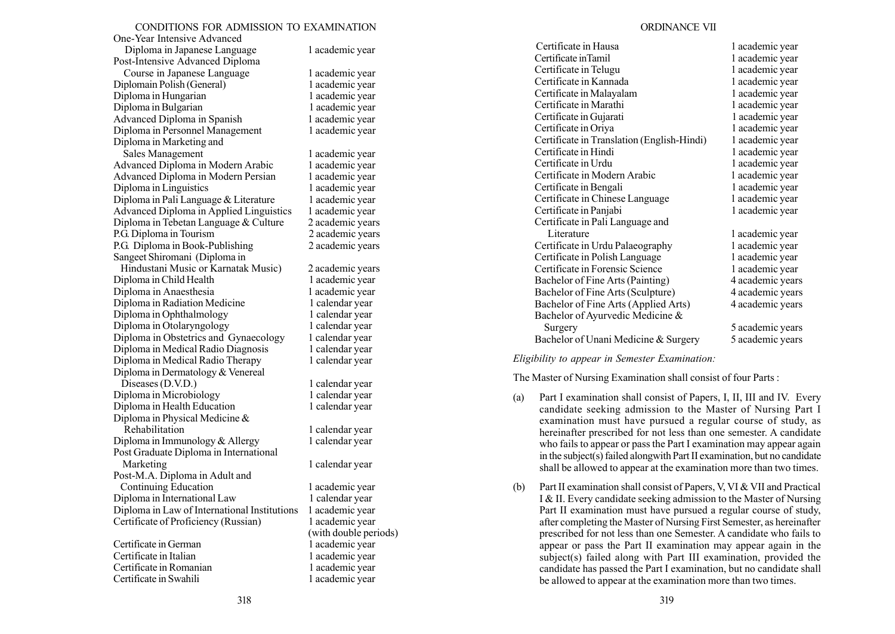### CONDITIONS FOR ADMISSION TO EXAMINATION

One-Year Intensive Advanced Diploma in Japanese Language 1 academic year Post-Intensive Advanced Diploma Course in Japanese Language 1 academic year Diplomain Polish (General) 1 academic year Diploma in Hungarian 1 academic year Diploma in Bulgarian 1 academic year Advanced Diploma in Spanish 1 academic year Diploma in Personnel Management 1 academic year Diploma in Marketing and Sales Management 1 academic year Advanced Diploma in Modern Arabic 1 academic year Advanced Diploma in Modern Persian 1 academic year Diploma in Linguistics 1 academic year Diploma in Pali Language  $&$  Literature 1 academic year Advanced Diploma in Applied Linguistics 1 academic year Diploma in Tebetan Language  $&$  Culture  $2$  academic years P.G. Diploma in Tourism 2 academic years P.G. Diploma in Book-Publishing 2 academic years Sangeet Shiromani (Diploma in Hindustani Music or Karnatak Music) 2 academic years Diploma in Child Health 1 academic year Diploma in Anaesthesia 1 academic year Diploma in Radiation Medicine 1 calendar year Diploma in Ophthalmology 1 calendar year Diploma in Otolaryngology 1 calendar year Diploma in Obstetrics and Gynaecology 1 calendar year Diploma in Medical Radio Diagnosis 1 calendar year Diploma in Medical Radio Therapy 1 calendar year Diploma in Dermatology & Venereal Diseases (D.V.D.) 1 calendar year Diploma in Microbiology 1 calendar year Diploma in Health Education 1 calendar year Diploma in Physical Medicine & Rehabilitation 1 calendar year Diploma in Immunology  $&$  Allergy 1 calendar year Post Graduate Diploma in International Marketing 1 calendar year Post-M.A. Diploma in Adult and Continuing Education 1 academic year Diploma in International Law 1 calendar year Diploma in Law of International Institutions 1 academic year Certificate of Proficiency (Russian) 1 academic year

Certificate in German 1 academic year Certificate in Italian 1 academic year Certificate in Romanian 1 academic year Certificate in Swahili 1 academic year

(with double periods)

### ORDINANCE VII

| Certificate in Hausa                       | 1 academic year  |
|--------------------------------------------|------------------|
| Certificate in Tamil                       | 1 academic year  |
| Certificate in Telugu                      | 1 academic year  |
| Certificate in Kannada                     | 1 academic year  |
| Certificate in Malayalam                   | 1 academic year  |
| Certificate in Marathi                     | 1 academic year  |
| Certificate in Gujarati                    | 1 academic year  |
| Certificate in Oriya                       | 1 academic year  |
| Certificate in Translation (English-Hindi) | 1 academic year  |
| Certificate in Hindi                       | 1 academic year  |
| Certificate in Urdu                        | 1 academic year  |
| Certificate in Modern Arabic               | 1 academic year  |
| Certificate in Bengali                     | 1 academic year  |
| Certificate in Chinese Language            | 1 academic year  |
| Certificate in Panjabi                     | 1 academic year  |
| Certificate in Pali Language and           |                  |
| Literature                                 | 1 academic year  |
| Certificate in Urdu Palaeography           | 1 academic year  |
| Certificate in Polish Language             | 1 academic year  |
| Certificate in Forensic Science            | 1 academic year  |
| Bachelor of Fine Arts (Painting)           | 4 academic years |
| Bachelor of Fine Arts (Sculpture)          | 4 academic years |
| Bachelor of Fine Arts (Applied Arts)       | 4 academic years |
| Bachelor of Ayurvedic Medicine &           |                  |
| Surgery                                    | 5 academic years |
| Bachelor of Unani Medicine & Surgery       | 5 academic vears |

Eligibility to appear in Semester Examination:

The Master of Nursing Examination shall consist of four Parts :

- (a) Part I examination shall consist of Papers, I, II, III and IV. Every candidate seeking admission to the Master of Nursing Part I examination must have pursued a regular course of study, as hereinafter prescribed for not less than one semester. A candidate who fails to appear or pass the Part I examination may appear again in the subject(s) failed alongwith Part II examination, but no candidate shall be allowed to appear at the examination more than two times.
- (b) Part II examination shall consist of Papers, V, VI & VII and Practical I & II. Every candidate seeking admission to the Master of Nursing Part II examination must have pursued a regular course of study, after completing the Master of Nursing First Semester, as hereinafter prescribed for not less than one Semester. A candidate who fails to appear or pass the Part II examination may appear again in the subject(s) failed along with Part III examination, provided the candidate has passed the Part I examination, but no candidate shall be allowed to appear at the examination more than two times.